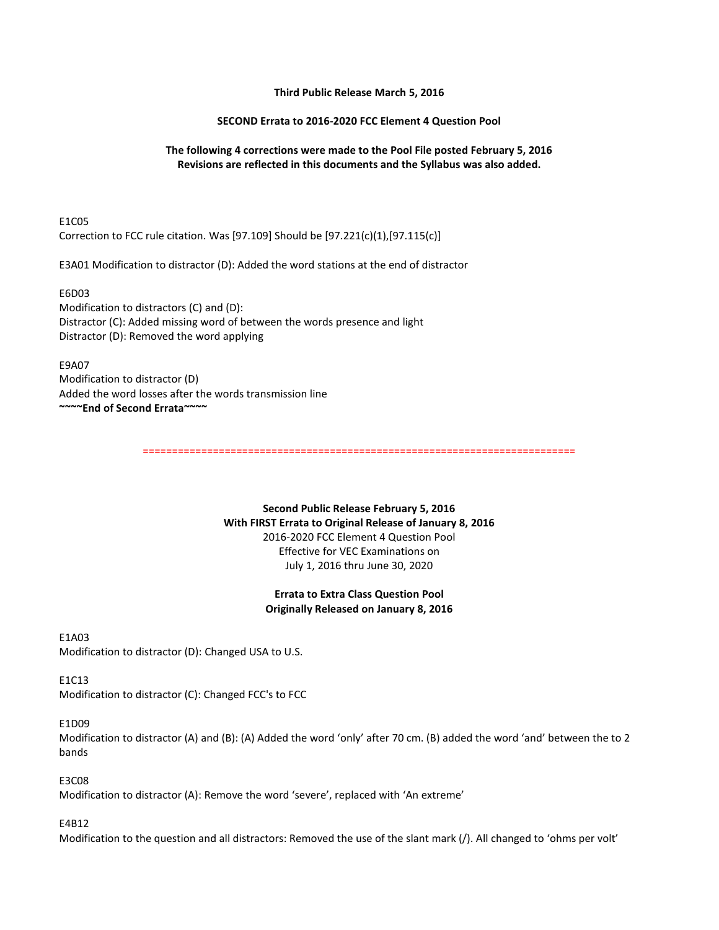#### **Third Public Release March 5, 2016**

#### **SECOND Errata to 2016-2020 FCC Element 4 Question Pool**

#### **The following 4 corrections were made to the Pool File posted February 5, 2016 Revisions are reflected in this documents and the Syllabus was also added.**

E1C05 Correction to FCC rule citation. Was [97.109] Should be [97.221(c)(1),[97.115(c)]

E3A01 Modification to distractor (D): Added the word stations at the end of distractor

E6D03

Modification to distractors (C) and (D): Distractor (C): Added missing word of between the words presence and light Distractor (D): Removed the word applying

E9A07

Modification to distractor (D) Added the word losses after the words transmission line **~~~~End of Second Errata~~~~**

==========================================================================

**Second Public Release February 5, 2016 With FIRST Errata to Original Release of January 8, 2016** 2016-2020 FCC Element 4 Question Pool Effective for VEC Examinations on July 1, 2016 thru June 30, 2020

#### **Errata to Extra Class Question Pool Originally Released on January 8, 2016**

E1A03

Modification to distractor (D): Changed USA to U.S.

E1C13

Modification to distractor (C): Changed FCC's to FCC

#### E1D09

Modification to distractor (A) and (B): (A) Added the word 'only' after 70 cm. (B) added the word 'and' between the to 2 bands

E3C08

Modification to distractor (A): Remove the word 'severe', replaced with 'An extreme'

E4B12

Modification to the question and all distractors: Removed the use of the slant mark (/). All changed to 'ohms per volt'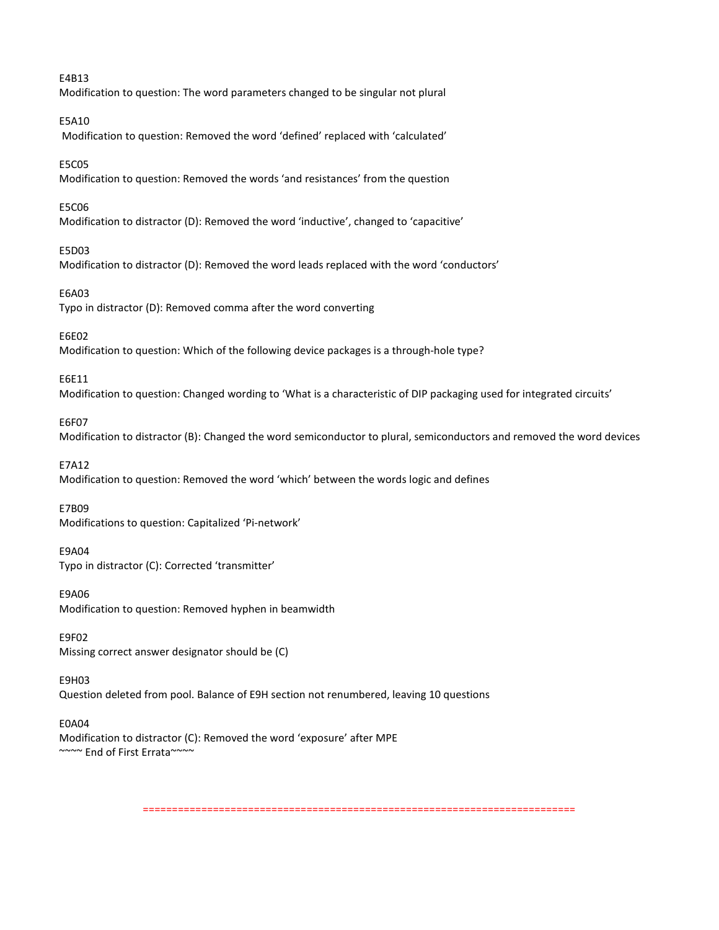#### E4B13

Modification to question: The word parameters changed to be singular not plural

#### E5A10

Modification to question: Removed the word 'defined' replaced with 'calculated'

#### E5C05

Modification to question: Removed the words 'and resistances' from the question

### E5C06

Modification to distractor (D): Removed the word 'inductive', changed to 'capacitive'

### E5D03

Modification to distractor (D): Removed the word leads replaced with the word 'conductors'

### E6A03

Typo in distractor (D): Removed comma after the word converting

### E6E02

Modification to question: Which of the following device packages is a through-hole type?

### E6E11

Modification to question: Changed wording to 'What is a characteristic of DIP packaging used for integrated circuits'

### E6F07

Modification to distractor (B): Changed the word semiconductor to plural, semiconductors and removed the word devices

#### E7A12

Modification to question: Removed the word 'which' between the words logic and defines

#### E7B09

Modifications to question: Capitalized 'Pi-network'

#### E9A04

Typo in distractor (C): Corrected 'transmitter'

#### E9A06

Modification to question: Removed hyphen in beamwidth

#### E9F02

Missing correct answer designator should be (C)

#### E9H03

Question deleted from pool. Balance of E9H section not renumbered, leaving 10 questions

#### E0A04

Modification to distractor (C): Removed the word 'exposure' after MPE ~~~~ End of First Errata~~~~

==========================================================================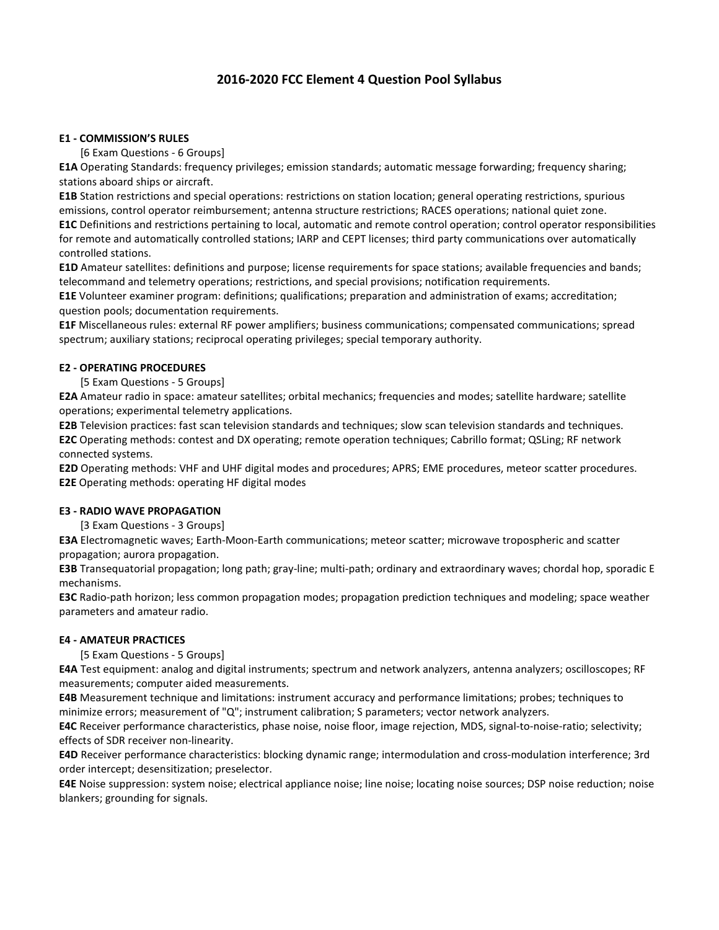# **2016-2020 FCC Element 4 Question Pool Syllabus**

#### **E1 - COMMISSION'S RULES**

[6 Exam Questions - 6 Groups]

**E1A** Operating Standards: frequency privileges; emission standards; automatic message forwarding; frequency sharing; stations aboard ships or aircraft.

**E1B** Station restrictions and special operations: restrictions on station location; general operating restrictions, spurious emissions, control operator reimbursement; antenna structure restrictions; RACES operations; national quiet zone. **E1C** Definitions and restrictions pertaining to local, automatic and remote control operation; control operator responsibilities for remote and automatically controlled stations; IARP and CEPT licenses; third party communications over automatically controlled stations.

**E1D** Amateur satellites: definitions and purpose; license requirements for space stations; available frequencies and bands; telecommand and telemetry operations; restrictions, and special provisions; notification requirements.

**E1E** Volunteer examiner program: definitions; qualifications; preparation and administration of exams; accreditation; question pools; documentation requirements.

**E1F** Miscellaneous rules: external RF power amplifiers; business communications; compensated communications; spread spectrum; auxiliary stations; reciprocal operating privileges; special temporary authority.

#### **E2 - OPERATING PROCEDURES**

[5 Exam Questions - 5 Groups]

**E2A** Amateur radio in space: amateur satellites; orbital mechanics; frequencies and modes; satellite hardware; satellite operations; experimental telemetry applications.

**E2B** Television practices: fast scan television standards and techniques; slow scan television standards and techniques. **E2C** Operating methods: contest and DX operating; remote operation techniques; Cabrillo format; QSLing; RF network connected systems.

**E2D** Operating methods: VHF and UHF digital modes and procedures; APRS; EME procedures, meteor scatter procedures. **E2E** Operating methods: operating HF digital modes

#### **E3 - RADIO WAVE PROPAGATION**

[3 Exam Questions - 3 Groups]

**E3A** Electromagnetic waves; Earth-Moon-Earth communications; meteor scatter; microwave tropospheric and scatter propagation; aurora propagation.

**E3B** Transequatorial propagation; long path; gray-line; multi-path; ordinary and extraordinary waves; chordal hop, sporadic E mechanisms.

**E3C** Radio-path horizon; less common propagation modes; propagation prediction techniques and modeling; space weather parameters and amateur radio.

#### **E4 - AMATEUR PRACTICES**

[5 Exam Questions - 5 Groups]

**E4A** Test equipment: analog and digital instruments; spectrum and network analyzers, antenna analyzers; oscilloscopes; RF measurements; computer aided measurements.

**E4B** Measurement technique and limitations: instrument accuracy and performance limitations; probes; techniques to minimize errors; measurement of "Q"; instrument calibration; S parameters; vector network analyzers.

**E4C** Receiver performance characteristics, phase noise, noise floor, image rejection, MDS, signal-to-noise-ratio; selectivity; effects of SDR receiver non-linearity.

**E4D** Receiver performance characteristics: blocking dynamic range; intermodulation and cross-modulation interference; 3rd order intercept; desensitization; preselector.

**E4E** Noise suppression: system noise; electrical appliance noise; line noise; locating noise sources; DSP noise reduction; noise blankers; grounding for signals.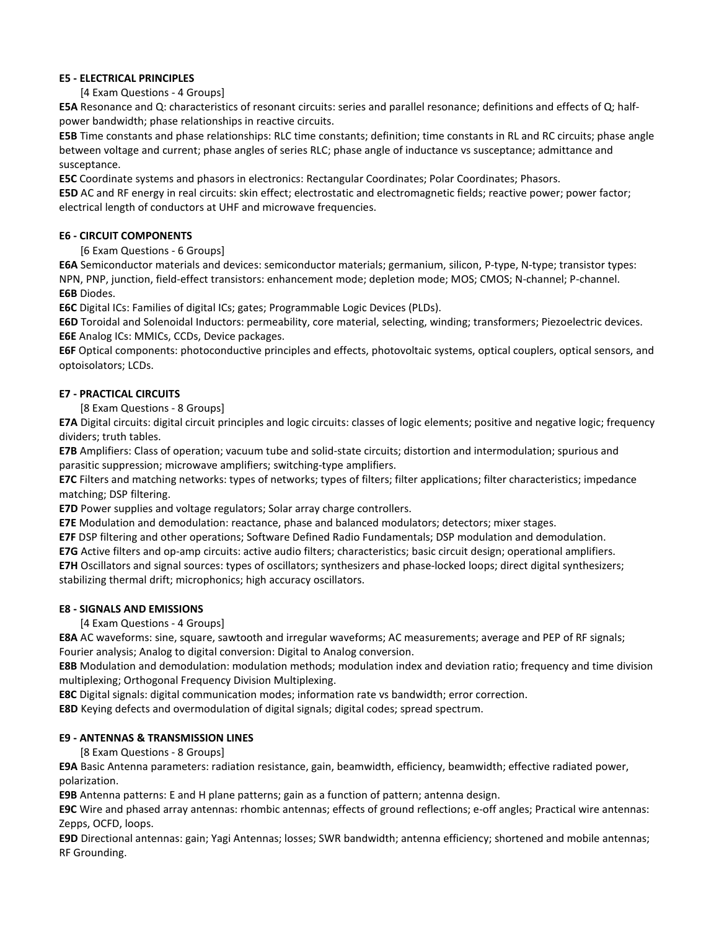### **E5 - ELECTRICAL PRINCIPLES**

[4 Exam Questions - 4 Groups]

**E5A** Resonance and Q: characteristics of resonant circuits: series and parallel resonance; definitions and effects of Q; halfpower bandwidth; phase relationships in reactive circuits.

**E5B** Time constants and phase relationships: RLC time constants; definition; time constants in RL and RC circuits; phase angle between voltage and current; phase angles of series RLC; phase angle of inductance vs susceptance; admittance and susceptance.

**E5C** Coordinate systems and phasors in electronics: Rectangular Coordinates; Polar Coordinates; Phasors.

**E5D** AC and RF energy in real circuits: skin effect; electrostatic and electromagnetic fields; reactive power; power factor; electrical length of conductors at UHF and microwave frequencies.

### **E6 - CIRCUIT COMPONENTS**

[6 Exam Questions - 6 Groups]

**E6A** Semiconductor materials and devices: semiconductor materials; germanium, silicon, P-type, N-type; transistor types: NPN, PNP, junction, field-effect transistors: enhancement mode; depletion mode; MOS; CMOS; N-channel; P-channel. **E6B** Diodes.

**E6C** Digital ICs: Families of digital ICs; gates; Programmable Logic Devices (PLDs).

**E6D** Toroidal and Solenoidal Inductors: permeability, core material, selecting, winding; transformers; Piezoelectric devices. **E6E** Analog ICs: MMICs, CCDs, Device packages.

**E6F** Optical components: photoconductive principles and effects, photovoltaic systems, optical couplers, optical sensors, and optoisolators; LCDs.

### **E7 - PRACTICAL CIRCUITS**

[8 Exam Questions - 8 Groups]

**E7A** Digital circuits: digital circuit principles and logic circuits: classes of logic elements; positive and negative logic; frequency dividers; truth tables.

**E7B** Amplifiers: Class of operation; vacuum tube and solid-state circuits; distortion and intermodulation; spurious and parasitic suppression; microwave amplifiers; switching-type amplifiers.

**E7C** Filters and matching networks: types of networks; types of filters; filter applications; filter characteristics; impedance matching; DSP filtering.

**E7D** Power supplies and voltage regulators; Solar array charge controllers.

**E7E** Modulation and demodulation: reactance, phase and balanced modulators; detectors; mixer stages.

**E7F** DSP filtering and other operations; Software Defined Radio Fundamentals; DSP modulation and demodulation.

**E7G** Active filters and op-amp circuits: active audio filters; characteristics; basic circuit design; operational amplifiers.

**E7H** Oscillators and signal sources: types of oscillators; synthesizers and phase-locked loops; direct digital synthesizers; stabilizing thermal drift; microphonics; high accuracy oscillators.

### **E8 - SIGNALS AND EMISSIONS**

[4 Exam Questions - 4 Groups]

**E8A** AC waveforms: sine, square, sawtooth and irregular waveforms; AC measurements; average and PEP of RF signals; Fourier analysis; Analog to digital conversion: Digital to Analog conversion.

**E8B** Modulation and demodulation: modulation methods; modulation index and deviation ratio; frequency and time division multiplexing; Orthogonal Frequency Division Multiplexing.

**E8C** Digital signals: digital communication modes; information rate vs bandwidth; error correction.

**E8D** Keying defects and overmodulation of digital signals; digital codes; spread spectrum.

### **E9 - ANTENNAS & TRANSMISSION LINES**

[8 Exam Questions - 8 Groups]

**E9A** Basic Antenna parameters: radiation resistance, gain, beamwidth, efficiency, beamwidth; effective radiated power, polarization.

**E9B** Antenna patterns: E and H plane patterns; gain as a function of pattern; antenna design.

**E9C** Wire and phased array antennas: rhombic antennas; effects of ground reflections; e-off angles; Practical wire antennas: Zepps, OCFD, loops.

**E9D** Directional antennas: gain; Yagi Antennas; losses; SWR bandwidth; antenna efficiency; shortened and mobile antennas; RF Grounding.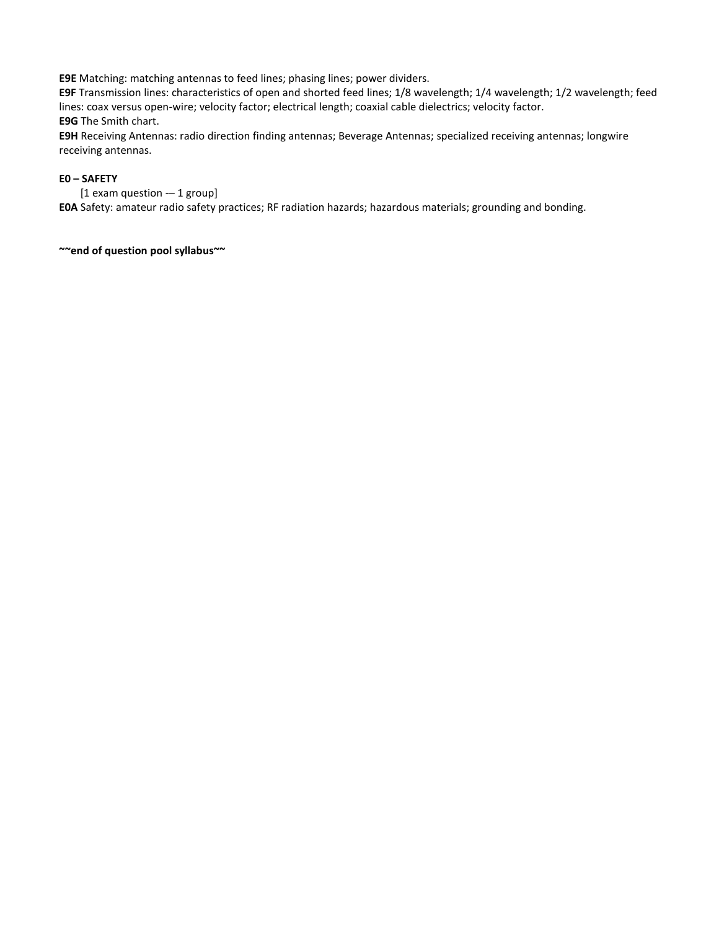**E9E** Matching: matching antennas to feed lines; phasing lines; power dividers.

**E9F** Transmission lines: characteristics of open and shorted feed lines; 1/8 wavelength; 1/4 wavelength; 1/2 wavelength; feed lines: coax versus open-wire; velocity factor; electrical length; coaxial cable dielectrics; velocity factor. **E9G** The Smith chart.

**E9H** Receiving Antennas: radio direction finding antennas; Beverage Antennas; specialized receiving antennas; longwire receiving antennas.

#### **E0 – SAFETY**

[1 exam question -– 1 group]

**E0A** Safety: amateur radio safety practices; RF radiation hazards; hazardous materials; grounding and bonding.

**~~end of question pool syllabus~~**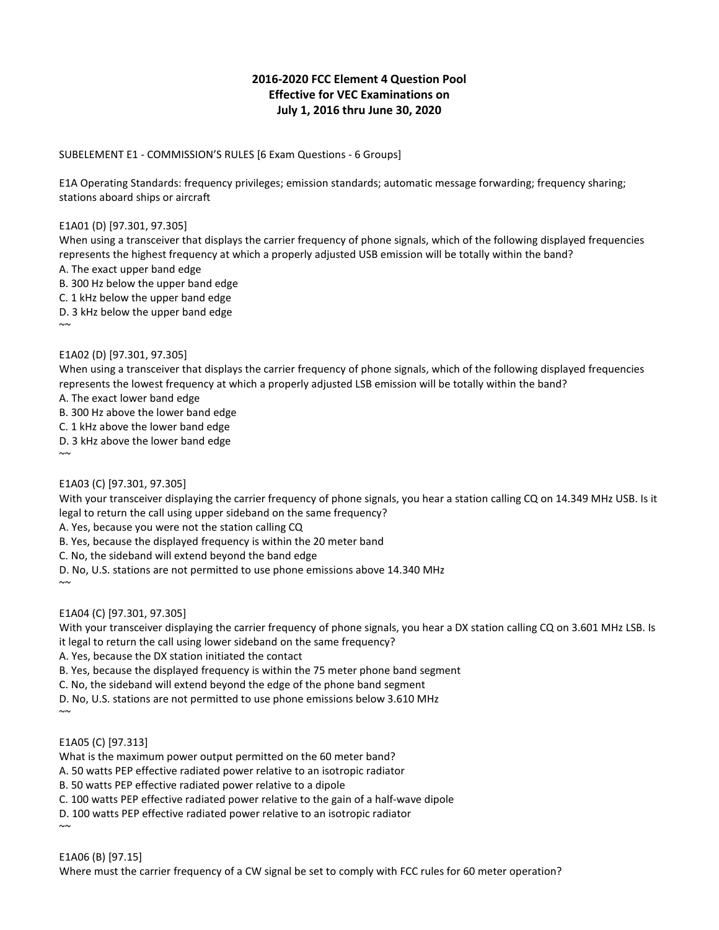### **2016-2020 FCC Element 4 Question Pool Effective for VEC Examinations on July 1, 2016 thru June 30, 2020**

#### SUBELEMENT E1 - COMMISSION'S RULES [6 Exam Questions - 6 Groups]

E1A Operating Standards: frequency privileges; emission standards; automatic message forwarding; frequency sharing; stations aboard ships or aircraft

#### E1A01 (D) [97.301, 97.305]

When using a transceiver that displays the carrier frequency of phone signals, which of the following displayed frequencies represents the highest frequency at which a properly adjusted USB emission will be totally within the band?

- A. The exact upper band edge
- B. 300 Hz below the upper band edge
- C. 1 kHz below the upper band edge
- D. 3 kHz below the upper band edge
- $\sim$

#### E1A02 (D) [97.301, 97.305]

When using a transceiver that displays the carrier frequency of phone signals, which of the following displayed frequencies represents the lowest frequency at which a properly adjusted LSB emission will be totally within the band?

- A. The exact lower band edge
- B. 300 Hz above the lower band edge
- C. 1 kHz above the lower band edge
- D. 3 kHz above the lower band edge
- $~\sim~$

#### E1A03 (C) [97.301, 97.305]

With your transceiver displaying the carrier frequency of phone signals, you hear a station calling CQ on 14.349 MHz USB. Is it legal to return the call using upper sideband on the same frequency?

A. Yes, because you were not the station calling CQ

B. Yes, because the displayed frequency is within the 20 meter band

C. No, the sideband will extend beyond the band edge

- D. No, U.S. stations are not permitted to use phone emissions above 14.340 MHz
- E1A04 (C) [97.301, 97.305]

With your transceiver displaying the carrier frequency of phone signals, you hear a DX station calling CQ on 3.601 MHz LSB. Is it legal to return the call using lower sideband on the same frequency?

A. Yes, because the DX station initiated the contact

B. Yes, because the displayed frequency is within the 75 meter phone band segment

C. No, the sideband will extend beyond the edge of the phone band segment

- D. No, U.S. stations are not permitted to use phone emissions below 3.610 MHz
- $~\sim~$

 $\sim$ 

#### E1A05 (C) [97.313]

What is the maximum power output permitted on the 60 meter band?

- A. 50 watts PEP effective radiated power relative to an isotropic radiator
- B. 50 watts PEP effective radiated power relative to a dipole
- C. 100 watts PEP effective radiated power relative to the gain of a half-wave dipole

D. 100 watts PEP effective radiated power relative to an isotropic radiator

 $~\sim~$ 

E1A06 (B) [97.15]

Where must the carrier frequency of a CW signal be set to comply with FCC rules for 60 meter operation?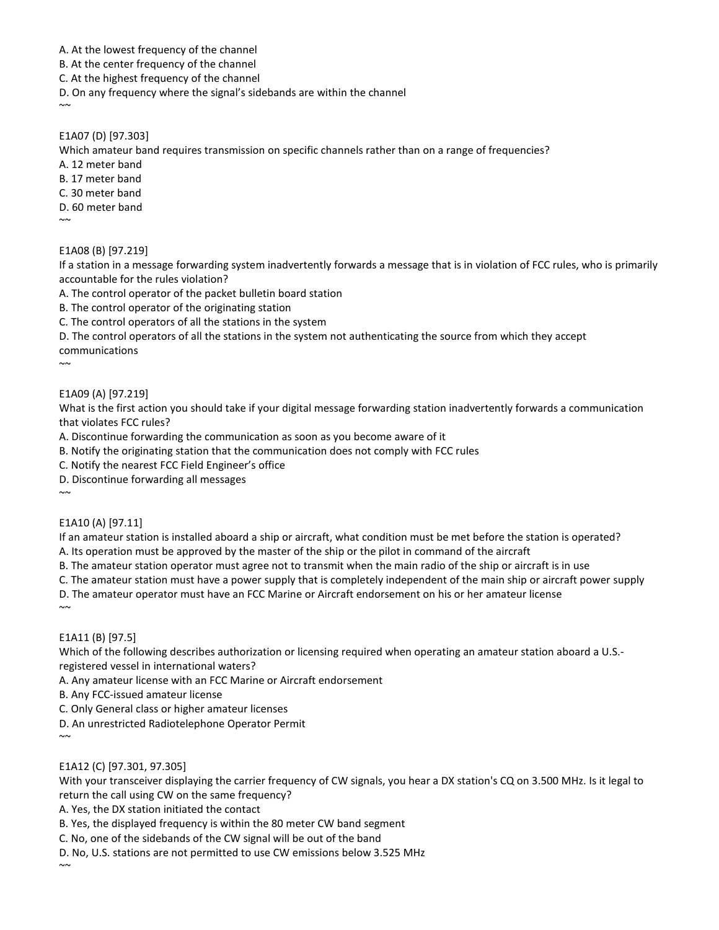- A. At the lowest frequency of the channel
- B. At the center frequency of the channel
- C. At the highest frequency of the channel
- D. On any frequency where the signal's sidebands are within the channel

### E1A07 (D) [97.303]

Which amateur band requires transmission on specific channels rather than on a range of frequencies?

- A. 12 meter band
- B. 17 meter band
- C. 30 meter band
- D. 60 meter band
- $\sim$

 $\sim$ 

### E1A08 (B) [97.219]

If a station in a message forwarding system inadvertently forwards a message that is in violation of FCC rules, who is primarily accountable for the rules violation?

A. The control operator of the packet bulletin board station

B. The control operator of the originating station

C. The control operators of all the stations in the system

D. The control operators of all the stations in the system not authenticating the source from which they accept

communications

 $\sim$ 

### E1A09 (A) [97.219]

What is the first action you should take if your digital message forwarding station inadvertently forwards a communication that violates FCC rules?

A. Discontinue forwarding the communication as soon as you become aware of it

B. Notify the originating station that the communication does not comply with FCC rules

C. Notify the nearest FCC Field Engineer's office

D. Discontinue forwarding all messages

 $\sim$ 

 $\sim$ 

### E1A10 (A) [97.11]

If an amateur station is installed aboard a ship or aircraft, what condition must be met before the station is operated?

- A. Its operation must be approved by the master of the ship or the pilot in command of the aircraft
- B. The amateur station operator must agree not to transmit when the main radio of the ship or aircraft is in use
- C. The amateur station must have a power supply that is completely independent of the main ship or aircraft power supply

D. The amateur operator must have an FCC Marine or Aircraft endorsement on his or her amateur license

E1A11 (B) [97.5]

Which of the following describes authorization or licensing required when operating an amateur station aboard a U.S. registered vessel in international waters?

A. Any amateur license with an FCC Marine or Aircraft endorsement

B. Any FCC-issued amateur license

C. Only General class or higher amateur licenses

D. An unrestricted Radiotelephone Operator Permit

 $\sim$ 

### E1A12 (C) [97.301, 97.305]

With your transceiver displaying the carrier frequency of CW signals, you hear a DX station's CQ on 3.500 MHz. Is it legal to return the call using CW on the same frequency?

A. Yes, the DX station initiated the contact

B. Yes, the displayed frequency is within the 80 meter CW band segment

C. No, one of the sidebands of the CW signal will be out of the band

D. No, U.S. stations are not permitted to use CW emissions below 3.525 MHz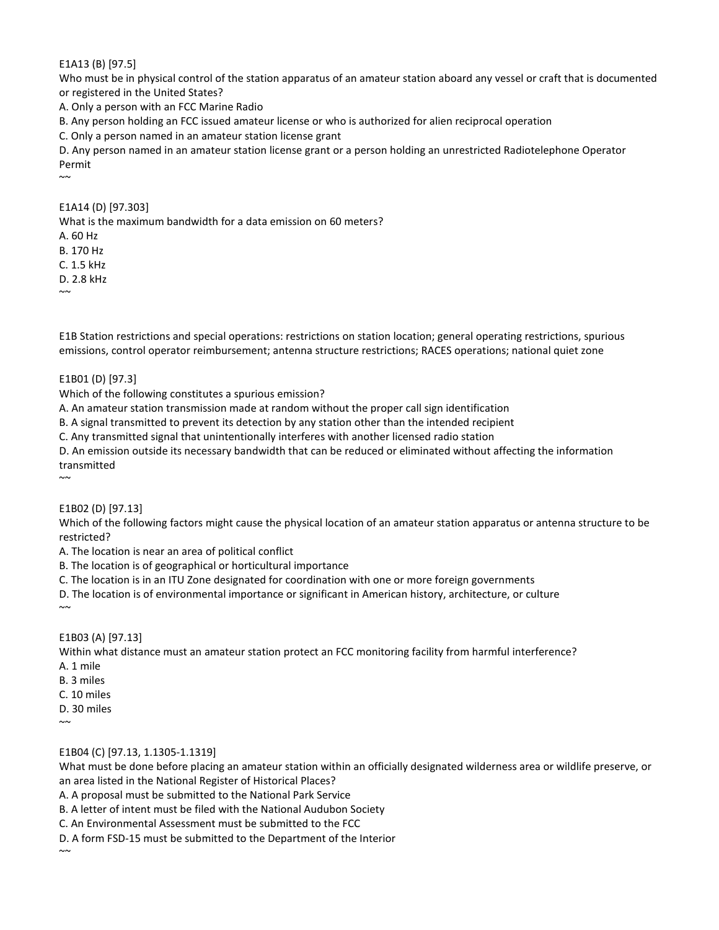E1A13 (B) [97.5]

Who must be in physical control of the station apparatus of an amateur station aboard any vessel or craft that is documented or registered in the United States?

A. Only a person with an FCC Marine Radio

B. Any person holding an FCC issued amateur license or who is authorized for alien reciprocal operation

C. Only a person named in an amateur station license grant

D. Any person named in an amateur station license grant or a person holding an unrestricted Radiotelephone Operator Permit

#### E1A14 (D) [97.303]

What is the maximum bandwidth for a data emission on 60 meters?

A. 60 Hz

B. 170 Hz

C. 1.5 kHz

D. 2.8 kHz

 $\sim$ 

 $\sim$ 

E1B Station restrictions and special operations: restrictions on station location; general operating restrictions, spurious emissions, control operator reimbursement; antenna structure restrictions; RACES operations; national quiet zone

#### E1B01 (D) [97.3]

Which of the following constitutes a spurious emission?

A. An amateur station transmission made at random without the proper call sign identification

B. A signal transmitted to prevent its detection by any station other than the intended recipient

C. Any transmitted signal that unintentionally interferes with another licensed radio station

D. An emission outside its necessary bandwidth that can be reduced or eliminated without affecting the information transmitted

 $\sim$ 

#### E1B02 (D) [97.13]

Which of the following factors might cause the physical location of an amateur station apparatus or antenna structure to be restricted?

A. The location is near an area of political conflict

B. The location is of geographical or horticultural importance

C. The location is in an ITU Zone designated for coordination with one or more foreign governments

D. The location is of environmental importance or significant in American history, architecture, or culture

E1B03 (A) [97.13]

Within what distance must an amateur station protect an FCC monitoring facility from harmful interference?

A. 1 mile

B. 3 miles

C. 10 miles

D. 30 miles

 $\sim$ 

 $\sim$ 

#### E1B04 (C) [97.13, 1.1305-1.1319]

What must be done before placing an amateur station within an officially designated wilderness area or wildlife preserve, or an area listed in the National Register of Historical Places?

A. A proposal must be submitted to the National Park Service

B. A letter of intent must be filed with the National Audubon Society

C. An Environmental Assessment must be submitted to the FCC

D. A form FSD-15 must be submitted to the Department of the Interior

 $~\sim~$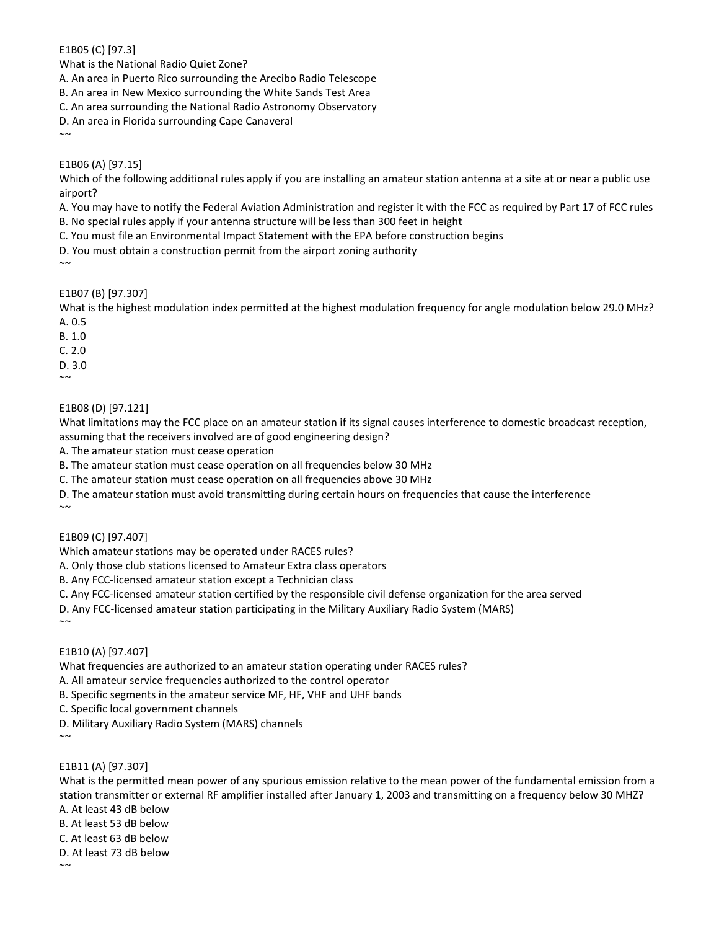#### E1B05 (C) [97.3]

What is the National Radio Quiet Zone?

A. An area in Puerto Rico surrounding the Arecibo Radio Telescope

B. An area in New Mexico surrounding the White Sands Test Area

C. An area surrounding the National Radio Astronomy Observatory

D. An area in Florida surrounding Cape Canaveral

### E1B06 (A) [97.15]

Which of the following additional rules apply if you are installing an amateur station antenna at a site at or near a public use airport?

A. You may have to notify the Federal Aviation Administration and register it with the FCC as required by Part 17 of FCC rules B. No special rules apply if your antenna structure will be less than 300 feet in height

C. You must file an Environmental Impact Statement with the EPA before construction begins

D. You must obtain a construction permit from the airport zoning authority

 $\sim$ 

 $\sim$ 

### E1B07 (B) [97.307]

What is the highest modulation index permitted at the highest modulation frequency for angle modulation below 29.0 MHz? A. 0.5

B. 1.0

C. 2.0

D. 3.0

 $~\sim~$ 

### E1B08 (D) [97.121]

What limitations may the FCC place on an amateur station if its signal causes interference to domestic broadcast reception, assuming that the receivers involved are of good engineering design?

A. The amateur station must cease operation

B. The amateur station must cease operation on all frequencies below 30 MHz

C. The amateur station must cease operation on all frequencies above 30 MHz

D. The amateur station must avoid transmitting during certain hours on frequencies that cause the interference  $\sim$ 

E1B09 (C) [97.407]

Which amateur stations may be operated under RACES rules?

A. Only those club stations licensed to Amateur Extra class operators

B. Any FCC-licensed amateur station except a Technician class

C. Any FCC-licensed amateur station certified by the responsible civil defense organization for the area served

D. Any FCC-licensed amateur station participating in the Military Auxiliary Radio System (MARS)

### E1B10 (A) [97.407]

What frequencies are authorized to an amateur station operating under RACES rules?

A. All amateur service frequencies authorized to the control operator

B. Specific segments in the amateur service MF, HF, VHF and UHF bands

C. Specific local government channels

D. Military Auxiliary Radio System (MARS) channels

 $\sim$ 

 $~\sim~$ 

### E1B11 (A) [97.307]

What is the permitted mean power of any spurious emission relative to the mean power of the fundamental emission from a station transmitter or external RF amplifier installed after January 1, 2003 and transmitting on a frequency below 30 MHZ? A. At least 43 dB below

B. At least 53 dB below

C. At least 63 dB below

D. At least 73 dB below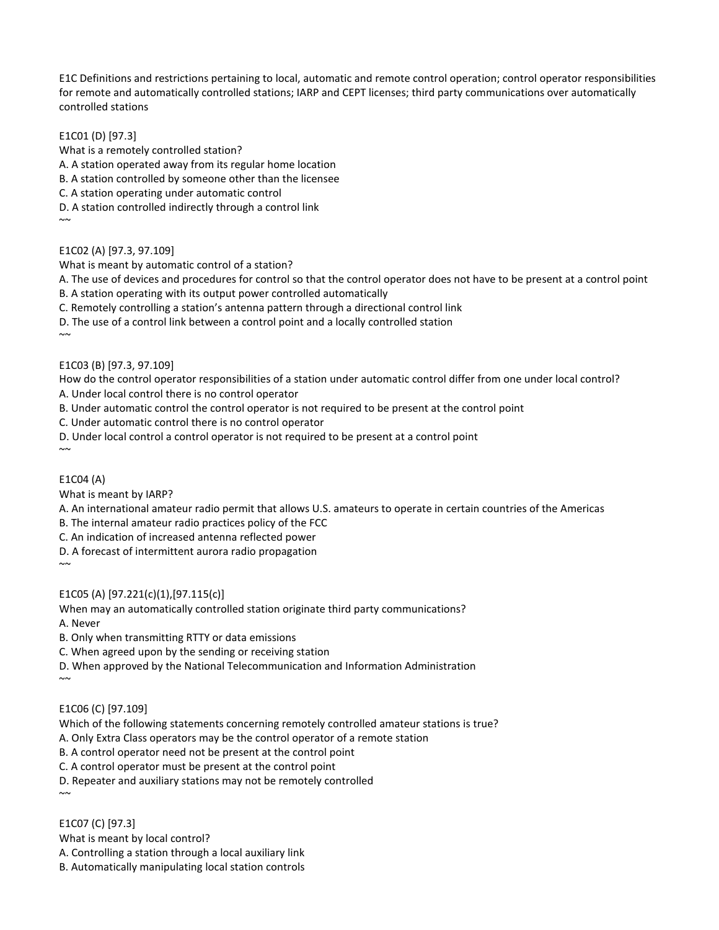E1C Definitions and restrictions pertaining to local, automatic and remote control operation; control operator responsibilities for remote and automatically controlled stations; IARP and CEPT licenses; third party communications over automatically controlled stations

E1C01 (D) [97.3]

What is a remotely controlled station?

A. A station operated away from its regular home location

B. A station controlled by someone other than the licensee

C. A station operating under automatic control

D. A station controlled indirectly through a control link

 $\sim$ 

E1C02 (A) [97.3, 97.109]

What is meant by automatic control of a station?

A. The use of devices and procedures for control so that the control operator does not have to be present at a control point B. A station operating with its output power controlled automatically

C. Remotely controlling a station's antenna pattern through a directional control link

D. The use of a control link between a control point and a locally controlled station

 $\sim$ 

E1C03 (B) [97.3, 97.109]

How do the control operator responsibilities of a station under automatic control differ from one under local control? A. Under local control there is no control operator

B. Under automatic control the control operator is not required to be present at the control point

C. Under automatic control there is no control operator

D. Under local control a control operator is not required to be present at a control point

E1C04 (A)

What is meant by IARP?

A. An international amateur radio permit that allows U.S. amateurs to operate in certain countries of the Americas

B. The internal amateur radio practices policy of the FCC

C. An indication of increased antenna reflected power

D. A forecast of intermittent aurora radio propagation

 $\sim$ 

 $\sim$ 

### E1C05 (A) [97.221(c)(1),[97.115(c)]

When may an automatically controlled station originate third party communications?

A. Never

B. Only when transmitting RTTY or data emissions

C. When agreed upon by the sending or receiving station

D. When approved by the National Telecommunication and Information Administration

 $\sim$ 

 $\sim$ 

E1C06 (C) [97.109]

Which of the following statements concerning remotely controlled amateur stations is true?

A. Only Extra Class operators may be the control operator of a remote station

B. A control operator need not be present at the control point

C. A control operator must be present at the control point

D. Repeater and auxiliary stations may not be remotely controlled

E1C07 (C) [97.3]

What is meant by local control?

A. Controlling a station through a local auxiliary link

B. Automatically manipulating local station controls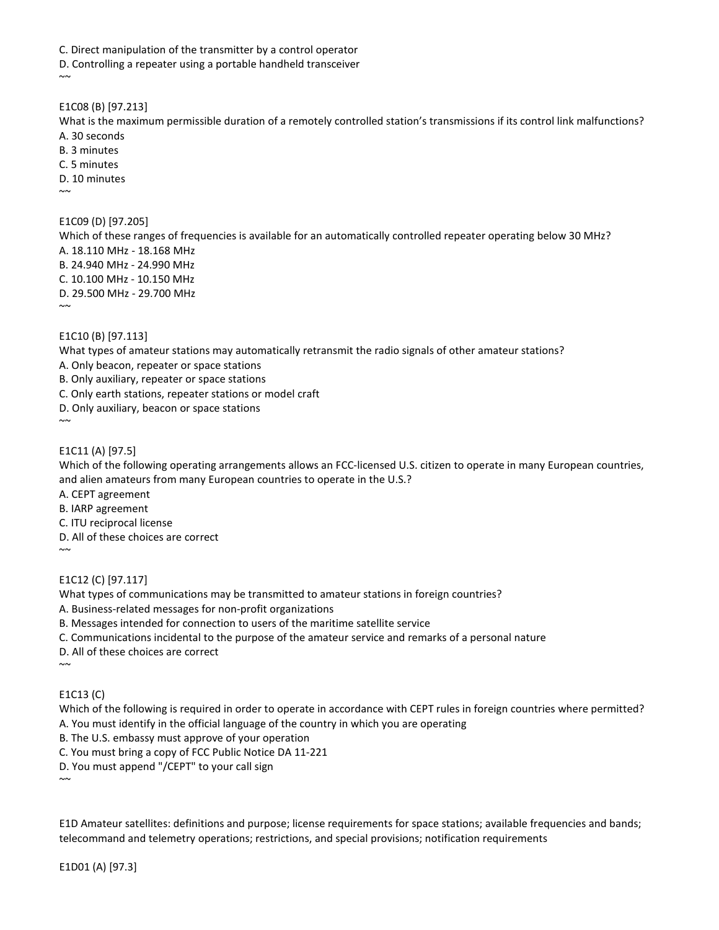C. Direct manipulation of the transmitter by a control operator

D. Controlling a repeater using a portable handheld transceiver

 $\sim$ 

#### E1C08 (B) [97.213]

What is the maximum permissible duration of a remotely controlled station's transmissions if its control link malfunctions? A. 30 seconds

B. 3 minutes

C. 5 minutes

D. 10 minutes

 $\sim$ 

E1C09 (D) [97.205]

Which of these ranges of frequencies is available for an automatically controlled repeater operating below 30 MHz?

A. 18.110 MHz - 18.168 MHz B. 24.940 MHz - 24.990 MHz C. 10.100 MHz - 10.150 MHz

D. 29.500 MHz - 29.700 MHz

 $\sim$ 

E1C10 (B) [97.113]

What types of amateur stations may automatically retransmit the radio signals of other amateur stations?

A. Only beacon, repeater or space stations

B. Only auxiliary, repeater or space stations

C. Only earth stations, repeater stations or model craft

D. Only auxiliary, beacon or space stations

 $~\sim~$ 

#### E1C11 (A) [97.5]

Which of the following operating arrangements allows an FCC-licensed U.S. citizen to operate in many European countries, and alien amateurs from many European countries to operate in the U.S.?

A. CEPT agreement

B. IARP agreement

C. ITU reciprocal license

D. All of these choices are correct  $~\sim~$ 

E1C12 (C) [97.117]

What types of communications may be transmitted to amateur stations in foreign countries?

A. Business-related messages for non-profit organizations

B. Messages intended for connection to users of the maritime satellite service

C. Communications incidental to the purpose of the amateur service and remarks of a personal nature

D. All of these choices are correct

 $~\sim~$ 

E1C13 (C)

Which of the following is required in order to operate in accordance with CEPT rules in foreign countries where permitted? A. You must identify in the official language of the country in which you are operating

B. The U.S. embassy must approve of your operation

C. You must bring a copy of FCC Public Notice DA 11-221

D. You must append "/CEPT" to your call sign

 $\sim$ 

E1D Amateur satellites: definitions and purpose; license requirements for space stations; available frequencies and bands; telecommand and telemetry operations; restrictions, and special provisions; notification requirements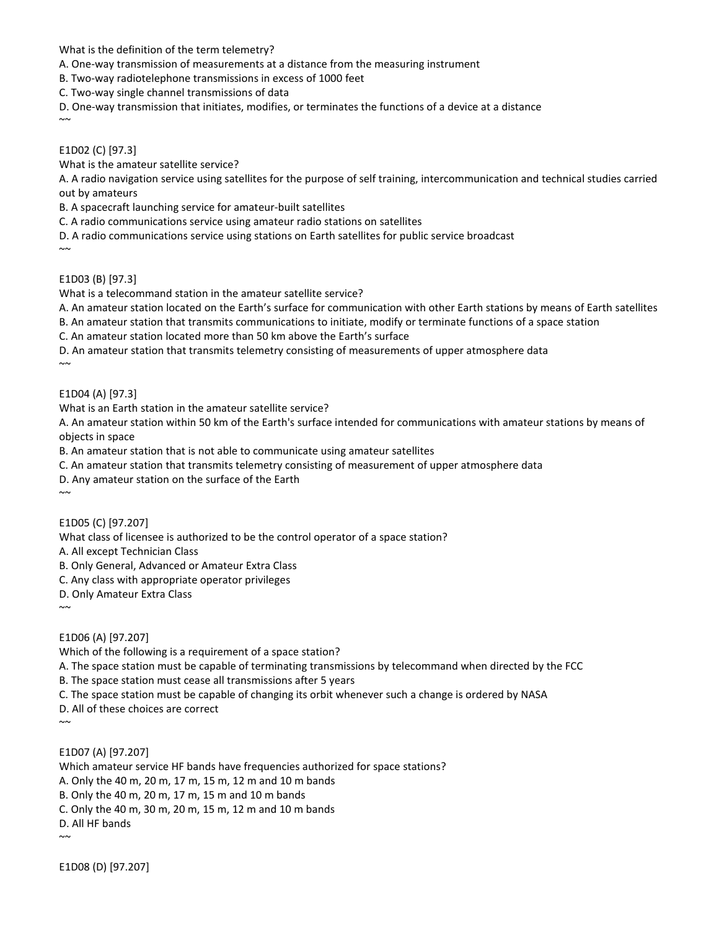What is the definition of the term telemetry?

A. One-way transmission of measurements at a distance from the measuring instrument

B. Two-way radiotelephone transmissions in excess of 1000 feet

C. Two-way single channel transmissions of data

D. One-way transmission that initiates, modifies, or terminates the functions of a device at a distance

E1D02 (C) [97.3]

What is the amateur satellite service?

A. A radio navigation service using satellites for the purpose of self training, intercommunication and technical studies carried out by amateurs

B. A spacecraft launching service for amateur-built satellites

C. A radio communications service using amateur radio stations on satellites

D. A radio communications service using stations on Earth satellites for public service broadcast

 $~\sim~$ 

 $~\sim~$ 

E1D03 (B) [97.3]

What is a telecommand station in the amateur satellite service?

A. An amateur station located on the Earth's surface for communication with other Earth stations by means of Earth satellites

B. An amateur station that transmits communications to initiate, modify or terminate functions of a space station

C. An amateur station located more than 50 km above the Earth's surface

D. An amateur station that transmits telemetry consisting of measurements of upper atmosphere data  $\sim$ 

E1D04 (A) [97.3]

What is an Earth station in the amateur satellite service?

A. An amateur station within 50 km of the Earth's surface intended for communications with amateur stations by means of objects in space

B. An amateur station that is not able to communicate using amateur satellites

C. An amateur station that transmits telemetry consisting of measurement of upper atmosphere data

D. Any amateur station on the surface of the Earth

 $~\sim~$ 

E1D05 (C) [97.207]

What class of licensee is authorized to be the control operator of a space station?

A. All except Technician Class

B. Only General, Advanced or Amateur Extra Class

C. Any class with appropriate operator privileges

D. Only Amateur Extra Class

 $\sim$ 

E1D06 (A) [97.207]

Which of the following is a requirement of a space station?

A. The space station must be capable of terminating transmissions by telecommand when directed by the FCC

B. The space station must cease all transmissions after 5 years

C. The space station must be capable of changing its orbit whenever such a change is ordered by NASA

D. All of these choices are correct

 $\sim$ 

 $~\sim~$ 

E1D07 (A) [97.207]

Which amateur service HF bands have frequencies authorized for space stations?

A. Only the 40 m, 20 m, 17 m, 15 m, 12 m and 10 m bands

B. Only the 40 m, 20 m, 17 m, 15 m and 10 m bands

C. Only the 40 m, 30 m, 20 m, 15 m, 12 m and 10 m bands

D. All HF bands

E1D08 (D) [97.207]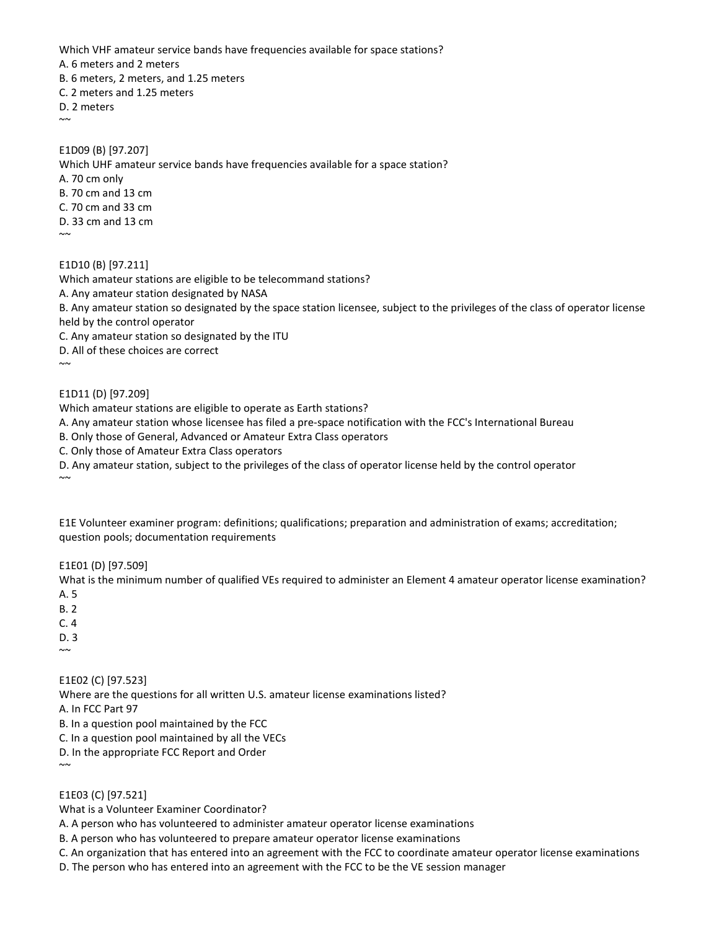Which VHF amateur service bands have frequencies available for space stations? A. 6 meters and 2 meters B. 6 meters, 2 meters, and 1.25 meters C. 2 meters and 1.25 meters

D. 2 meters  $~\sim~$ 

E1D09 (B) [97.207] Which UHF amateur service bands have frequencies available for a space station? A. 70 cm only B. 70 cm and 13 cm C. 70 cm and 33 cm D. 33 cm and 13 cm  $\sim$ 

E1D10 (B) [97.211] Which amateur stations are eligible to be telecommand stations? A. Any amateur station designated by NASA B. Any amateur station so designated by the space station licensee, subject to the privileges of the class of operator license held by the control operator C. Any amateur station so designated by the ITU D. All of these choices are correct  $\sim$ 

#### E1D11 (D) [97.209]

Which amateur stations are eligible to operate as Earth stations?

A. Any amateur station whose licensee has filed a pre-space notification with the FCC's International Bureau

B. Only those of General, Advanced or Amateur Extra Class operators

C. Only those of Amateur Extra Class operators

D. Any amateur station, subject to the privileges of the class of operator license held by the control operator  $~\sim~$ 

E1E Volunteer examiner program: definitions; qualifications; preparation and administration of exams; accreditation; question pools; documentation requirements

E1E01 (D) [97.509]

What is the minimum number of qualified VEs required to administer an Element 4 amateur operator license examination? A. 5

B. 2

C. 4

D. 3  $\sim$ 

E1E02 (C) [97.523]

Where are the questions for all written U.S. amateur license examinations listed?

A. In FCC Part 97

B. In a question pool maintained by the FCC

C. In a question pool maintained by all the VECs

D. In the appropriate FCC Report and Order

 $\sim$ 

E1E03 (C) [97.521]

What is a Volunteer Examiner Coordinator?

A. A person who has volunteered to administer amateur operator license examinations

B. A person who has volunteered to prepare amateur operator license examinations

C. An organization that has entered into an agreement with the FCC to coordinate amateur operator license examinations

D. The person who has entered into an agreement with the FCC to be the VE session manager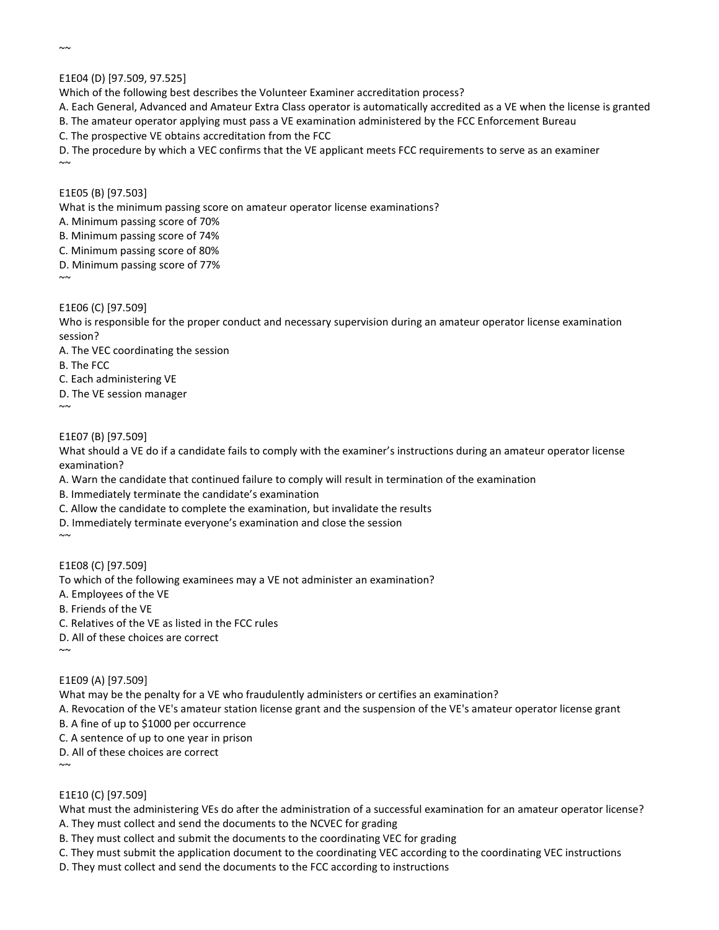$~\sim~$ 

E1E04 (D) [97.509, 97.525]

Which of the following best describes the Volunteer Examiner accreditation process?

A. Each General, Advanced and Amateur Extra Class operator is automatically accredited as a VE when the license is granted

B. The amateur operator applying must pass a VE examination administered by the FCC Enforcement Bureau

C. The prospective VE obtains accreditation from the FCC

D. The procedure by which a VEC confirms that the VE applicant meets FCC requirements to serve as an examiner

E1E05 (B) [97.503]

What is the minimum passing score on amateur operator license examinations?

A. Minimum passing score of 70%

B. Minimum passing score of 74%

C. Minimum passing score of 80%

D. Minimum passing score of 77%

 $\sim$ 

 $~\sim~$ 

E1E06 (C) [97.509]

Who is responsible for the proper conduct and necessary supervision during an amateur operator license examination session?

A. The VEC coordinating the session

B. The FCC

C. Each administering VE

D. The VE session manager

 $\sim$ 

E1E07 (B) [97.509]

What should a VE do if a candidate fails to comply with the examiner's instructions during an amateur operator license examination?

A. Warn the candidate that continued failure to comply will result in termination of the examination

B. Immediately terminate the candidate's examination

C. Allow the candidate to complete the examination, but invalidate the results

D. Immediately terminate everyone's examination and close the session

 $\sim\!\sim$ 

E1E08 (C) [97.509] To which of the following examinees may a VE not administer an examination? A. Employees of the VE B. Friends of the VE C. Relatives of the VE as listed in the FCC rules

D. All of these choices are correct  $~\sim~$ 

E1E09 (A) [97.509]

What may be the penalty for a VE who fraudulently administers or certifies an examination?

A. Revocation of the VE's amateur station license grant and the suspension of the VE's amateur operator license grant

B. A fine of up to \$1000 per occurrence

C. A sentence of up to one year in prison

D. All of these choices are correct

 $\sim$ 

E1E10 (C) [97.509]

What must the administering VEs do after the administration of a successful examination for an amateur operator license?

A. They must collect and send the documents to the NCVEC for grading

B. They must collect and submit the documents to the coordinating VEC for grading

C. They must submit the application document to the coordinating VEC according to the coordinating VEC instructions

D. They must collect and send the documents to the FCC according to instructions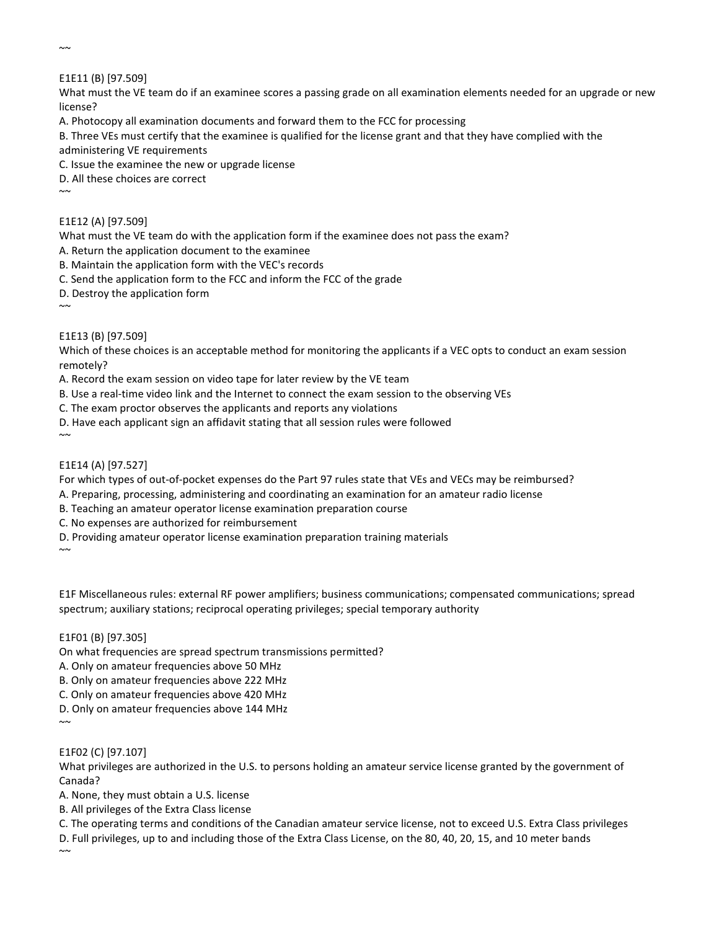$~\sim~$ 

### E1E11 (B) [97.509]

What must the VE team do if an examinee scores a passing grade on all examination elements needed for an upgrade or new license?

A. Photocopy all examination documents and forward them to the FCC for processing

B. Three VEs must certify that the examinee is qualified for the license grant and that they have complied with the

administering VE requirements

C. Issue the examinee the new or upgrade license

D. All these choices are correct

 $\sim$ 

#### E1E12 (A) [97.509]

What must the VE team do with the application form if the examinee does not pass the exam?

A. Return the application document to the examinee

B. Maintain the application form with the VEC's records

- C. Send the application form to the FCC and inform the FCC of the grade
- D. Destroy the application form

 $\sim$ 

#### E1E13 (B) [97.509]

Which of these choices is an acceptable method for monitoring the applicants if a VEC opts to conduct an exam session remotely?

A. Record the exam session on video tape for later review by the VE team

B. Use a real-time video link and the Internet to connect the exam session to the observing VEs

C. The exam proctor observes the applicants and reports any violations

D. Have each applicant sign an affidavit stating that all session rules were followed

E1E14 (A) [97.527]

For which types of out-of-pocket expenses do the Part 97 rules state that VEs and VECs may be reimbursed?

- A. Preparing, processing, administering and coordinating an examination for an amateur radio license
- B. Teaching an amateur operator license examination preparation course
- C. No expenses are authorized for reimbursement
- D. Providing amateur operator license examination preparation training materials

 $\sim$ 

 $\sim\!\sim$ 

E1F Miscellaneous rules: external RF power amplifiers; business communications; compensated communications; spread spectrum; auxiliary stations; reciprocal operating privileges; special temporary authority

#### E1F01 (B) [97.305]

On what frequencies are spread spectrum transmissions permitted?

A. Only on amateur frequencies above 50 MHz

B. Only on amateur frequencies above 222 MHz

C. Only on amateur frequencies above 420 MHz

D. Only on amateur frequencies above 144 MHz

 $\sim$ 

 $~\sim~$ 

#### E1F02 (C) [97.107]

What privileges are authorized in the U.S. to persons holding an amateur service license granted by the government of Canada?

A. None, they must obtain a U.S. license

B. All privileges of the Extra Class license

C. The operating terms and conditions of the Canadian amateur service license, not to exceed U.S. Extra Class privileges

D. Full privileges, up to and including those of the Extra Class License, on the 80, 40, 20, 15, and 10 meter bands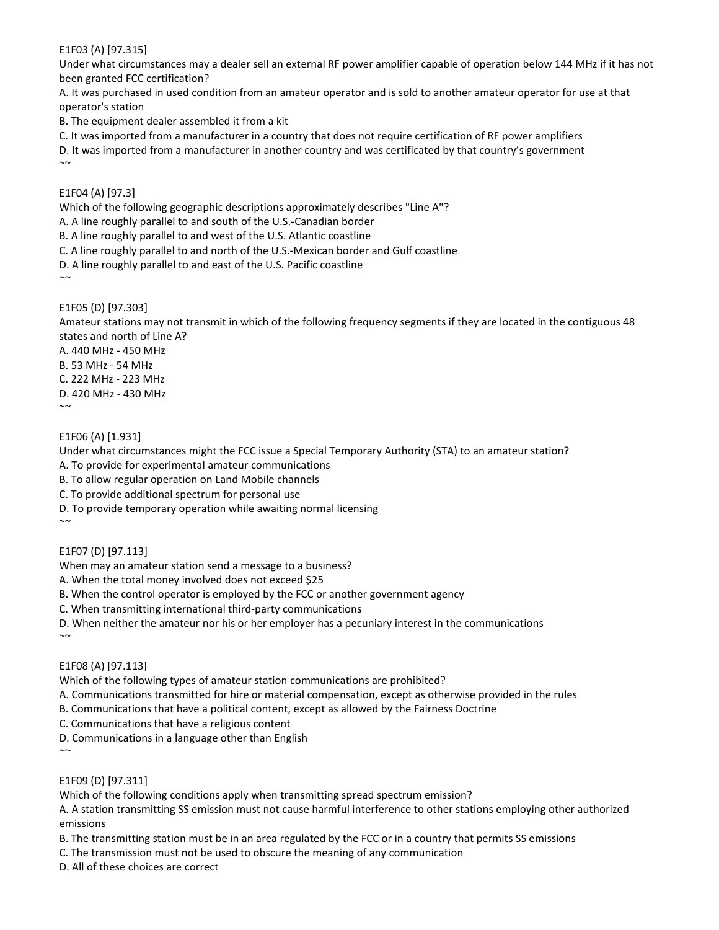E1F03 (A) [97.315]

Under what circumstances may a dealer sell an external RF power amplifier capable of operation below 144 MHz if it has not been granted FCC certification?

A. It was purchased in used condition from an amateur operator and is sold to another amateur operator for use at that operator's station

B. The equipment dealer assembled it from a kit

C. It was imported from a manufacturer in a country that does not require certification of RF power amplifiers

D. It was imported from a manufacturer in another country and was certificated by that country's government  $\sim\!\sim$ 

E1F04 (A) [97.3]

Which of the following geographic descriptions approximately describes "Line A"?

A. A line roughly parallel to and south of the U.S.-Canadian border

B. A line roughly parallel to and west of the U.S. Atlantic coastline

C. A line roughly parallel to and north of the U.S.-Mexican border and Gulf coastline

D. A line roughly parallel to and east of the U.S. Pacific coastline

 $\sim$ 

E1F05 (D) [97.303]

Amateur stations may not transmit in which of the following frequency segments if they are located in the contiguous 48 states and north of Line A?

A. 440 MHz - 450 MHz

B. 53 MHz - 54 MHz

C. 222 MHz - 223 MHz D. 420 MHz - 430 MHz

 $\sim$ 

E1F06 (A) [1.931]

Under what circumstances might the FCC issue a Special Temporary Authority (STA) to an amateur station?

A. To provide for experimental amateur communications

B. To allow regular operation on Land Mobile channels

C. To provide additional spectrum for personal use

D. To provide temporary operation while awaiting normal licensing

E1F07 (D) [97.113]

When may an amateur station send a message to a business?

A. When the total money involved does not exceed \$25

B. When the control operator is employed by the FCC or another government agency

C. When transmitting international third-party communications

D. When neither the amateur nor his or her employer has a pecuniary interest in the communications

 $\sim$ 

 $\sim$ 

E1F08 (A) [97.113]

Which of the following types of amateur station communications are prohibited?

A. Communications transmitted for hire or material compensation, except as otherwise provided in the rules

B. Communications that have a political content, except as allowed by the Fairness Doctrine

C. Communications that have a religious content

D. Communications in a language other than English

 $\sim$ 

E1F09 (D) [97.311]

Which of the following conditions apply when transmitting spread spectrum emission?

A. A station transmitting SS emission must not cause harmful interference to other stations employing other authorized emissions

B. The transmitting station must be in an area regulated by the FCC or in a country that permits SS emissions

C. The transmission must not be used to obscure the meaning of any communication

D. All of these choices are correct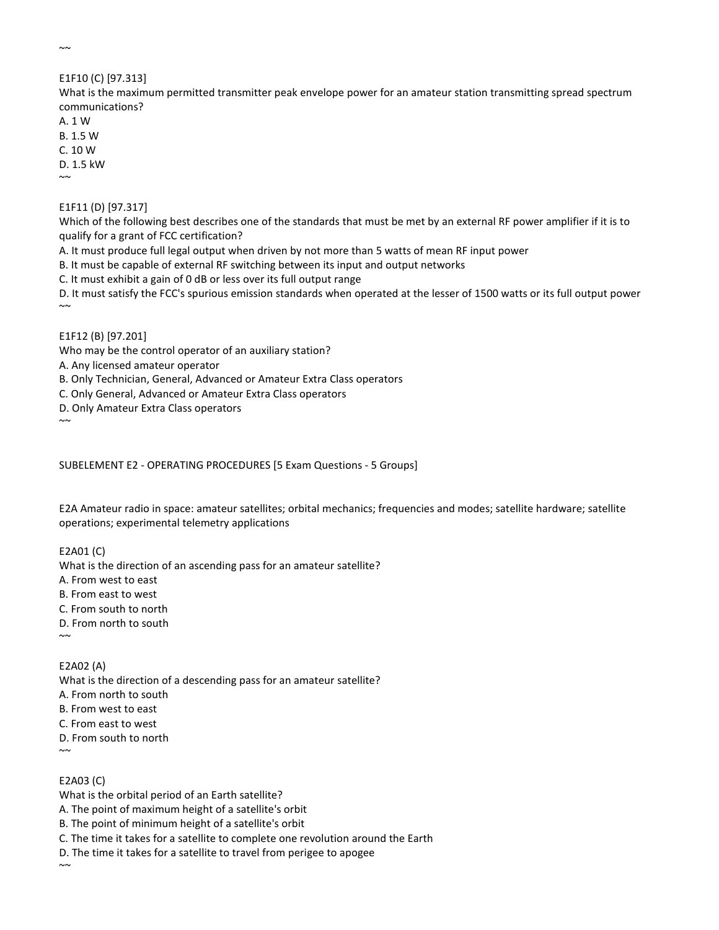$~\sim~$ 

### E1F10 (C) [97.313]

What is the maximum permitted transmitter peak envelope power for an amateur station transmitting spread spectrum communications?

A. 1 W

B. 1.5 W

C. 10 W

D. 1.5 kW

 $\sim$ 

### E1F11 (D) [97.317]

Which of the following best describes one of the standards that must be met by an external RF power amplifier if it is to qualify for a grant of FCC certification?

- A. It must produce full legal output when driven by not more than 5 watts of mean RF input power
- B. It must be capable of external RF switching between its input and output networks
- C. It must exhibit a gain of 0 dB or less over its full output range

D. It must satisfy the FCC's spurious emission standards when operated at the lesser of 1500 watts or its full output power  $\sim$ 

### E1F12 (B) [97.201]

- Who may be the control operator of an auxiliary station?
- A. Any licensed amateur operator
- B. Only Technician, General, Advanced or Amateur Extra Class operators
- C. Only General, Advanced or Amateur Extra Class operators
- D. Only Amateur Extra Class operators

 $~\sim~$ 

SUBELEMENT E2 - OPERATING PROCEDURES [5 Exam Questions - 5 Groups]

E2A Amateur radio in space: amateur satellites; orbital mechanics; frequencies and modes; satellite hardware; satellite operations; experimental telemetry applications

#### E2A01 (C)

What is the direction of an ascending pass for an amateur satellite? A. From west to east B. From east to west C. From south to north D. From north to south  $\sim$ 

E2A02 (A) What is the direction of a descending pass for an amateur satellite? A. From north to south B. From west to east C. From east to west D. From south to north

 $\sim$ 

### E2A03 (C)

What is the orbital period of an Earth satellite? A. The point of maximum height of a satellite's orbit B. The point of minimum height of a satellite's orbit

- C. The time it takes for a satellite to complete one revolution around the Earth
- D. The time it takes for a satellite to travel from perigee to apogee

 $\sim$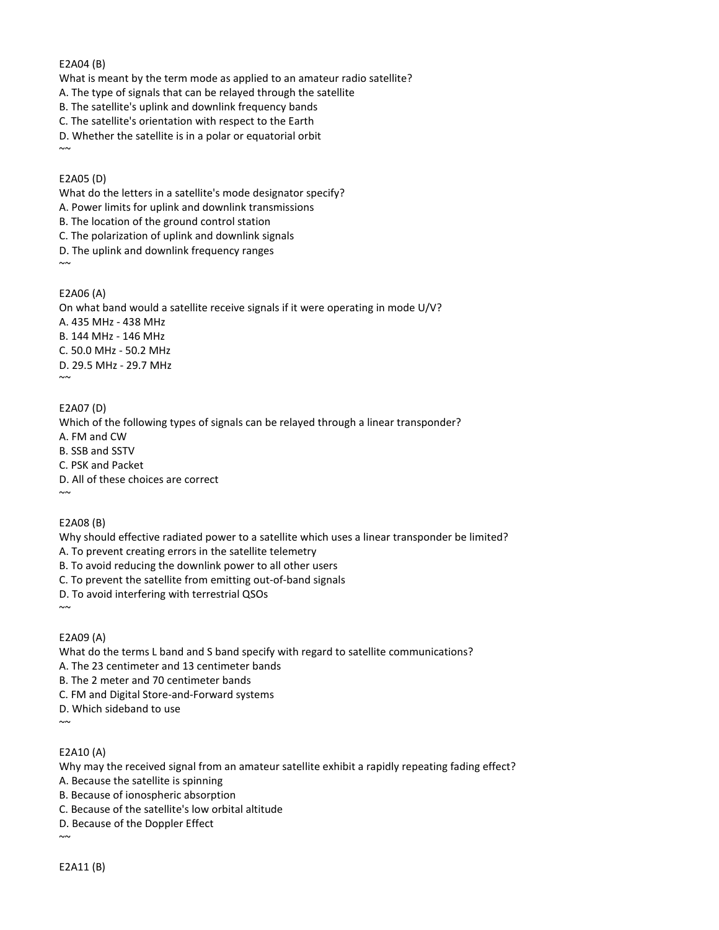#### E2A04 (B)

What is meant by the term mode as applied to an amateur radio satellite?

A. The type of signals that can be relayed through the satellite

B. The satellite's uplink and downlink frequency bands

- C. The satellite's orientation with respect to the Earth
- D. Whether the satellite is in a polar or equatorial orbit

E2A05 (D)

 $\sim$ 

What do the letters in a satellite's mode designator specify?

A. Power limits for uplink and downlink transmissions

B. The location of the ground control station

C. The polarization of uplink and downlink signals

D. The uplink and downlink frequency ranges

 $\sim$ 

#### E2A06 (A)

On what band would a satellite receive signals if it were operating in mode U/V? A. 435 MHz - 438 MHz B. 144 MHz - 146 MHz C. 50.0 MHz - 50.2 MHz D. 29.5 MHz - 29.7 MHz  $~\sim~$ 

E2A07 (D)

Which of the following types of signals can be relayed through a linear transponder? A. FM and CW B. SSB and SSTV C. PSK and Packet D. All of these choices are correct  $~\sim~$ 

#### E2A08 (B)

Why should effective radiated power to a satellite which uses a linear transponder be limited?

A. To prevent creating errors in the satellite telemetry

B. To avoid reducing the downlink power to all other users

C. To prevent the satellite from emitting out-of-band signals

D. To avoid interfering with terrestrial QSOs

 $\sim$ 

E2A09 (A)

What do the terms L band and S band specify with regard to satellite communications?

A. The 23 centimeter and 13 centimeter bands

B. The 2 meter and 70 centimeter bands

C. FM and Digital Store-and-Forward systems

D. Which sideband to use

 $\sim$ 

#### E2A10 (A)

Why may the received signal from an amateur satellite exhibit a rapidly repeating fading effect?

A. Because the satellite is spinning

- B. Because of ionospheric absorption
- C. Because of the satellite's low orbital altitude
- D. Because of the Doppler Effect

 $\sim$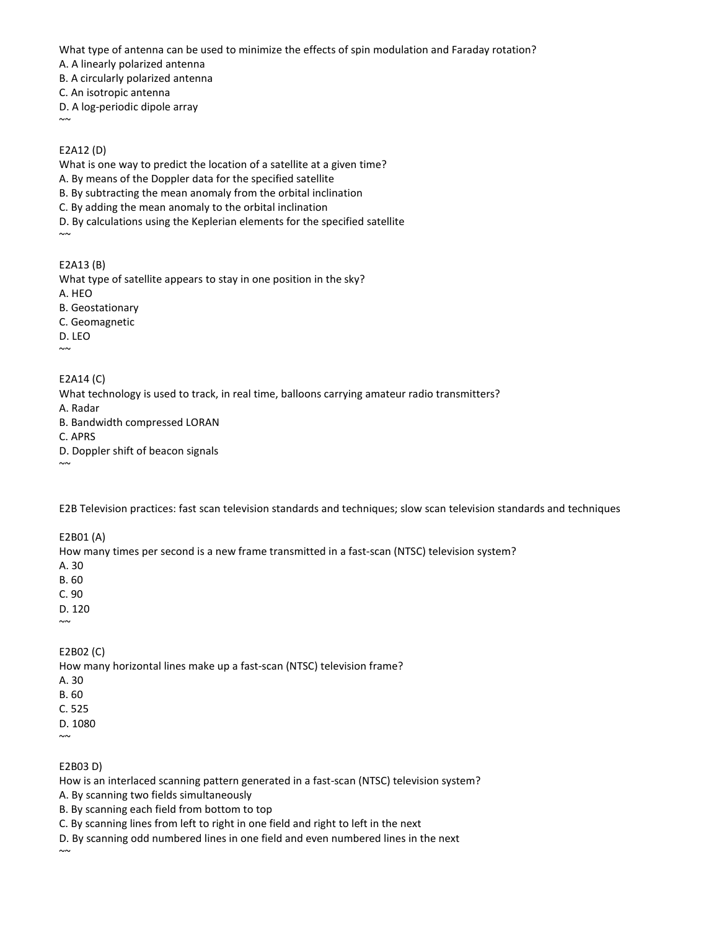What type of antenna can be used to minimize the effects of spin modulation and Faraday rotation?

A. A linearly polarized antenna

B. A circularly polarized antenna

C. An isotropic antenna

D. A log-periodic dipole array  $\sim$ 

#### E2A12 (D)

What is one way to predict the location of a satellite at a given time? A. By means of the Doppler data for the specified satellite B. By subtracting the mean anomaly from the orbital inclination C. By adding the mean anomaly to the orbital inclination D. By calculations using the Keplerian elements for the specified satellite  $\sim$ 

E2A13 (B) What type of satellite appears to stay in one position in the sky? A. HEO B. Geostationary C. Geomagnetic D. LEO  $\sim$ 

E2A14 (C)

What technology is used to track, in real time, balloons carrying amateur radio transmitters?

A. Radar

B. Bandwidth compressed LORAN

C. APRS

 $\sim$ 

D. Doppler shift of beacon signals

E2B Television practices: fast scan television standards and techniques; slow scan television standards and techniques

#### E2B01 (A)

How many times per second is a new frame transmitted in a fast-scan (NTSC) television system?

A. 30

B. 60

C. 90 D. 120

 $\sim$ 

E2B02 (C)

How many horizontal lines make up a fast-scan (NTSC) television frame?

A. 30 B. 60

C. 525

D. 1080

 $\sim$ 

#### E2B03 D)

How is an interlaced scanning pattern generated in a fast-scan (NTSC) television system?

A. By scanning two fields simultaneously

B. By scanning each field from bottom to top

C. By scanning lines from left to right in one field and right to left in the next

D. By scanning odd numbered lines in one field and even numbered lines in the next

 $~\sim~$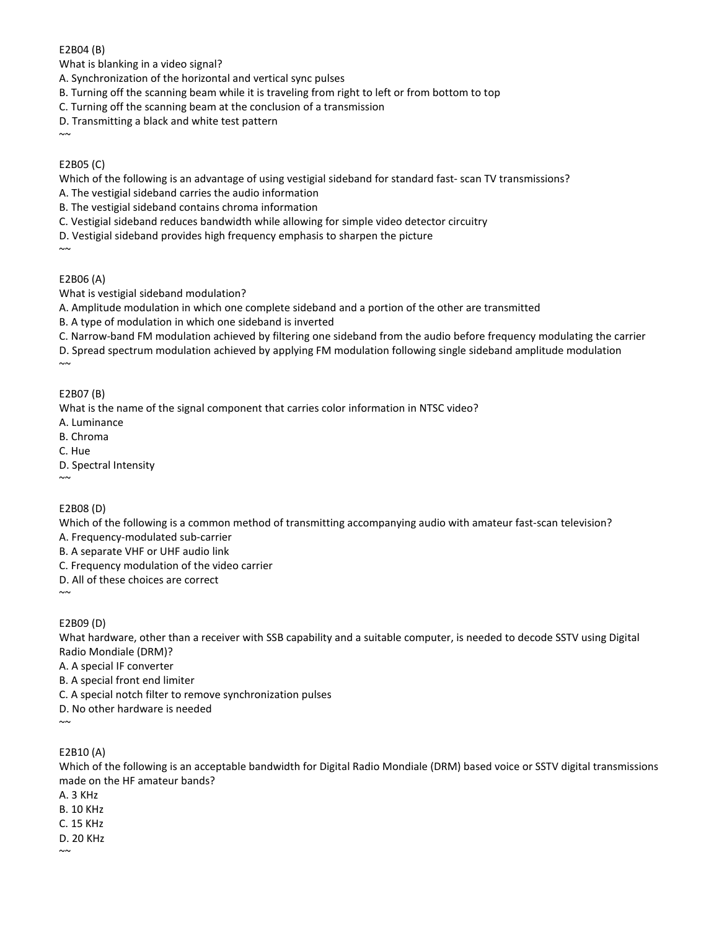E2B04 (B)

What is blanking in a video signal?

A. Synchronization of the horizontal and vertical sync pulses

B. Turning off the scanning beam while it is traveling from right to left or from bottom to top

C. Turning off the scanning beam at the conclusion of a transmission

D. Transmitting a black and white test pattern

### E2B05 (C)

Which of the following is an advantage of using vestigial sideband for standard fast- scan TV transmissions?

A. The vestigial sideband carries the audio information

B. The vestigial sideband contains chroma information

C. Vestigial sideband reduces bandwidth while allowing for simple video detector circuitry

D. Vestigial sideband provides high frequency emphasis to sharpen the picture

 $\sim\!\sim$ 

 $~\sim~$ 

### E2B06 (A)

What is vestigial sideband modulation?

A. Amplitude modulation in which one complete sideband and a portion of the other are transmitted

B. A type of modulation in which one sideband is inverted

C. Narrow-band FM modulation achieved by filtering one sideband from the audio before frequency modulating the carrier

D. Spread spectrum modulation achieved by applying FM modulation following single sideband amplitude modulation  $\sim$ 

### E2B07 (B)

What is the name of the signal component that carries color information in NTSC video?

A. Luminance

B. Chroma

C. Hue

D. Spectral Intensity

 $\sim$ 

E2B08 (D)

Which of the following is a common method of transmitting accompanying audio with amateur fast-scan television?

A. Frequency-modulated sub-carrier

B. A separate VHF or UHF audio link

C. Frequency modulation of the video carrier

D. All of these choices are correct

 $\sim$ 

E2B09 (D)

What hardware, other than a receiver with SSB capability and a suitable computer, is needed to decode SSTV using Digital Radio Mondiale (DRM)?

A. A special IF converter

B. A special front end limiter

C. A special notch filter to remove synchronization pulses

D. No other hardware is needed

 $\sim$ 

### E2B10 (A)

Which of the following is an acceptable bandwidth for Digital Radio Mondiale (DRM) based voice or SSTV digital transmissions made on the HF amateur bands?

A. 3 KHz

B. 10 KHz

C. 15 KHz

D. 20 KHz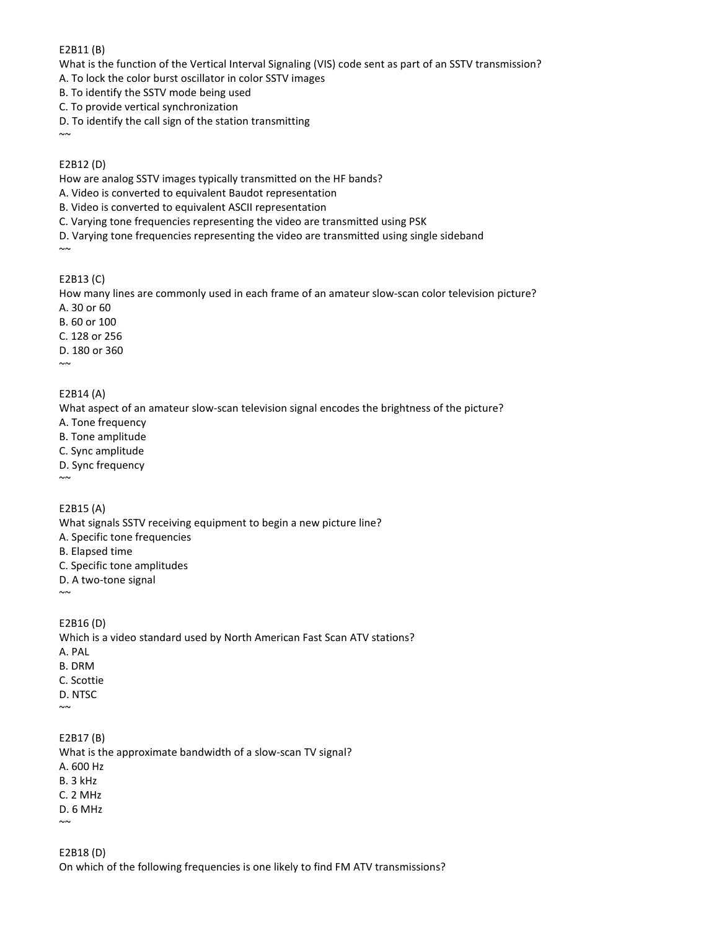#### E2B11 (B)

What is the function of the Vertical Interval Signaling (VIS) code sent as part of an SSTV transmission?

A. To lock the color burst oscillator in color SSTV images

B. To identify the SSTV mode being used

C. To provide vertical synchronization

D. To identify the call sign of the station transmitting  $~\sim~$ 

#### E2B12 (D)

How are analog SSTV images typically transmitted on the HF bands?

- A. Video is converted to equivalent Baudot representation
- B. Video is converted to equivalent ASCII representation

C. Varying tone frequencies representing the video are transmitted using PSK

D. Varying tone frequencies representing the video are transmitted using single sideband

 $\sim$ 

E2B13 (C)

How many lines are commonly used in each frame of an amateur slow-scan color television picture? A. 30 or 60

B. 60 or 100

C. 128 or 256

D. 180 or 360

 $\sim$ 

#### E2B14 (A)

What aspect of an amateur slow-scan television signal encodes the brightness of the picture?

A. Tone frequency

B. Tone amplitude

C. Sync amplitude

D. Sync frequency

 $\sim$ 

#### E2B15 (A)

What signals SSTV receiving equipment to begin a new picture line?

A. Specific tone frequencies

B. Elapsed time

- C. Specific tone amplitudes
- D. A two-tone signal

 $\sim$ 

#### E2B16 (D)

Which is a video standard used by North American Fast Scan ATV stations? A. PAL B. DRM C. Scottie D. NTSC  $\sim$ 

E2B17 (B) What is the approximate bandwidth of a slow-scan TV signal? A. 600 Hz B. 3 kHz C. 2 MHz D. 6 MHz  $\sim$ 

E2B18 (D) On which of the following frequencies is one likely to find FM ATV transmissions?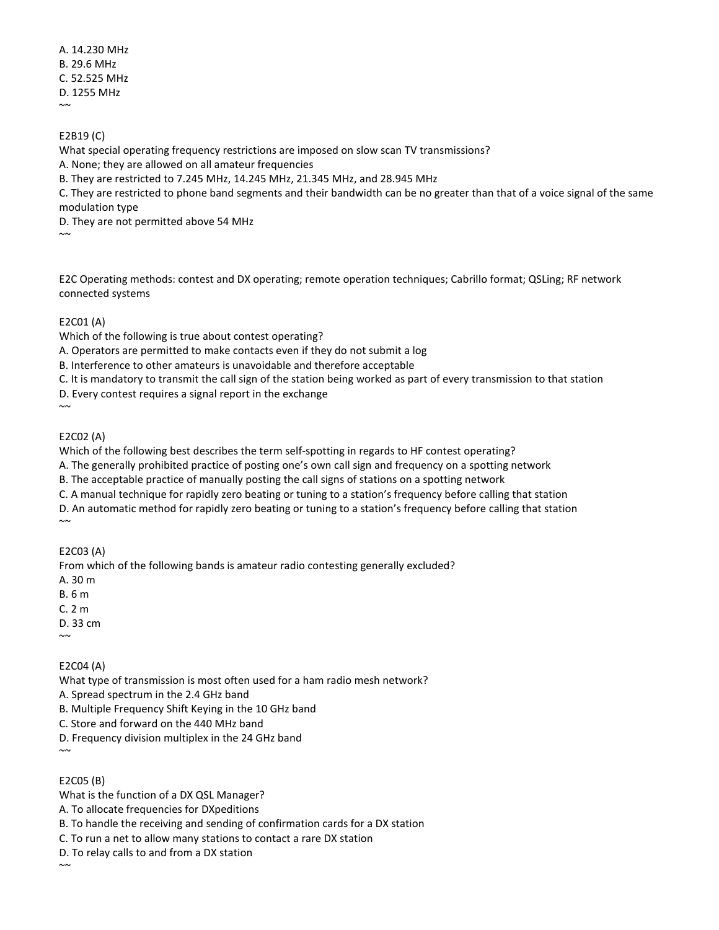A. 14.230 MHz B. 29.6 MHz C. 52.525 MHz D. 1255 MHz  $\sim$ 

#### E2B19 (C)

What special operating frequency restrictions are imposed on slow scan TV transmissions?

A. None; they are allowed on all amateur frequencies

B. They are restricted to 7.245 MHz, 14.245 MHz, 21.345 MHz, and 28.945 MHz

C. They are restricted to phone band segments and their bandwidth can be no greater than that of a voice signal of the same modulation type

D. They are not permitted above 54 MHz

 $\sim$ 

E2C Operating methods: contest and DX operating; remote operation techniques; Cabrillo format; QSLing; RF network connected systems

#### E2C01 (A)

Which of the following is true about contest operating?

A. Operators are permitted to make contacts even if they do not submit a log

B. Interference to other amateurs is unavoidable and therefore acceptable

C. It is mandatory to transmit the call sign of the station being worked as part of every transmission to that station

D. Every contest requires a signal report in the exchange

 $\sim$ 

#### E2C02 (A)

Which of the following best describes the term self-spotting in regards to HF contest operating?

A. The generally prohibited practice of posting one's own call sign and frequency on a spotting network

B. The acceptable practice of manually posting the call signs of stations on a spotting network

C. A manual technique for rapidly zero beating or tuning to a station's frequency before calling that station

D. An automatic method for rapidly zero beating or tuning to a station's frequency before calling that station  $\sim$ 

E2C03 (A)

From which of the following bands is amateur radio contesting generally excluded?

A. 30 m

B. 6 m

C. 2 m

D. 33 cm

 $\sim$ 

#### E2C04 (A)

What type of transmission is most often used for a ham radio mesh network?

A. Spread spectrum in the 2.4 GHz band

B. Multiple Frequency Shift Keying in the 10 GHz band

C. Store and forward on the 440 MHz band

D. Frequency division multiplex in the 24 GHz band

 $\sim$ 

#### E2C05 (B)

What is the function of a DX QSL Manager?

- A. To allocate frequencies for DXpeditions
- B. To handle the receiving and sending of confirmation cards for a DX station

C. To run a net to allow many stations to contact a rare DX station

D. To relay calls to and from a DX station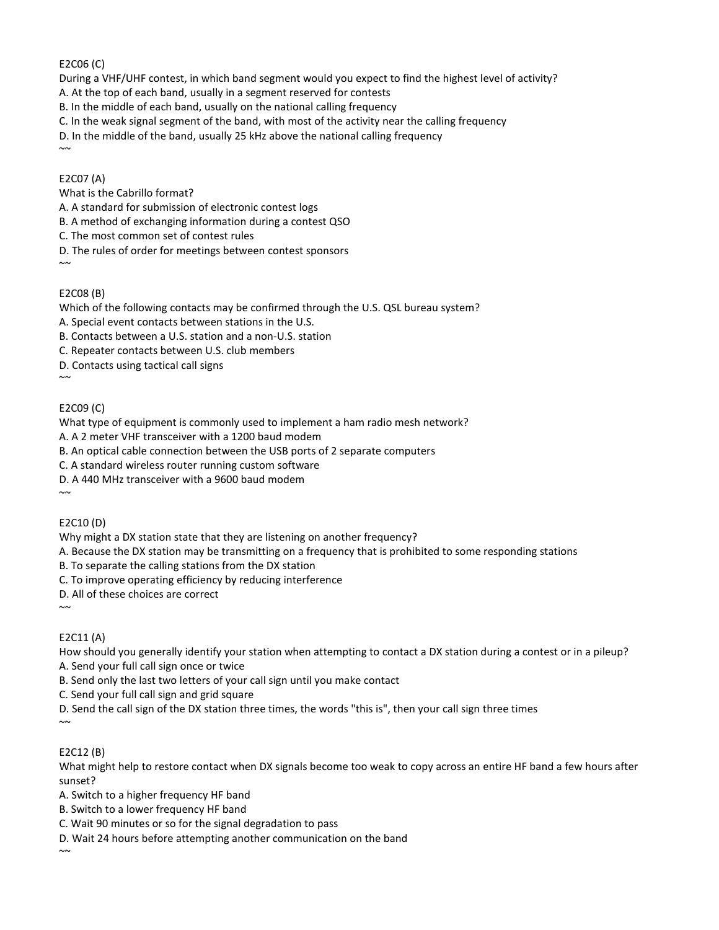### E2C06 (C)

During a VHF/UHF contest, in which band segment would you expect to find the highest level of activity?

A. At the top of each band, usually in a segment reserved for contests

B. In the middle of each band, usually on the national calling frequency

C. In the weak signal segment of the band, with most of the activity near the calling frequency

D. In the middle of the band, usually 25 kHz above the national calling frequency

### E2C07 (A)

 $\sim$ 

### What is the Cabrillo format?

A. A standard for submission of electronic contest logs

B. A method of exchanging information during a contest QSO

C. The most common set of contest rules

D. The rules of order for meetings between contest sponsors

 $\sim$ 

## E2C08 (B)

Which of the following contacts may be confirmed through the U.S. QSL bureau system?

A. Special event contacts between stations in the U.S.

B. Contacts between a U.S. station and a non-U.S. station

C. Repeater contacts between U.S. club members

D. Contacts using tactical call signs

 $\sim$ 

### E2C09 (C)

What type of equipment is commonly used to implement a ham radio mesh network?

A. A 2 meter VHF transceiver with a 1200 baud modem

B. An optical cable connection between the USB ports of 2 separate computers

C. A standard wireless router running custom software

D. A 440 MHz transceiver with a 9600 baud modem

 $~\sim~$ 

E2C10 (D)

Why might a DX station state that they are listening on another frequency?

A. Because the DX station may be transmitting on a frequency that is prohibited to some responding stations

B. To separate the calling stations from the DX station

C. To improve operating efficiency by reducing interference

D. All of these choices are correct

 $\sim$ 

# E2C11 (A)

How should you generally identify your station when attempting to contact a DX station during a contest or in a pileup?

A. Send your full call sign once or twice

B. Send only the last two letters of your call sign until you make contact

C. Send your full call sign and grid square

D. Send the call sign of the DX station three times, the words "this is", then your call sign three times  $\sim$ 

### E2C12 (B)

What might help to restore contact when DX signals become too weak to copy across an entire HF band a few hours after sunset?

A. Switch to a higher frequency HF band

B. Switch to a lower frequency HF band

C. Wait 90 minutes or so for the signal degradation to pass

D. Wait 24 hours before attempting another communication on the band

 $~\sim~$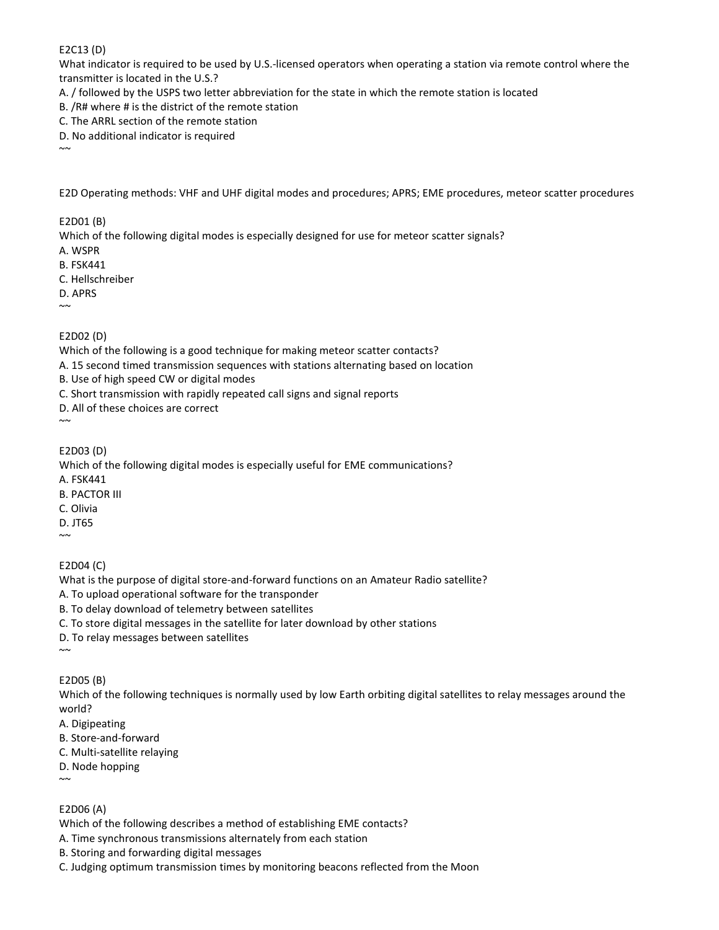#### E2C13 (D)

What indicator is required to be used by U.S.-licensed operators when operating a station via remote control where the transmitter is located in the U.S.?

- A. / followed by the USPS two letter abbreviation for the state in which the remote station is located
- B. /R# where # is the district of the remote station
- C. The ARRL section of the remote station
- D. No additional indicator is required

E2D Operating methods: VHF and UHF digital modes and procedures; APRS; EME procedures, meteor scatter procedures

### E2D01 (B)

 $\sim$ 

Which of the following digital modes is especially designed for use for meteor scatter signals?

A. WSPR

B. FSK441

C. Hellschreiber

D. APRS

 $\sim$ 

### E2D02 (D)

Which of the following is a good technique for making meteor scatter contacts?

A. 15 second timed transmission sequences with stations alternating based on location

B. Use of high speed CW or digital modes

C. Short transmission with rapidly repeated call signs and signal reports

D. All of these choices are correct

 $~\sim~$ 

E2D03 (D)

Which of the following digital modes is especially useful for EME communications?

A. FSK441 B. PACTOR III

C. Olivia

D. JT65

 $\sim$ 

E2D04 (C)

What is the purpose of digital store-and-forward functions on an Amateur Radio satellite?

A. To upload operational software for the transponder

B. To delay download of telemetry between satellites

C. To store digital messages in the satellite for later download by other stations

D. To relay messages between satellites

 $~\sim~$ 

E2D05 (B)

Which of the following techniques is normally used by low Earth orbiting digital satellites to relay messages around the world?

A. Digipeating

B. Store-and-forward

C. Multi-satellite relaying

D. Node hopping

E2D06 (A)

 $\sim$ 

Which of the following describes a method of establishing EME contacts?

A. Time synchronous transmissions alternately from each station

B. Storing and forwarding digital messages

C. Judging optimum transmission times by monitoring beacons reflected from the Moon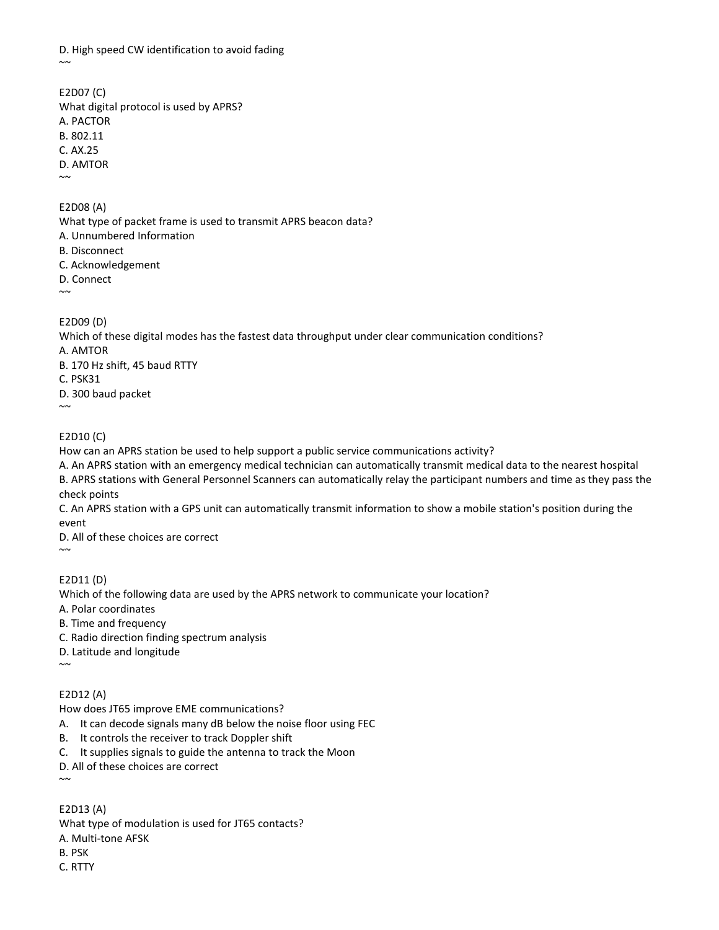D. High speed CW identification to avoid fading

E2D07 (C) What digital protocol is used by APRS? A. PACTOR B. 802.11 C. AX.25 D. AMTOR  $\sim$ 

E2D08 (A) What type of packet frame is used to transmit APRS beacon data? A. Unnumbered Information B. Disconnect C. Acknowledgement D. Connect  $\sim$ 

E2D09 (D)

 $~\sim~$ 

Which of these digital modes has the fastest data throughput under clear communication conditions? A. AMTOR B. 170 Hz shift, 45 baud RTTY C. PSK31 D. 300 baud packet  $\sim$ 

E2D10 (C)

How can an APRS station be used to help support a public service communications activity?

A. An APRS station with an emergency medical technician can automatically transmit medical data to the nearest hospital B. APRS stations with General Personnel Scanners can automatically relay the participant numbers and time as they pass the check points

C. An APRS station with a GPS unit can automatically transmit information to show a mobile station's position during the event

D. All of these choices are correct  $~\sim~$ 

E2D11 (D)

Which of the following data are used by the APRS network to communicate your location?

A. Polar coordinates

- B. Time and frequency
- C. Radio direction finding spectrum analysis
- D. Latitude and longitude
- $\sim$

# E2D12 (A)

How does JT65 improve EME communications?

A. It can decode signals many dB below the noise floor using FEC

- B. It controls the receiver to track Doppler shift
- C. It supplies signals to guide the antenna to track the Moon

D. All of these choices are correct  $\sim$ 

E2D13 (A) What type of modulation is used for JT65 contacts? A. Multi-tone AFSK B. PSK C. RTTY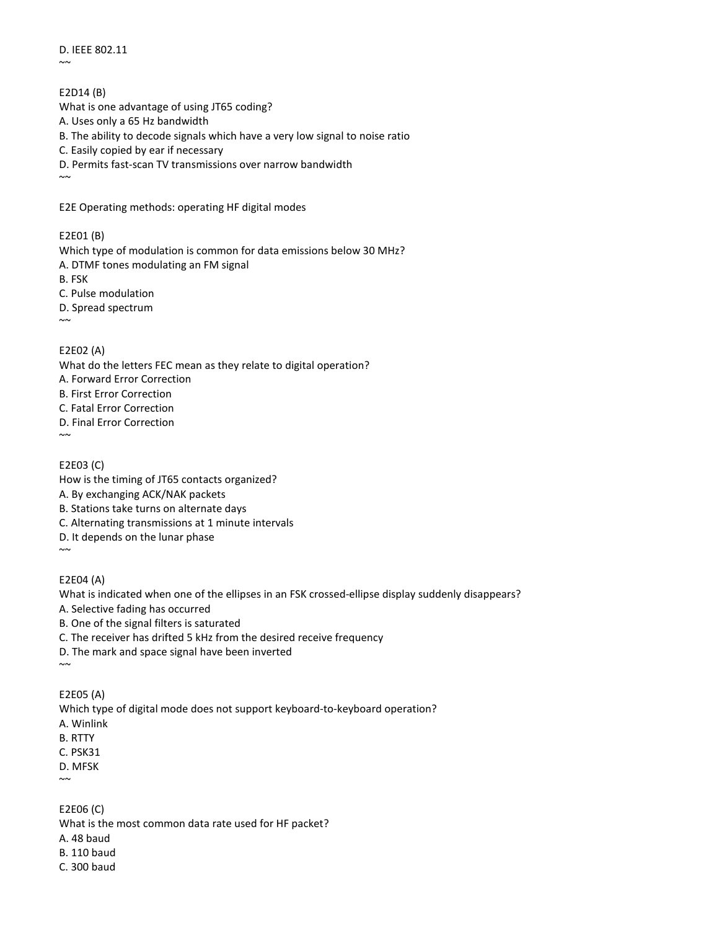D. IEEE 802.11

 $~\sim~$ 

E2D14 (B) What is one advantage of using JT65 coding? A. Uses only a 65 Hz bandwidth B. The ability to decode signals which have a very low signal to noise ratio C. Easily copied by ear if necessary D. Permits fast-scan TV transmissions over narrow bandwidth  $\sim$ 

E2E Operating methods: operating HF digital modes

E2E01 (B)

Which type of modulation is common for data emissions below 30 MHz? A. DTMF tones modulating an FM signal B. FSK C. Pulse modulation D. Spread spectrum  $~\sim~$ 

E2E02 (A)

What do the letters FEC mean as they relate to digital operation? A. Forward Error Correction B. First Error Correction C. Fatal Error Correction D. Final Error Correction  $\sim$ 

E2E03 (C) How is the timing of JT65 contacts organized? A. By exchanging ACK/NAK packets B. Stations take turns on alternate days C. Alternating transmissions at 1 minute intervals D. It depends on the lunar phase  $\sim$ 

E2E04 (A)

What is indicated when one of the ellipses in an FSK crossed-ellipse display suddenly disappears? A. Selective fading has occurred B. One of the signal filters is saturated C. The receiver has drifted 5 kHz from the desired receive frequency D. The mark and space signal have been inverted  $\sim$ 

E2E05 (A) Which type of digital mode does not support keyboard-to-keyboard operation? A. Winlink B. RTTY C. PSK31 D. MFSK  $\sim$ 

E2E06 (C) What is the most common data rate used for HF packet? A. 48 baud B. 110 baud C. 300 baud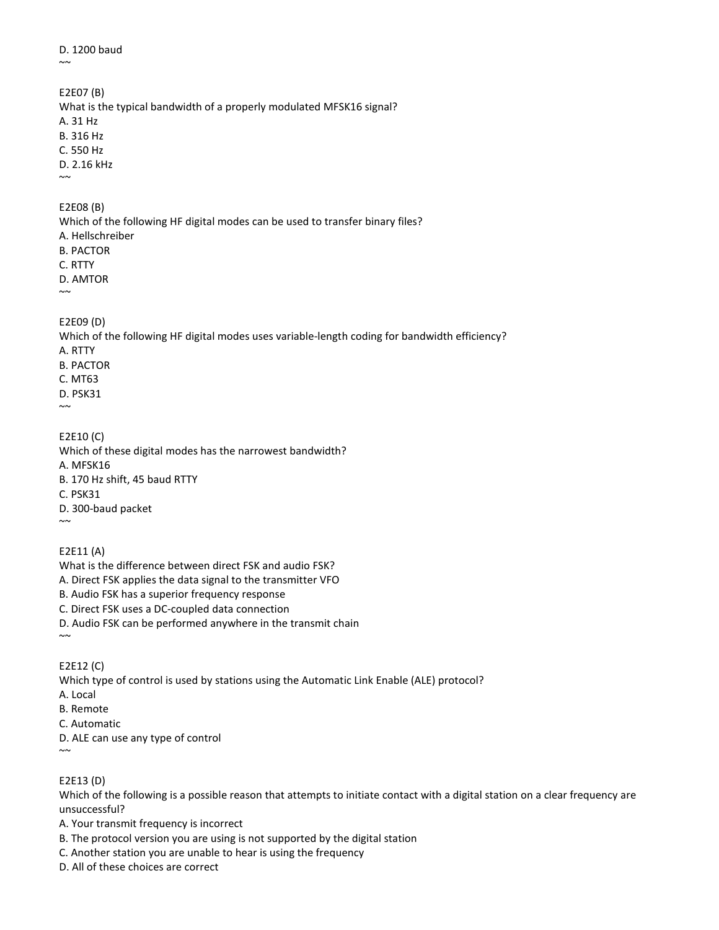D. 1200 baud

 $~\sim~$ 

E2E07 (B) What is the typical bandwidth of a properly modulated MFSK16 signal? A. 31 Hz B. 316 Hz C. 550 Hz D. 2.16 kHz

 $\sim$ 

E2E08 (B)

Which of the following HF digital modes can be used to transfer binary files? A. Hellschreiber B. PACTOR C. RTTY D. AMTOR

 $\sim$ 

### E2E09 (D)

Which of the following HF digital modes uses variable-length coding for bandwidth efficiency? A. RTTY B. PACTOR C. MT63 D. PSK31

 $\sim$ 

E2E10 (C) Which of these digital modes has the narrowest bandwidth? A. MFSK16 B. 170 Hz shift, 45 baud RTTY C. PSK31 D. 300-baud packet  $~\sim~$ 

### E2E11 (A)

What is the difference between direct FSK and audio FSK? A. Direct FSK applies the data signal to the transmitter VFO B. Audio FSK has a superior frequency response C. Direct FSK uses a DC-coupled data connection D. Audio FSK can be performed anywhere in the transmit chain  $\sim$ 

E2E12 (C) Which type of control is used by stations using the Automatic Link Enable (ALE) protocol? A. Local B. Remote C. Automatic D. ALE can use any type of control  $\sim$ 

### E2E13 (D)

Which of the following is a possible reason that attempts to initiate contact with a digital station on a clear frequency are unsuccessful?

A. Your transmit frequency is incorrect

- B. The protocol version you are using is not supported by the digital station
- C. Another station you are unable to hear is using the frequency
- D. All of these choices are correct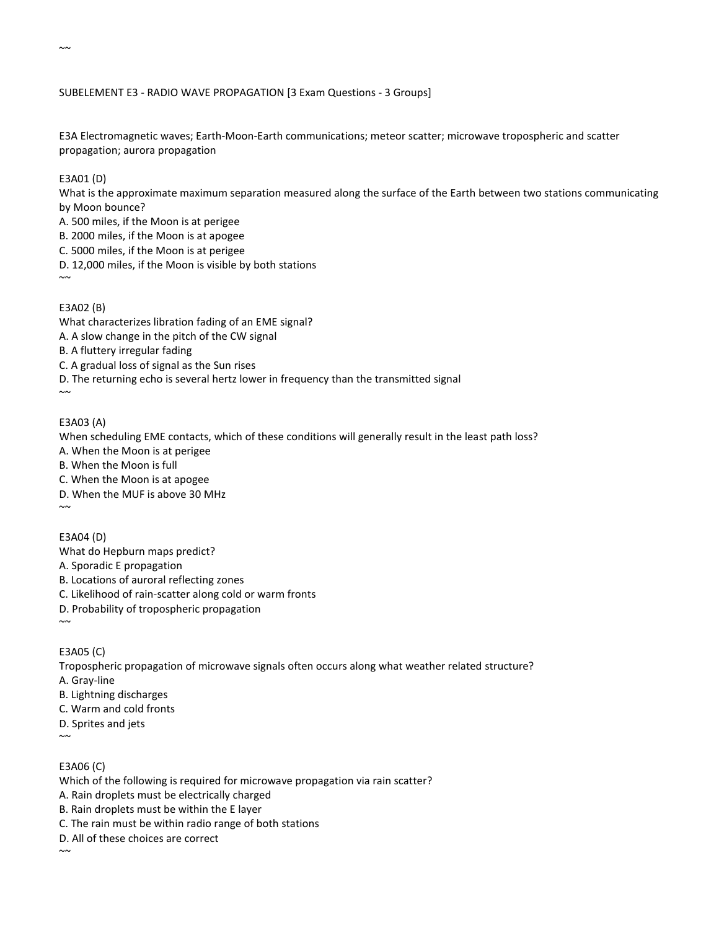#### SUBELEMENT E3 - RADIO WAVE PROPAGATION [3 Exam Questions - 3 Groups]

E3A Electromagnetic waves; Earth-Moon-Earth communications; meteor scatter; microwave tropospheric and scatter propagation; aurora propagation

E3A01 (D)

 $~\sim~$ 

What is the approximate maximum separation measured along the surface of the Earth between two stations communicating by Moon bounce?

A. 500 miles, if the Moon is at perigee

B. 2000 miles, if the Moon is at apogee

C. 5000 miles, if the Moon is at perigee

D. 12,000 miles, if the Moon is visible by both stations

#### E3A02 (B)

 $\sim$ 

What characterizes libration fading of an EME signal? A. A slow change in the pitch of the CW signal B. A fluttery irregular fading C. A gradual loss of signal as the Sun rises D. The returning echo is several hertz lower in frequency than the transmitted signal  $\sim$ 

E3A03 (A)

When scheduling EME contacts, which of these conditions will generally result in the least path loss?

A. When the Moon is at perigee

B. When the Moon is full

C. When the Moon is at apogee

D. When the MUF is above 30 MHz

 $\sim$ 

E3A04 (D)

What do Hepburn maps predict?

A. Sporadic E propagation

B. Locations of auroral reflecting zones

C. Likelihood of rain-scatter along cold or warm fronts

D. Probability of tropospheric propagation

E3A05 (C)

 $\sim$ 

Tropospheric propagation of microwave signals often occurs along what weather related structure?

A. Gray-line

B. Lightning discharges

C. Warm and cold fronts

D. Sprites and jets

 $\sim$ 

E3A06 (C)

Which of the following is required for microwave propagation via rain scatter?

A. Rain droplets must be electrically charged

B. Rain droplets must be within the E layer

C. The rain must be within radio range of both stations

D. All of these choices are correct

 $\sim$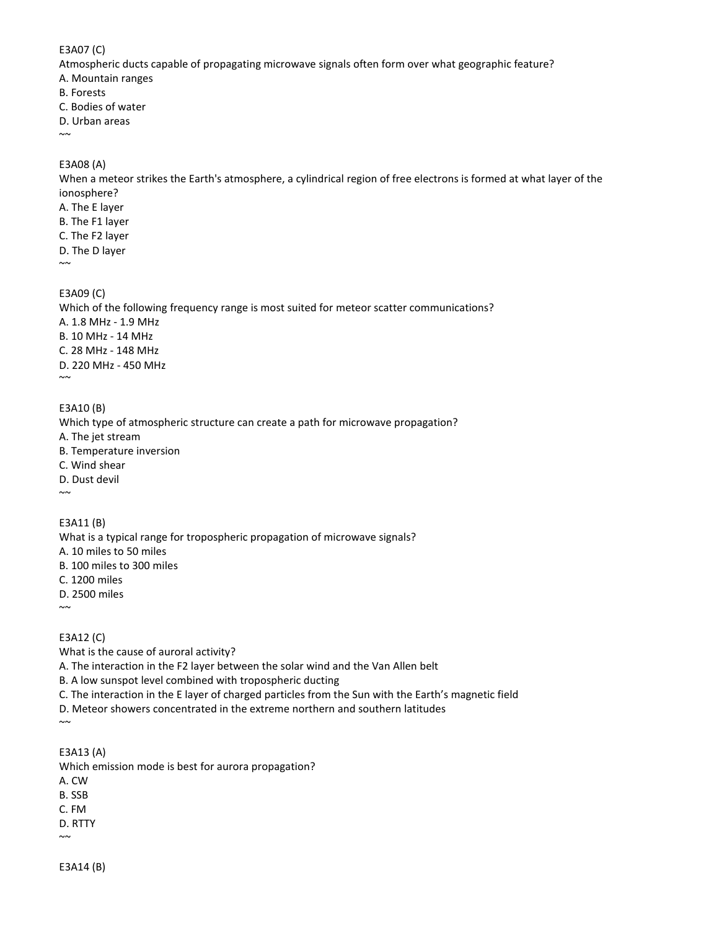#### E3A07 (C)

Atmospheric ducts capable of propagating microwave signals often form over what geographic feature?

- A. Mountain ranges
- B. Forests
- C. Bodies of water
- D. Urban areas
- $~\sim~$

### E3A08 (A)

When a meteor strikes the Earth's atmosphere, a cylindrical region of free electrons is formed at what layer of the ionosphere?

- A. The E layer
- B. The F1 layer
- C. The F2 layer
- D. The D layer
- $\sim$

# E3A09 (C)

Which of the following frequency range is most suited for meteor scatter communications? A. 1.8 MHz - 1.9 MHz B. 10 MHz - 14 MHz C. 28 MHz - 148 MHz D. 220 MHz - 450 MHz  $~\sim~$ 

### E3A10 (B)

Which type of atmospheric structure can create a path for microwave propagation?

- A. The jet stream
- B. Temperature inversion
- C. Wind shear
- D. Dust devil
- $\sim$

E3A11 (B)

What is a typical range for tropospheric propagation of microwave signals?

- A. 10 miles to 50 miles
- B. 100 miles to 300 miles
- C. 1200 miles
- D. 2500 miles
- $\sim$

E3A12 (C)

What is the cause of auroral activity?

A. The interaction in the F2 layer between the solar wind and the Van Allen belt

B. A low sunspot level combined with tropospheric ducting

- C. The interaction in the E layer of charged particles from the Sun with the Earth's magnetic field
- D. Meteor showers concentrated in the extreme northern and southern latitudes
- $\sim$

### E3A13 (A)

Which emission mode is best for aurora propagation? A. CW

- B. SSB
- C. FM
- D. RTTY
- $\sim$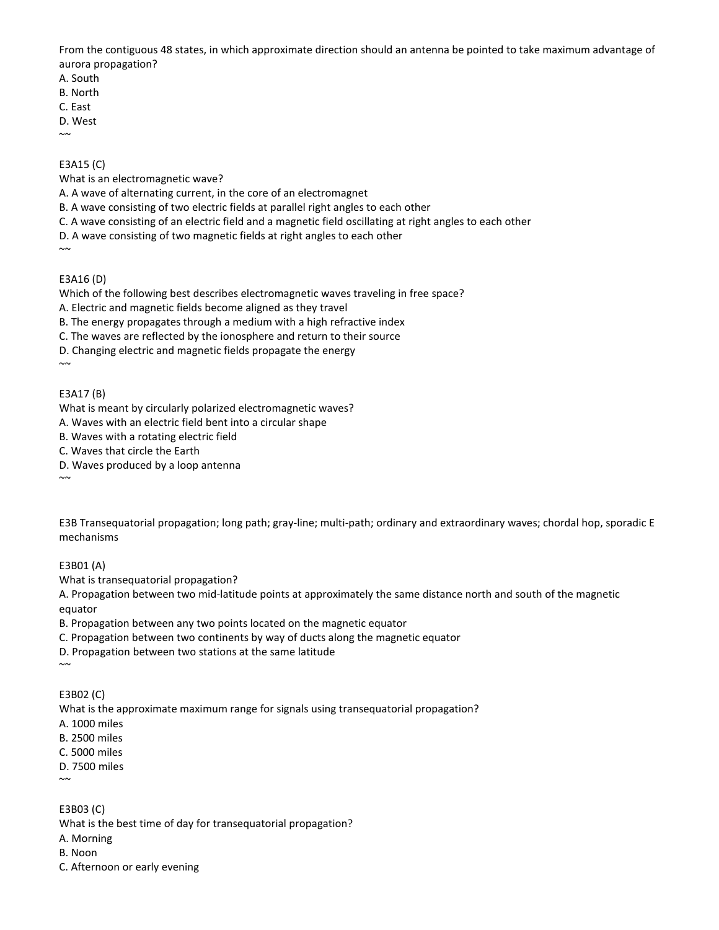From the contiguous 48 states, in which approximate direction should an antenna be pointed to take maximum advantage of aurora propagation?

- A. South
- B. North
- C. East
- D. West
- $\sim$

### E3A15 (C)

What is an electromagnetic wave?

A. A wave of alternating current, in the core of an electromagnet

- B. A wave consisting of two electric fields at parallel right angles to each other
- C. A wave consisting of an electric field and a magnetic field oscillating at right angles to each other
- D. A wave consisting of two magnetic fields at right angles to each other
- $\sim$

### E3A16 (D)

Which of the following best describes electromagnetic waves traveling in free space?

A. Electric and magnetic fields become aligned as they travel

B. The energy propagates through a medium with a high refractive index

C. The waves are reflected by the ionosphere and return to their source

D. Changing electric and magnetic fields propagate the energy

 $\sim$ 

 $~\sim~$ 

### E3A17 (B)

What is meant by circularly polarized electromagnetic waves?

A. Waves with an electric field bent into a circular shape

B. Waves with a rotating electric field

C. Waves that circle the Earth

D. Waves produced by a loop antenna

E3B Transequatorial propagation; long path; gray-line; multi-path; ordinary and extraordinary waves; chordal hop, sporadic E mechanisms

### E3B01 (A)

What is transequatorial propagation?

A. Propagation between two mid-latitude points at approximately the same distance north and south of the magnetic equator

B. Propagation between any two points located on the magnetic equator

C. Propagation between two continents by way of ducts along the magnetic equator

D. Propagation between two stations at the same latitude

 $\sim$ 

### E3B02 (C)

What is the approximate maximum range for signals using transequatorial propagation?

A. 1000 miles

B. 2500 miles

C. 5000 miles

D. 7500 miles

 $\sim$ 

E3B03 (C)

What is the best time of day for transequatorial propagation?

A. Morning

B. Noon

C. Afternoon or early evening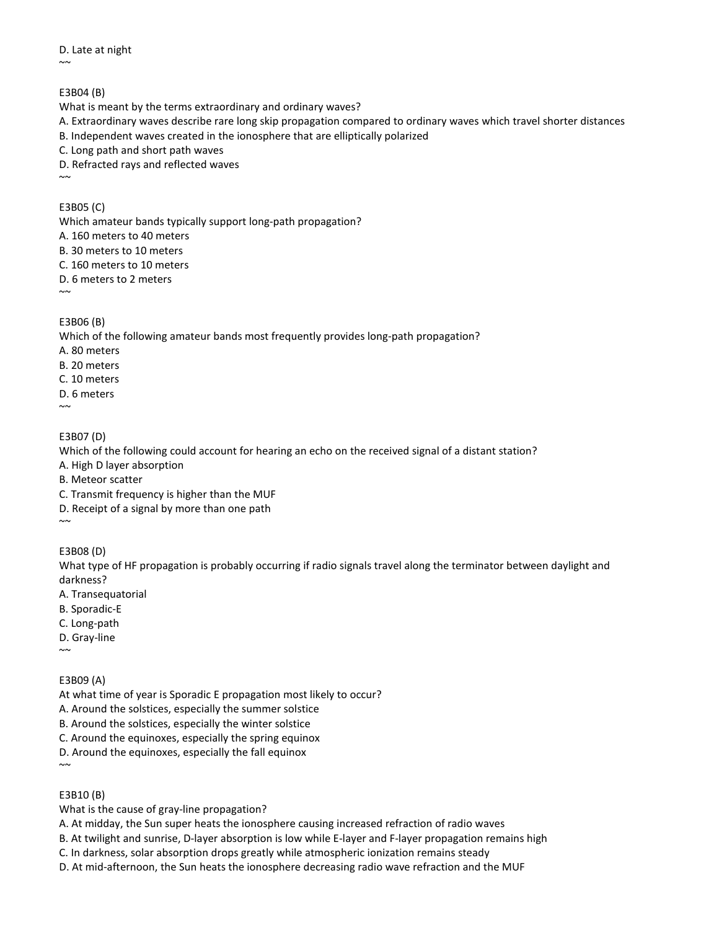D. Late at night

 $\sim$ 

E3B04 (B)

What is meant by the terms extraordinary and ordinary waves?

A. Extraordinary waves describe rare long skip propagation compared to ordinary waves which travel shorter distances

B. Independent waves created in the ionosphere that are elliptically polarized

C. Long path and short path waves

D. Refracted rays and reflected waves

 $\sim$ 

E3B05 (C)

Which amateur bands typically support long-path propagation?

A. 160 meters to 40 meters

B. 30 meters to 10 meters

C. 160 meters to 10 meters

D. 6 meters to 2 meters

 $\sim$ 

### E3B06 (B)

Which of the following amateur bands most frequently provides long-path propagation?

A. 80 meters

B. 20 meters

C. 10 meters

D. 6 meters

 $\sim$ 

E3B07 (D)

Which of the following could account for hearing an echo on the received signal of a distant station?

A. High D layer absorption

B. Meteor scatter

C. Transmit frequency is higher than the MUF

D. Receipt of a signal by more than one path

E3B08 (D)

 $~\sim~$ 

What type of HF propagation is probably occurring if radio signals travel along the terminator between daylight and darkness?

A. Transequatorial

B. Sporadic-E

C. Long-path

D. Gray-line

 $~\sim~$ 

E3B09 (A)

At what time of year is Sporadic E propagation most likely to occur?

A. Around the solstices, especially the summer solstice

B. Around the solstices, especially the winter solstice

C. Around the equinoxes, especially the spring equinox

D. Around the equinoxes, especially the fall equinox

 $\sim$ 

E3B10 (B)

What is the cause of gray-line propagation?

A. At midday, the Sun super heats the ionosphere causing increased refraction of radio waves

B. At twilight and sunrise, D-layer absorption is low while E-layer and F-layer propagation remains high

C. In darkness, solar absorption drops greatly while atmospheric ionization remains steady

D. At mid-afternoon, the Sun heats the ionosphere decreasing radio wave refraction and the MUF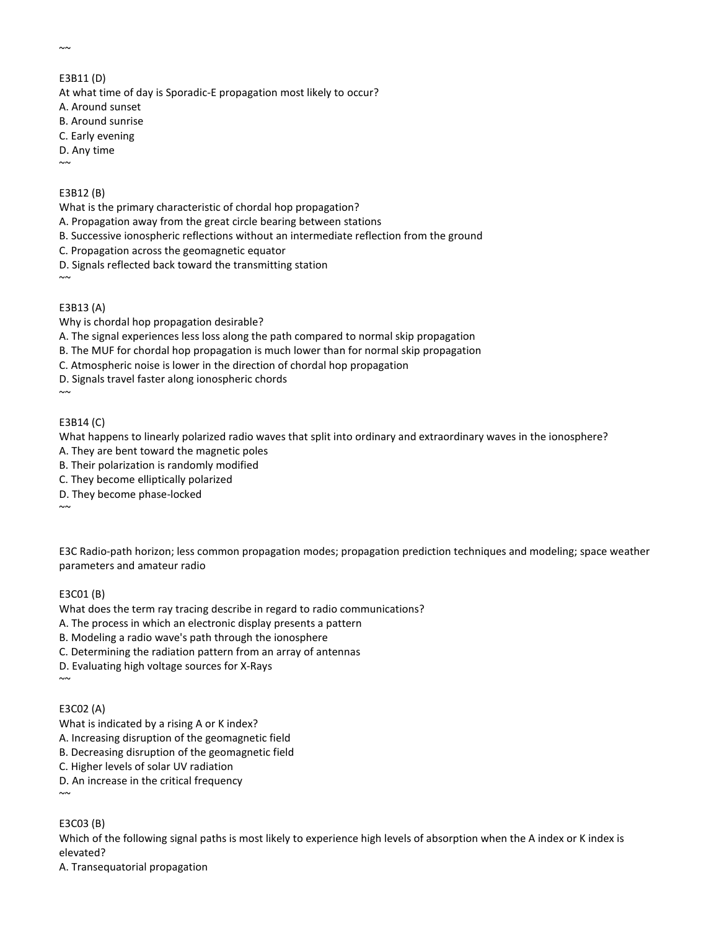$~\sim~$ 

#### E3B11 (D)

At what time of day is Sporadic-E propagation most likely to occur?

- A. Around sunset
- B. Around sunrise
- C. Early evening
- D. Any time

 $~\sim~$ 

# E3B12 (B)

What is the primary characteristic of chordal hop propagation?

- A. Propagation away from the great circle bearing between stations
- B. Successive ionospheric reflections without an intermediate reflection from the ground
- C. Propagation across the geomagnetic equator
- D. Signals reflected back toward the transmitting station

 $\sim$ 

### E3B13 (A)

Why is chordal hop propagation desirable?

- A. The signal experiences less loss along the path compared to normal skip propagation
- B. The MUF for chordal hop propagation is much lower than for normal skip propagation
- C. Atmospheric noise is lower in the direction of chordal hop propagation
- D. Signals travel faster along ionospheric chords

### E3B14 (C)

 $~\sim~$ 

What happens to linearly polarized radio waves that split into ordinary and extraordinary waves in the ionosphere?

- A. They are bent toward the magnetic poles
- B. Their polarization is randomly modified
- C. They become elliptically polarized
- D. They become phase-locked

 $\sim$ 

E3C Radio-path horizon; less common propagation modes; propagation prediction techniques and modeling; space weather parameters and amateur radio

#### E3C01 (B)

What does the term ray tracing describe in regard to radio communications?

- A. The process in which an electronic display presents a pattern
- B. Modeling a radio wave's path through the ionosphere
- C. Determining the radiation pattern from an array of antennas
- D. Evaluating high voltage sources for X-Rays

# $\sim$

### E3C02 (A)

- What is indicated by a rising A or K index?
- A. Increasing disruption of the geomagnetic field
- B. Decreasing disruption of the geomagnetic field
- C. Higher levels of solar UV radiation
- D. An increase in the critical frequency  $~\sim~$

E3C03 (B)

Which of the following signal paths is most likely to experience high levels of absorption when the A index or K index is elevated?

A. Transequatorial propagation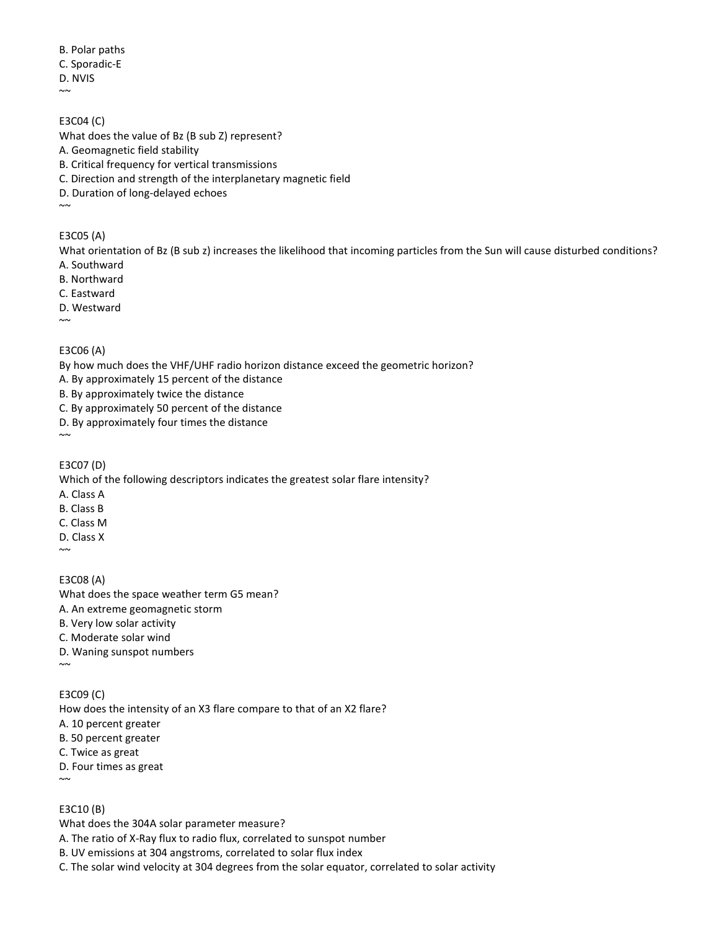B. Polar paths C. Sporadic-E D. NVIS  $\sim$ 

E3C04 (C) What does the value of Bz (B sub Z) represent? A. Geomagnetic field stability B. Critical frequency for vertical transmissions C. Direction and strength of the interplanetary magnetic field

- D. Duration of long-delayed echoes
- $\sim$

E3C05 (A)

What orientation of Bz (B sub z) increases the likelihood that incoming particles from the Sun will cause disturbed conditions?

- A. Southward B. Northward
- C. Eastward
- D. Westward
- $\sim$

E3C06 (A)

By how much does the VHF/UHF radio horizon distance exceed the geometric horizon?

- A. By approximately 15 percent of the distance
- B. By approximately twice the distance
- C. By approximately 50 percent of the distance
- D. By approximately four times the distance
- E3C07 (D)

 $\sim\!\sim$ 

Which of the following descriptors indicates the greatest solar flare intensity?

- A. Class A
- B. Class B
- C. Class M
- D. Class X

 $~\sim~$ 

E3C08 (A)

What does the space weather term G5 mean? A. An extreme geomagnetic storm B. Very low solar activity C. Moderate solar wind D. Waning sunspot numbers

 $\sim$ 

E3C09 (C)

How does the intensity of an X3 flare compare to that of an X2 flare?

A. 10 percent greater

B. 50 percent greater

C. Twice as great

D. Four times as great

 $\sim$ 

E3C10 (B)

What does the 304A solar parameter measure?

A. The ratio of X-Ray flux to radio flux, correlated to sunspot number

B. UV emissions at 304 angstroms, correlated to solar flux index

C. The solar wind velocity at 304 degrees from the solar equator, correlated to solar activity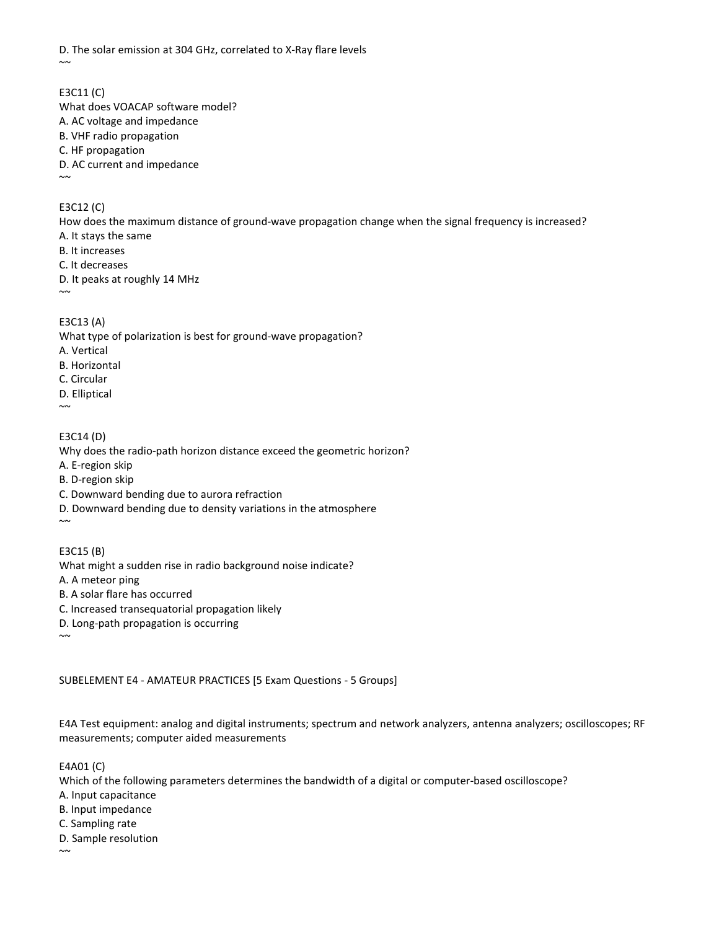D. The solar emission at 304 GHz, correlated to X-Ray flare levels  $~\sim~$ 

E3C11 (C) What does VOACAP software model? A. AC voltage and impedance B. VHF radio propagation C. HF propagation D. AC current and impedance  $\sim$ 

E3C12 (C) How does the maximum distance of ground-wave propagation change when the signal frequency is increased?

A. It stays the same B. It increases C. It decreases D. It peaks at roughly 14 MHz

 $\sim$ 

### E3C13 (A)

What type of polarization is best for ground-wave propagation?

A. Vertical

B. Horizontal

C. Circular

D. Elliptical

 $\sim\sim$ 

 $~\sim~$ 

### E3C14 (D)

Why does the radio-path horizon distance exceed the geometric horizon?

A. E-region skip

B. D-region skip

C. Downward bending due to aurora refraction

D. Downward bending due to density variations in the atmosphere

E3C15 (B)

What might a sudden rise in radio background noise indicate?

A. A meteor ping

B. A solar flare has occurred

C. Increased transequatorial propagation likely

D. Long-path propagation is occurring

 $\sim$ 

SUBELEMENT E4 - AMATEUR PRACTICES [5 Exam Questions - 5 Groups]

E4A Test equipment: analog and digital instruments; spectrum and network analyzers, antenna analyzers; oscilloscopes; RF measurements; computer aided measurements

E4A01 (C)

Which of the following parameters determines the bandwidth of a digital or computer-based oscilloscope?

A. Input capacitance

B. Input impedance

C. Sampling rate

D. Sample resolution  $~\sim~$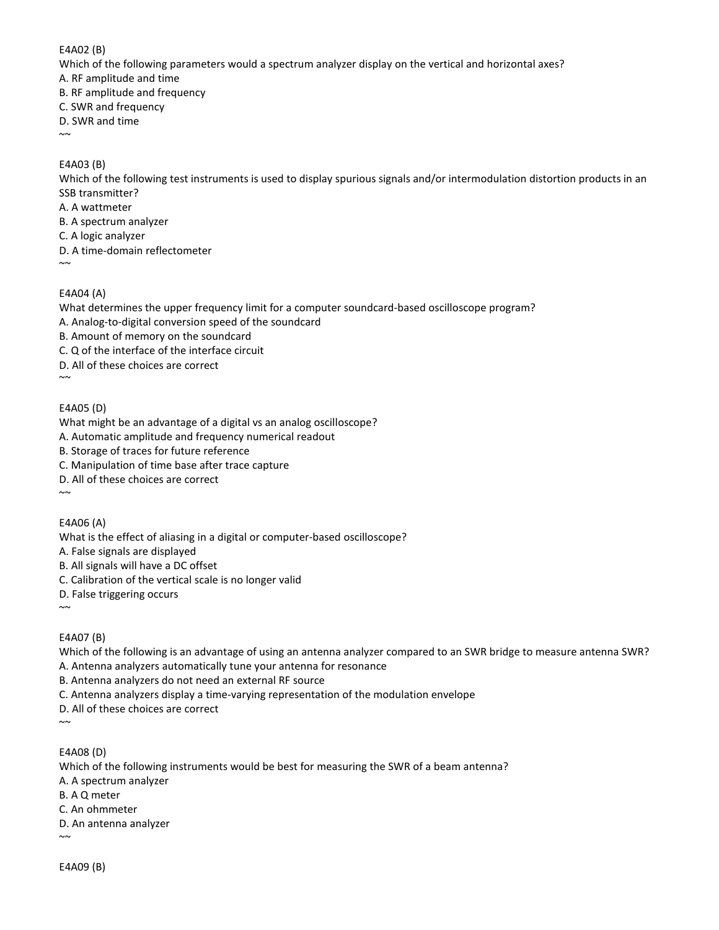E4A02 (B)

Which of the following parameters would a spectrum analyzer display on the vertical and horizontal axes?

A. RF amplitude and time

- B. RF amplitude and frequency
- C. SWR and frequency
- D. SWR and time
- $\sim$

### E4A03 (B)

Which of the following test instruments is used to display spurious signals and/or intermodulation distortion products in an SSB transmitter?

- A. A wattmeter
- B. A spectrum analyzer
- C. A logic analyzer
- D. A time-domain reflectometer
- $\sim$

E4A04 (A)

- What determines the upper frequency limit for a computer soundcard-based oscilloscope program?
- A. Analog-to-digital conversion speed of the soundcard
- B. Amount of memory on the soundcard
- C. Q of the interface of the interface circuit
- D. All of these choices are correct

 $~\sim~$ 

### E4A05 (D)

- What might be an advantage of a digital vs an analog oscilloscope?
- A. Automatic amplitude and frequency numerical readout
- B. Storage of traces for future reference
- C. Manipulation of time base after trace capture
- D. All of these choices are correct

 $\sim$ 

### E4A06 (A)

What is the effect of aliasing in a digital or computer-based oscilloscope?

- A. False signals are displayed
- B. All signals will have a DC offset
- C. Calibration of the vertical scale is no longer valid
- D. False triggering occurs
- $\sim$

# E4A07 (B)

Which of the following is an advantage of using an antenna analyzer compared to an SWR bridge to measure antenna SWR?

A. Antenna analyzers automatically tune your antenna for resonance

B. Antenna analyzers do not need an external RF source

C. Antenna analyzers display a time-varying representation of the modulation envelope

D. All of these choices are correct

 $~\sim~$ 

### E4A08 (D)

Which of the following instruments would be best for measuring the SWR of a beam antenna? A. A spectrum analyzer B. A Q meter C. An ohmmeter D. An antenna analyzer  $\sim$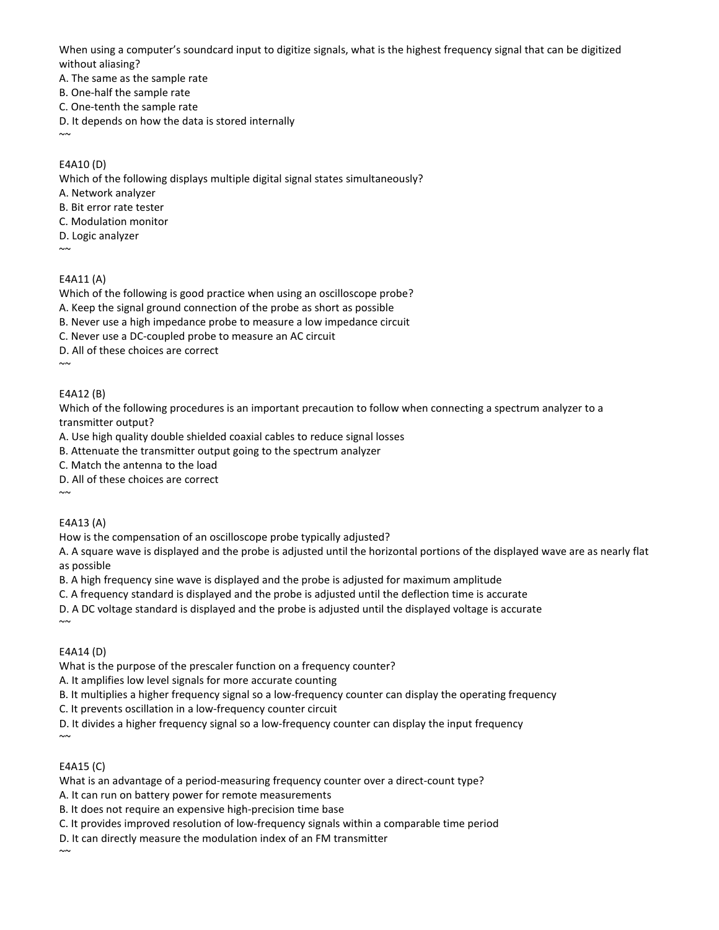When using a computer's soundcard input to digitize signals, what is the highest frequency signal that can be digitized without aliasing?

A. The same as the sample rate

- B. One-half the sample rate
- C. One-tenth the sample rate
- D. It depends on how the data is stored internally

 $~\sim~$ 

### E4A10 (D)

Which of the following displays multiple digital signal states simultaneously?

- A. Network analyzer
- B. Bit error rate tester
- C. Modulation monitor
- D. Logic analyzer
- $\sim\!\sim$

### E4A11 (A)

Which of the following is good practice when using an oscilloscope probe?

- A. Keep the signal ground connection of the probe as short as possible
- B. Never use a high impedance probe to measure a low impedance circuit
- C. Never use a DC-coupled probe to measure an AC circuit
- D. All of these choices are correct
- $\sim$

### E4A12 (B)

Which of the following procedures is an important precaution to follow when connecting a spectrum analyzer to a transmitter output?

A. Use high quality double shielded coaxial cables to reduce signal losses

B. Attenuate the transmitter output going to the spectrum analyzer

C. Match the antenna to the load

D. All of these choices are correct

 $~\sim~$ 

### E4A13 (A)

How is the compensation of an oscilloscope probe typically adjusted?

A. A square wave is displayed and the probe is adjusted until the horizontal portions of the displayed wave are as nearly flat as possible

B. A high frequency sine wave is displayed and the probe is adjusted for maximum amplitude

C. A frequency standard is displayed and the probe is adjusted until the deflection time is accurate

D. A DC voltage standard is displayed and the probe is adjusted until the displayed voltage is accurate

### E4A14 (D)

 $\sim$ 

 $\sim$ 

 $~\sim~$ 

What is the purpose of the prescaler function on a frequency counter?

A. It amplifies low level signals for more accurate counting

B. It multiplies a higher frequency signal so a low-frequency counter can display the operating frequency

C. It prevents oscillation in a low-frequency counter circuit

D. It divides a higher frequency signal so a low-frequency counter can display the input frequency

### E4A15 (C)

What is an advantage of a period-measuring frequency counter over a direct-count type?

A. It can run on battery power for remote measurements

B. It does not require an expensive high-precision time base

C. It provides improved resolution of low-frequency signals within a comparable time period

D. It can directly measure the modulation index of an FM transmitter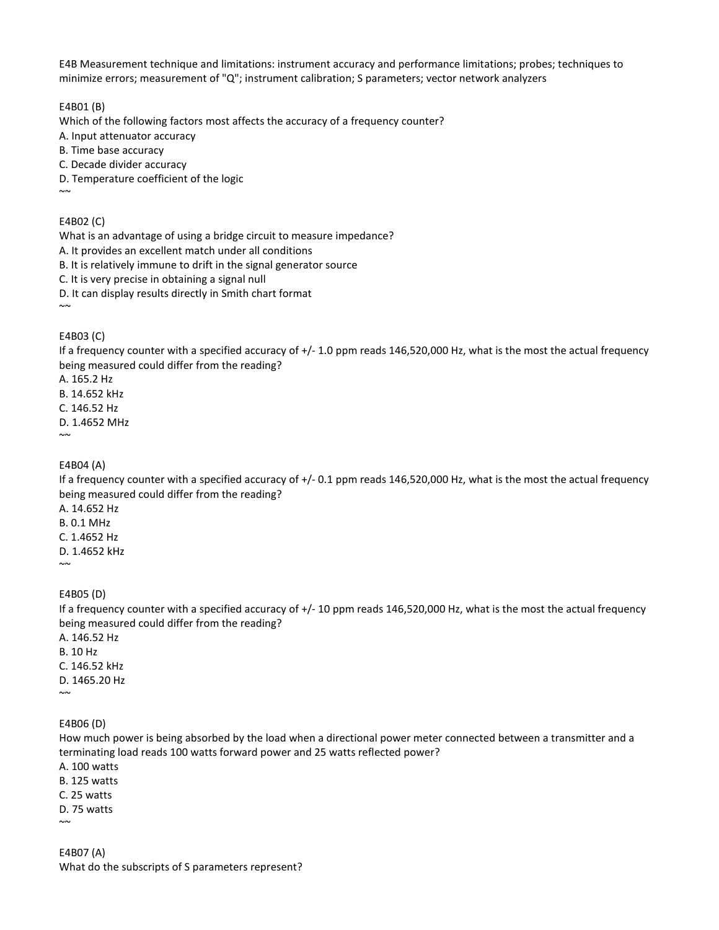E4B Measurement technique and limitations: instrument accuracy and performance limitations; probes; techniques to minimize errors; measurement of "Q"; instrument calibration; S parameters; vector network analyzers

E4B01 (B) Which of the following factors most affects the accuracy of a frequency counter? A. Input attenuator accuracy

B. Time base accuracy

C. Decade divider accuracy

D. Temperature coefficient of the logic  $\sim$ 

E4B02 (C)

What is an advantage of using a bridge circuit to measure impedance?

A. It provides an excellent match under all conditions

B. It is relatively immune to drift in the signal generator source

C. It is very precise in obtaining a signal null

D. It can display results directly in Smith chart format

 $\sim$ 

E4B03 (C)

If a frequency counter with a specified accuracy of +/- 1.0 ppm reads 146,520,000 Hz, what is the most the actual frequency being measured could differ from the reading?

A. 165.2 Hz

B. 14.652 kHz

C. 146.52 Hz

D. 1.4652 MHz  $\sim$ 

#### E4B04 (A)

If a frequency counter with a specified accuracy of +/- 0.1 ppm reads 146,520,000 Hz, what is the most the actual frequency being measured could differ from the reading?

A. 14.652 Hz B. 0.1 MHz C. 1.4652 Hz D. 1.4652 kHz

 $\sim$ 

E4B05 (D)

If a frequency counter with a specified accuracy of +/- 10 ppm reads 146,520,000 Hz, what is the most the actual frequency being measured could differ from the reading?

A. 146.52 Hz B. 10 Hz C. 146.52 kHz D. 1465.20 Hz  $\sim$ 

E4B06 (D)

How much power is being absorbed by the load when a directional power meter connected between a transmitter and a terminating load reads 100 watts forward power and 25 watts reflected power?

A. 100 watts

B. 125 watts

C. 25 watts

D. 75 watts  $\sim$ 

E4B07 (A) What do the subscripts of S parameters represent?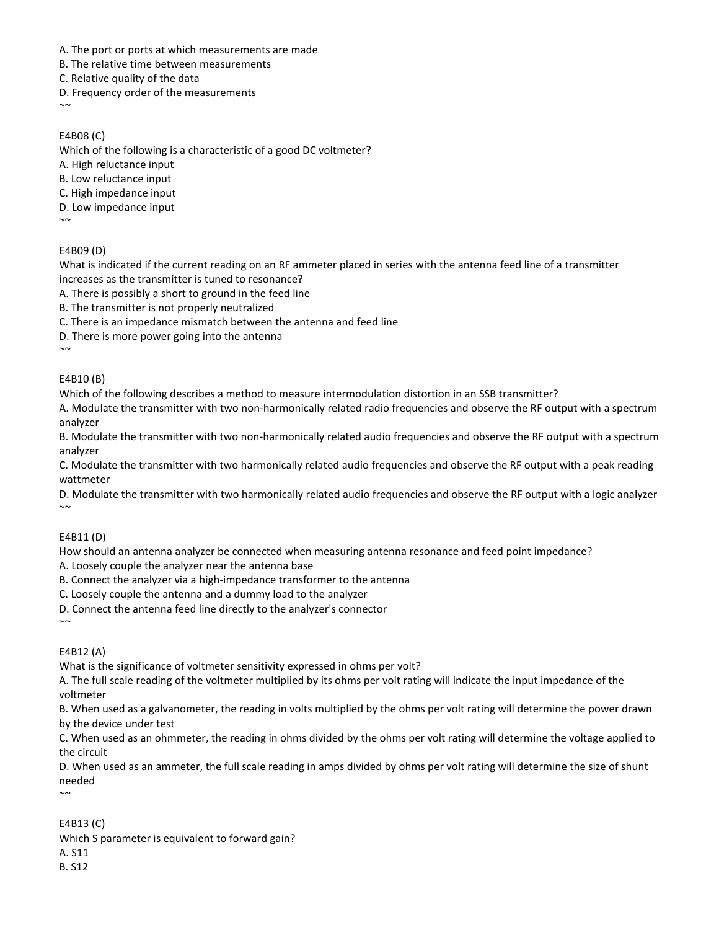- A. The port or ports at which measurements are made
- B. The relative time between measurements
- C. Relative quality of the data
- D. Frequency order of the measurements

## E4B08 (C)

 $\sim$ 

Which of the following is a characteristic of a good DC voltmeter?

- A. High reluctance input
- B. Low reluctance input
- C. High impedance input
- D. Low impedance input

 $\sim$ 

## E4B09 (D)

What is indicated if the current reading on an RF ammeter placed in series with the antenna feed line of a transmitter increases as the transmitter is tuned to resonance?

A. There is possibly a short to ground in the feed line

B. The transmitter is not properly neutralized

C. There is an impedance mismatch between the antenna and feed line

D. There is more power going into the antenna

## E4B10 (B)

 $\sim$ 

Which of the following describes a method to measure intermodulation distortion in an SSB transmitter?

A. Modulate the transmitter with two non-harmonically related radio frequencies and observe the RF output with a spectrum analyzer

B. Modulate the transmitter with two non-harmonically related audio frequencies and observe the RF output with a spectrum analyzer

C. Modulate the transmitter with two harmonically related audio frequencies and observe the RF output with a peak reading wattmeter

D. Modulate the transmitter with two harmonically related audio frequencies and observe the RF output with a logic analyzer  $\sim$ 

#### E4B11 (D)

How should an antenna analyzer be connected when measuring antenna resonance and feed point impedance?

A. Loosely couple the analyzer near the antenna base

B. Connect the analyzer via a high-impedance transformer to the antenna

C. Loosely couple the antenna and a dummy load to the analyzer

D. Connect the antenna feed line directly to the analyzer's connector

#### E4B12 (A)

 $\sim$ 

 $~\sim~$ 

What is the significance of voltmeter sensitivity expressed in ohms per volt?

A. The full scale reading of the voltmeter multiplied by its ohms per volt rating will indicate the input impedance of the voltmeter

B. When used as a galvanometer, the reading in volts multiplied by the ohms per volt rating will determine the power drawn by the device under test

C. When used as an ohmmeter, the reading in ohms divided by the ohms per volt rating will determine the voltage applied to the circuit

D. When used as an ammeter, the full scale reading in amps divided by ohms per volt rating will determine the size of shunt needed

E4B13 (C) Which S parameter is equivalent to forward gain? A. S11 B. S12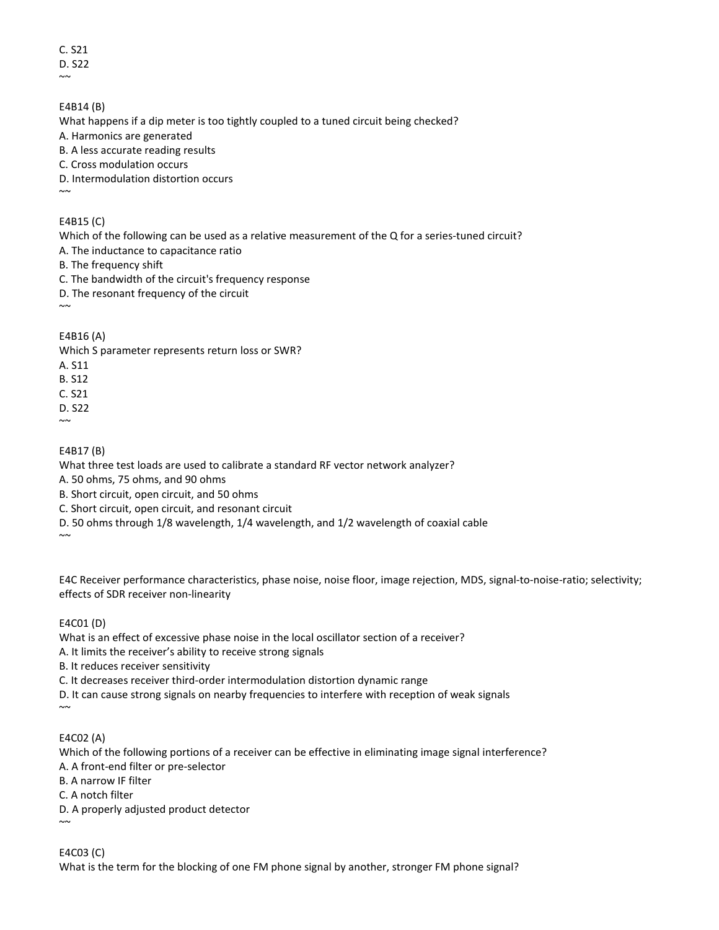C. S21 D. S22  $~\sim~$ 

E4B14 (B)

What happens if a dip meter is too tightly coupled to a tuned circuit being checked?

A. Harmonics are generated

B. A less accurate reading results

C. Cross modulation occurs

D. Intermodulation distortion occurs

 $\sim$ 

#### E4B15 (C)

Which of the following can be used as a relative measurement of the Q for a series-tuned circuit?

A. The inductance to capacitance ratio

B. The frequency shift

C. The bandwidth of the circuit's frequency response

D. The resonant frequency of the circuit

 $\sim$ 

## E4B16 (A)

Which S parameter represents return loss or SWR? A. S11 B. S12 C. S21 D. S22  $~\sim~$ 

E4B17 (B)

What three test loads are used to calibrate a standard RF vector network analyzer?

A. 50 ohms, 75 ohms, and 90 ohms

B. Short circuit, open circuit, and 50 ohms

C. Short circuit, open circuit, and resonant circuit

D. 50 ohms through 1/8 wavelength, 1/4 wavelength, and 1/2 wavelength of coaxial cable

 $\sim$ 

E4C Receiver performance characteristics, phase noise, noise floor, image rejection, MDS, signal-to-noise-ratio; selectivity; effects of SDR receiver non-linearity

E4C01 (D)

What is an effect of excessive phase noise in the local oscillator section of a receiver?

A. It limits the receiver's ability to receive strong signals

B. It reduces receiver sensitivity

C. It decreases receiver third-order intermodulation distortion dynamic range

D. It can cause strong signals on nearby frequencies to interfere with reception of weak signals  $\sim$ 

E4C02 (A)

Which of the following portions of a receiver can be effective in eliminating image signal interference?

A. A front-end filter or pre-selector

B. A narrow IF filter

C. A notch filter

D. A properly adjusted product detector

 $\sim\!\sim$ 

E4C03 (C)

What is the term for the blocking of one FM phone signal by another, stronger FM phone signal?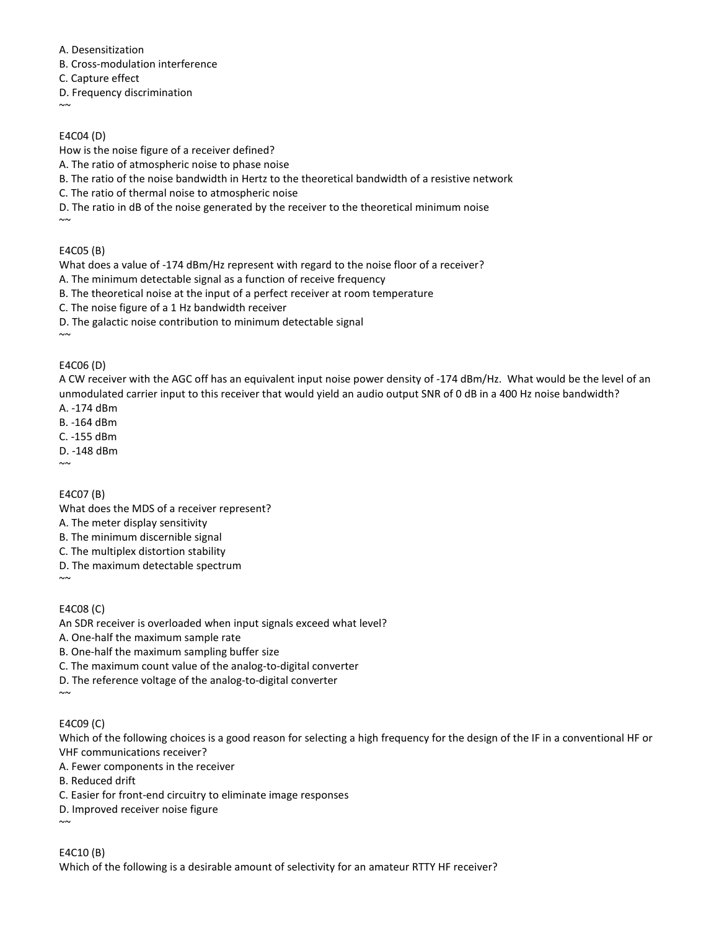A. Desensitization

B. Cross-modulation interference

C. Capture effect

D. Frequency discrimination

 $\sim\!\sim$ 

## E4C04 (D)

How is the noise figure of a receiver defined?

A. The ratio of atmospheric noise to phase noise

B. The ratio of the noise bandwidth in Hertz to the theoretical bandwidth of a resistive network

C. The ratio of thermal noise to atmospheric noise

D. The ratio in dB of the noise generated by the receiver to the theoretical minimum noise

 $\sim$ 

E4C05 (B)

What does a value of -174 dBm/Hz represent with regard to the noise floor of a receiver?

A. The minimum detectable signal as a function of receive frequency

B. The theoretical noise at the input of a perfect receiver at room temperature

C. The noise figure of a 1 Hz bandwidth receiver

D. The galactic noise contribution to minimum detectable signal

 $\sim$ 

## E4C06 (D)

A CW receiver with the AGC off has an equivalent input noise power density of -174 dBm/Hz. What would be the level of an unmodulated carrier input to this receiver that would yield an audio output SNR of 0 dB in a 400 Hz noise bandwidth?

- A. -174 dBm
- B. -164 dBm
- C. -155 dBm
- D. -148 dBm  $~\sim~$

E4C07 (B)

What does the MDS of a receiver represent?

A. The meter display sensitivity

B. The minimum discernible signal

C. The multiplex distortion stability

D. The maximum detectable spectrum

E4C08 (C)

 $\sim$ 

An SDR receiver is overloaded when input signals exceed what level?

A. One-half the maximum sample rate

B. One-half the maximum sampling buffer size

C. The maximum count value of the analog-to-digital converter

D. The reference voltage of the analog-to-digital converter

# $~\sim~$

 $\sim$ 

## E4C09 (C)

Which of the following choices is a good reason for selecting a high frequency for the design of the IF in a conventional HF or VHF communications receiver?

A. Fewer components in the receiver

B. Reduced drift

C. Easier for front-end circuitry to eliminate image responses

D. Improved receiver noise figure

E4C10 (B) Which of the following is a desirable amount of selectivity for an amateur RTTY HF receiver?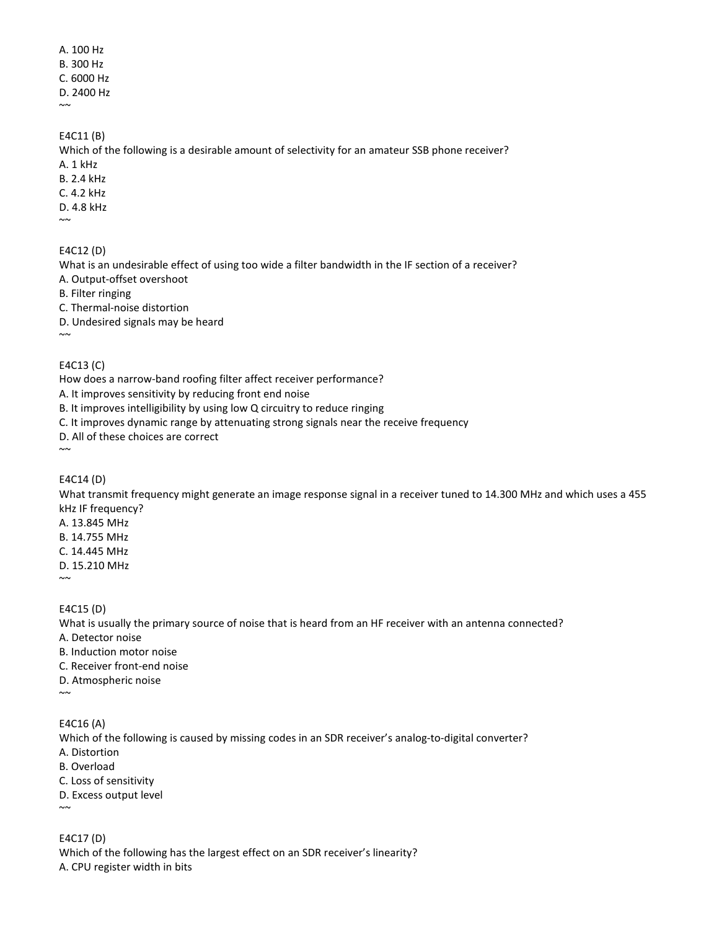A. 100 Hz B. 300 Hz C. 6000 Hz D. 2400 Hz  $\sim$ 

E4C11 (B)

Which of the following is a desirable amount of selectivity for an amateur SSB phone receiver?

A. 1 kHz

B. 2.4 kHz C. 4.2 kHz

D. 4.8 kHz

 $\sim$ 

E4C12 (D)

What is an undesirable effect of using too wide a filter bandwidth in the IF section of a receiver?

A. Output-offset overshoot

B. Filter ringing

C. Thermal-noise distortion

D. Undesired signals may be heard

 $\sim$ 

E4C13 (C)

How does a narrow-band roofing filter affect receiver performance?

A. It improves sensitivity by reducing front end noise

B. It improves intelligibility by using low Q circuitry to reduce ringing

C. It improves dynamic range by attenuating strong signals near the receive frequency

D. All of these choices are correct

 $\sim$ 

E4C14 (D)

What transmit frequency might generate an image response signal in a receiver tuned to 14.300 MHz and which uses a 455 kHz IF frequency?

A. 13.845 MHz

B. 14.755 MHz

C. 14.445 MHz

D. 15.210 MHz  $\sim$ 

E4C15 (D)

What is usually the primary source of noise that is heard from an HF receiver with an antenna connected? A. Detector noise B. Induction motor noise C. Receiver front-end noise D. Atmospheric noise  $\sim$ 

E4C16 (A)

Which of the following is caused by missing codes in an SDR receiver's analog-to-digital converter? A. Distortion B. Overload

C. Loss of sensitivity

D. Excess output level  $\sim$ 

E4C17 (D) Which of the following has the largest effect on an SDR receiver's linearity? A. CPU register width in bits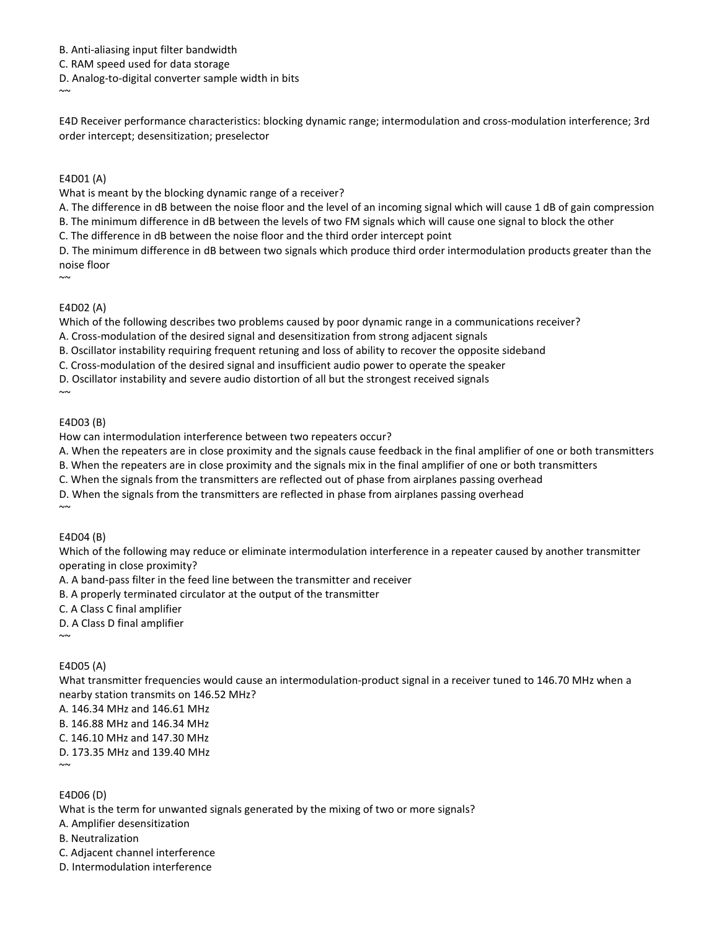#### B. Anti-aliasing input filter bandwidth

C. RAM speed used for data storage

D. Analog-to-digital converter sample width in bits

 $~\sim~$ 

E4D Receiver performance characteristics: blocking dynamic range; intermodulation and cross-modulation interference; 3rd order intercept; desensitization; preselector

#### E4D01 (A)

What is meant by the blocking dynamic range of a receiver?

A. The difference in dB between the noise floor and the level of an incoming signal which will cause 1 dB of gain compression

B. The minimum difference in dB between the levels of two FM signals which will cause one signal to block the other

C. The difference in dB between the noise floor and the third order intercept point

D. The minimum difference in dB between two signals which produce third order intermodulation products greater than the noise floor

 $\sim$ 

## E4D02 (A)

Which of the following describes two problems caused by poor dynamic range in a communications receiver?

A. Cross-modulation of the desired signal and desensitization from strong adjacent signals

B. Oscillator instability requiring frequent retuning and loss of ability to recover the opposite sideband

C. Cross-modulation of the desired signal and insufficient audio power to operate the speaker

D. Oscillator instability and severe audio distortion of all but the strongest received signals

## E4D03 (B)

 $\sim$ 

How can intermodulation interference between two repeaters occur?

A. When the repeaters are in close proximity and the signals cause feedback in the final amplifier of one or both transmitters

B. When the repeaters are in close proximity and the signals mix in the final amplifier of one or both transmitters

C. When the signals from the transmitters are reflected out of phase from airplanes passing overhead

D. When the signals from the transmitters are reflected in phase from airplanes passing overhead

E4D04 (B)

 $\sim$ 

Which of the following may reduce or eliminate intermodulation interference in a repeater caused by another transmitter operating in close proximity?

A. A band-pass filter in the feed line between the transmitter and receiver

B. A properly terminated circulator at the output of the transmitter

C. A Class C final amplifier

D. A Class D final amplifier

 $\sim$ 

## E4D05 (A)

What transmitter frequencies would cause an intermodulation-product signal in a receiver tuned to 146.70 MHz when a nearby station transmits on 146.52 MHz?

A. 146.34 MHz and 146.61 MHz B. 146.88 MHz and 146.34 MHz C. 146.10 MHz and 147.30 MHz D. 173.35 MHz and 139.40 MHz

 $\sim$ 

E4D06 (D)

What is the term for unwanted signals generated by the mixing of two or more signals?

A. Amplifier desensitization

B. Neutralization

C. Adjacent channel interference

D. Intermodulation interference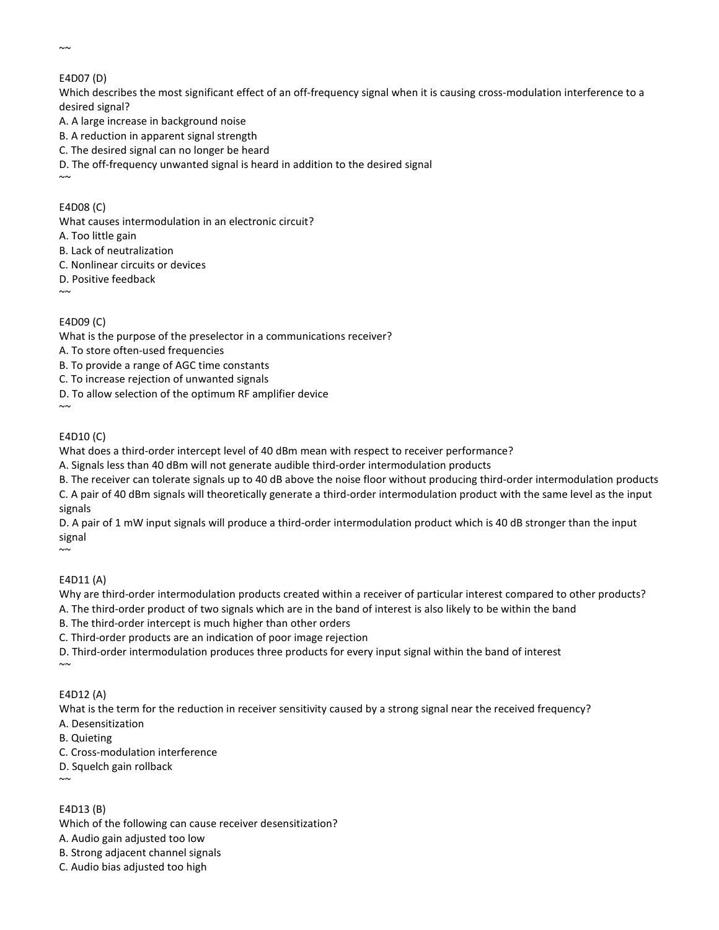$~\sim~$ 

## E4D07 (D)

Which describes the most significant effect of an off-frequency signal when it is causing cross-modulation interference to a desired signal?

A. A large increase in background noise

B. A reduction in apparent signal strength

C. The desired signal can no longer be heard

D. The off-frequency unwanted signal is heard in addition to the desired signal

## E4D08 (C)

What causes intermodulation in an electronic circuit?

A. Too little gain

B. Lack of neutralization

C. Nonlinear circuits or devices

D. Positive feedback

 $\sim$ 

 $\sim$ 

## E4D09 (C)

What is the purpose of the preselector in a communications receiver?

A. To store often-used frequencies

B. To provide a range of AGC time constants

C. To increase rejection of unwanted signals

D. To allow selection of the optimum RF amplifier device

 $\sim$ 

## E4D10 (C)

What does a third-order intercept level of 40 dBm mean with respect to receiver performance?

A. Signals less than 40 dBm will not generate audible third-order intermodulation products

B. The receiver can tolerate signals up to 40 dB above the noise floor without producing third-order intermodulation products C. A pair of 40 dBm signals will theoretically generate a third-order intermodulation product with the same level as the input signals

D. A pair of 1 mW input signals will produce a third-order intermodulation product which is 40 dB stronger than the input signal

 $\sim$ 

## E4D11 (A)

Why are third-order intermodulation products created within a receiver of particular interest compared to other products?

A. The third-order product of two signals which are in the band of interest is also likely to be within the band

B. The third-order intercept is much higher than other orders

C. Third-order products are an indication of poor image rejection

D. Third-order intermodulation produces three products for every input signal within the band of interest  $\sim$ 

## E4D12 (A)

What is the term for the reduction in receiver sensitivity caused by a strong signal near the received frequency?

A. Desensitization

B. Quieting

C. Cross-modulation interference

D. Squelch gain rollback

E4D13 (B)

 $\sim$ 

Which of the following can cause receiver desensitization?

A. Audio gain adjusted too low

B. Strong adjacent channel signals

C. Audio bias adjusted too high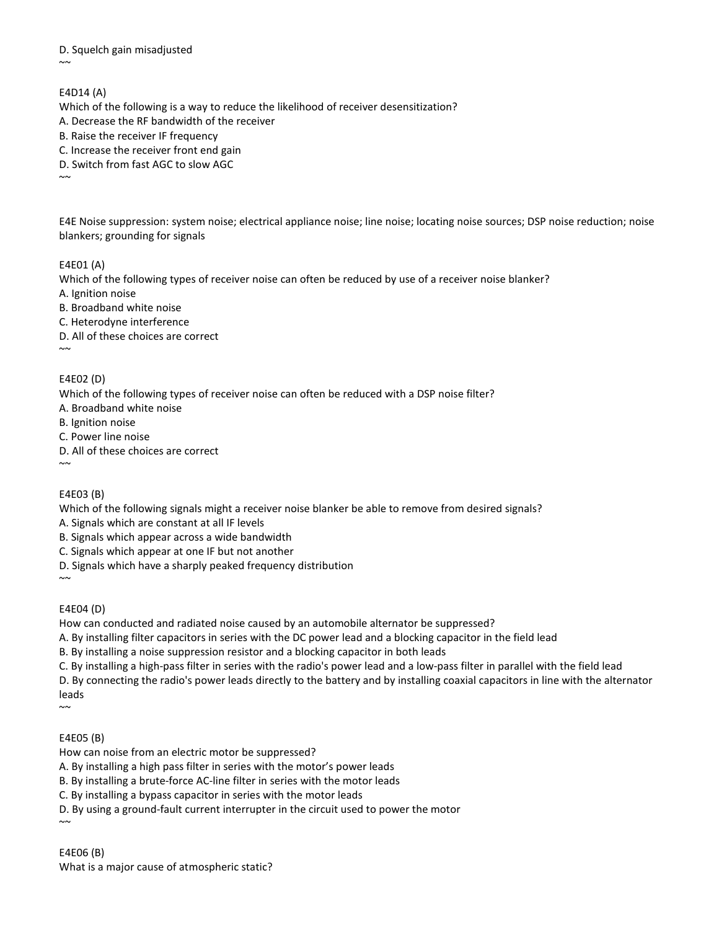D. Squelch gain misadjusted

 $\sim$ 

E4D14 (A)

Which of the following is a way to reduce the likelihood of receiver desensitization?

A. Decrease the RF bandwidth of the receiver

B. Raise the receiver IF frequency

C. Increase the receiver front end gain

D. Switch from fast AGC to slow AGC

~~

E4E Noise suppression: system noise; electrical appliance noise; line noise; locating noise sources; DSP noise reduction; noise blankers; grounding for signals

#### E4E01 (A)

Which of the following types of receiver noise can often be reduced by use of a receiver noise blanker?

A. Ignition noise

B. Broadband white noise

C. Heterodyne interference

D. All of these choices are correct

 $\sim$ 

#### E4E02 (D)

Which of the following types of receiver noise can often be reduced with a DSP noise filter?

A. Broadband white noise

B. Ignition noise

C. Power line noise

D. All of these choices are correct

E4E03 (B)

 $~\sim~$ 

 $\sim$ 

Which of the following signals might a receiver noise blanker be able to remove from desired signals?

A. Signals which are constant at all IF levels

B. Signals which appear across a wide bandwidth

C. Signals which appear at one IF but not another

D. Signals which have a sharply peaked frequency distribution

E4E04 (D)

How can conducted and radiated noise caused by an automobile alternator be suppressed?

A. By installing filter capacitors in series with the DC power lead and a blocking capacitor in the field lead

B. By installing a noise suppression resistor and a blocking capacitor in both leads

C. By installing a high-pass filter in series with the radio's power lead and a low-pass filter in parallel with the field lead

D. By connecting the radio's power leads directly to the battery and by installing coaxial capacitors in line with the alternator leads

 $\sim$ 

 $\sim$ 

E4E05 (B)

How can noise from an electric motor be suppressed?

A. By installing a high pass filter in series with the motor's power leads

B. By installing a brute-force AC-line filter in series with the motor leads

C. By installing a bypass capacitor in series with the motor leads

D. By using a ground-fault current interrupter in the circuit used to power the motor

E4E06 (B) What is a major cause of atmospheric static?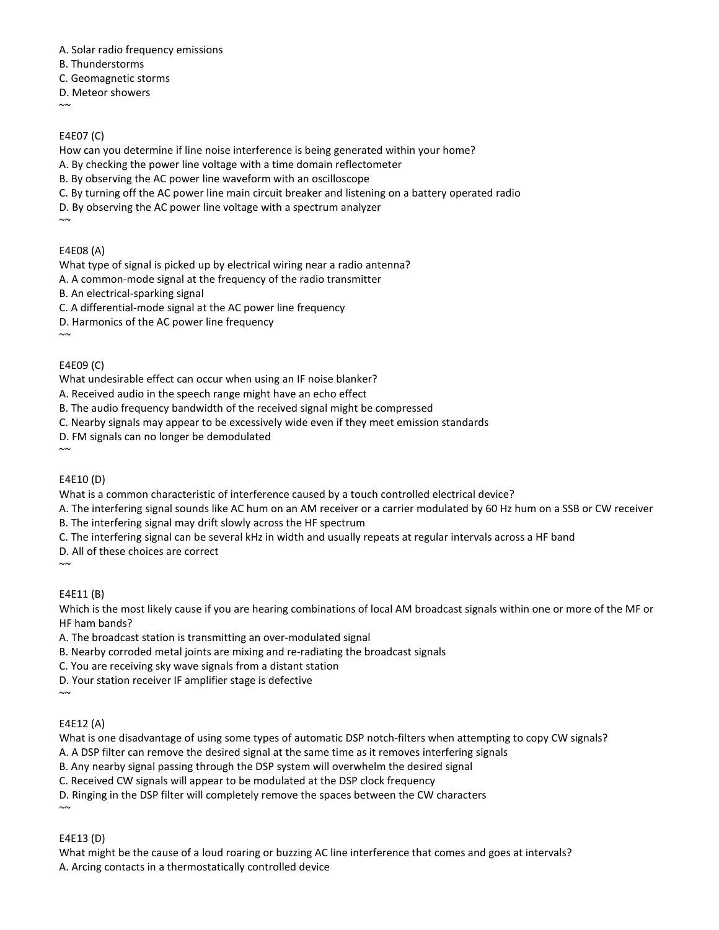- A. Solar radio frequency emissions
- B. Thunderstorms
- C. Geomagnetic storms
- D. Meteor showers
- $\sim$

## E4E07 (C)

How can you determine if line noise interference is being generated within your home?

- A. By checking the power line voltage with a time domain reflectometer
- B. By observing the AC power line waveform with an oscilloscope
- C. By turning off the AC power line main circuit breaker and listening on a battery operated radio

D. By observing the AC power line voltage with a spectrum analyzer

 $\sim$ 

## E4E08 (A)

What type of signal is picked up by electrical wiring near a radio antenna?

A. A common-mode signal at the frequency of the radio transmitter

B. An electrical-sparking signal

C. A differential-mode signal at the AC power line frequency

D. Harmonics of the AC power line frequency

 $\sim$ 

## E4E09 (C)

What undesirable effect can occur when using an IF noise blanker?

A. Received audio in the speech range might have an echo effect

B. The audio frequency bandwidth of the received signal might be compressed

C. Nearby signals may appear to be excessively wide even if they meet emission standards

D. FM signals can no longer be demodulated

 $\sim$ 

E4E10 (D)

What is a common characteristic of interference caused by a touch controlled electrical device?

A. The interfering signal sounds like AC hum on an AM receiver or a carrier modulated by 60 Hz hum on a SSB or CW receiver

B. The interfering signal may drift slowly across the HF spectrum

C. The interfering signal can be several kHz in width and usually repeats at regular intervals across a HF band

D. All of these choices are correct

 $\sim$ 

## E4E11 (B)

Which is the most likely cause if you are hearing combinations of local AM broadcast signals within one or more of the MF or HF ham bands?

A. The broadcast station is transmitting an over-modulated signal

B. Nearby corroded metal joints are mixing and re-radiating the broadcast signals

C. You are receiving sky wave signals from a distant station

D. Your station receiver IF amplifier stage is defective

 $\sim$ 

## E4E12 (A)

What is one disadvantage of using some types of automatic DSP notch-filters when attempting to copy CW signals?

A. A DSP filter can remove the desired signal at the same time as it removes interfering signals

B. Any nearby signal passing through the DSP system will overwhelm the desired signal

C. Received CW signals will appear to be modulated at the DSP clock frequency

D. Ringing in the DSP filter will completely remove the spaces between the CW characters

E4E13 (D)

 $\sim$ 

What might be the cause of a loud roaring or buzzing AC line interference that comes and goes at intervals? A. Arcing contacts in a thermostatically controlled device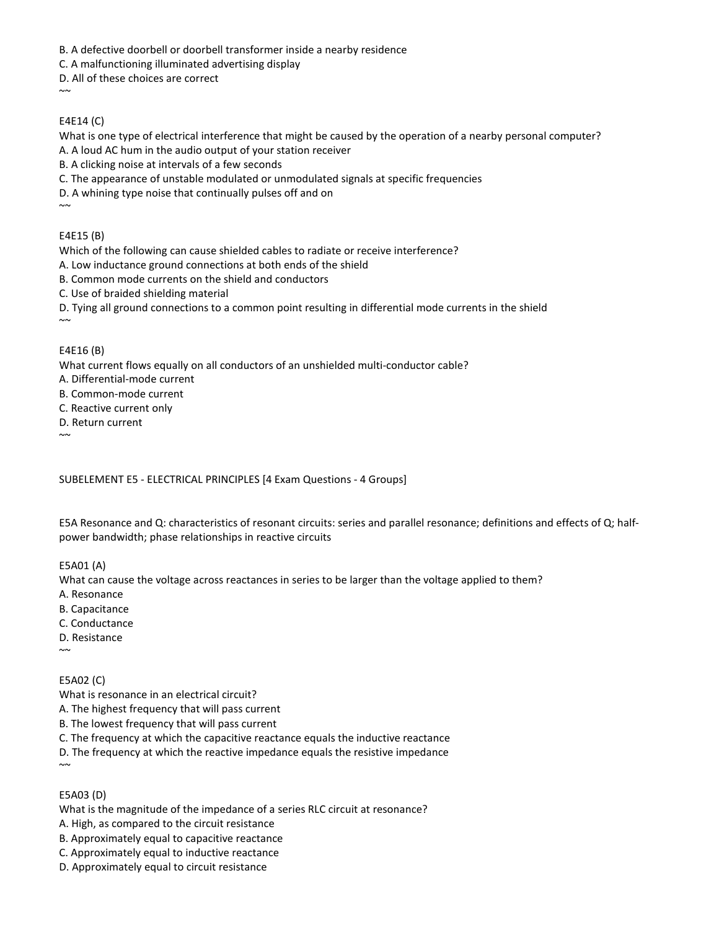B. A defective doorbell or doorbell transformer inside a nearby residence

- C. A malfunctioning illuminated advertising display
- D. All of these choices are correct

 $\sim$ 

## E4E14 (C)

What is one type of electrical interference that might be caused by the operation of a nearby personal computer?

- A. A loud AC hum in the audio output of your station receiver
- B. A clicking noise at intervals of a few seconds
- C. The appearance of unstable modulated or unmodulated signals at specific frequencies
- D. A whining type noise that continually pulses off and on
- $~\sim~$

## E4E15 (B)

Which of the following can cause shielded cables to radiate or receive interference?

- A. Low inductance ground connections at both ends of the shield
- B. Common mode currents on the shield and conductors
- C. Use of braided shielding material

D. Tying all ground connections to a common point resulting in differential mode currents in the shield

## E4E16 (B)

 $~\sim~$ 

What current flows equally on all conductors of an unshielded multi-conductor cable?

- A. Differential-mode current
- B. Common-mode current
- C. Reactive current only
- D. Return current

 $\sim$ 

## SUBELEMENT E5 - ELECTRICAL PRINCIPLES [4 Exam Questions - 4 Groups]

E5A Resonance and Q: characteristics of resonant circuits: series and parallel resonance; definitions and effects of Q; halfpower bandwidth; phase relationships in reactive circuits

E5A01 (A)

What can cause the voltage across reactances in series to be larger than the voltage applied to them?

- A. Resonance
- B. Capacitance
- C. Conductance
- D. Resistance

 $~\sim~$ 

## E5A02 (C)

What is resonance in an electrical circuit?

A. The highest frequency that will pass current

- B. The lowest frequency that will pass current
- C. The frequency at which the capacitive reactance equals the inductive reactance

D. The frequency at which the reactive impedance equals the resistive impedance

 $\sim\!\sim$ 

## E5A03 (D)

What is the magnitude of the impedance of a series RLC circuit at resonance?

- A. High, as compared to the circuit resistance
- B. Approximately equal to capacitive reactance
- C. Approximately equal to inductive reactance
- D. Approximately equal to circuit resistance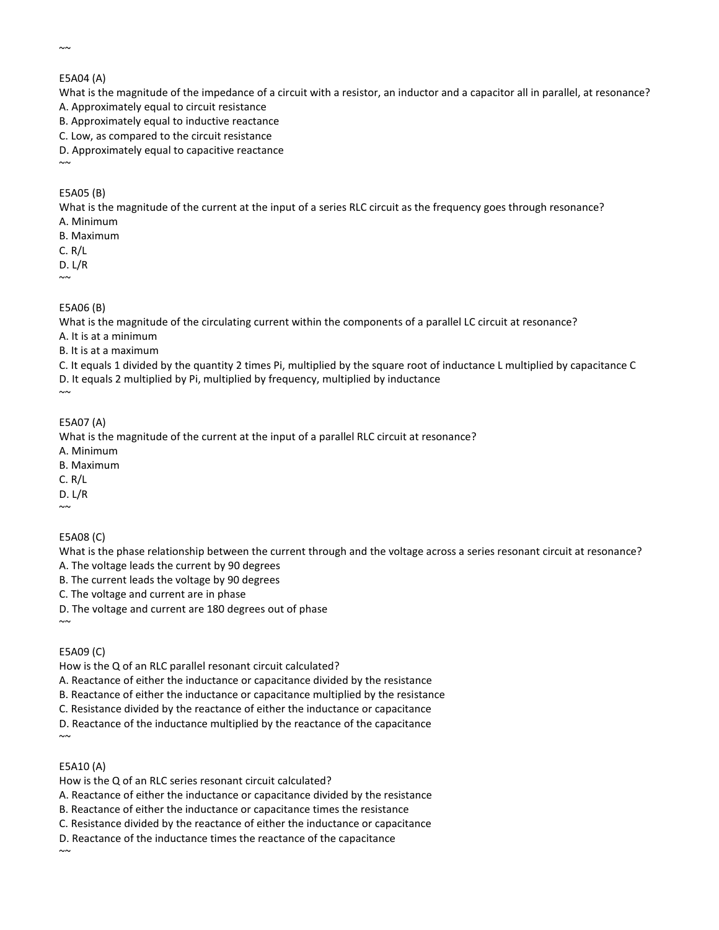$~\sim~$ 

#### E5A04 (A)

What is the magnitude of the impedance of a circuit with a resistor, an inductor and a capacitor all in parallel, at resonance? A. Approximately equal to circuit resistance

B. Approximately equal to inductive reactance

C. Low, as compared to the circuit resistance

D. Approximately equal to capacitive reactance

E5A05 (B)

 $~\sim~$ 

What is the magnitude of the current at the input of a series RLC circuit as the frequency goes through resonance? A. Minimum

B. Maximum

C. R/L

D. L/R

 $\sim$ 

#### E5A06 (B)

What is the magnitude of the circulating current within the components of a parallel LC circuit at resonance?

A. It is at a minimum

B. It is at a maximum

C. It equals 1 divided by the quantity 2 times Pi, multiplied by the square root of inductance L multiplied by capacitance C D. It equals 2 multiplied by Pi, multiplied by frequency, multiplied by inductance

## E5A07 (A)

 $~\sim~$ 

What is the magnitude of the current at the input of a parallel RLC circuit at resonance?

A. Minimum

B. Maximum

C. R/L

D. L/R

 $\sim$ 

#### E5A08 (C)

What is the phase relationship between the current through and the voltage across a series resonant circuit at resonance?

A. The voltage leads the current by 90 degrees

B. The current leads the voltage by 90 degrees

C. The voltage and current are in phase

D. The voltage and current are 180 degrees out of phase

#### E5A09 (C)

 $\sim$ 

How is the Q of an RLC parallel resonant circuit calculated?

A. Reactance of either the inductance or capacitance divided by the resistance

B. Reactance of either the inductance or capacitance multiplied by the resistance

C. Resistance divided by the reactance of either the inductance or capacitance

D. Reactance of the inductance multiplied by the reactance of the capacitance  $\sim$ 

#### E5A10 (A)

How is the Q of an RLC series resonant circuit calculated?

A. Reactance of either the inductance or capacitance divided by the resistance

B. Reactance of either the inductance or capacitance times the resistance

C. Resistance divided by the reactance of either the inductance or capacitance

D. Reactance of the inductance times the reactance of the capacitance

 $~\sim~$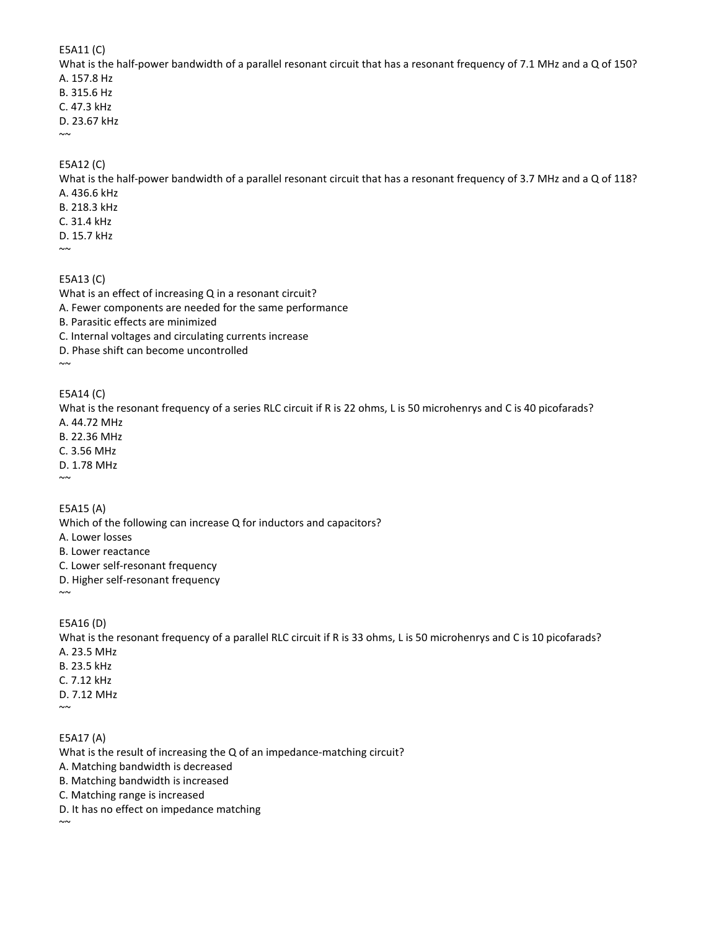#### E5A11 (C)

What is the half-power bandwidth of a parallel resonant circuit that has a resonant frequency of 7.1 MHz and a Q of 150? A. 157.8 Hz

B. 315.6 Hz C. 47.3 kHz D. 23.67 kHz

 $~\sim~$ 

#### E5A12 (C)

What is the half-power bandwidth of a parallel resonant circuit that has a resonant frequency of 3.7 MHz and a Q of 118? A. 436.6 kHz

B. 218.3 kHz C. 31.4 kHz D. 15.7 kHz

 $\sim$ 

E5A13 (C)

What is an effect of increasing Q in a resonant circuit? A. Fewer components are needed for the same performance B. Parasitic effects are minimized C. Internal voltages and circulating currents increase D. Phase shift can become uncontrolled  $\sim$ 

#### E5A14 (C)

What is the resonant frequency of a series RLC circuit if R is 22 ohms, L is 50 microhenrys and C is 40 picofarads? A. 44.72 MHz B. 22.36 MHz C. 3.56 MHz D. 1.78 MHz  $\sim$ 

E5A15 (A)

Which of the following can increase Q for inductors and capacitors? A. Lower losses

B. Lower reactance

C. Lower self-resonant frequency

D. Higher self-resonant frequency  $\sim$ 

E5A16 (D) What is the resonant frequency of a parallel RLC circuit if R is 33 ohms, L is 50 microhenrys and C is 10 picofarads? A. 23.5 MHz B. 23.5 kHz C. 7.12 kHz D. 7.12 MHz  $\sim$ 

E5A17 (A)

What is the result of increasing the Q of an impedance-matching circuit? A. Matching bandwidth is decreased B. Matching bandwidth is increased C. Matching range is increased D. It has no effect on impedance matching  $\sim\!\sim$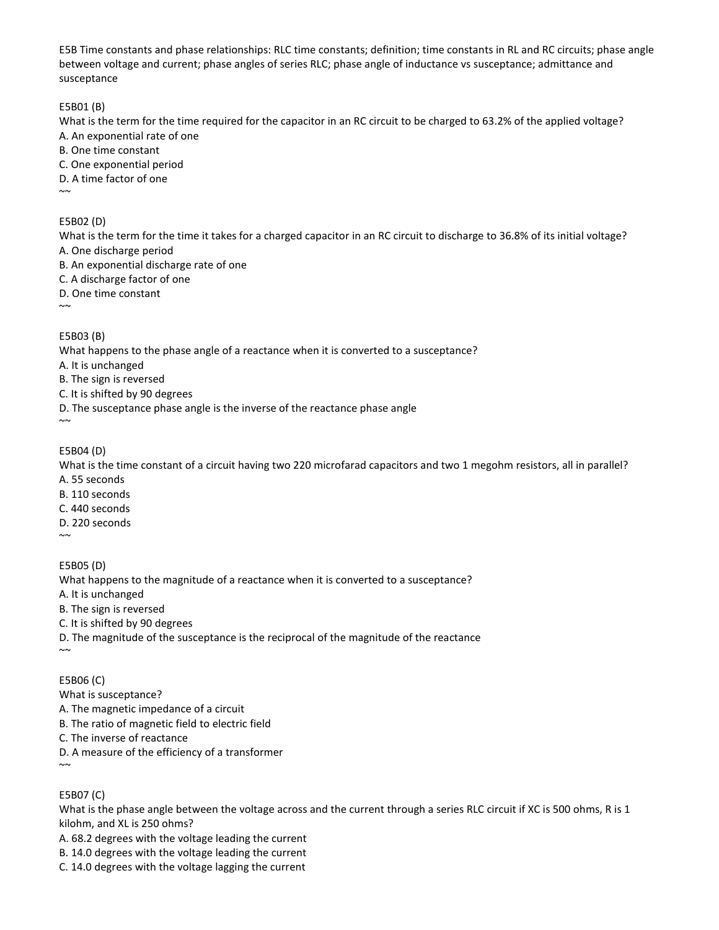E5B Time constants and phase relationships: RLC time constants; definition; time constants in RL and RC circuits; phase angle between voltage and current; phase angles of series RLC; phase angle of inductance vs susceptance; admittance and susceptance

E5B01 (B)

What is the term for the time required for the capacitor in an RC circuit to be charged to 63.2% of the applied voltage? A. An exponential rate of one

B. One time constant

C. One exponential period

D. A time factor of one

 $\sim$ 

## E5B02 (D)

What is the term for the time it takes for a charged capacitor in an RC circuit to discharge to 36.8% of its initial voltage? A. One discharge period

B. An exponential discharge rate of one

- C. A discharge factor of one
- D. One time constant

 $\sim$ 

## E5B03 (B)

What happens to the phase angle of a reactance when it is converted to a susceptance?

A. It is unchanged

B. The sign is reversed

C. It is shifted by 90 degrees

D. The susceptance phase angle is the inverse of the reactance phase angle

 $\sim$ 

## E5B04 (D)

What is the time constant of a circuit having two 220 microfarad capacitors and two 1 megohm resistors, all in parallel? A. 55 seconds

B. 110 seconds

C. 440 seconds

D. 220 seconds

 $\sim$ 

E5B05 (D) What happens to the magnitude of a reactance when it is converted to a susceptance? A. It is unchanged B. The sign is reversed C. It is shifted by 90 degrees D. The magnitude of the susceptance is the reciprocal of the magnitude of the reactance

 $~\sim~$ 

E5B06 (C) What is susceptance? A. The magnetic impedance of a circuit B. The ratio of magnetic field to electric field C. The inverse of reactance D. A measure of the efficiency of a transformer  $\sim$ 

## E5B07 (C)

What is the phase angle between the voltage across and the current through a series RLC circuit if XC is 500 ohms, R is 1 kilohm, and XL is 250 ohms?

A. 68.2 degrees with the voltage leading the current

B. 14.0 degrees with the voltage leading the current

C. 14.0 degrees with the voltage lagging the current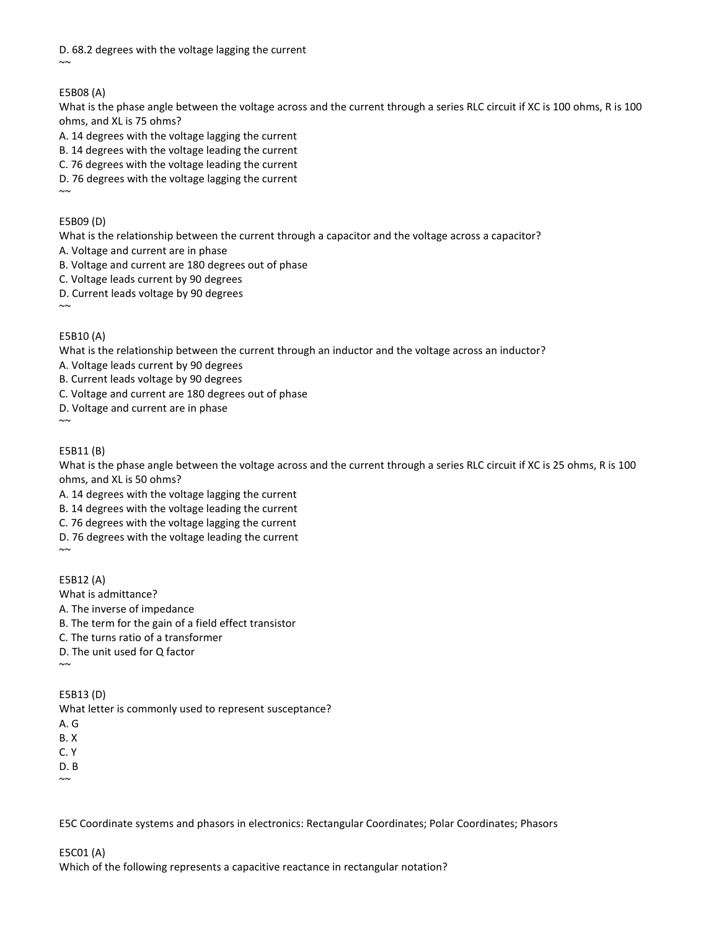D. 68.2 degrees with the voltage lagging the current

#### E5B08 (A)

 $~\sim~$ 

What is the phase angle between the voltage across and the current through a series RLC circuit if XC is 100 ohms, R is 100 ohms, and XL is 75 ohms?

- A. 14 degrees with the voltage lagging the current
- B. 14 degrees with the voltage leading the current
- C. 76 degrees with the voltage leading the current
- D. 76 degrees with the voltage lagging the current  $\sim$

E5B09 (D)

What is the relationship between the current through a capacitor and the voltage across a capacitor?

- A. Voltage and current are in phase
- B. Voltage and current are 180 degrees out of phase
- C. Voltage leads current by 90 degrees
- D. Current leads voltage by 90 degrees
- $\sim$

## E5B10 (A)

What is the relationship between the current through an inductor and the voltage across an inductor?

A. Voltage leads current by 90 degrees

B. Current leads voltage by 90 degrees

C. Voltage and current are 180 degrees out of phase

D. Voltage and current are in phase

 $~\sim~$ 

## E5B11 (B)

What is the phase angle between the voltage across and the current through a series RLC circuit if XC is 25 ohms, R is 100 ohms, and XL is 50 ohms?

- A. 14 degrees with the voltage lagging the current
- B. 14 degrees with the voltage leading the current
- C. 76 degrees with the voltage lagging the current
- D. 76 degrees with the voltage leading the current

E5B12 (A)

What is admittance? A. The inverse of impedance

B. The term for the gain of a field effect transistor

- C. The turns ratio of a transformer
- D. The unit used for Q factor

 $\sim$ 

 $~\sim~$ 

E5B13 (D)

What letter is commonly used to represent susceptance?

- A. G
- B. X
- C. Y D. B
- $~\sim~$

E5C Coordinate systems and phasors in electronics: Rectangular Coordinates; Polar Coordinates; Phasors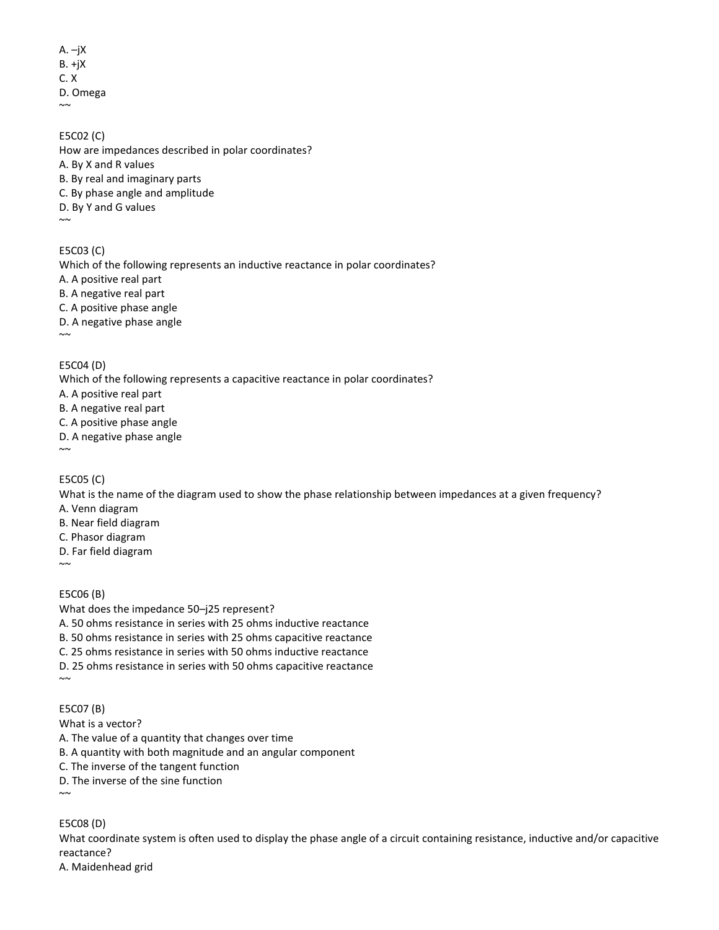$A. -jX$  $B. +jX$ C. X D. Omega  $\sim$ 

E5C02 (C) How are impedances described in polar coordinates? A. By X and R values B. By real and imaginary parts C. By phase angle and amplitude D. By Y and G values  $~\sim~$ 

E5C03 (C) Which of the following represents an inductive reactance in polar coordinates? A. A positive real part B. A negative real part C. A positive phase angle D. A negative phase angle  $\sim$ 

E5C04 (D) Which of the following represents a capacitive reactance in polar coordinates? A. A positive real part B. A negative real part C. A positive phase angle D. A negative phase angle  $\sim$ 

E5C05 (C)

What is the name of the diagram used to show the phase relationship between impedances at a given frequency?

A. Venn diagram

B. Near field diagram

C. Phasor diagram

D. Far field diagram

 $\sim$ 

E5C06 (B)

What does the impedance 50–j25 represent? A. 50 ohms resistance in series with 25 ohms inductive reactance B. 50 ohms resistance in series with 25 ohms capacitive reactance C. 25 ohms resistance in series with 50 ohms inductive reactance D. 25 ohms resistance in series with 50 ohms capacitive reactance  $\sim$ 

E5C07 (B)

What is a vector?

A. The value of a quantity that changes over time

B. A quantity with both magnitude and an angular component

C. The inverse of the tangent function

D. The inverse of the sine function

E5C08 (D)

 $~\sim~$ 

What coordinate system is often used to display the phase angle of a circuit containing resistance, inductive and/or capacitive reactance?

A. Maidenhead grid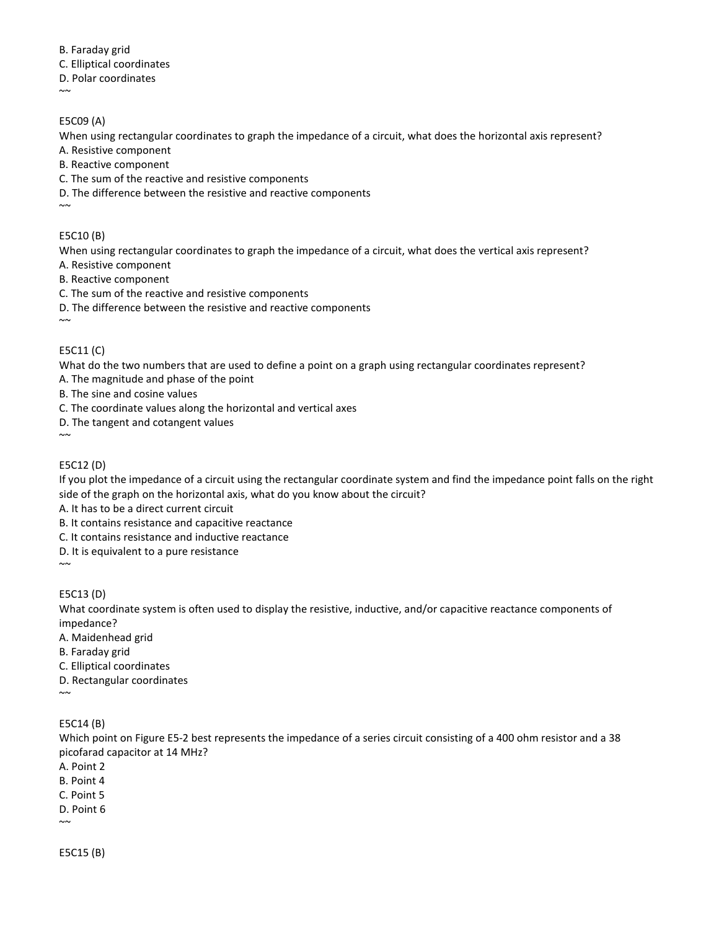B. Faraday grid

C. Elliptical coordinates

#### D. Polar coordinates

 $\sim$ 

E5C09 (A)

When using rectangular coordinates to graph the impedance of a circuit, what does the horizontal axis represent?

- A. Resistive component
- B. Reactive component
- C. The sum of the reactive and resistive components
- D. The difference between the resistive and reactive components

 $~\sim~$ 

# E5C10 (B)

When using rectangular coordinates to graph the impedance of a circuit, what does the vertical axis represent?

- A. Resistive component
- B. Reactive component
- C. The sum of the reactive and resistive components
- D. The difference between the resistive and reactive components  $\sim$

# E5C11 (C)

What do the two numbers that are used to define a point on a graph using rectangular coordinates represent?

- A. The magnitude and phase of the point
- B. The sine and cosine values
- C. The coordinate values along the horizontal and vertical axes
- D. The tangent and cotangent values
- $\sim$
- E5C12 (D)

If you plot the impedance of a circuit using the rectangular coordinate system and find the impedance point falls on the right side of the graph on the horizontal axis, what do you know about the circuit?

A. It has to be a direct current circuit

- B. It contains resistance and capacitive reactance
- C. It contains resistance and inductive reactance
- D. It is equivalent to a pure resistance

 $\sim$ 

E5C13 (D)

What coordinate system is often used to display the resistive, inductive, and/or capacitive reactance components of impedance?

A. Maidenhead grid

- B. Faraday grid
- C. Elliptical coordinates
- D. Rectangular coordinates

 $~\sim~$ 

## E5C14 (B)

Which point on Figure E5-2 best represents the impedance of a series circuit consisting of a 400 ohm resistor and a 38 picofarad capacitor at 14 MHz?

- A. Point 2
- B. Point 4
- C. Point 5
- D. Point 6  $\sim$
- E5C15 (B)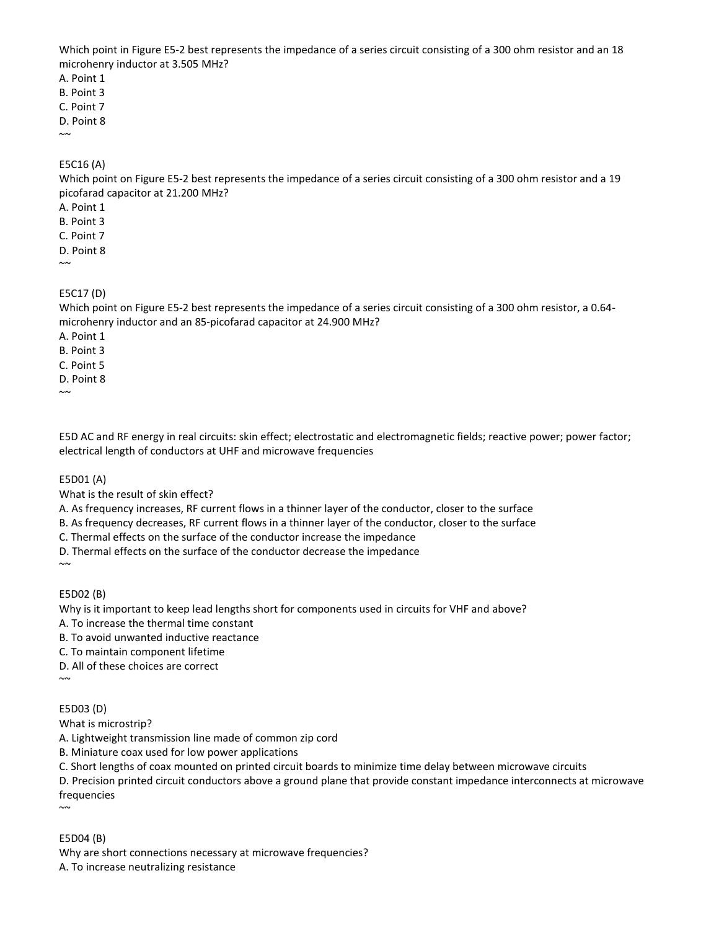Which point in Figure E5-2 best represents the impedance of a series circuit consisting of a 300 ohm resistor and an 18 microhenry inductor at 3.505 MHz?

A. Point 1 B. Point 3 C. Point 7

D. Point 8

 $\sim$ 

#### E5C16 (A)

Which point on Figure E5-2 best represents the impedance of a series circuit consisting of a 300 ohm resistor and a 19 picofarad capacitor at 21.200 MHz?

A. Point 1

B. Point 3

C. Point 7

D. Point 8

 $\sim$ 

#### E5C17 (D)

Which point on Figure E5-2 best represents the impedance of a series circuit consisting of a 300 ohm resistor, a 0.64 microhenry inductor and an 85-picofarad capacitor at 24.900 MHz?

A. Point 1

B. Point 3

C. Point 5

D. Point 8  $\sim$ 

E5D AC and RF energy in real circuits: skin effect; electrostatic and electromagnetic fields; reactive power; power factor; electrical length of conductors at UHF and microwave frequencies

E5D01 (A)

What is the result of skin effect?

A. As frequency increases, RF current flows in a thinner layer of the conductor, closer to the surface

B. As frequency decreases, RF current flows in a thinner layer of the conductor, closer to the surface

C. Thermal effects on the surface of the conductor increase the impedance

D. Thermal effects on the surface of the conductor decrease the impedance

 $\sim$ 

E5D02 (B)

Why is it important to keep lead lengths short for components used in circuits for VHF and above?

A. To increase the thermal time constant

B. To avoid unwanted inductive reactance

C. To maintain component lifetime

D. All of these choices are correct

E5D03 (D)

 $\sim$ 

What is microstrip?

A. Lightweight transmission line made of common zip cord

B. Miniature coax used for low power applications

C. Short lengths of coax mounted on printed circuit boards to minimize time delay between microwave circuits

D. Precision printed circuit conductors above a ground plane that provide constant impedance interconnects at microwave frequencies

 $~\sim~$ 

E5D04 (B) Why are short connections necessary at microwave frequencies? A. To increase neutralizing resistance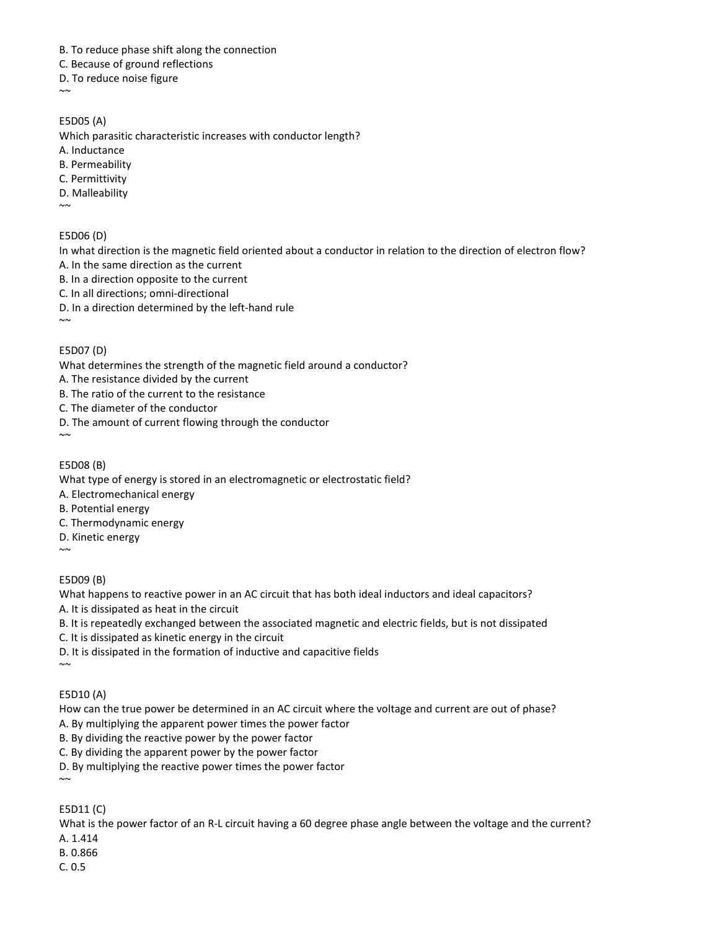- B. To reduce phase shift along the connection
- C. Because of ground reflections
- D. To reduce noise figure

 $~\sim~$ 

E5D05 (A)

Which parasitic characteristic increases with conductor length?

- A. Inductance
- B. Permeability
- C. Permittivity
- D. Malleability
- $\sim$

## E5D06 (D)

In what direction is the magnetic field oriented about a conductor in relation to the direction of electron flow?

- A. In the same direction as the current
- B. In a direction opposite to the current
- C. In all directions; omni-directional
- D. In a direction determined by the left-hand rule

# E5D07 (D)

 $\sim$ 

 $\sim$ 

What determines the strength of the magnetic field around a conductor?

- A. The resistance divided by the current
- B. The ratio of the current to the resistance
- C. The diameter of the conductor
- D. The amount of current flowing through the conductor

#### E5D08 (B)

What type of energy is stored in an electromagnetic or electrostatic field?

- A. Electromechanical energy
- B. Potential energy
- C. Thermodynamic energy
- D. Kinetic energy

 $\sim$ 

## E5D09 (B)

What happens to reactive power in an AC circuit that has both ideal inductors and ideal capacitors?

A. It is dissipated as heat in the circuit

B. It is repeatedly exchanged between the associated magnetic and electric fields, but is not dissipated

C. It is dissipated as kinetic energy in the circuit

D. It is dissipated in the formation of inductive and capacitive fields

 $\sim$ 

E5D10 (A)

How can the true power be determined in an AC circuit where the voltage and current are out of phase? A. By multiplying the apparent power times the power factor

B. By dividing the reactive power by the power factor

C. By dividing the apparent power by the power factor

D. By multiplying the reactive power times the power factor

E5D11 (C)

 $~\sim~$ 

What is the power factor of an R-L circuit having a 60 degree phase angle between the voltage and the current?

A. 1.414

B. 0.866

C. 0.5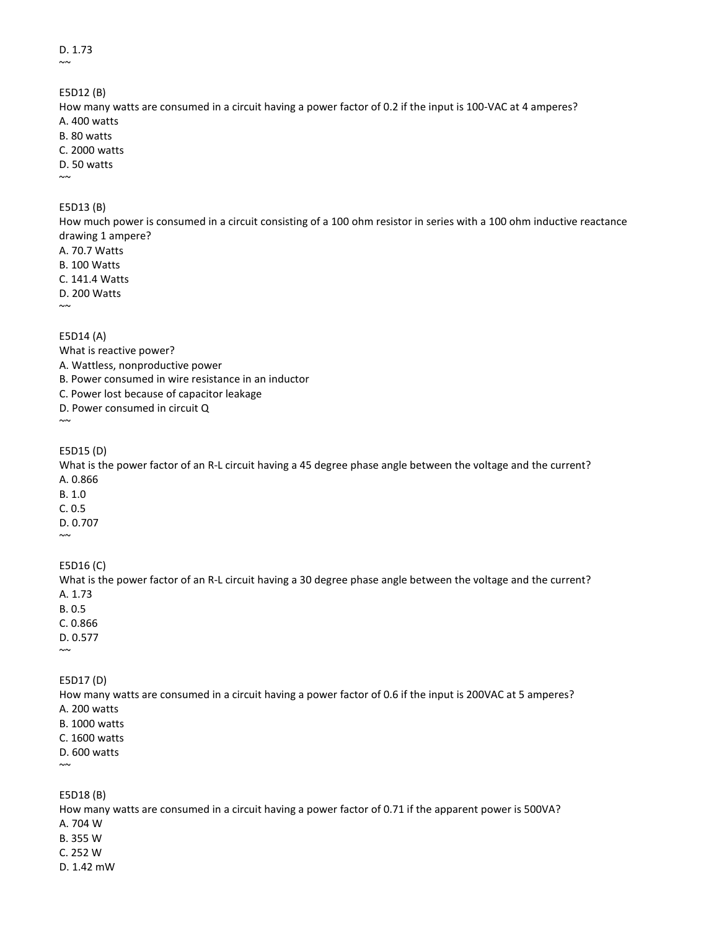$~\sim~$ E5D12 (B) How many watts are consumed in a circuit having a power factor of 0.2 if the input is 100-VAC at 4 amperes? A. 400 watts B. 80 watts C. 2000 watts D. 50 watts  $\sim$ 

E5D13 (B)

How much power is consumed in a circuit consisting of a 100 ohm resistor in series with a 100 ohm inductive reactance drawing 1 ampere?

A. 70.7 Watts

B. 100 Watts

C. 141.4 Watts

D. 200 Watts

 $~\sim~$ 

E5D14 (A)

What is reactive power?

A. Wattless, nonproductive power

B. Power consumed in wire resistance in an inductor

C. Power lost because of capacitor leakage

D. Power consumed in circuit Q

 $\sim$ 

E5D15 (D) What is the power factor of an R-L circuit having a 45 degree phase angle between the voltage and the current? A. 0.866 B. 1.0 C. 0.5 D. 0.707  $\sim$ 

E5D16 (C)

What is the power factor of an R-L circuit having a 30 degree phase angle between the voltage and the current? A. 1.73 B. 0.5 C. 0.866 D. 0.577  $\sim$ 

E5D17 (D)

How many watts are consumed in a circuit having a power factor of 0.6 if the input is 200VAC at 5 amperes? A. 200 watts

B. 1000 watts

C. 1600 watts

D. 600 watts

 $\sim$ ~

E5D18 (B)

How many watts are consumed in a circuit having a power factor of 0.71 if the apparent power is 500VA?

A. 704 W

B. 355 W

C. 252 W

D. 1.42 mW

D. 1.73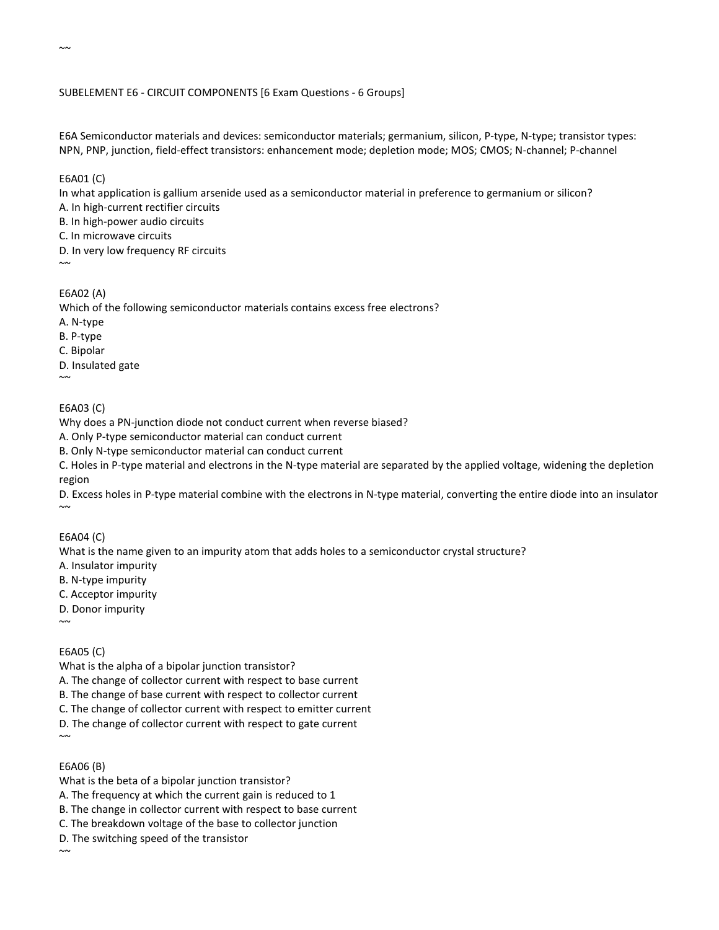#### SUBELEMENT E6 - CIRCUIT COMPONENTS [6 Exam Questions - 6 Groups]

E6A Semiconductor materials and devices: semiconductor materials; germanium, silicon, P-type, N-type; transistor types: NPN, PNP, junction, field-effect transistors: enhancement mode; depletion mode; MOS; CMOS; N-channel; P-channel

#### E6A01 (C)

In what application is gallium arsenide used as a semiconductor material in preference to germanium or silicon?

A. In high-current rectifier circuits

B. In high-power audio circuits

C. In microwave circuits

D. In very low frequency RF circuits

 $\sim$ 

#### E6A02 (A)

Which of the following semiconductor materials contains excess free electrons? A. N-type B. P-type C. Bipolar

D. Insulated gate

 $\sim$ 

#### E6A03 (C)

Why does a PN-junction diode not conduct current when reverse biased?

A. Only P-type semiconductor material can conduct current

B. Only N-type semiconductor material can conduct current

C. Holes in P-type material and electrons in the N-type material are separated by the applied voltage, widening the depletion region

D. Excess holes in P-type material combine with the electrons in N-type material, converting the entire diode into an insulator  $\sim$ 

#### E6A04 (C)

What is the name given to an impurity atom that adds holes to a semiconductor crystal structure?

A. Insulator impurity

B. N-type impurity

C. Acceptor impurity

D. Donor impurity

## E6A05 (C)

 $\sim$ 

What is the alpha of a bipolar junction transistor?

A. The change of collector current with respect to base current

B. The change of base current with respect to collector current

C. The change of collector current with respect to emitter current

D. The change of collector current with respect to gate current  $\sim$ 

#### E6A06 (B)

 $~\sim~$ 

What is the beta of a bipolar junction transistor?

A. The frequency at which the current gain is reduced to 1

B. The change in collector current with respect to base current

C. The breakdown voltage of the base to collector junction

D. The switching speed of the transistor

 $~\sim~$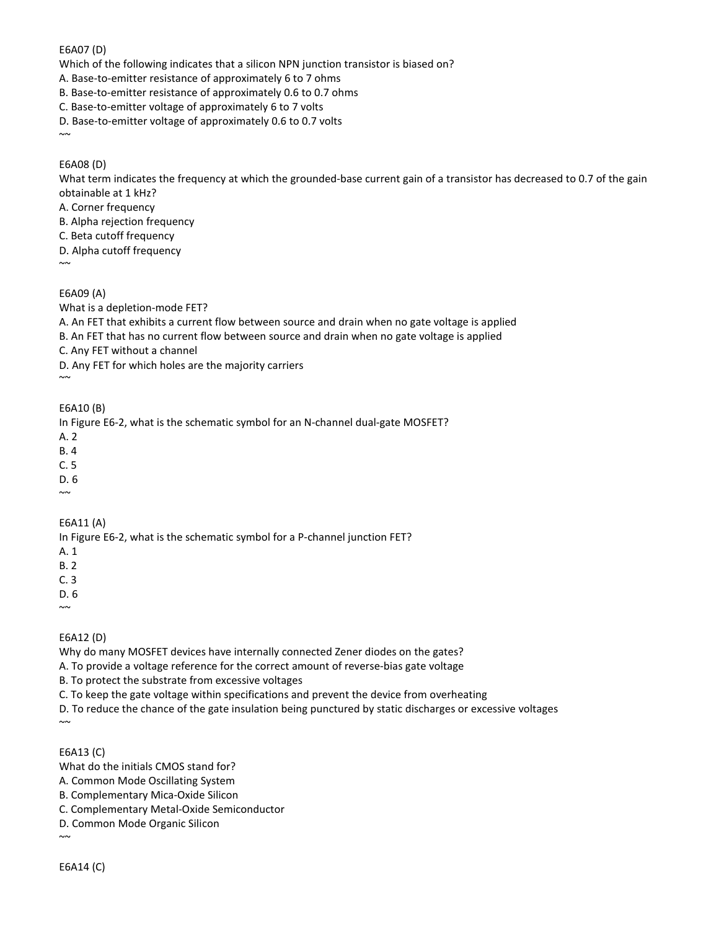#### E6A07 (D)

Which of the following indicates that a silicon NPN junction transistor is biased on?

- A. Base-to-emitter resistance of approximately 6 to 7 ohms
- B. Base-to-emitter resistance of approximately 0.6 to 0.7 ohms
- C. Base-to-emitter voltage of approximately 6 to 7 volts
- D. Base-to-emitter voltage of approximately 0.6 to 0.7 volts

#### E6A08 (D)

 $~\sim~$ 

What term indicates the frequency at which the grounded-base current gain of a transistor has decreased to 0.7 of the gain obtainable at 1 kHz?

A. Corner frequency

B. Alpha rejection frequency

C. Beta cutoff frequency

D. Alpha cutoff frequency

 $\sim$ 

#### E6A09 (A)

What is a depletion-mode FET? A. An FET that exhibits a current flow between source and drain when no gate voltage is applied B. An FET that has no current flow between source and drain when no gate voltage is applied C. Any FET without a channel D. Any FET for which holes are the majority carriers  $\sim$ 

E6A10 (B)

In Figure E6-2, what is the schematic symbol for an N-channel dual-gate MOSFET?

A. 2

B. 4

C. 5

D. 6  $\sim$ 

#### E6A11 (A)

In Figure E6-2, what is the schematic symbol for a P-channel junction FET?

A. 1

B. 2

C. 3

D. 6

 $\sim$ 

#### E6A12 (D)

Why do many MOSFET devices have internally connected Zener diodes on the gates?

A. To provide a voltage reference for the correct amount of reverse-bias gate voltage

B. To protect the substrate from excessive voltages

C. To keep the gate voltage within specifications and prevent the device from overheating

D. To reduce the chance of the gate insulation being punctured by static discharges or excessive voltages  $\sim\!\sim$ 

#### E6A13 (C)

What do the initials CMOS stand for?

A. Common Mode Oscillating System

B. Complementary Mica-Oxide Silicon

C. Complementary Metal-Oxide Semiconductor

D. Common Mode Organic Silicon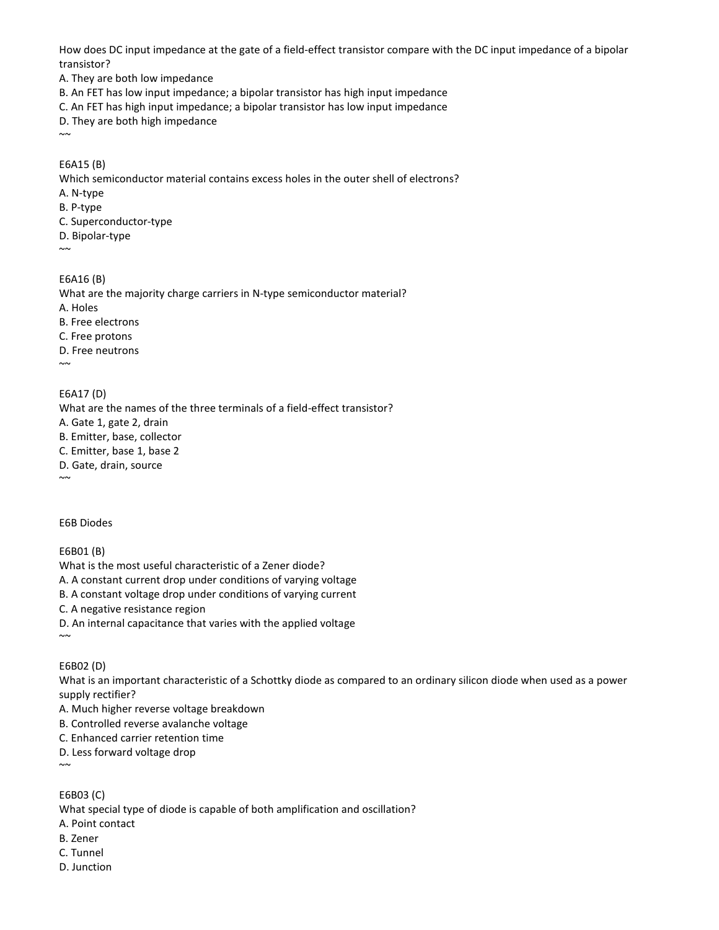How does DC input impedance at the gate of a field-effect transistor compare with the DC input impedance of a bipolar transistor?

A. They are both low impedance

B. An FET has low input impedance; a bipolar transistor has high input impedance

C. An FET has high input impedance; a bipolar transistor has low input impedance

D. They are both high impedance  $~\sim~$ 

#### E6A15 (B)

Which semiconductor material contains excess holes in the outer shell of electrons?

- A. N-type
- B. P-type
- C. Superconductor-type
- D. Bipolar-type

 $\sim\!\sim$ 

## E6A16 (B)

What are the majority charge carriers in N-type semiconductor material? A. Holes B. Free electrons C. Free protons D. Free neutrons  $\sim$ 

#### E6A17 (D)

What are the names of the three terminals of a field-effect transistor? A. Gate 1, gate 2, drain B. Emitter, base, collector C. Emitter, base 1, base 2 D. Gate, drain, source  $\sim$ 

E6B Diodes

#### E6B01 (B)

What is the most useful characteristic of a Zener diode? A. A constant current drop under conditions of varying voltage B. A constant voltage drop under conditions of varying current C. A negative resistance region D. An internal capacitance that varies with the applied voltage  $\sim$ 

#### E6B02 (D)

What is an important characteristic of a Schottky diode as compared to an ordinary silicon diode when used as a power supply rectifier?

- A. Much higher reverse voltage breakdown
- B. Controlled reverse avalanche voltage
- C. Enhanced carrier retention time
- D. Less forward voltage drop

 $\sim$ 

## E6B03 (C)

What special type of diode is capable of both amplification and oscillation?

A. Point contact

- B. Zener
- C. Tunnel
- D. Junction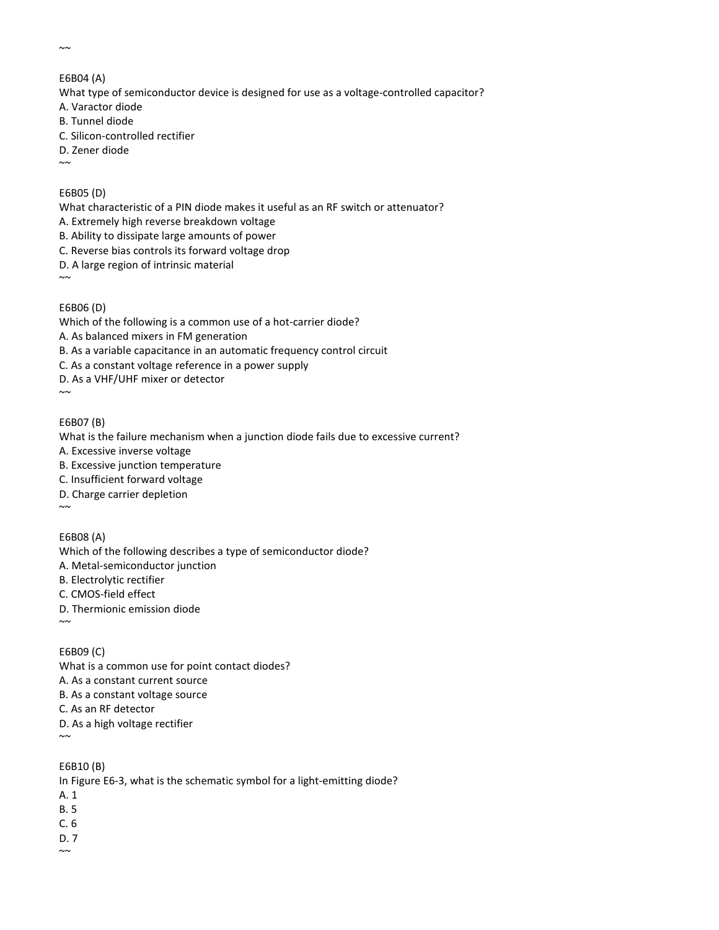$~\sim~$ 

#### E6B04 (A)

What type of semiconductor device is designed for use as a voltage-controlled capacitor?

A. Varactor diode

B. Tunnel diode

C. Silicon-controlled rectifier

D. Zener diode

 $\sim$ 

## E6B05 (D)

What characteristic of a PIN diode makes it useful as an RF switch or attenuator?

- A. Extremely high reverse breakdown voltage
- B. Ability to dissipate large amounts of power
- C. Reverse bias controls its forward voltage drop
- D. A large region of intrinsic material

 $\sim$ 

## E6B06 (D)

Which of the following is a common use of a hot-carrier diode? A. As balanced mixers in FM generation B. As a variable capacitance in an automatic frequency control circuit C. As a constant voltage reference in a power supply D. As a VHF/UHF mixer or detector  $~\sim~$ 

## E6B07 (B)

What is the failure mechanism when a junction diode fails due to excessive current?

- A. Excessive inverse voltage
- B. Excessive junction temperature
- C. Insufficient forward voltage
- D. Charge carrier depletion

 $\sim\!\sim$ 

 $\sim$ 

E6B08 (A)

Which of the following describes a type of semiconductor diode?

A. Metal-semiconductor junction

B. Electrolytic rectifier

C. CMOS-field effect

D. Thermionic emission diode

E6B09 (C) What is a common use for point contact diodes? A. As a constant current source B. As a constant voltage source C. As an RF detector D. As a high voltage rectifier  $\sim$ 

E6B10 (B) In Figure E6-3, what is the schematic symbol for a light-emitting diode? A. 1

- B. 5
- C. 6
- D. 7
- $\sim$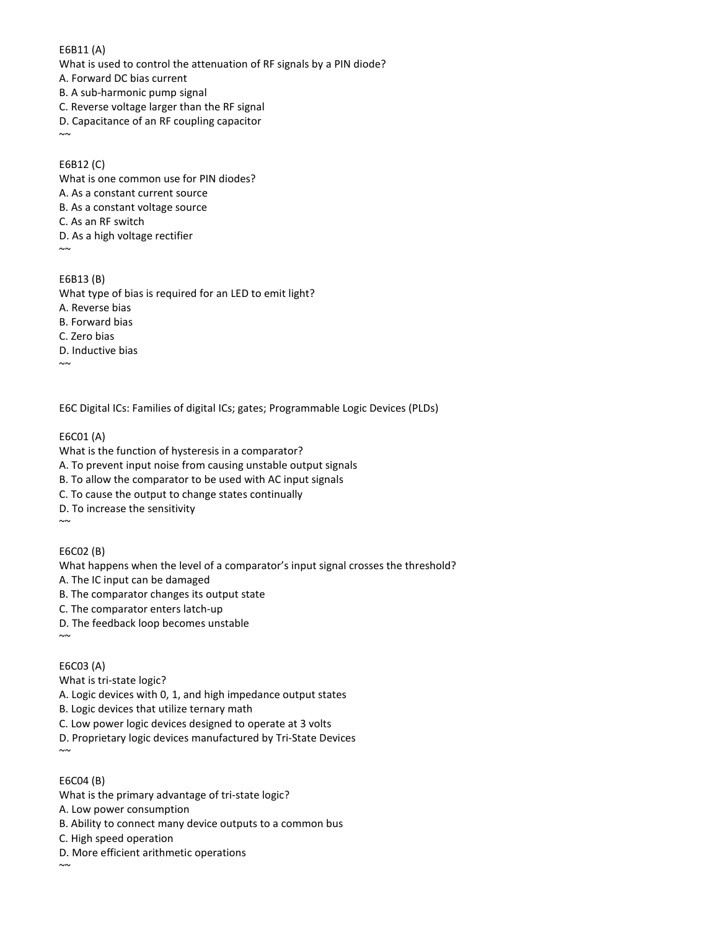E6B11 (A) What is used to control the attenuation of RF signals by a PIN diode? A. Forward DC bias current B. A sub-harmonic pump signal C. Reverse voltage larger than the RF signal D. Capacitance of an RF coupling capacitor  $~\sim~$ 

E6B12 (C) What is one common use for PIN diodes? A. As a constant current source B. As a constant voltage source C. As an RF switch D. As a high voltage rectifier  $\sim$ 

E6B13 (B) What type of bias is required for an LED to emit light? A. Reverse bias B. Forward bias C. Zero bias D. Inductive bias  $\sim$ 

E6C Digital ICs: Families of digital ICs; gates; Programmable Logic Devices (PLDs)

#### E6C01 (A)

What is the function of hysteresis in a comparator?

A. To prevent input noise from causing unstable output signals

B. To allow the comparator to be used with AC input signals

C. To cause the output to change states continually

D. To increase the sensitivity  $~\sim~$ 

E6C02 (B)

What happens when the level of a comparator's input signal crosses the threshold?

A. The IC input can be damaged

B. The comparator changes its output state

C. The comparator enters latch-up

D. The feedback loop becomes unstable

 $\sim$ 

#### E6C03 (A)

What is tri-state logic?

A. Logic devices with 0, 1, and high impedance output states

B. Logic devices that utilize ternary math

C. Low power logic devices designed to operate at 3 volts

D. Proprietary logic devices manufactured by Tri-State Devices

 $\sim$ 

#### E6C04 (B)

What is the primary advantage of tri-state logic?

A. Low power consumption

B. Ability to connect many device outputs to a common bus

C. High speed operation

D. More efficient arithmetic operations

 $\sim$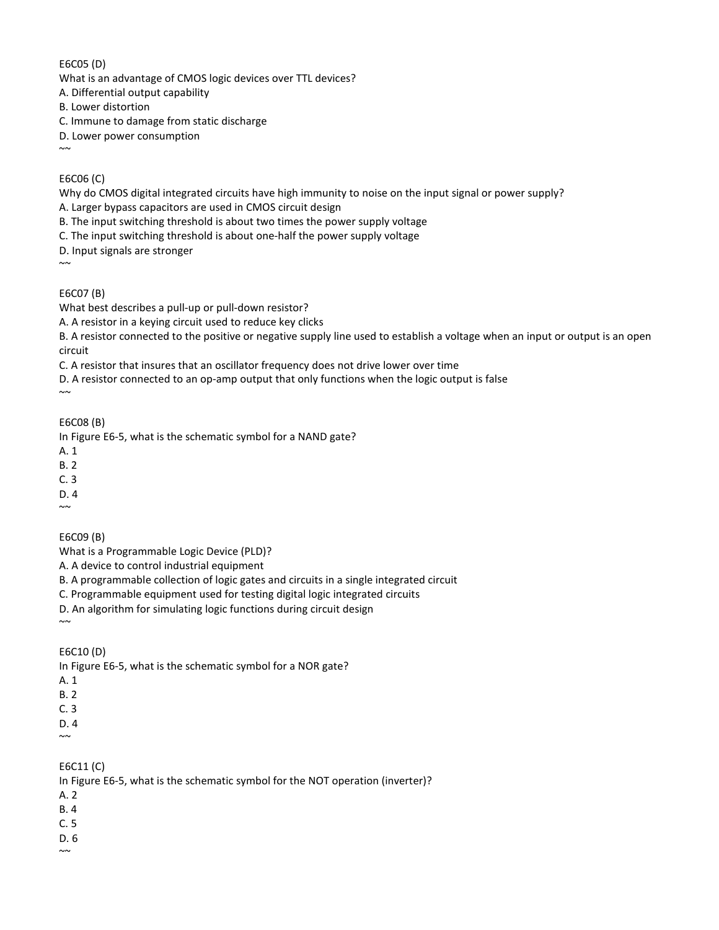E6C05 (D)

What is an advantage of CMOS logic devices over TTL devices?

A. Differential output capability

B. Lower distortion

C. Immune to damage from static discharge

D. Lower power consumption

E6C06 (C)

 $\sim$ 

Why do CMOS digital integrated circuits have high immunity to noise on the input signal or power supply?

A. Larger bypass capacitors are used in CMOS circuit design

B. The input switching threshold is about two times the power supply voltage

C. The input switching threshold is about one-half the power supply voltage

D. Input signals are stronger

 $\sim$ 

## E6C07 (B)

What best describes a pull-up or pull-down resistor?

A. A resistor in a keying circuit used to reduce key clicks

B. A resistor connected to the positive or negative supply line used to establish a voltage when an input or output is an open circuit

C. A resistor that insures that an oscillator frequency does not drive lower over time

D. A resistor connected to an op-amp output that only functions when the logic output is false

E6C08 (B)

In Figure E6-5, what is the schematic symbol for a NAND gate?

A. 1

 $~\sim~$ 

B. 2

C. 3

D. 4  $\sim$ 

E6C09 (B)

What is a Programmable Logic Device (PLD)?

A. A device to control industrial equipment

B. A programmable collection of logic gates and circuits in a single integrated circuit

C. Programmable equipment used for testing digital logic integrated circuits

D. An algorithm for simulating logic functions during circuit design

E6C10 (D)

In Figure E6-5, what is the schematic symbol for a NOR gate?

A. 1

 $\sim$ 

B. 2

C. 3

D. 4  $\sim$ 

#### E6C11 (C)

In Figure E6-5, what is the schematic symbol for the NOT operation (inverter)?

A. 2

B. 4

C. 5

D. 6

 $~\sim~$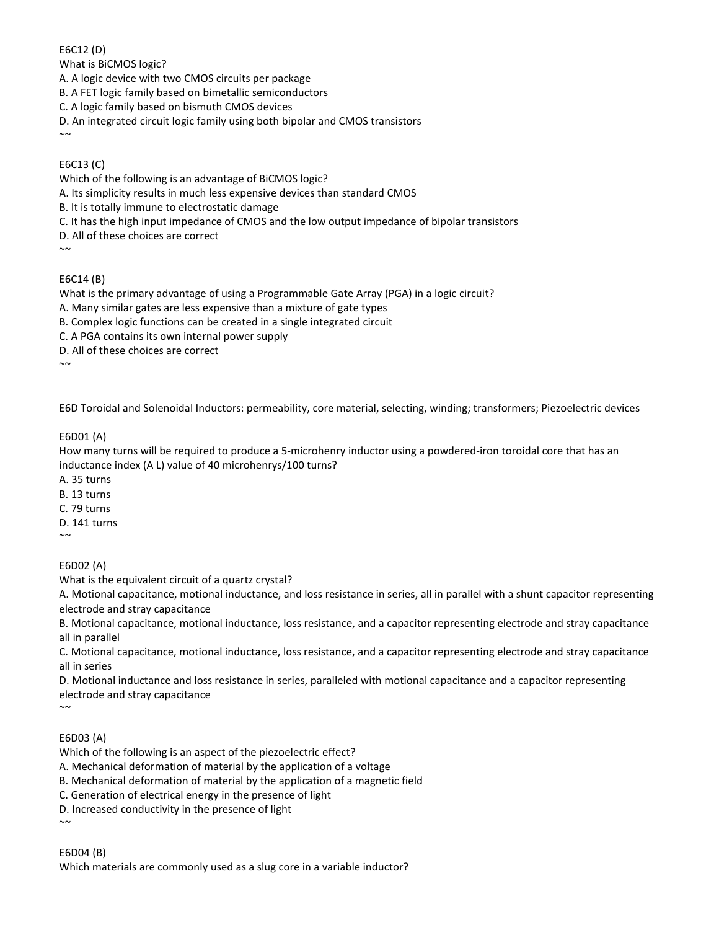E6C12 (D)

What is BiCMOS logic?

A. A logic device with two CMOS circuits per package

B. A FET logic family based on bimetallic semiconductors

C. A logic family based on bismuth CMOS devices

D. An integrated circuit logic family using both bipolar and CMOS transistors

## E6C13 (C)

Which of the following is an advantage of BiCMOS logic?

A. Its simplicity results in much less expensive devices than standard CMOS

B. It is totally immune to electrostatic damage

C. It has the high input impedance of CMOS and the low output impedance of bipolar transistors

D. All of these choices are correct

 $\sim$ 

 $~\sim~$ 

E6C14 (B)

What is the primary advantage of using a Programmable Gate Array (PGA) in a logic circuit? A. Many similar gates are less expensive than a mixture of gate types B. Complex logic functions can be created in a single integrated circuit C. A PGA contains its own internal power supply D. All of these choices are correct  $\sim$ 

E6D Toroidal and Solenoidal Inductors: permeability, core material, selecting, winding; transformers; Piezoelectric devices

## E6D01 (A)

How many turns will be required to produce a 5-microhenry inductor using a powdered-iron toroidal core that has an inductance index (A L) value of 40 microhenrys/100 turns?

A. 35 turns

B. 13 turns

C. 79 turns

D. 141 turns  $\sim$ 

E6D02 (A)

What is the equivalent circuit of a quartz crystal?

A. Motional capacitance, motional inductance, and loss resistance in series, all in parallel with a shunt capacitor representing electrode and stray capacitance

B. Motional capacitance, motional inductance, loss resistance, and a capacitor representing electrode and stray capacitance all in parallel

C. Motional capacitance, motional inductance, loss resistance, and a capacitor representing electrode and stray capacitance all in series

D. Motional inductance and loss resistance in series, paralleled with motional capacitance and a capacitor representing electrode and stray capacitance

 $\sim$ 

E6D03 (A)

Which of the following is an aspect of the piezoelectric effect?

A. Mechanical deformation of material by the application of a voltage

B. Mechanical deformation of material by the application of a magnetic field

C. Generation of electrical energy in the presence of light

D. Increased conductivity in the presence of light

 $\sim$ 

E6D04 (B)

Which materials are commonly used as a slug core in a variable inductor?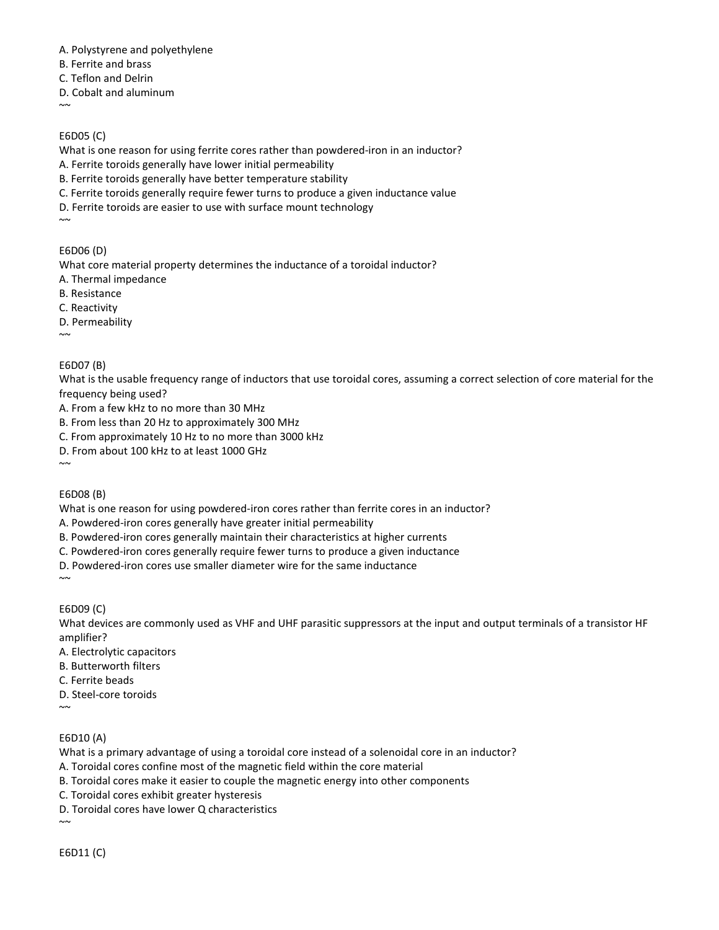A. Polystyrene and polyethylene

B. Ferrite and brass

C. Teflon and Delrin

D. Cobalt and aluminum

 $\sim$ 

## E6D05 (C)

What is one reason for using ferrite cores rather than powdered-iron in an inductor?

A. Ferrite toroids generally have lower initial permeability

B. Ferrite toroids generally have better temperature stability

C. Ferrite toroids generally require fewer turns to produce a given inductance value

D. Ferrite toroids are easier to use with surface mount technology

 $\sim$ 

E6D06 (D)

What core material property determines the inductance of a toroidal inductor?

A. Thermal impedance

B. Resistance

C. Reactivity

D. Permeability

 $\sim$ 

## E6D07 (B)

What is the usable frequency range of inductors that use toroidal cores, assuming a correct selection of core material for the frequency being used?

A. From a few kHz to no more than 30 MHz

B. From less than 20 Hz to approximately 300 MHz

C. From approximately 10 Hz to no more than 3000 kHz

D. From about 100 kHz to at least 1000 GHz  $\sim$ 

E6D08 (B)

What is one reason for using powdered-iron cores rather than ferrite cores in an inductor?

A. Powdered-iron cores generally have greater initial permeability

B. Powdered-iron cores generally maintain their characteristics at higher currents

C. Powdered-iron cores generally require fewer turns to produce a given inductance

D. Powdered-iron cores use smaller diameter wire for the same inductance

E6D09 (C)

 $~\sim~$ 

What devices are commonly used as VHF and UHF parasitic suppressors at the input and output terminals of a transistor HF amplifier?

A. Electrolytic capacitors

B. Butterworth filters

C. Ferrite beads

D. Steel-core toroids

 $\sim$ 

E6D10 (A)

What is a primary advantage of using a toroidal core instead of a solenoidal core in an inductor?

A. Toroidal cores confine most of the magnetic field within the core material

B. Toroidal cores make it easier to couple the magnetic energy into other components

C. Toroidal cores exhibit greater hysteresis

D. Toroidal cores have lower Q characteristics

 $\sim$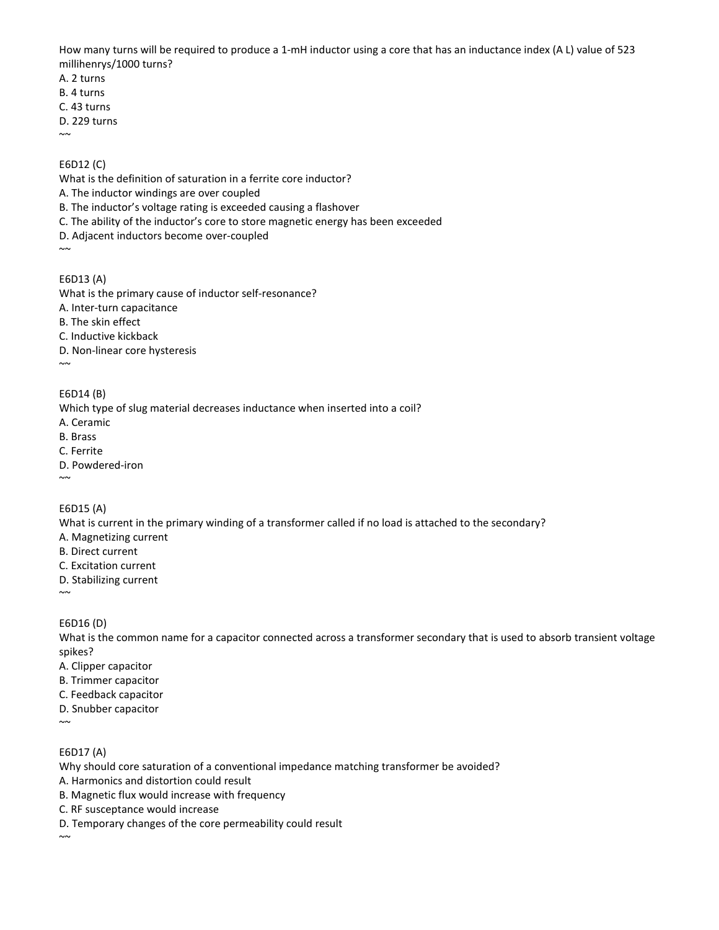How many turns will be required to produce a 1-mH inductor using a core that has an inductance index (A L) value of 523 millihenrys/1000 turns?

A. 2 turns

B. 4 turns

C. 43 turns

D. 229 turns

 $\sim$ 

## E6D12 (C)

What is the definition of saturation in a ferrite core inductor?

A. The inductor windings are over coupled

B. The inductor's voltage rating is exceeded causing a flashover

- C. The ability of the inductor's core to store magnetic energy has been exceeded
- D. Adjacent inductors become over-coupled
- $\sim$

## E6D13 (A)

What is the primary cause of inductor self-resonance? A. Inter-turn capacitance B. The skin effect C. Inductive kickback D. Non-linear core hysteresis  $\sim$ 

## E6D14 (B)

Which type of slug material decreases inductance when inserted into a coil?

A. Ceramic

B. Brass

C. Ferrite

D. Powdered-iron

 $~\sim~$ 

E6D15 (A)

What is current in the primary winding of a transformer called if no load is attached to the secondary?

A. Magnetizing current

B. Direct current

- C. Excitation current
- D. Stabilizing current

 $\sim$ 

E6D16 (D)

What is the common name for a capacitor connected across a transformer secondary that is used to absorb transient voltage spikes?

- A. Clipper capacitor
- B. Trimmer capacitor
- C. Feedback capacitor
- D. Snubber capacitor

 $\sim$ 

 $\sim$ 

## E6D17 (A)

Why should core saturation of a conventional impedance matching transformer be avoided?

- A. Harmonics and distortion could result
- B. Magnetic flux would increase with frequency
- C. RF susceptance would increase
- D. Temporary changes of the core permeability could result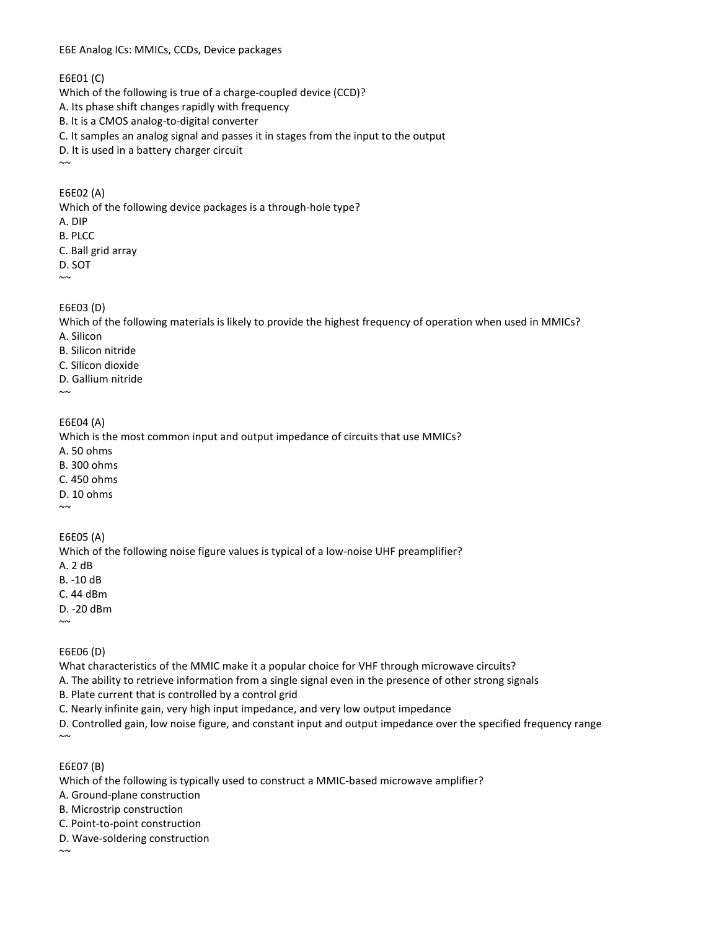E6E Analog ICs: MMICs, CCDs, Device packages

E6E01 (C) Which of the following is true of a charge-coupled device (CCD)? A. Its phase shift changes rapidly with frequency B. It is a CMOS analog-to-digital converter C. It samples an analog signal and passes it in stages from the input to the output D. It is used in a battery charger circuit  $\sim\!\sim$ E6E02 (A) Which of the following device packages is a through-hole type? A. DIP B. PLCC C. Ball grid array D. SOT  $\sim$ E6E03 (D)

Which of the following materials is likely to provide the highest frequency of operation when used in MMICs? A. Silicon

B. Silicon nitride

C. Silicon dioxide

D. Gallium nitride  $~\sim~$ 

E6E04 (A)

Which is the most common input and output impedance of circuits that use MMICs?

A. 50 ohms

B. 300 ohms

C. 450 ohms

D. 10 ohms

 $~\sim~$ 

E6E05 (A)

Which of the following noise figure values is typical of a low-noise UHF preamplifier?

A. 2 dB

B. -10 dB

C. 44 dBm

D. -20 dBm  $\sim$ 

E6E06 (D)

What characteristics of the MMIC make it a popular choice for VHF through microwave circuits?

A. The ability to retrieve information from a single signal even in the presence of other strong signals

B. Plate current that is controlled by a control grid

C. Nearly infinite gain, very high input impedance, and very low output impedance

D. Controlled gain, low noise figure, and constant input and output impedance over the specified frequency range  $\sim$ 

E6E07 (B)

Which of the following is typically used to construct a MMIC-based microwave amplifier?

A. Ground-plane construction

B. Microstrip construction

C. Point-to-point construction

D. Wave-soldering construction

 $\sim$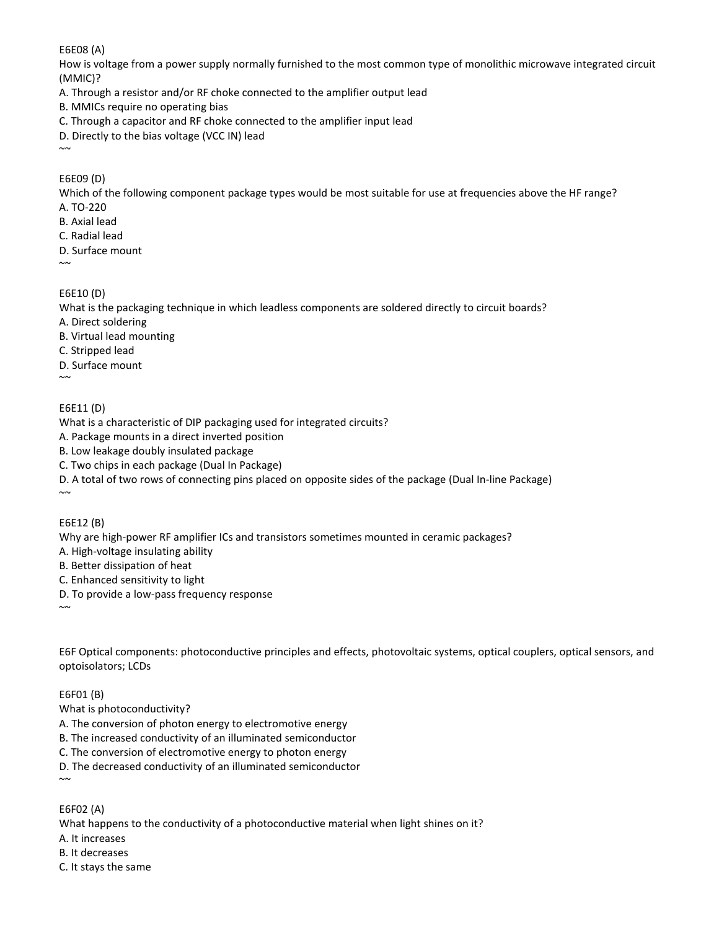E6E08 (A)

How is voltage from a power supply normally furnished to the most common type of monolithic microwave integrated circuit (MMIC)?

- A. Through a resistor and/or RF choke connected to the amplifier output lead
- B. MMICs require no operating bias
- C. Through a capacitor and RF choke connected to the amplifier input lead
- D. Directly to the bias voltage (VCC IN) lead
- ~~

## E6E09 (D)

Which of the following component package types would be most suitable for use at frequencies above the HF range? A. TO-220

- B. Axial lead
- C. Radial lead
- D. Surface mount

 $\sim$ 

## E6E10 (D)

What is the packaging technique in which leadless components are soldered directly to circuit boards?

- A. Direct soldering
- B. Virtual lead mounting
- C. Stripped lead
- D. Surface mount

 $\sim$ 

## E6E11 (D)

What is a characteristic of DIP packaging used for integrated circuits?

A. Package mounts in a direct inverted position

B. Low leakage doubly insulated package

C. Two chips in each package (Dual In Package)

D. A total of two rows of connecting pins placed on opposite sides of the package (Dual In-line Package)

#### E6E12 (B)

 $\sim$ 

Why are high-power RF amplifier ICs and transistors sometimes mounted in ceramic packages?

A. High-voltage insulating ability

- B. Better dissipation of heat
- C. Enhanced sensitivity to light
- D. To provide a low-pass frequency response

 $\sim$ 

E6F Optical components: photoconductive principles and effects, photovoltaic systems, optical couplers, optical sensors, and optoisolators; LCDs

E6F01 (B)

What is photoconductivity?

A. The conversion of photon energy to electromotive energy

B. The increased conductivity of an illuminated semiconductor

C. The conversion of electromotive energy to photon energy

D. The decreased conductivity of an illuminated semiconductor

E6F02 (A)

 $~\sim~$ 

What happens to the conductivity of a photoconductive material when light shines on it?

A. It increases

B. It decreases

C. It stays the same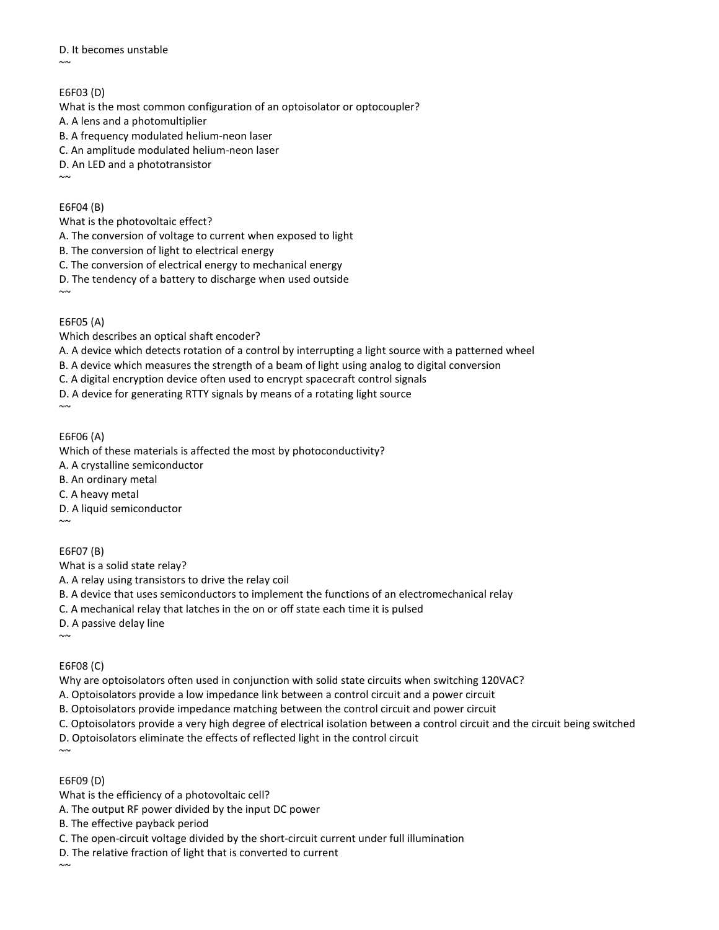D. It becomes unstable

 $\sim$ 

E6F03 (D) What is the most common configuration of an optoisolator or optocoupler? A. A lens and a photomultiplier B. A frequency modulated helium-neon laser C. An amplitude modulated helium-neon laser

D. An LED and a phototransistor

 $\sim$ 

 $\sim$ 

E6F04 (B)

What is the photovoltaic effect?

A. The conversion of voltage to current when exposed to light

B. The conversion of light to electrical energy

C. The conversion of electrical energy to mechanical energy

D. The tendency of a battery to discharge when used outside

E6F05 (A)

Which describes an optical shaft encoder?

A. A device which detects rotation of a control by interrupting a light source with a patterned wheel

B. A device which measures the strength of a beam of light using analog to digital conversion

C. A digital encryption device often used to encrypt spacecraft control signals

D. A device for generating RTTY signals by means of a rotating light source  $\sim$ 

E6F06 (A)

Which of these materials is affected the most by photoconductivity?

A. A crystalline semiconductor

B. An ordinary metal

C. A heavy metal

D. A liquid semiconductor

E6F07 (B)

What is a solid state relay?

A. A relay using transistors to drive the relay coil

B. A device that uses semiconductors to implement the functions of an electromechanical relay

C. A mechanical relay that latches in the on or off state each time it is pulsed

D. A passive delay line

 $\sim$ 

 $\sim$ 

E6F08 (C)

Why are optoisolators often used in conjunction with solid state circuits when switching 120VAC?

A. Optoisolators provide a low impedance link between a control circuit and a power circuit

B. Optoisolators provide impedance matching between the control circuit and power circuit

C. Optoisolators provide a very high degree of electrical isolation between a control circuit and the circuit being switched

D. Optoisolators eliminate the effects of reflected light in the control circuit

 $\sim$ 

E6F09 (D)

What is the efficiency of a photovoltaic cell?

A. The output RF power divided by the input DC power

B. The effective payback period

C. The open-circuit voltage divided by the short-circuit current under full illumination

D. The relative fraction of light that is converted to current

 $~\sim~$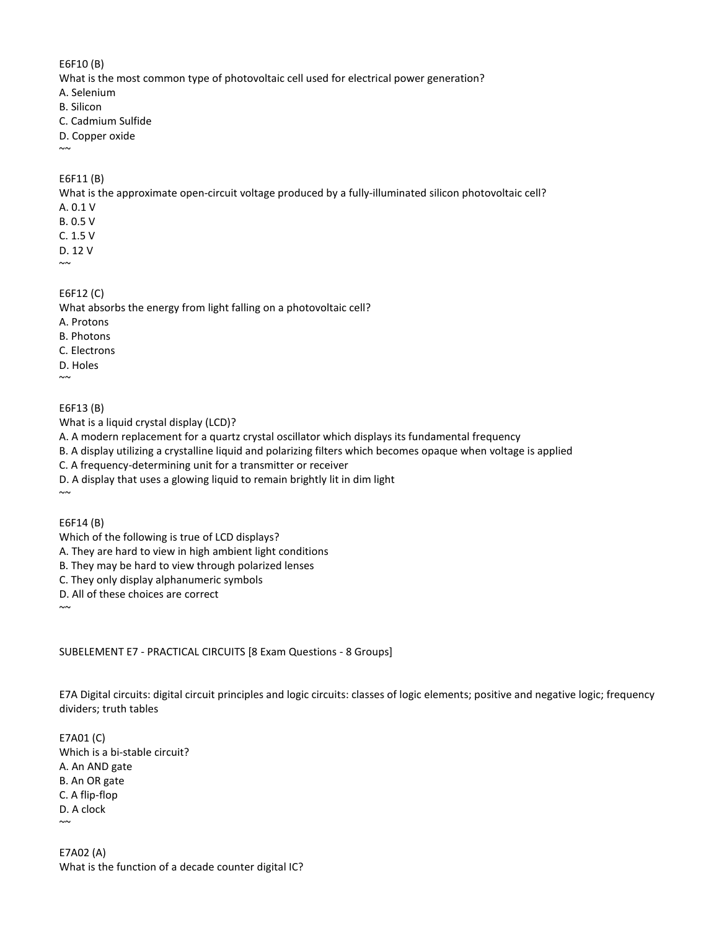E6F10 (B)

What is the most common type of photovoltaic cell used for electrical power generation?

A. Selenium

B. Silicon

C. Cadmium Sulfide

D. Copper oxide

 $\sim$ 

E6F11 (B)

What is the approximate open-circuit voltage produced by a fully-illuminated silicon photovoltaic cell?

A. 0.1 V

B. 0.5 V C. 1.5 V

D. 12 V  $\sim$ 

E6F12 (C)

What absorbs the energy from light falling on a photovoltaic cell?

A. Protons

B. Photons

C. Electrons

D. Holes

 $~\sim~$ 

E6F13 (B)

What is a liquid crystal display (LCD)?

A. A modern replacement for a quartz crystal oscillator which displays its fundamental frequency

B. A display utilizing a crystalline liquid and polarizing filters which becomes opaque when voltage is applied

C. A frequency-determining unit for a transmitter or receiver

D. A display that uses a glowing liquid to remain brightly lit in dim light

E6F14 (B)

 $\sim$ 

Which of the following is true of LCD displays?

A. They are hard to view in high ambient light conditions

B. They may be hard to view through polarized lenses

C. They only display alphanumeric symbols

D. All of these choices are correct

 $\sim$ 

SUBELEMENT E7 - PRACTICAL CIRCUITS [8 Exam Questions - 8 Groups]

E7A Digital circuits: digital circuit principles and logic circuits: classes of logic elements; positive and negative logic; frequency dividers; truth tables

E7A01 (C) Which is a bi-stable circuit? A. An AND gate B. An OR gate C. A flip-flop D. A clock  $\sim$ 

E7A02 (A) What is the function of a decade counter digital IC?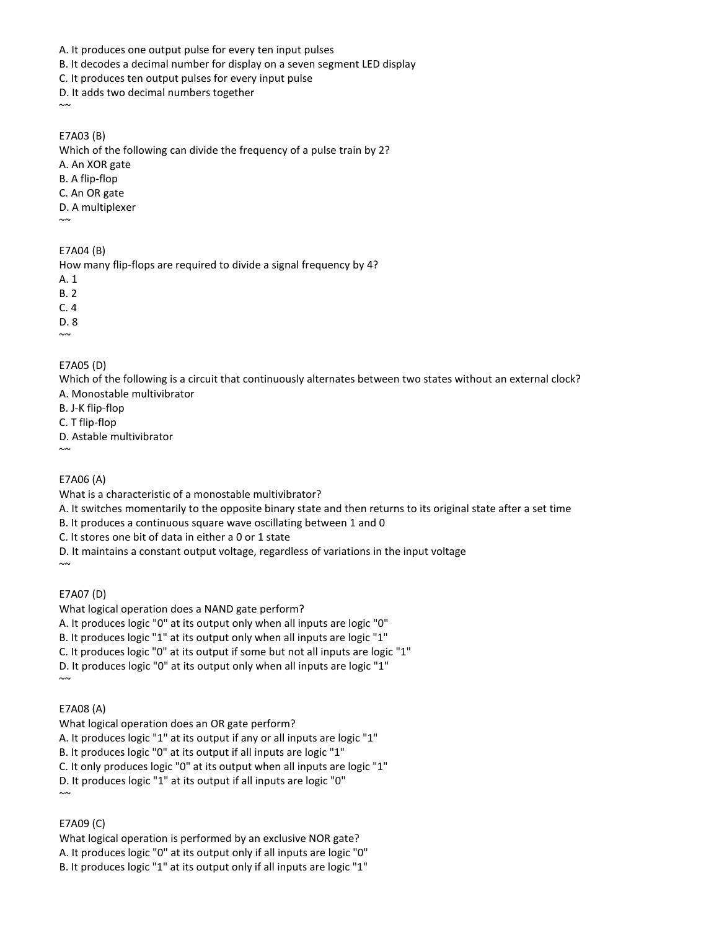- A. It produces one output pulse for every ten input pulses
- B. It decodes a decimal number for display on a seven segment LED display
- C. It produces ten output pulses for every input pulse

D. It adds two decimal numbers together

 $\sim$ 

#### E7A03 (B)

Which of the following can divide the frequency of a pulse train by 2?

- A. An XOR gate
- B. A flip-flop
- C. An OR gate
- D. A multiplexer
- $\sim$

E7A04 (B)

How many flip-flops are required to divide a signal frequency by 4?

A. 1

B. 2

C. 4

D. 8

 $~\sim~$ 

## E7A05 (D)

Which of the following is a circuit that continuously alternates between two states without an external clock? A. Monostable multivibrator

- B. J-K flip-flop
- C. T flip-flop

D. Astable multivibrator

 $\sim$ 

## E7A06 (A)

What is a characteristic of a monostable multivibrator?

A. It switches momentarily to the opposite binary state and then returns to its original state after a set time

B. It produces a continuous square wave oscillating between 1 and 0

C. It stores one bit of data in either a 0 or 1 state

D. It maintains a constant output voltage, regardless of variations in the input voltage

 $\sim$ 

## E7A07 (D)

What logical operation does a NAND gate perform?

A. It produces logic "0" at its output only when all inputs are logic "0"

B. It produces logic "1" at its output only when all inputs are logic "1"

C. It produces logic "0" at its output if some but not all inputs are logic "1"

D. It produces logic "0" at its output only when all inputs are logic "1"  $\sim$ 

## E7A08 (A)

What logical operation does an OR gate perform?

A. It produces logic "1" at its output if any or all inputs are logic "1"

B. It produces logic "0" at its output if all inputs are logic "1"

C. It only produces logic "0" at its output when all inputs are logic "1"

D. It produces logic "1" at its output if all inputs are logic "0"  $~\sim~$ 

## E7A09 (C)

What logical operation is performed by an exclusive NOR gate? A. It produces logic "0" at its output only if all inputs are logic "0" B. It produces logic "1" at its output only if all inputs are logic "1"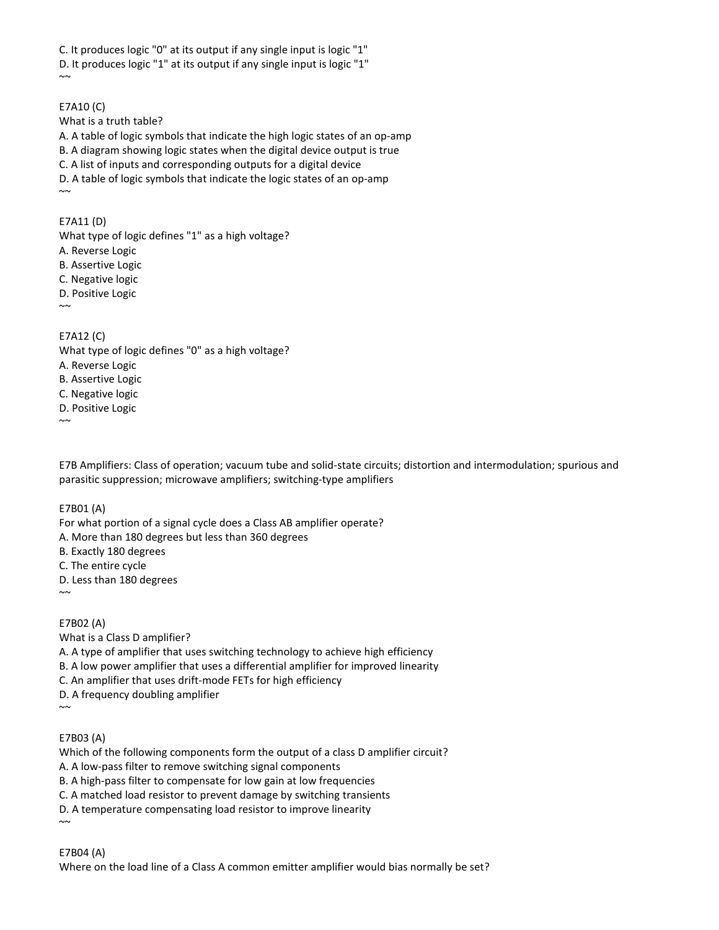C. It produces logic "0" at its output if any single input is logic "1" D. It produces logic "1" at its output if any single input is logic "1"  $~\sim~$ 

E7A10 (C)

What is a truth table? A. A table of logic symbols that indicate the high logic states of an op-amp B. A diagram showing logic states when the digital device output is true C. A list of inputs and corresponding outputs for a digital device D. A table of logic symbols that indicate the logic states of an op-amp  $\sim$ 

E7A11 (D)

What type of logic defines "1" as a high voltage? A. Reverse Logic B. Assertive Logic C. Negative logic D. Positive Logic  $\sim\!\!\sim$ 

E7A12 (C) What type of logic defines "0" as a high voltage? A. Reverse Logic B. Assertive Logic C. Negative logic D. Positive Logic

 $~\sim~$ 

E7B Amplifiers: Class of operation; vacuum tube and solid-state circuits; distortion and intermodulation; spurious and parasitic suppression; microwave amplifiers; switching-type amplifiers

E7B01 (A)

For what portion of a signal cycle does a Class AB amplifier operate? A. More than 180 degrees but less than 360 degrees B. Exactly 180 degrees C. The entire cycle D. Less than 180 degrees  $\sim$ 

E7B02 (A)

What is a Class D amplifier? A. A type of amplifier that uses switching technology to achieve high efficiency B. A low power amplifier that uses a differential amplifier for improved linearity C. An amplifier that uses drift-mode FETs for high efficiency D. A frequency doubling amplifier  $\sim$ 

E7B03 (A)

Which of the following components form the output of a class D amplifier circuit? A. A low-pass filter to remove switching signal components B. A high-pass filter to compensate for low gain at low frequencies C. A matched load resistor to prevent damage by switching transients D. A temperature compensating load resistor to improve linearity  $\sim$ 

E7B04 (A)

Where on the load line of a Class A common emitter amplifier would bias normally be set?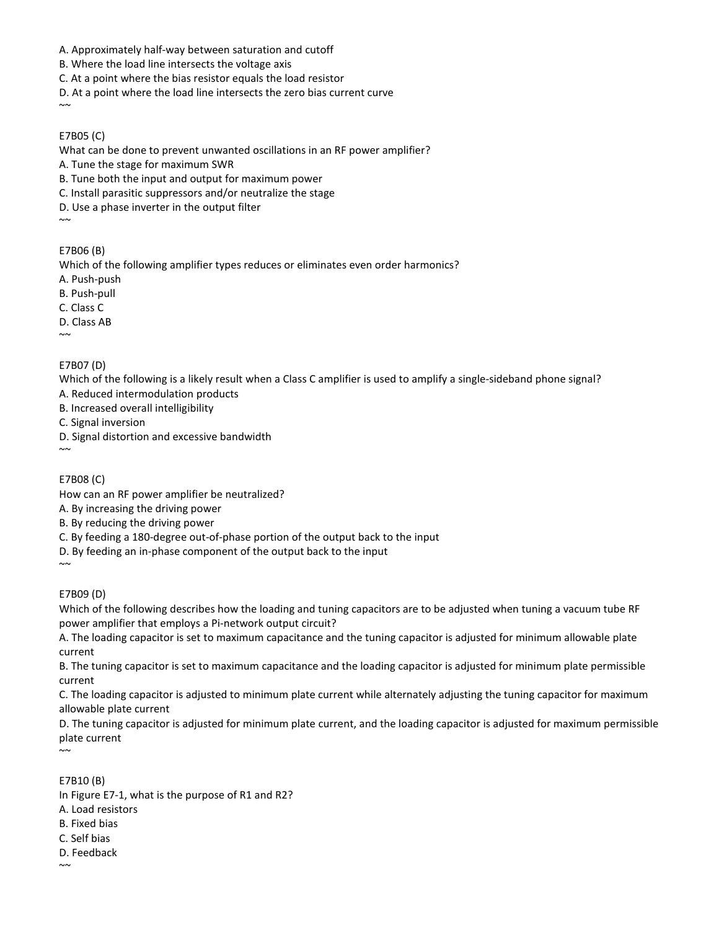- A. Approximately half-way between saturation and cutoff
- B. Where the load line intersects the voltage axis
- C. At a point where the bias resistor equals the load resistor
- D. At a point where the load line intersects the zero bias current curve

#### E7B05 (C)

What can be done to prevent unwanted oscillations in an RF power amplifier?

A. Tune the stage for maximum SWR

B. Tune both the input and output for maximum power

C. Install parasitic suppressors and/or neutralize the stage

D. Use a phase inverter in the output filter

 $\sim$ 

 $\sim$ 

E7B06 (B)

Which of the following amplifier types reduces or eliminates even order harmonics?

A. Push-push

B. Push-pull

C. Class C

D. Class AB

 $\sim$ 

 $\sim$ 

#### E7B07 (D)

Which of the following is a likely result when a Class C amplifier is used to amplify a single-sideband phone signal?

A. Reduced intermodulation products

B. Increased overall intelligibility

C. Signal inversion

D. Signal distortion and excessive bandwidth

E7B08 (C)

How can an RF power amplifier be neutralized?

A. By increasing the driving power

B. By reducing the driving power

C. By feeding a 180-degree out-of-phase portion of the output back to the input

D. By feeding an in-phase component of the output back to the input

 $\sim$ 

#### E7B09 (D)

Which of the following describes how the loading and tuning capacitors are to be adjusted when tuning a vacuum tube RF power amplifier that employs a Pi-network output circuit?

A. The loading capacitor is set to maximum capacitance and the tuning capacitor is adjusted for minimum allowable plate current

B. The tuning capacitor is set to maximum capacitance and the loading capacitor is adjusted for minimum plate permissible current

C. The loading capacitor is adjusted to minimum plate current while alternately adjusting the tuning capacitor for maximum allowable plate current

D. The tuning capacitor is adjusted for minimum plate current, and the loading capacitor is adjusted for maximum permissible plate current

 $\sim$ 

## E7B10 (B)

In Figure E7-1, what is the purpose of R1 and R2?

- A. Load resistors
- B. Fixed bias
- C. Self bias
- D. Feedback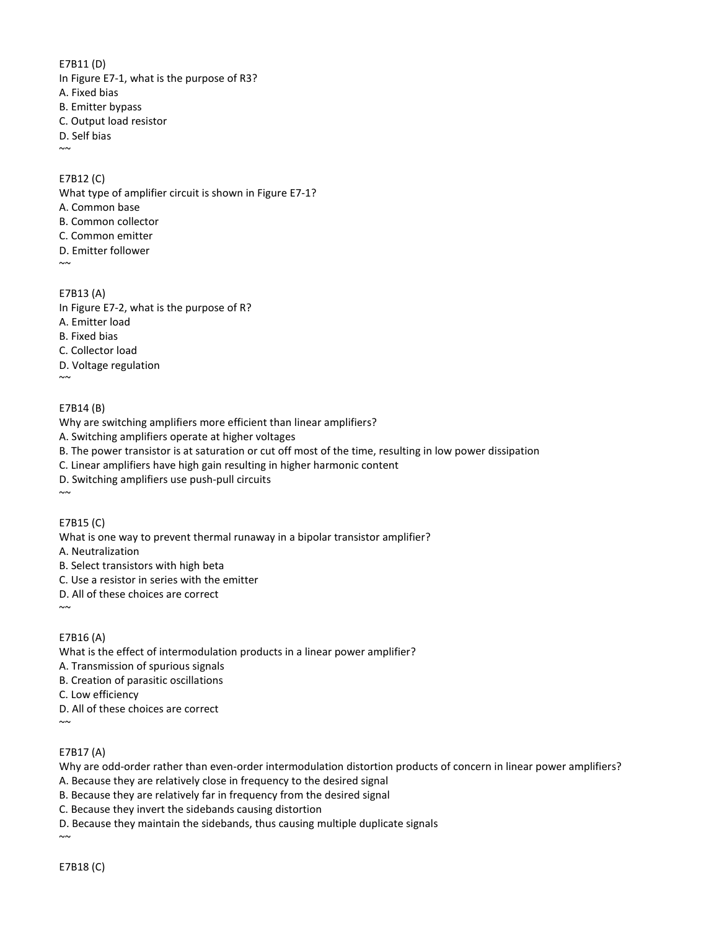E7B11 (D) In Figure E7-1, what is the purpose of R3? A. Fixed bias B. Emitter bypass C. Output load resistor D. Self bias  $\sim$ 

E7B12 (C) What type of amplifier circuit is shown in Figure E7-1? A. Common base B. Common collector C. Common emitter D. Emitter follower  $\sim$ 

E7B13 (A) In Figure E7-2, what is the purpose of R? A. Emitter load B. Fixed bias C. Collector load D. Voltage regulation  $\sim$ 

#### E7B14 (B)

Why are switching amplifiers more efficient than linear amplifiers?

A. Switching amplifiers operate at higher voltages

B. The power transistor is at saturation or cut off most of the time, resulting in low power dissipation

C. Linear amplifiers have high gain resulting in higher harmonic content

D. Switching amplifiers use push-pull circuits

# $\sim$

E7B15 (C)

What is one way to prevent thermal runaway in a bipolar transistor amplifier?

A. Neutralization

B. Select transistors with high beta

C. Use a resistor in series with the emitter

D. All of these choices are correct

 $\sim$ 

E7B16 (A)

What is the effect of intermodulation products in a linear power amplifier?

A. Transmission of spurious signals

B. Creation of parasitic oscillations

C. Low efficiency

D. All of these choices are correct

 $~\sim~$ 

## E7B17 (A)

Why are odd-order rather than even-order intermodulation distortion products of concern in linear power amplifiers?

- A. Because they are relatively close in frequency to the desired signal
- B. Because they are relatively far in frequency from the desired signal

C. Because they invert the sidebands causing distortion

D. Because they maintain the sidebands, thus causing multiple duplicate signals

 $\sim$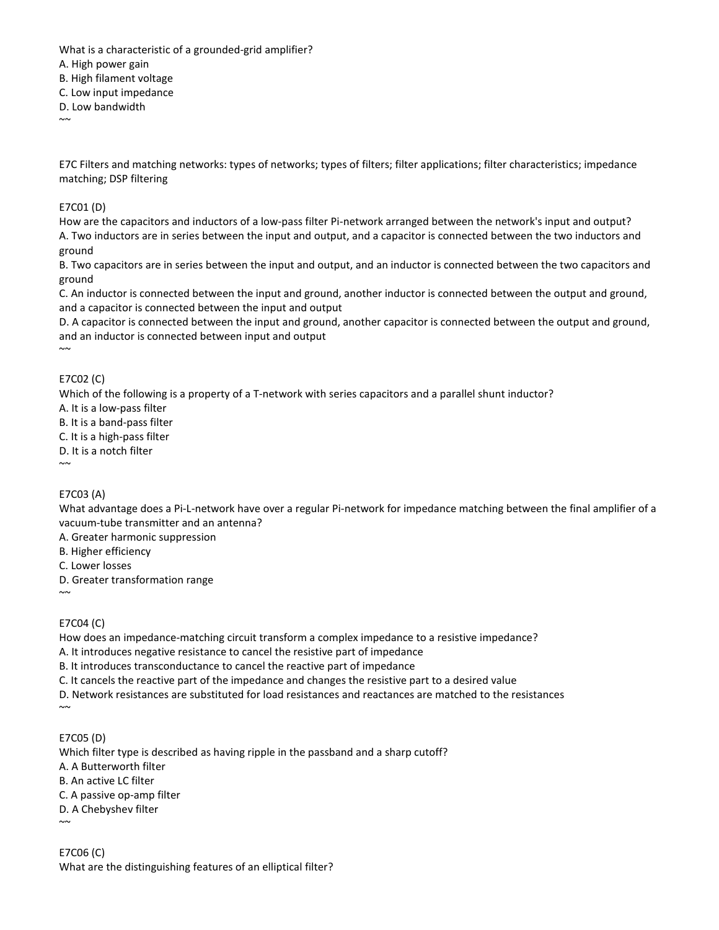What is a characteristic of a grounded-grid amplifier? A. High power gain

B. High filament voltage

C. Low input impedance

D. Low bandwidth  $\sim$ 

E7C Filters and matching networks: types of networks; types of filters; filter applications; filter characteristics; impedance matching; DSP filtering

## E7C01 (D)

How are the capacitors and inductors of a low-pass filter Pi-network arranged between the network's input and output? A. Two inductors are in series between the input and output, and a capacitor is connected between the two inductors and ground

B. Two capacitors are in series between the input and output, and an inductor is connected between the two capacitors and ground

C. An inductor is connected between the input and ground, another inductor is connected between the output and ground, and a capacitor is connected between the input and output

D. A capacitor is connected between the input and ground, another capacitor is connected between the output and ground, and an inductor is connected between input and output

E7C02 (C)

 $\sim$ 

Which of the following is a property of a T-network with series capacitors and a parallel shunt inductor?

A. It is a low-pass filter

B. It is a band-pass filter

C. It is a high-pass filter

D. It is a notch filter  $\sim$ 

E7C03 (A)

What advantage does a Pi-L-network have over a regular Pi-network for impedance matching between the final amplifier of a vacuum-tube transmitter and an antenna?

A. Greater harmonic suppression

B. Higher efficiency

C. Lower losses

D. Greater transformation range

 $~\sim~$ 

# E7C04 (C)

How does an impedance-matching circuit transform a complex impedance to a resistive impedance?

A. It introduces negative resistance to cancel the resistive part of impedance

B. It introduces transconductance to cancel the reactive part of impedance

C. It cancels the reactive part of the impedance and changes the resistive part to a desired value

D. Network resistances are substituted for load resistances and reactances are matched to the resistances  $\sim$ 

E7C05 (D)

Which filter type is described as having ripple in the passband and a sharp cutoff? A. A Butterworth filter B. An active LC filter C. A passive op-amp filter D. A Chebyshev filter  $\sim$ 

E7C06 (C) What are the distinguishing features of an elliptical filter?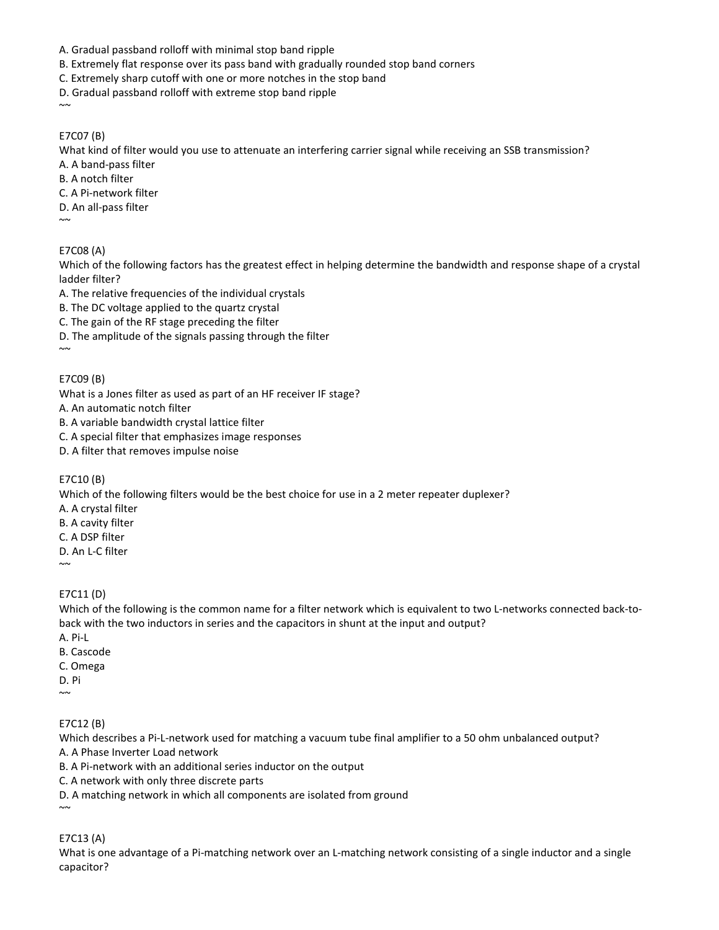- A. Gradual passband rolloff with minimal stop band ripple
- B. Extremely flat response over its pass band with gradually rounded stop band corners
- C. Extremely sharp cutoff with one or more notches in the stop band
- D. Gradual passband rolloff with extreme stop band ripple
- $\sim$

#### E7C07 (B)

What kind of filter would you use to attenuate an interfering carrier signal while receiving an SSB transmission?

- A. A band-pass filter
- B. A notch filter
- C. A Pi-network filter
- D. An all-pass filter
- $\sim$

# E7C08 (A)

Which of the following factors has the greatest effect in helping determine the bandwidth and response shape of a crystal ladder filter?

- A. The relative frequencies of the individual crystals
- B. The DC voltage applied to the quartz crystal
- C. The gain of the RF stage preceding the filter
- D. The amplitude of the signals passing through the filter

# E7C09 (B)

 $\sim\!\sim$ 

What is a Jones filter as used as part of an HF receiver IF stage?

A. An automatic notch filter

B. A variable bandwidth crystal lattice filter

C. A special filter that emphasizes image responses

D. A filter that removes impulse noise

#### E7C10 (B)

Which of the following filters would be the best choice for use in a 2 meter repeater duplexer?

- A. A crystal filter
- B. A cavity filter
- C. A DSP filter
- D. An L-C filter

 $\sim$ 

# E7C11 (D)

Which of the following is the common name for a filter network which is equivalent to two L-networks connected back-toback with the two inductors in series and the capacitors in shunt at the input and output?

- A. Pi-L
- B. Cascode
- C. Omega
- D. Pi  $\sim$
- E7C12 (B)

Which describes a Pi-L-network used for matching a vacuum tube final amplifier to a 50 ohm unbalanced output? A. A Phase Inverter Load network

B. A Pi-network with an additional series inductor on the output

C. A network with only three discrete parts

D. A matching network in which all components are isolated from ground

 $\sim$ 

E7C13 (A)

What is one advantage of a Pi-matching network over an L-matching network consisting of a single inductor and a single capacitor?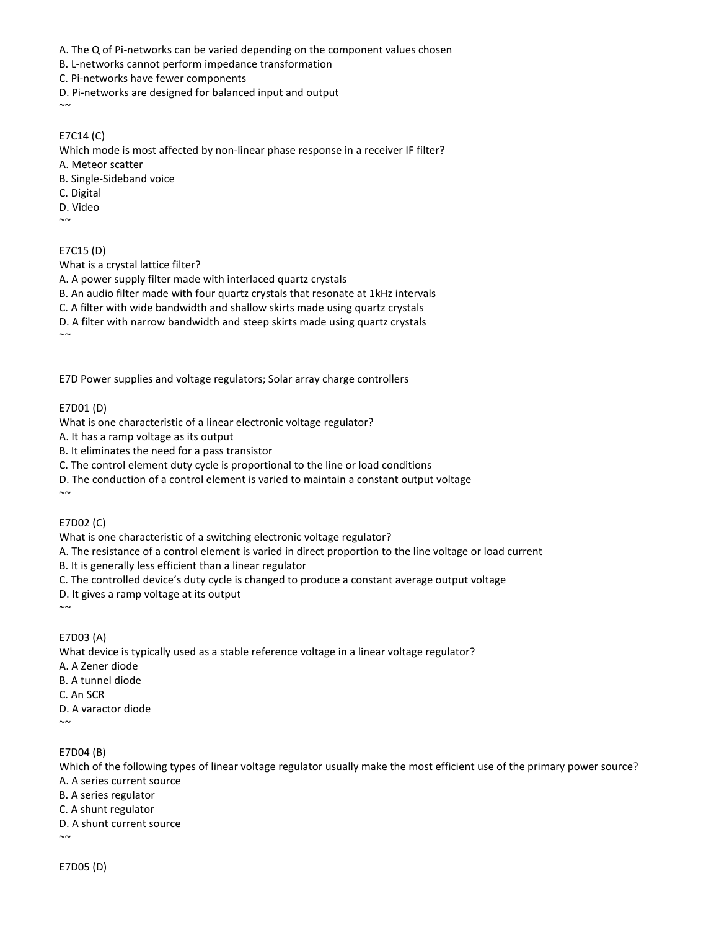A. The Q of Pi-networks can be varied depending on the component values chosen

B. L-networks cannot perform impedance transformation

C. Pi-networks have fewer components

D. Pi-networks are designed for balanced input and output

# E7C14 (C)

 $\sim$ 

Which mode is most affected by non-linear phase response in a receiver IF filter?

A. Meteor scatter

B. Single-Sideband voice

C. Digital

D. Video

 $\sim$ 

# E7C15 (D)

What is a crystal lattice filter?

A. A power supply filter made with interlaced quartz crystals

B. An audio filter made with four quartz crystals that resonate at 1kHz intervals

C. A filter with wide bandwidth and shallow skirts made using quartz crystals

D. A filter with narrow bandwidth and steep skirts made using quartz crystals

 $\sim$ 

E7D Power supplies and voltage regulators; Solar array charge controllers

#### E7D01 (D)

What is one characteristic of a linear electronic voltage regulator?

A. It has a ramp voltage as its output

B. It eliminates the need for a pass transistor

C. The control element duty cycle is proportional to the line or load conditions

D. The conduction of a control element is varied to maintain a constant output voltage

 $~\sim~$ 

#### E7D02 (C)

What is one characteristic of a switching electronic voltage regulator?

A. The resistance of a control element is varied in direct proportion to the line voltage or load current

B. It is generally less efficient than a linear regulator

C. The controlled device's duty cycle is changed to produce a constant average output voltage

D. It gives a ramp voltage at its output

 $\sim$ 

E7D03 (A)

What device is typically used as a stable reference voltage in a linear voltage regulator?

A. A Zener diode B. A tunnel diode C. An SCR D. A varactor diode

 $\sim$ 

#### E7D04 (B)

Which of the following types of linear voltage regulator usually make the most efficient use of the primary power source? A. A series current source

B. A series regulator

C. A shunt regulator

D. A shunt current source

 $\sim$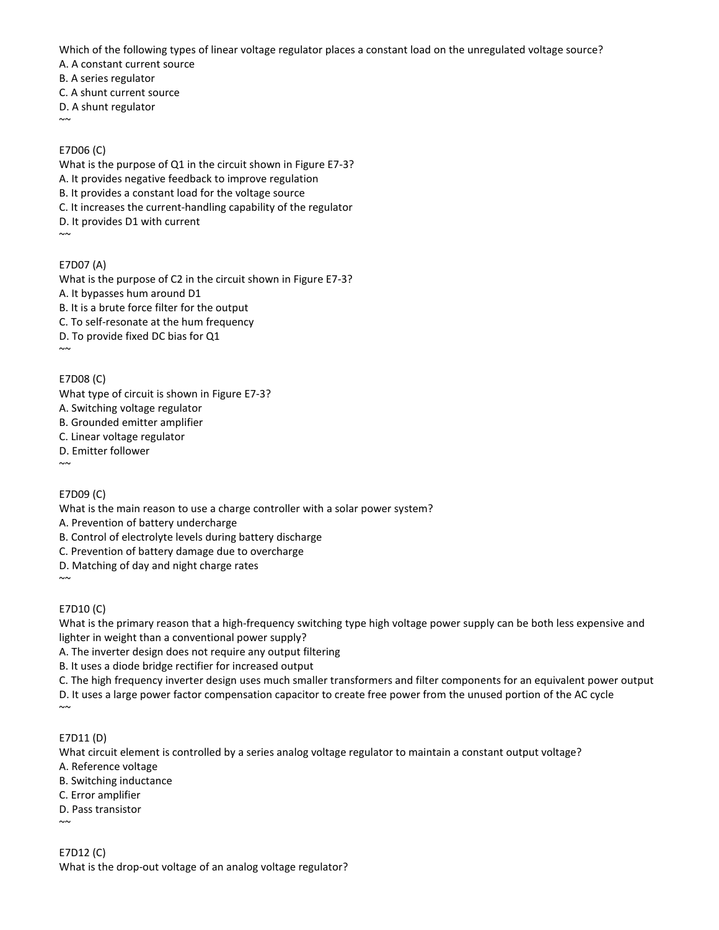Which of the following types of linear voltage regulator places a constant load on the unregulated voltage source?

A. A constant current source

B. A series regulator

C. A shunt current source

D. A shunt regulator  $\sim$ 

# E7D06 (C)

What is the purpose of Q1 in the circuit shown in Figure E7-3? A. It provides negative feedback to improve regulation B. It provides a constant load for the voltage source C. It increases the current-handling capability of the regulator D. It provides D1 with current  $\sim$ 

# E7D07 (A)

What is the purpose of C2 in the circuit shown in Figure E7-3? A. It bypasses hum around D1 B. It is a brute force filter for the output C. To self-resonate at the hum frequency D. To provide fixed DC bias for Q1  $\sim$ 

# E7D08 (C)

What type of circuit is shown in Figure E7-3?

- A. Switching voltage regulator
- B. Grounded emitter amplifier
- C. Linear voltage regulator
- D. Emitter follower  $~\sim~$

# E7D09 (C)

What is the main reason to use a charge controller with a solar power system?

A. Prevention of battery undercharge

- B. Control of electrolyte levels during battery discharge
- C. Prevention of battery damage due to overcharge

D. Matching of day and night charge rates  $\sim$ 

# E7D10 (C)

What is the primary reason that a high-frequency switching type high voltage power supply can be both less expensive and lighter in weight than a conventional power supply?

A. The inverter design does not require any output filtering

B. It uses a diode bridge rectifier for increased output

C. The high frequency inverter design uses much smaller transformers and filter components for an equivalent power output D. It uses a large power factor compensation capacitor to create free power from the unused portion of the AC cycle  $\sim$ 

# E7D11 (D)

What circuit element is controlled by a series analog voltage regulator to maintain a constant output voltage?

- A. Reference voltage
- B. Switching inductance
- C. Error amplifier
- D. Pass transistor  $\sim$

E7D12 (C) What is the drop-out voltage of an analog voltage regulator?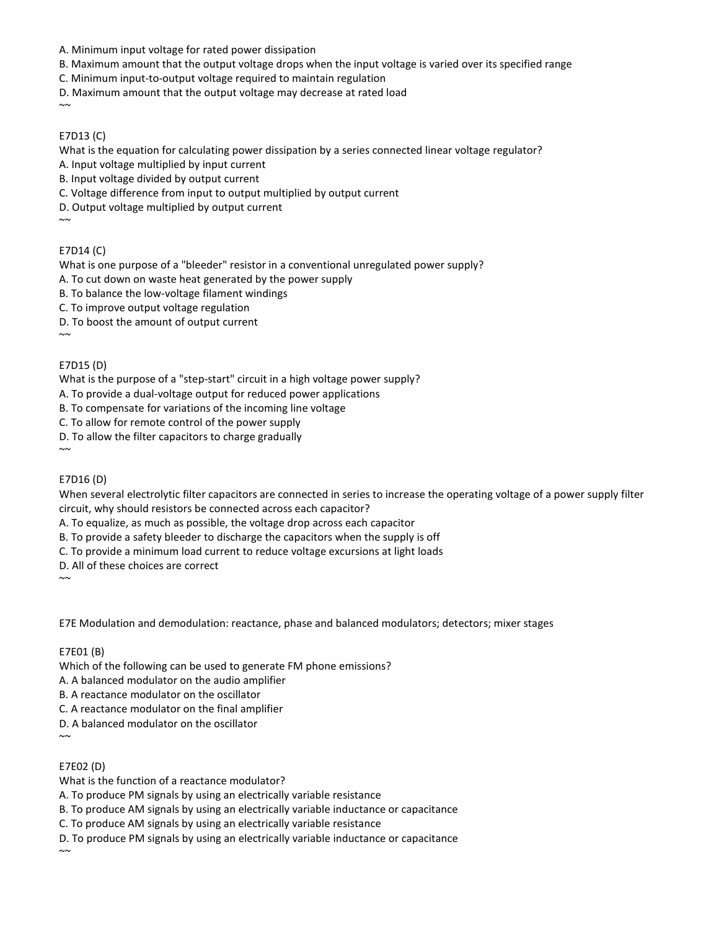- A. Minimum input voltage for rated power dissipation
- B. Maximum amount that the output voltage drops when the input voltage is varied over its specified range
- C. Minimum input-to-output voltage required to maintain regulation
- D. Maximum amount that the output voltage may decrease at rated load

## E7D13 (C)

 $\sim$ 

What is the equation for calculating power dissipation by a series connected linear voltage regulator?

A. Input voltage multiplied by input current

B. Input voltage divided by output current

C. Voltage difference from input to output multiplied by output current

D. Output voltage multiplied by output current

 $\sim$ 

# E7D14 (C)

What is one purpose of a "bleeder" resistor in a conventional unregulated power supply?

A. To cut down on waste heat generated by the power supply

B. To balance the low-voltage filament windings

C. To improve output voltage regulation

D. To boost the amount of output current

 $\sim$ 

#### E7D15 (D)

What is the purpose of a "step-start" circuit in a high voltage power supply?

A. To provide a dual-voltage output for reduced power applications

B. To compensate for variations of the incoming line voltage

C. To allow for remote control of the power supply

D. To allow the filter capacitors to charge gradually

 $\sim$ 

# E7D16 (D)

When several electrolytic filter capacitors are connected in series to increase the operating voltage of a power supply filter circuit, why should resistors be connected across each capacitor?

A. To equalize, as much as possible, the voltage drop across each capacitor

B. To provide a safety bleeder to discharge the capacitors when the supply is off

C. To provide a minimum load current to reduce voltage excursions at light loads

D. All of these choices are correct

 $~\sim~$ 

E7E Modulation and demodulation: reactance, phase and balanced modulators; detectors; mixer stages

#### E7E01 (B)

Which of the following can be used to generate FM phone emissions?

A. A balanced modulator on the audio amplifier

B. A reactance modulator on the oscillator

C. A reactance modulator on the final amplifier

D. A balanced modulator on the oscillator

# $\sim$

 $~\sim~$ 

### E7E02 (D)

What is the function of a reactance modulator?

A. To produce PM signals by using an electrically variable resistance

B. To produce AM signals by using an electrically variable inductance or capacitance

C. To produce AM signals by using an electrically variable resistance

D. To produce PM signals by using an electrically variable inductance or capacitance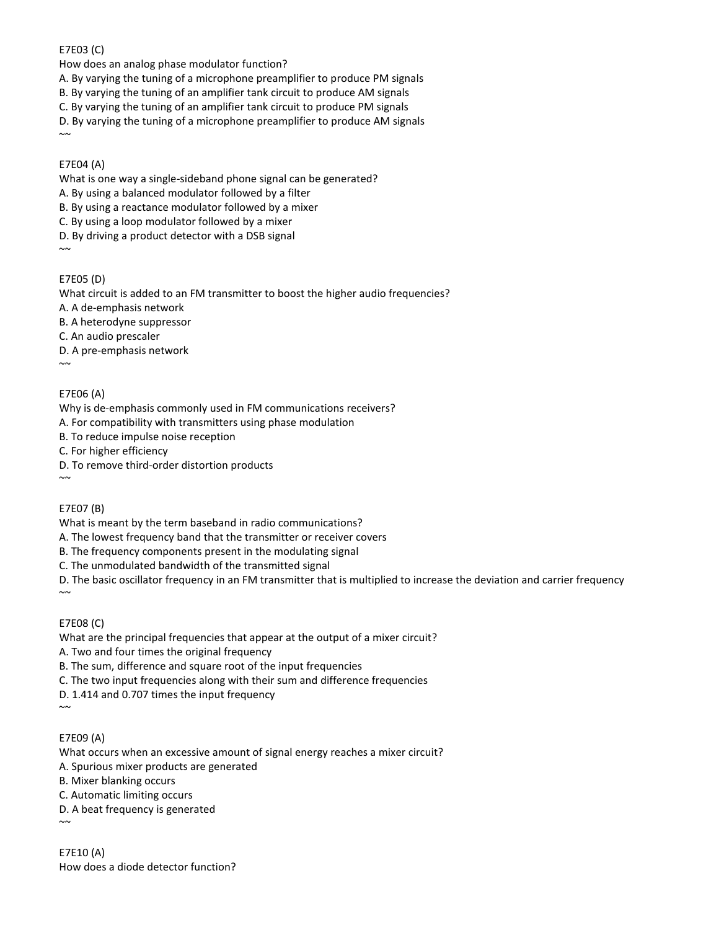# E7E03 (C)

How does an analog phase modulator function?

A. By varying the tuning of a microphone preamplifier to produce PM signals

B. By varying the tuning of an amplifier tank circuit to produce AM signals

C. By varying the tuning of an amplifier tank circuit to produce PM signals

D. By varying the tuning of a microphone preamplifier to produce AM signals  $~\sim~$ 

# E7E04 (A)

What is one way a single-sideband phone signal can be generated?

A. By using a balanced modulator followed by a filter

B. By using a reactance modulator followed by a mixer

C. By using a loop modulator followed by a mixer

D. By driving a product detector with a DSB signal

 $~\sim~$ 

# E7E05 (D)

What circuit is added to an FM transmitter to boost the higher audio frequencies?

A. A de-emphasis network

B. A heterodyne suppressor

C. An audio prescaler

D. A pre-emphasis network

 $\sim$ 

# E7E06 (A)

Why is de-emphasis commonly used in FM communications receivers?

A. For compatibility with transmitters using phase modulation

B. To reduce impulse noise reception

C. For higher efficiency

D. To remove third-order distortion products

#### $~\sim~$

# E7E07 (B)

What is meant by the term baseband in radio communications?

A. The lowest frequency band that the transmitter or receiver covers

B. The frequency components present in the modulating signal

C. The unmodulated bandwidth of the transmitted signal

D. The basic oscillator frequency in an FM transmitter that is multiplied to increase the deviation and carrier frequency  $~\sim~$ 

# E7E08 (C)

What are the principal frequencies that appear at the output of a mixer circuit?

A. Two and four times the original frequency

B. The sum, difference and square root of the input frequencies

C. The two input frequencies along with their sum and difference frequencies

D. 1.414 and 0.707 times the input frequency

#### $\sim$

 $\sim\!\sim$ 

# E7E09 (A)

What occurs when an excessive amount of signal energy reaches a mixer circuit?

A. Spurious mixer products are generated

B. Mixer blanking occurs

C. Automatic limiting occurs

D. A beat frequency is generated

E7E10 (A) How does a diode detector function?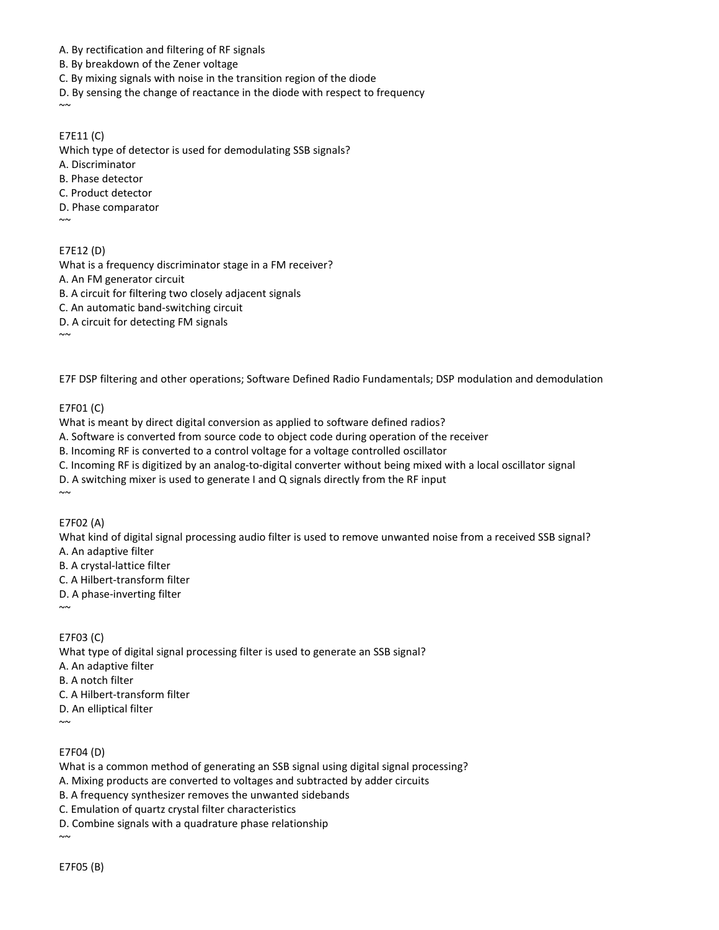- A. By rectification and filtering of RF signals
- B. By breakdown of the Zener voltage
- C. By mixing signals with noise in the transition region of the diode
- D. By sensing the change of reactance in the diode with respect to frequency

#### E7E11 (C)

 $\sim$ 

Which type of detector is used for demodulating SSB signals?

- A. Discriminator
- B. Phase detector
- C. Product detector
- D. Phase comparator

 $\sim$ 

#### E7E12 (D)

What is a frequency discriminator stage in a FM receiver?

- A. An FM generator circuit
- B. A circuit for filtering two closely adjacent signals
- C. An automatic band-switching circuit
- D. A circuit for detecting FM signals

 $\sim$ 

E7F DSP filtering and other operations; Software Defined Radio Fundamentals; DSP modulation and demodulation

# E7F01 (C)

What is meant by direct digital conversion as applied to software defined radios?

- A. Software is converted from source code to object code during operation of the receiver
- B. Incoming RF is converted to a control voltage for a voltage controlled oscillator
- C. Incoming RF is digitized by an analog-to-digital converter without being mixed with a local oscillator signal
- D. A switching mixer is used to generate I and Q signals directly from the RF input

 $\sim$ 

E7F02 (A)

What kind of digital signal processing audio filter is used to remove unwanted noise from a received SSB signal? A. An adaptive filter

- B. A crystal-lattice filter
- C. A Hilbert-transform filter
- D. A phase-inverting filter

 $\sim$ 

E7F03 (C)

What type of digital signal processing filter is used to generate an SSB signal?

- A. An adaptive filter
- B. A notch filter
- C. A Hilbert-transform filter
- D. An elliptical filter

 $\sim$ 

#### E7F04 (D)

What is a common method of generating an SSB signal using digital signal processing?

- A. Mixing products are converted to voltages and subtracted by adder circuits
- B. A frequency synthesizer removes the unwanted sidebands
- C. Emulation of quartz crystal filter characteristics
- D. Combine signals with a quadrature phase relationship

 $\sim$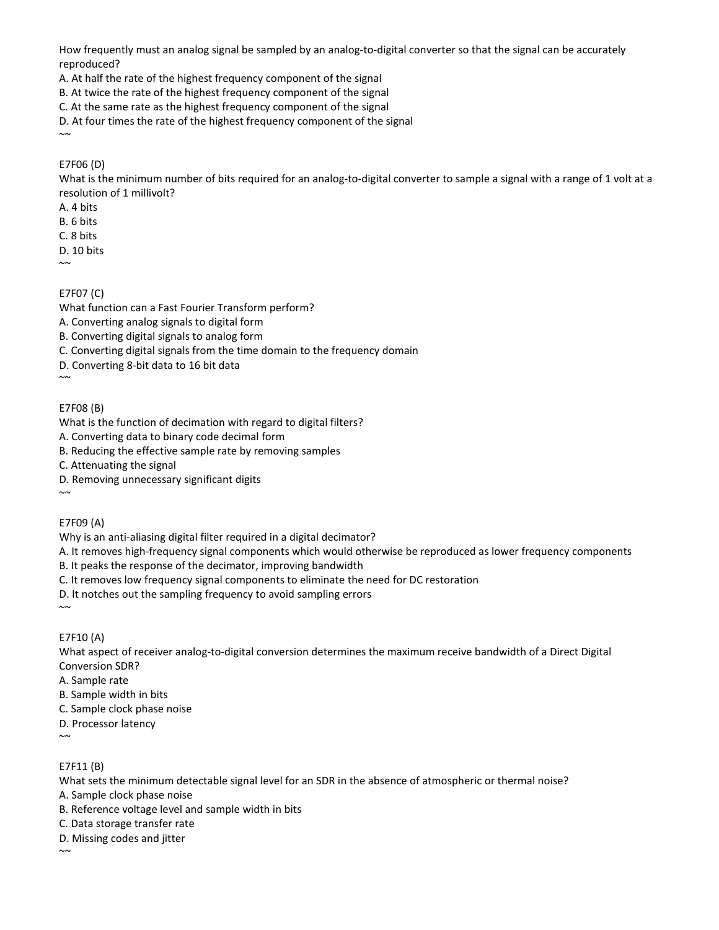How frequently must an analog signal be sampled by an analog-to-digital converter so that the signal can be accurately reproduced?

A. At half the rate of the highest frequency component of the signal

B. At twice the rate of the highest frequency component of the signal

C. At the same rate as the highest frequency component of the signal

D. At four times the rate of the highest frequency component of the signal  $~\sim~$ 

# E7F06 (D)

What is the minimum number of bits required for an analog-to-digital converter to sample a signal with a range of 1 volt at a resolution of 1 millivolt?

A. 4 bits

B. 6 bits

C. 8 bits

D. 10 bits

 $\sim$ 

# E7F07 (C)

# What function can a Fast Fourier Transform perform?

A. Converting analog signals to digital form

B. Converting digital signals to analog form

- C. Converting digital signals from the time domain to the frequency domain
- D. Converting 8-bit data to 16 bit data

 $\sim$ 

# E7F08 (B)

What is the function of decimation with regard to digital filters?

A. Converting data to binary code decimal form

B. Reducing the effective sample rate by removing samples

C. Attenuating the signal

D. Removing unnecessary significant digits

 $\sim$ 

# E7F09 (A)

Why is an anti-aliasing digital filter required in a digital decimator?

A. It removes high-frequency signal components which would otherwise be reproduced as lower frequency components

B. It peaks the response of the decimator, improving bandwidth

C. It removes low frequency signal components to eliminate the need for DC restoration

D. It notches out the sampling frequency to avoid sampling errors

 $\sim$ 

# E7F10 (A)

What aspect of receiver analog-to-digital conversion determines the maximum receive bandwidth of a Direct Digital Conversion SDR?

A. Sample rate

- B. Sample width in bits
- C. Sample clock phase noise
- D. Processor latency

 $\sim$ 

# E7F11 (B)

What sets the minimum detectable signal level for an SDR in the absence of atmospheric or thermal noise?

A. Sample clock phase noise

- B. Reference voltage level and sample width in bits
- C. Data storage transfer rate
- D. Missing codes and jitter

 $~\sim~$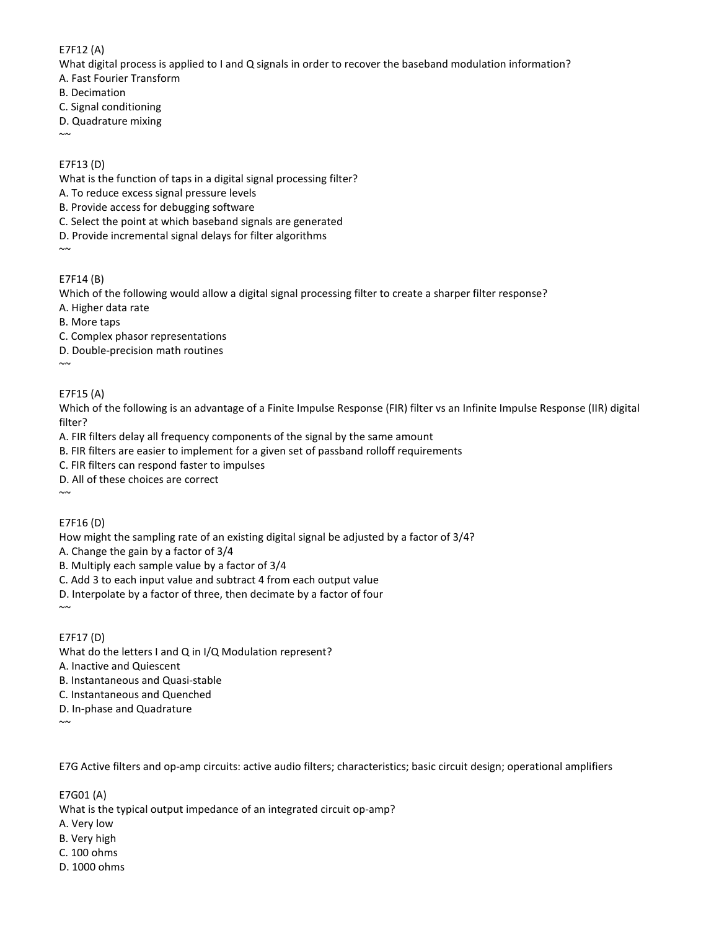## E7F12 (A)

What digital process is applied to I and Q signals in order to recover the baseband modulation information?

- A. Fast Fourier Transform
- B. Decimation
- C. Signal conditioning
- D. Quadrature mixing
- $~\sim~$

# E7F13 (D)

What is the function of taps in a digital signal processing filter?

- A. To reduce excess signal pressure levels
- B. Provide access for debugging software
- C. Select the point at which baseband signals are generated
- D. Provide incremental signal delays for filter algorithms
- $\sim$

# E7F14 (B)

Which of the following would allow a digital signal processing filter to create a sharper filter response?

- A. Higher data rate
- B. More taps
- C. Complex phasor representations
- D. Double-precision math routines

 $\sim$ 

# E7F15 (A)

Which of the following is an advantage of a Finite Impulse Response (FIR) filter vs an Infinite Impulse Response (IIR) digital filter?

A. FIR filters delay all frequency components of the signal by the same amount

- B. FIR filters are easier to implement for a given set of passband rolloff requirements
- C. FIR filters can respond faster to impulses
- D. All of these choices are correct

## $\sim$

# E7F16 (D)

How might the sampling rate of an existing digital signal be adjusted by a factor of 3/4?

A. Change the gain by a factor of 3/4

- B. Multiply each sample value by a factor of 3/4
- C. Add 3 to each input value and subtract 4 from each output value
- D. Interpolate by a factor of three, then decimate by a factor of four

 $\sim$ 

# E7F17 (D)

What do the letters I and Q in I/Q Modulation represent?

A. Inactive and Quiescent

B. Instantaneous and Quasi-stable

- C. Instantaneous and Quenched
- D. In-phase and Quadrature
- $\sim$

E7G Active filters and op-amp circuits: active audio filters; characteristics; basic circuit design; operational amplifiers

E7G01 (A)

What is the typical output impedance of an integrated circuit op-amp?

- A. Very low
- B. Very high
- C. 100 ohms
- D. 1000 ohms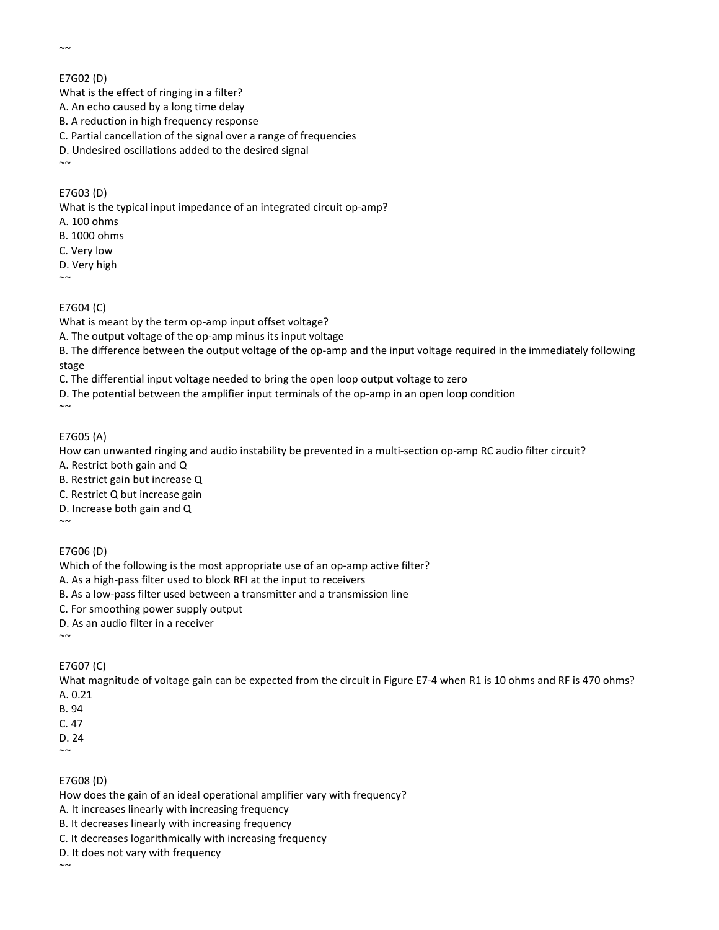$~\sim~$ 

E7G02 (D) What is the effect of ringing in a filter? A. An echo caused by a long time delay B. A reduction in high frequency response C. Partial cancellation of the signal over a range of frequencies D. Undesired oscillations added to the desired signal  $~\sim~$ 

# E7G03 (D)

What is the typical input impedance of an integrated circuit op-amp? A. 100 ohms B. 1000 ohms

C. Very low

D. Very high  $\sim$ 

E7G04 (C)

What is meant by the term op-amp input offset voltage?

A. The output voltage of the op-amp minus its input voltage

B. The difference between the output voltage of the op-amp and the input voltage required in the immediately following stage

C. The differential input voltage needed to bring the open loop output voltage to zero

D. The potential between the amplifier input terminals of the op-amp in an open loop condition  $\sim$ 

E7G05 (A)

How can unwanted ringing and audio instability be prevented in a multi-section op-amp RC audio filter circuit?

A. Restrict both gain and Q

B. Restrict gain but increase Q

C. Restrict Q but increase gain

D. Increase both gain and Q

 $~\sim~$ 

# E7G06 (D)

Which of the following is the most appropriate use of an op-amp active filter?

A. As a high-pass filter used to block RFI at the input to receivers

B. As a low-pass filter used between a transmitter and a transmission line

C. For smoothing power supply output

D. As an audio filter in a receiver

 $\sim$ 

# E7G07 (C)

What magnitude of voltage gain can be expected from the circuit in Figure E7-4 when R1 is 10 ohms and RF is 470 ohms? A. 0.21

B. 94

C. 47

D. 24

 $\sim$ 

# E7G08 (D)

How does the gain of an ideal operational amplifier vary with frequency?

A. It increases linearly with increasing frequency

B. It decreases linearly with increasing frequency

C. It decreases logarithmically with increasing frequency

D. It does not vary with frequency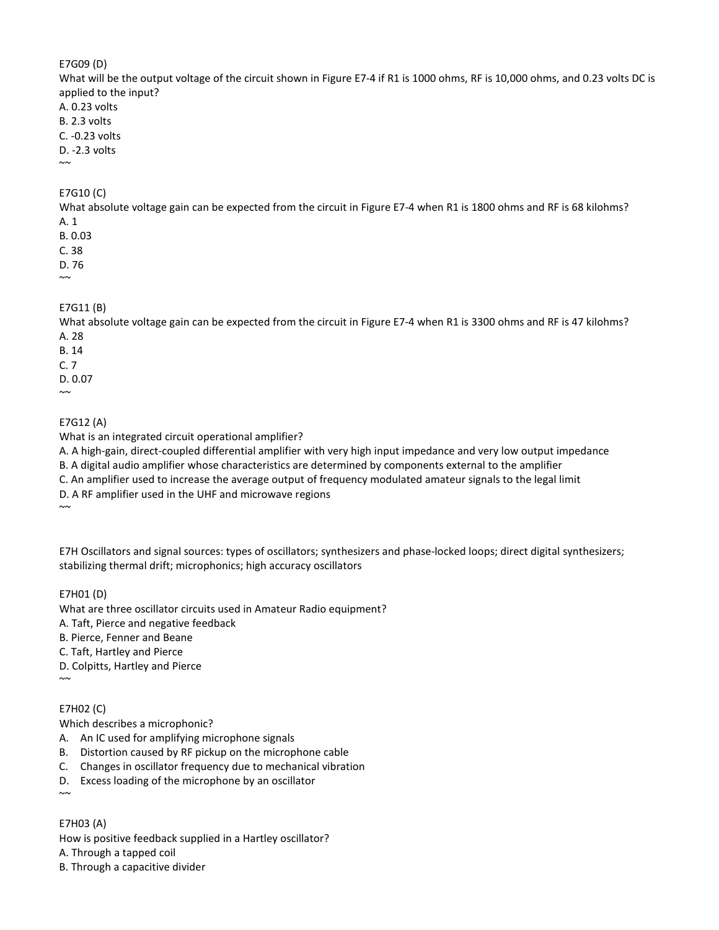E7G09 (D)

What will be the output voltage of the circuit shown in Figure E7-4 if R1 is 1000 ohms, RF is 10,000 ohms, and 0.23 volts DC is applied to the input?

A. 0.23 volts

B. 2.3 volts

C. -0.23 volts

D. -2.3 volts

 $\sim$ 

E7G10 (C)

What absolute voltage gain can be expected from the circuit in Figure E7-4 when R1 is 1800 ohms and RF is 68 kilohms? A. 1

B. 0.03 C. 38 D. 76

 $\sim$ 

E7G11 (B)

What absolute voltage gain can be expected from the circuit in Figure E7-4 when R1 is 3300 ohms and RF is 47 kilohms? A. 28

B. 14 C. 7

D. 0.07  $~\sim~$ 

E7G12 (A)

What is an integrated circuit operational amplifier?

A. A high-gain, direct-coupled differential amplifier with very high input impedance and very low output impedance

B. A digital audio amplifier whose characteristics are determined by components external to the amplifier

C. An amplifier used to increase the average output of frequency modulated amateur signals to the legal limit

D. A RF amplifier used in the UHF and microwave regions

 $\sim$ 

E7H Oscillators and signal sources: types of oscillators; synthesizers and phase-locked loops; direct digital synthesizers; stabilizing thermal drift; microphonics; high accuracy oscillators

E7H01 (D)

What are three oscillator circuits used in Amateur Radio equipment?

A. Taft, Pierce and negative feedback

B. Pierce, Fenner and Beane

C. Taft, Hartley and Pierce

D. Colpitts, Hartley and Pierce

 $\sim$ 

E7H02 (C)

Which describes a microphonic?

- A. An IC used for amplifying microphone signals
- B. Distortion caused by RF pickup on the microphone cable
- C. Changes in oscillator frequency due to mechanical vibration
- D. Excess loading of the microphone by an oscillator  $~\sim~$

E7H03 (A)

How is positive feedback supplied in a Hartley oscillator?

A. Through a tapped coil

B. Through a capacitive divider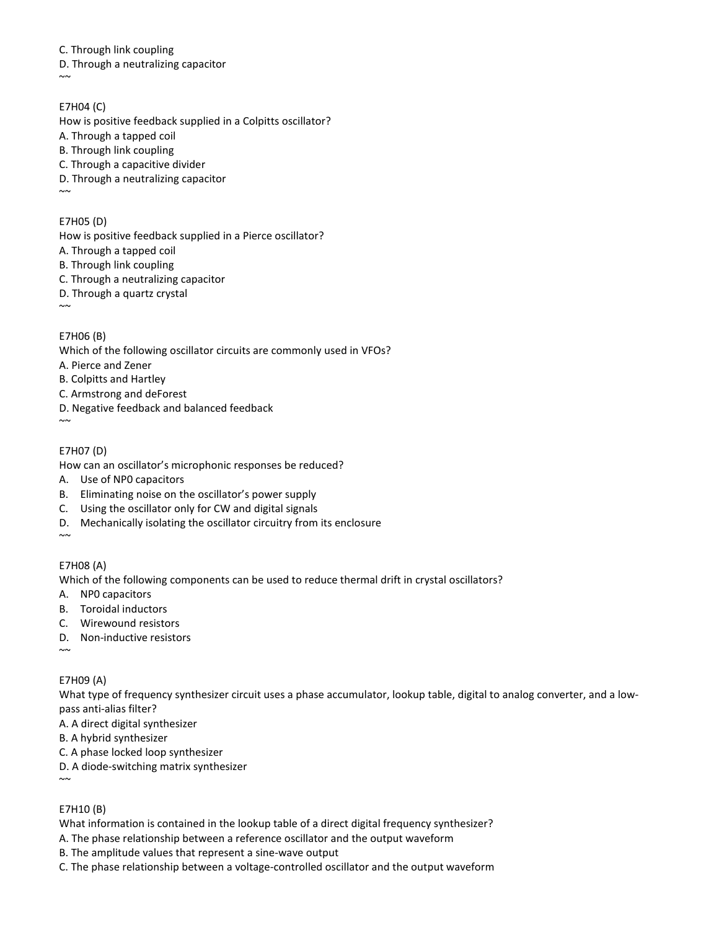C. Through link coupling D. Through a neutralizing capacitor

E7H04 (C) How is positive feedback supplied in a Colpitts oscillator? A. Through a tapped coil B. Through link coupling C. Through a capacitive divider

D. Through a neutralizing capacitor  $\sim$ 

 $~\sim~$ 

E7H05 (D) How is positive feedback supplied in a Pierce oscillator?

A. Through a tapped coil

B. Through link coupling

- C. Through a neutralizing capacitor
- D. Through a quartz crystal

 $\sim\!\sim$ 

# E7H06 (B)

Which of the following oscillator circuits are commonly used in VFOs?

A. Pierce and Zener

B. Colpitts and Hartley

C. Armstrong and deForest

D. Negative feedback and balanced feedback

 $~\sim~$ 

# E7H07 (D)

How can an oscillator's microphonic responses be reduced?

- A. Use of NP0 capacitors
- B. Eliminating noise on the oscillator's power supply
- C. Using the oscillator only for CW and digital signals
- D. Mechanically isolating the oscillator circuitry from its enclosure

 $\sim$ 

# E7H08 (A)

Which of the following components can be used to reduce thermal drift in crystal oscillators?

A. NP0 capacitors

- B. Toroidal inductors
- C. Wirewound resistors
- D. Non-inductive resistors

 $~\sim~$ 

# E7H09 (A)

What type of frequency synthesizer circuit uses a phase accumulator, lookup table, digital to analog converter, and a lowpass anti-alias filter?

A. A direct digital synthesizer

B. A hybrid synthesizer

C. A phase locked loop synthesizer

D. A diode-switching matrix synthesizer  $\sim$ 

# E7H10 (B)

What information is contained in the lookup table of a direct digital frequency synthesizer?

A. The phase relationship between a reference oscillator and the output waveform

B. The amplitude values that represent a sine-wave output

C. The phase relationship between a voltage-controlled oscillator and the output waveform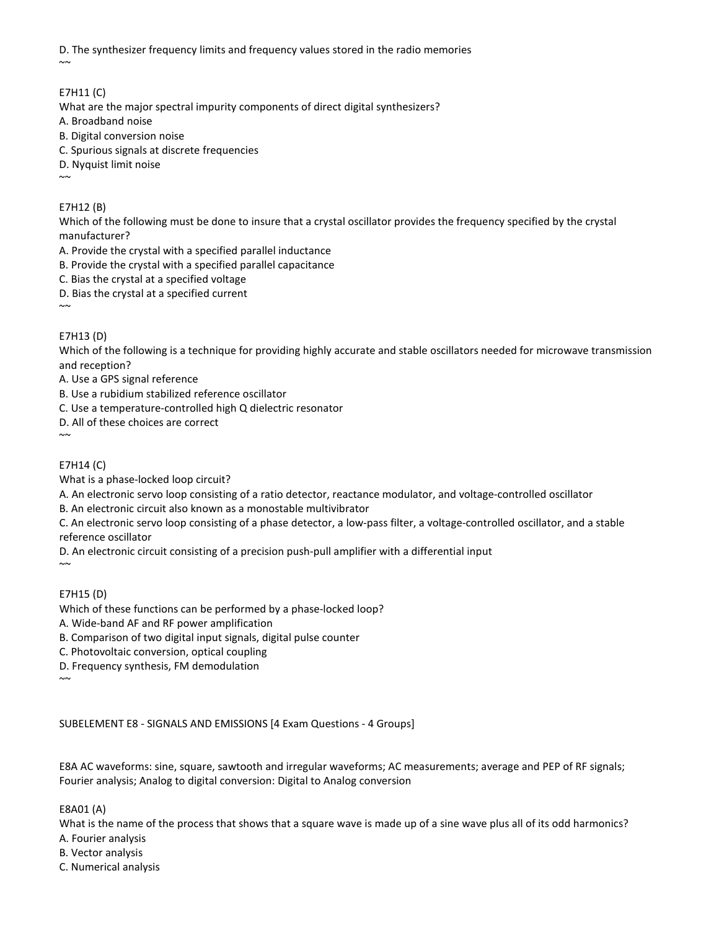D. The synthesizer frequency limits and frequency values stored in the radio memories  $\sim$ 

# E7H11 (C)

What are the major spectral impurity components of direct digital synthesizers?

- A. Broadband noise
- B. Digital conversion noise
- C. Spurious signals at discrete frequencies
- D. Nyquist limit noise

 $\sim$ 

# E7H12 (B)

Which of the following must be done to insure that a crystal oscillator provides the frequency specified by the crystal manufacturer?

- A. Provide the crystal with a specified parallel inductance
- B. Provide the crystal with a specified parallel capacitance
- C. Bias the crystal at a specified voltage
- D. Bias the crystal at a specified current
- $\sim\!\sim$

# E7H13 (D)

Which of the following is a technique for providing highly accurate and stable oscillators needed for microwave transmission and reception?

A. Use a GPS signal reference

B. Use a rubidium stabilized reference oscillator

C. Use a temperature-controlled high Q dielectric resonator

D. All of these choices are correct

# E7H14 (C)

 $~\sim~$ 

What is a phase-locked loop circuit?

A. An electronic servo loop consisting of a ratio detector, reactance modulator, and voltage-controlled oscillator

B. An electronic circuit also known as a monostable multivibrator

C. An electronic servo loop consisting of a phase detector, a low-pass filter, a voltage-controlled oscillator, and a stable reference oscillator

D. An electronic circuit consisting of a precision push-pull amplifier with a differential input

# E7H15 (D)

 $\sim$ 

Which of these functions can be performed by a phase-locked loop?

A. Wide-band AF and RF power amplification

B. Comparison of two digital input signals, digital pulse counter

C. Photovoltaic conversion, optical coupling

D. Frequency synthesis, FM demodulation

 $\sim$ 

SUBELEMENT E8 - SIGNALS AND EMISSIONS [4 Exam Questions - 4 Groups]

E8A AC waveforms: sine, square, sawtooth and irregular waveforms; AC measurements; average and PEP of RF signals; Fourier analysis; Analog to digital conversion: Digital to Analog conversion

E8A01 (A)

What is the name of the process that shows that a square wave is made up of a sine wave plus all of its odd harmonics?

A. Fourier analysis

- B. Vector analysis
- C. Numerical analysis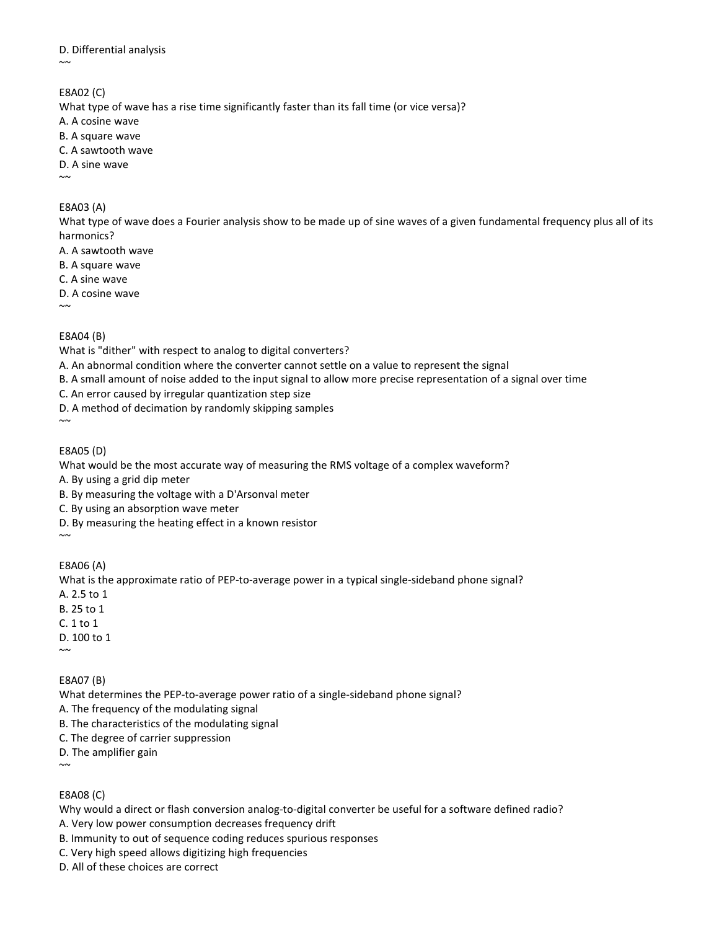D. Differential analysis

 $~\sim~$ 

#### E8A02 (C)

What type of wave has a rise time significantly faster than its fall time (or vice versa)?

- A. A cosine wave
- B. A square wave
- C. A sawtooth wave
- D. A sine wave

 $\sim$ 

E8A03 (A)

What type of wave does a Fourier analysis show to be made up of sine waves of a given fundamental frequency plus all of its harmonics?

- A. A sawtooth wave
- B. A square wave
- C. A sine wave
- D. A cosine wave

 $\sim$ 

# E8A04 (B)

What is "dither" with respect to analog to digital converters?

- A. An abnormal condition where the converter cannot settle on a value to represent the signal
- B. A small amount of noise added to the input signal to allow more precise representation of a signal over time
- C. An error caused by irregular quantization step size
- D. A method of decimation by randomly skipping samples

 $~\sim~$ 

E8A05 (D)

What would be the most accurate way of measuring the RMS voltage of a complex waveform?

A. By using a grid dip meter

- B. By measuring the voltage with a D'Arsonval meter
- C. By using an absorption wave meter
- D. By measuring the heating effect in a known resistor  $\sim$

E8A06 (A) What is the approximate ratio of PEP-to-average power in a typical single-sideband phone signal? A. 2.5 to 1 B. 25 to 1 C. 1 to 1 D. 100 to 1  $~\sim~$ 

E8A07 (B)

What determines the PEP-to-average power ratio of a single-sideband phone signal?

A. The frequency of the modulating signal

- B. The characteristics of the modulating signal
- C. The degree of carrier suppression

D. The amplifier gain

 $\sim$ 

E8A08 (C)

Why would a direct or flash conversion analog-to-digital converter be useful for a software defined radio?

- A. Very low power consumption decreases frequency drift
- B. Immunity to out of sequence coding reduces spurious responses
- C. Very high speed allows digitizing high frequencies

D. All of these choices are correct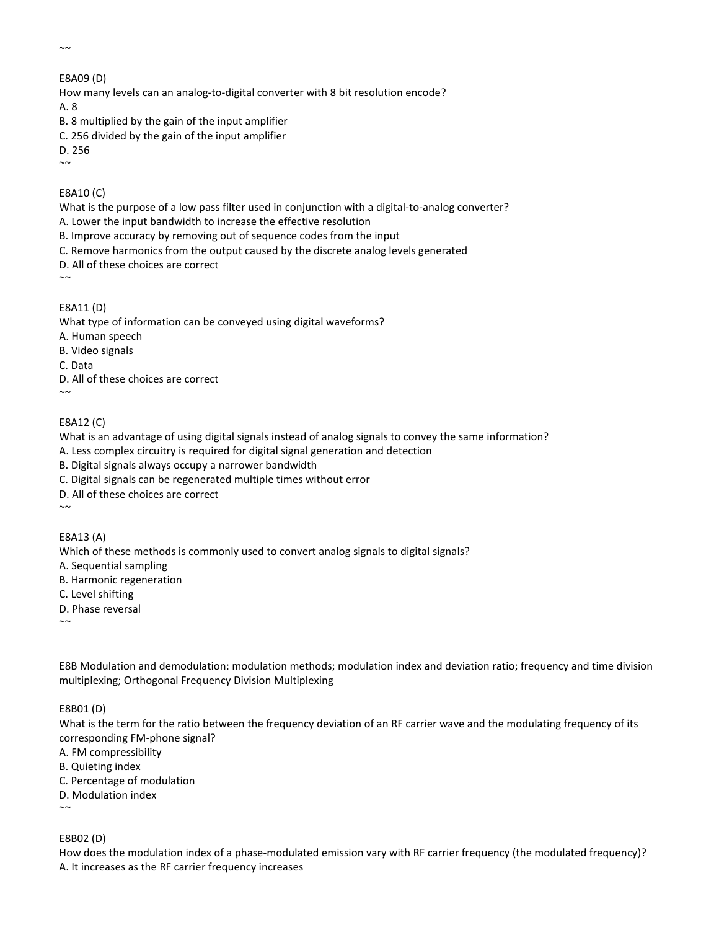$~\sim~$ 

# E8A09 (D)

How many levels can an analog-to-digital converter with 8 bit resolution encode?

A. 8

- B. 8 multiplied by the gain of the input amplifier
- C. 256 divided by the gain of the input amplifier
- D. 256

 $~\sim~$ 

# E8A10 (C)

What is the purpose of a low pass filter used in conjunction with a digital-to-analog converter?

A. Lower the input bandwidth to increase the effective resolution

- B. Improve accuracy by removing out of sequence codes from the input
- C. Remove harmonics from the output caused by the discrete analog levels generated

D. All of these choices are correct

 $\sim$ 

E8A11 (D)

What type of information can be conveyed using digital waveforms?

A. Human speech

B. Video signals

C. Data

 $~\sim~$ 

D. All of these choices are correct

# E8A12 (C)

What is an advantage of using digital signals instead of analog signals to convey the same information?

A. Less complex circuitry is required for digital signal generation and detection

- B. Digital signals always occupy a narrower bandwidth
- C. Digital signals can be regenerated multiple times without error
- D. All of these choices are correct

 $\sim$ 

E8A13 (A)

Which of these methods is commonly used to convert analog signals to digital signals?

A. Sequential sampling

- B. Harmonic regeneration
- C. Level shifting
- D. Phase reversal

 $~\sim~$ 

E8B Modulation and demodulation: modulation methods; modulation index and deviation ratio; frequency and time division multiplexing; Orthogonal Frequency Division Multiplexing

# E8B01 (D)

What is the term for the ratio between the frequency deviation of an RF carrier wave and the modulating frequency of its corresponding FM-phone signal?

- A. FM compressibility
- B. Quieting index
- C. Percentage of modulation
- D. Modulation index

 $~\sim~$ 

E8B02 (D)

How does the modulation index of a phase-modulated emission vary with RF carrier frequency (the modulated frequency)? A. It increases as the RF carrier frequency increases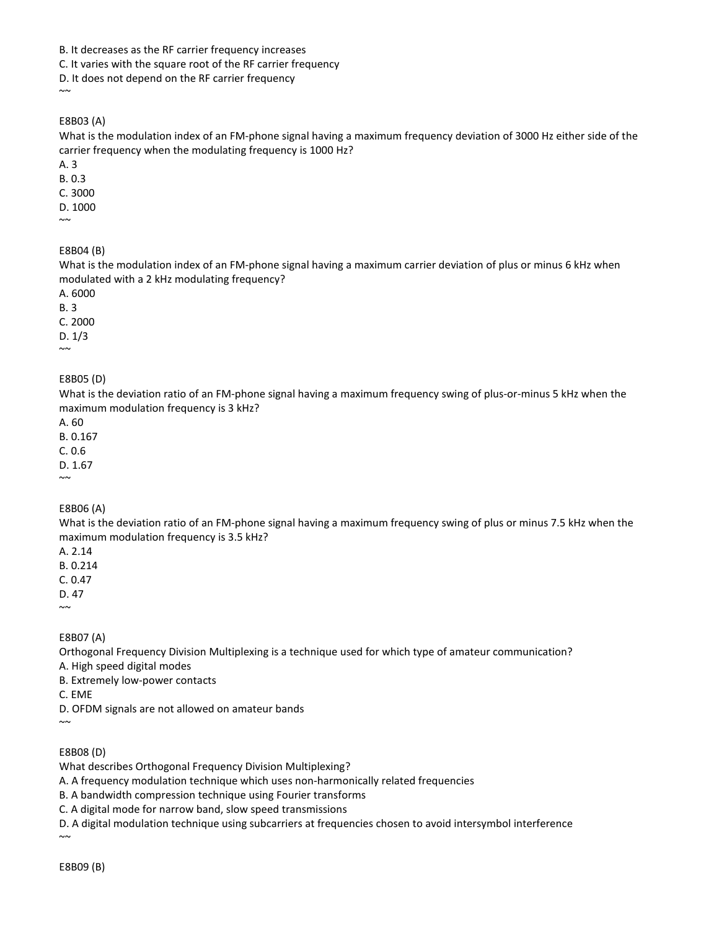B. It decreases as the RF carrier frequency increases

C. It varies with the square root of the RF carrier frequency

D. It does not depend on the RF carrier frequency

 $\sim$ 

E8B03 (A)

What is the modulation index of an FM-phone signal having a maximum frequency deviation of 3000 Hz either side of the carrier frequency when the modulating frequency is 1000 Hz?

A. 3

B. 0.3

C. 3000

D. 1000

 $\sim$ 

E8B04 (B)

What is the modulation index of an FM-phone signal having a maximum carrier deviation of plus or minus 6 kHz when modulated with a 2 kHz modulating frequency?

A. 6000

B. 3

C. 2000

D. 1/3

 $\sim$ 

E8B05 (D)

What is the deviation ratio of an FM-phone signal having a maximum frequency swing of plus-or-minus 5 kHz when the maximum modulation frequency is 3 kHz?

A. 60

B. 0.167 C. 0.6

D. 1.67

 $\sim$ 

E8B06 (A)

What is the deviation ratio of an FM-phone signal having a maximum frequency swing of plus or minus 7.5 kHz when the maximum modulation frequency is 3.5 kHz?

A. 2.14

B. 0.214 C. 0.47

D. 47

 $\sim$ 

E8B07 (A)

Orthogonal Frequency Division Multiplexing is a technique used for which type of amateur communication?

A. High speed digital modes

B. Extremely low-power contacts

C. EME

D. OFDM signals are not allowed on amateur bands

 $\sim$ 

 $\sim$ 

E8B08 (D)

What describes Orthogonal Frequency Division Multiplexing?

A. A frequency modulation technique which uses non-harmonically related frequencies

B. A bandwidth compression technique using Fourier transforms

C. A digital mode for narrow band, slow speed transmissions

D. A digital modulation technique using subcarriers at frequencies chosen to avoid intersymbol interference

E8B09 (B)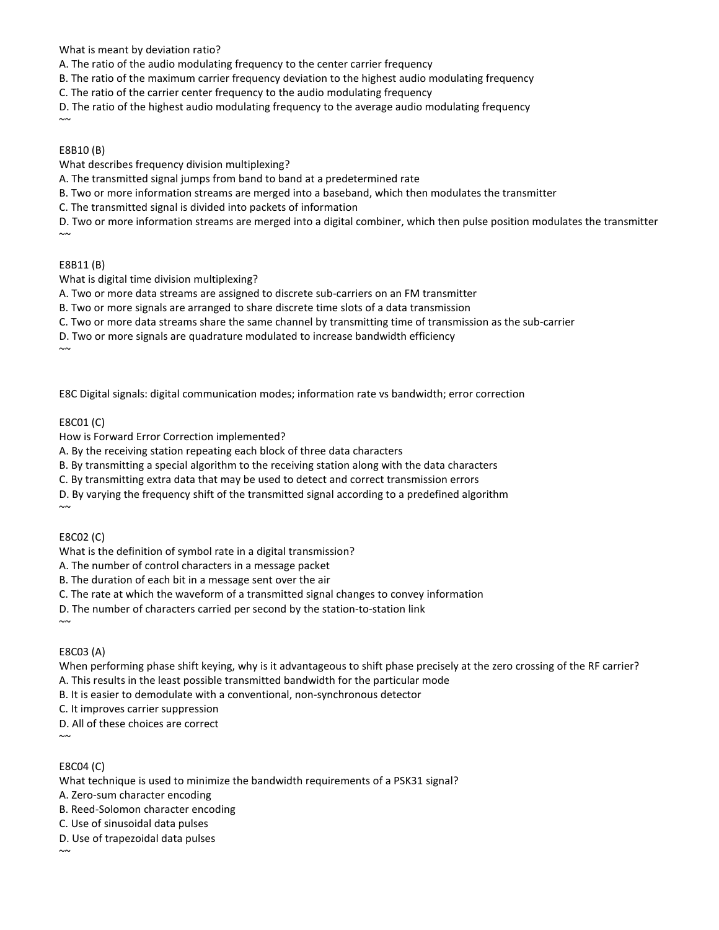What is meant by deviation ratio?

A. The ratio of the audio modulating frequency to the center carrier frequency

B. The ratio of the maximum carrier frequency deviation to the highest audio modulating frequency

C. The ratio of the carrier center frequency to the audio modulating frequency

D. The ratio of the highest audio modulating frequency to the average audio modulating frequency  $~\sim~$ 

#### E8B10 (B)

What describes frequency division multiplexing?

A. The transmitted signal jumps from band to band at a predetermined rate

B. Two or more information streams are merged into a baseband, which then modulates the transmitter

C. The transmitted signal is divided into packets of information

D. Two or more information streams are merged into a digital combiner, which then pulse position modulates the transmitter  $\sim$ 

#### E8B11 (B)

What is digital time division multiplexing?

A. Two or more data streams are assigned to discrete sub-carriers on an FM transmitter

B. Two or more signals are arranged to share discrete time slots of a data transmission

C. Two or more data streams share the same channel by transmitting time of transmission as the sub-carrier

D. Two or more signals are quadrature modulated to increase bandwidth efficiency

 $\sim$ 

E8C Digital signals: digital communication modes; information rate vs bandwidth; error correction

#### E8C01 (C)

How is Forward Error Correction implemented?

A. By the receiving station repeating each block of three data characters

B. By transmitting a special algorithm to the receiving station along with the data characters

C. By transmitting extra data that may be used to detect and correct transmission errors

D. By varying the frequency shift of the transmitted signal according to a predefined algorithm

E8C02 (C)

 $\sim$ 

 $\sim$ 

What is the definition of symbol rate in a digital transmission?

A. The number of control characters in a message packet

B. The duration of each bit in a message sent over the air

C. The rate at which the waveform of a transmitted signal changes to convey information

D. The number of characters carried per second by the station-to-station link

#### E8C03 (A)

When performing phase shift keying, why is it advantageous to shift phase precisely at the zero crossing of the RF carrier?

A. This results in the least possible transmitted bandwidth for the particular mode

B. It is easier to demodulate with a conventional, non-synchronous detector

C. It improves carrier suppression

D. All of these choices are correct

# E8C04 (C)

 $\sim$ 

 $~\sim~$ 

What technique is used to minimize the bandwidth requirements of a PSK31 signal?

A. Zero-sum character encoding

B. Reed-Solomon character encoding

C. Use of sinusoidal data pulses

D. Use of trapezoidal data pulses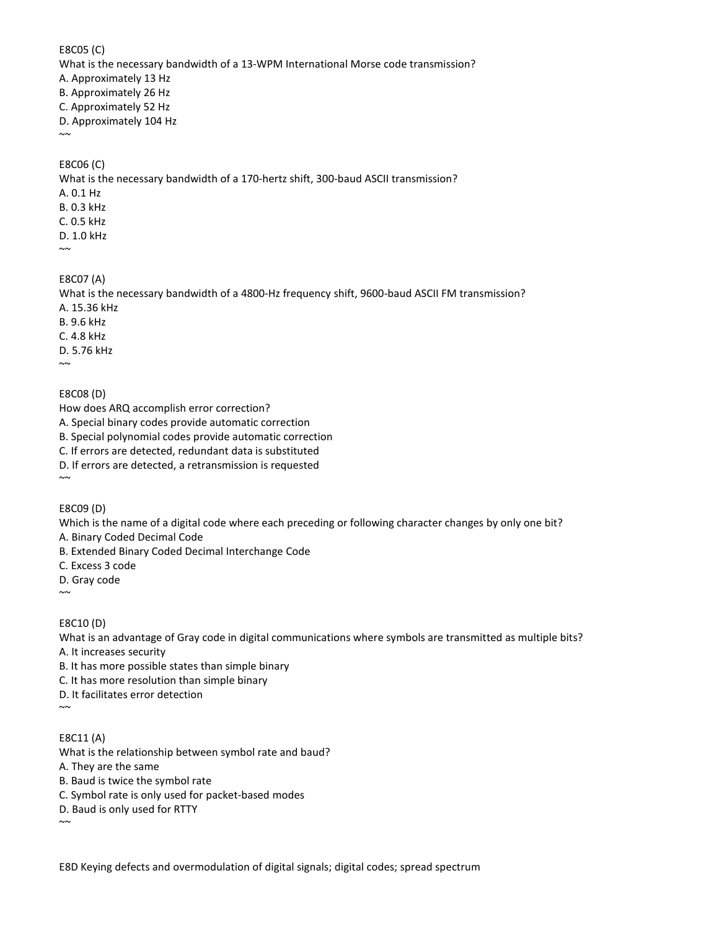E8C05 (C) What is the necessary bandwidth of a 13-WPM International Morse code transmission? A. Approximately 13 Hz B. Approximately 26 Hz C. Approximately 52 Hz D. Approximately 104 Hz

 $~\sim~$ 

#### E8C06 (C)

What is the necessary bandwidth of a 170-hertz shift, 300-baud ASCII transmission? A. 0.1 Hz B. 0.3 kHz C. 0.5 kHz D. 1.0 kHz  $\sim$ 

E8C07 (A)

What is the necessary bandwidth of a 4800-Hz frequency shift, 9600-baud ASCII FM transmission? A. 15.36 kHz B. 9.6 kHz C. 4.8 kHz D. 5.76 kHz  $\sim$ 

#### E8C08 (D)

How does ARQ accomplish error correction?

A. Special binary codes provide automatic correction

B. Special polynomial codes provide automatic correction

- C. If errors are detected, redundant data is substituted
- D. If errors are detected, a retransmission is requested

 $\sim$ 

E8C09 (D)

Which is the name of a digital code where each preceding or following character changes by only one bit?

A. Binary Coded Decimal Code

B. Extended Binary Coded Decimal Interchange Code

C. Excess 3 code

D. Gray code  $\sim$ 

E8C10 (D)

What is an advantage of Gray code in digital communications where symbols are transmitted as multiple bits? A. It increases security

B. It has more possible states than simple binary

C. It has more resolution than simple binary

D. It facilitates error detection

 $\sim$ 

 $\sim\!\sim$ 

E8C11 (A)

What is the relationship between symbol rate and baud?

A. They are the same

- B. Baud is twice the symbol rate
- C. Symbol rate is only used for packet-based modes
- D. Baud is only used for RTTY

E8D Keying defects and overmodulation of digital signals; digital codes; spread spectrum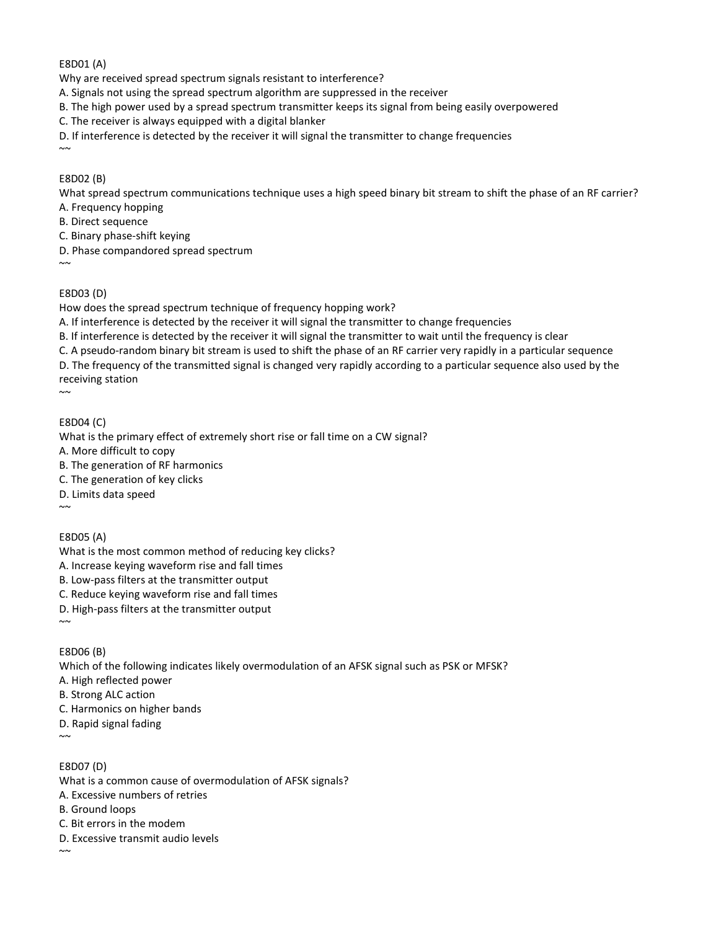E8D01 (A)

Why are received spread spectrum signals resistant to interference?

A. Signals not using the spread spectrum algorithm are suppressed in the receiver

B. The high power used by a spread spectrum transmitter keeps its signal from being easily overpowered

C. The receiver is always equipped with a digital blanker

D. If interference is detected by the receiver it will signal the transmitter to change frequencies

#### E8D02 (B)

 $\sim$ 

What spread spectrum communications technique uses a high speed binary bit stream to shift the phase of an RF carrier?

- A. Frequency hopping
- B. Direct sequence

C. Binary phase-shift keying

D. Phase compandored spread spectrum

#### $\sim$

#### E8D03 (D)

How does the spread spectrum technique of frequency hopping work?

A. If interference is detected by the receiver it will signal the transmitter to change frequencies

B. If interference is detected by the receiver it will signal the transmitter to wait until the frequency is clear

C. A pseudo-random binary bit stream is used to shift the phase of an RF carrier very rapidly in a particular sequence

D. The frequency of the transmitted signal is changed very rapidly according to a particular sequence also used by the receiving station

 $\sim$ 

E8D04 (C)

What is the primary effect of extremely short rise or fall time on a CW signal?

- A. More difficult to copy
- B. The generation of RF harmonics
- C. The generation of key clicks
- D. Limits data speed

 $\sim$ 

# E8D05 (A)

What is the most common method of reducing key clicks?

- A. Increase keying waveform rise and fall times
- B. Low-pass filters at the transmitter output
- C. Reduce keying waveform rise and fall times
- D. High-pass filters at the transmitter output

E8D06 (B)

Which of the following indicates likely overmodulation of an AFSK signal such as PSK or MFSK?

- A. High reflected power
- B. Strong ALC action
- C. Harmonics on higher bands
- D. Rapid signal fading

 $\sim$ 

 $\sim$ 

E8D07 (D) What is a common cause of overmodulation of AFSK signals? A. Excessive numbers of retries B. Ground loops

C. Bit errors in the modem

D. Excessive transmit audio levels

 $~\sim~$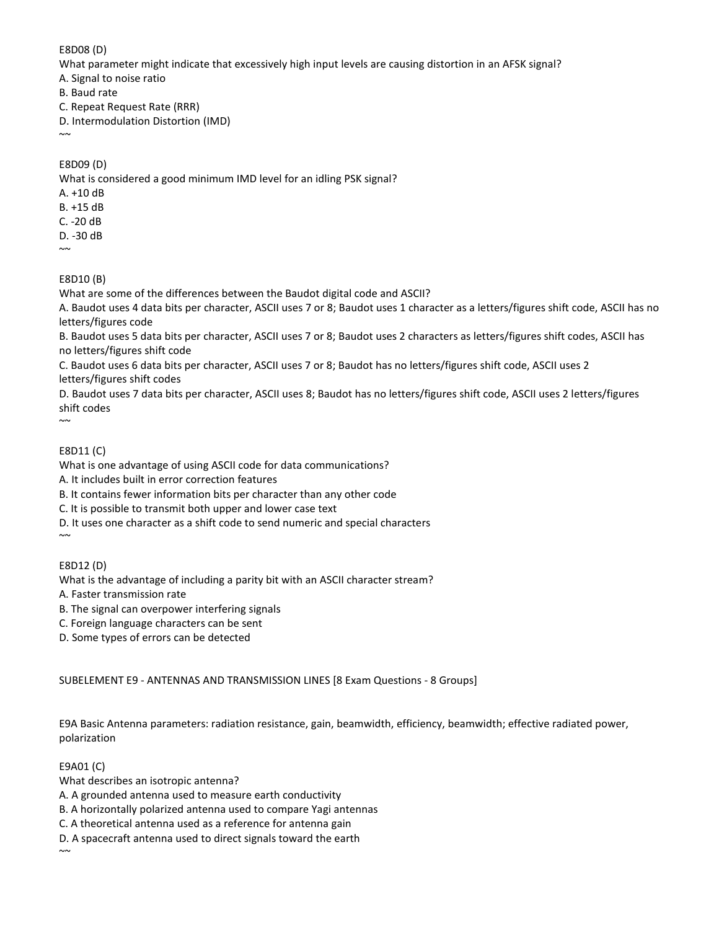### E8D08 (D)

What parameter might indicate that excessively high input levels are causing distortion in an AFSK signal?

A. Signal to noise ratio

B. Baud rate

C. Repeat Request Rate (RRR)

D. Intermodulation Distortion (IMD)

 $\sim$ 

# E8D09 (D)

What is considered a good minimum IMD level for an idling PSK signal?

- A. +10 dB
- B. +15 dB
- C. -20 dB
- D. -30 dB  $\sim$

# E8D10 (B)

What are some of the differences between the Baudot digital code and ASCII?

A. Baudot uses 4 data bits per character, ASCII uses 7 or 8; Baudot uses 1 character as a letters/figures shift code, ASCII has no letters/figures code

B. Baudot uses 5 data bits per character, ASCII uses 7 or 8; Baudot uses 2 characters as letters/figures shift codes, ASCII has no letters/figures shift code

C. Baudot uses 6 data bits per character, ASCII uses 7 or 8; Baudot has no letters/figures shift code, ASCII uses 2 letters/figures shift codes

D. Baudot uses 7 data bits per character, ASCII uses 8; Baudot has no letters/figures shift code, ASCII uses 2 letters/figures shift codes

# $\sim$

# E8D11 (C)

What is one advantage of using ASCII code for data communications?

A. It includes built in error correction features

B. It contains fewer information bits per character than any other code

C. It is possible to transmit both upper and lower case text

D. It uses one character as a shift code to send numeric and special characters

E8D12 (D)

 $\sim$ 

What is the advantage of including a parity bit with an ASCII character stream?

A. Faster transmission rate

B. The signal can overpower interfering signals

C. Foreign language characters can be sent

D. Some types of errors can be detected

SUBELEMENT E9 - ANTENNAS AND TRANSMISSION LINES [8 Exam Questions - 8 Groups]

E9A Basic Antenna parameters: radiation resistance, gain, beamwidth, efficiency, beamwidth; effective radiated power, polarization

# E9A01 (C)

What describes an isotropic antenna?

A. A grounded antenna used to measure earth conductivity

B. A horizontally polarized antenna used to compare Yagi antennas

C. A theoretical antenna used as a reference for antenna gain

D. A spacecraft antenna used to direct signals toward the earth

 $~\sim~$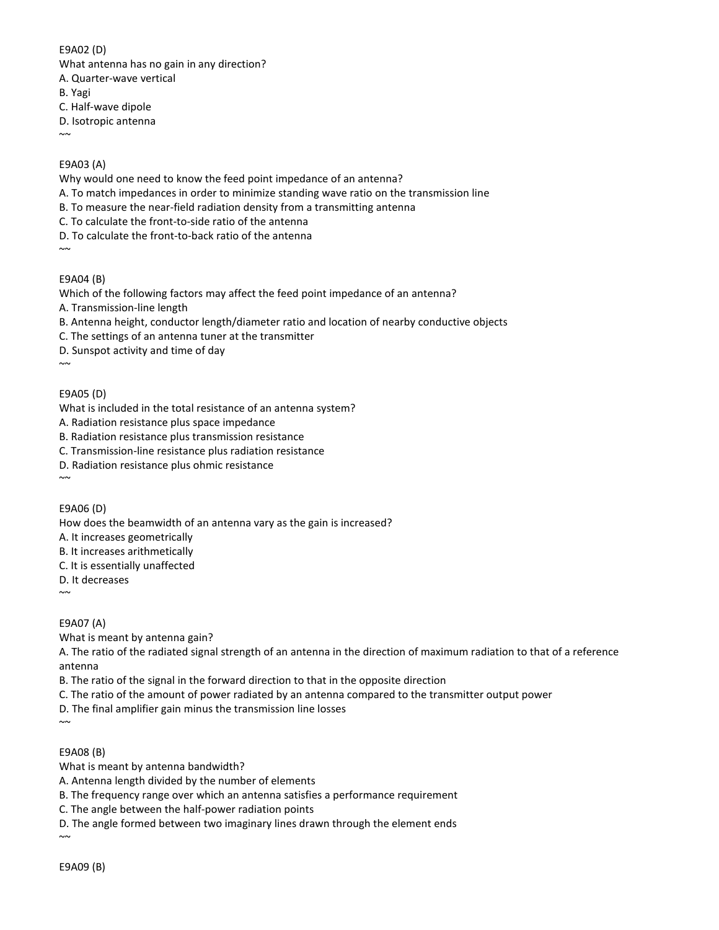#### E9A02 (D) What antenna has no gain in any direction?

A. Quarter-wave vertical

- B. Yagi
- C. Half-wave dipole

D. Isotropic antenna

 $~\sim~$ 

# E9A03 (A)

Why would one need to know the feed point impedance of an antenna?

- A. To match impedances in order to minimize standing wave ratio on the transmission line
- B. To measure the near-field radiation density from a transmitting antenna
- C. To calculate the front-to-side ratio of the antenna
- D. To calculate the front-to-back ratio of the antenna
- $\sim$

# E9A04 (B)

Which of the following factors may affect the feed point impedance of an antenna?

- A. Transmission-line length
- B. Antenna height, conductor length/diameter ratio and location of nearby conductive objects

C. The settings of an antenna tuner at the transmitter

- D. Sunspot activity and time of day
- $\sim$

# E9A05 (D)

What is included in the total resistance of an antenna system?

A. Radiation resistance plus space impedance

B. Radiation resistance plus transmission resistance

C. Transmission-line resistance plus radiation resistance

D. Radiation resistance plus ohmic resistance

 $\sim$ 

# E9A06 (D)

How does the beamwidth of an antenna vary as the gain is increased?

A. It increases geometrically

B. It increases arithmetically

- C. It is essentially unaffected
- D. It decreases

# E9A07 (A)

 $\sim$ 

What is meant by antenna gain?

A. The ratio of the radiated signal strength of an antenna in the direction of maximum radiation to that of a reference antenna

B. The ratio of the signal in the forward direction to that in the opposite direction

C. The ratio of the amount of power radiated by an antenna compared to the transmitter output power

D. The final amplifier gain minus the transmission line losses

 $\sim$ 

 $\sim$ 

# E9A08 (B)

What is meant by antenna bandwidth?

A. Antenna length divided by the number of elements

B. The frequency range over which an antenna satisfies a performance requirement

C. The angle between the half-power radiation points

D. The angle formed between two imaginary lines drawn through the element ends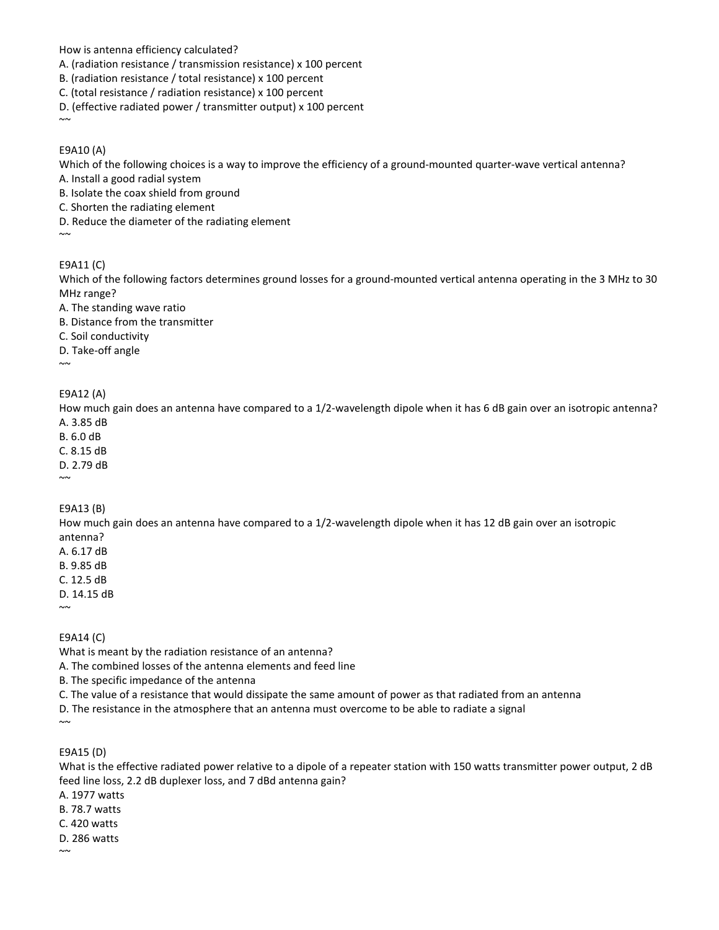How is antenna efficiency calculated?

- A. (radiation resistance / transmission resistance) x 100 percent
- B. (radiation resistance / total resistance) x 100 percent
- C. (total resistance / radiation resistance) x 100 percent
- D. (effective radiated power / transmitter output) x 100 percent

#### E9A10 (A)

 $~\sim~$ 

- Which of the following choices is a way to improve the efficiency of a ground-mounted quarter-wave vertical antenna?
- A. Install a good radial system
- B. Isolate the coax shield from ground
- C. Shorten the radiating element
- D. Reduce the diameter of the radiating element

#### E9A11 (C)

 $\sim$ 

Which of the following factors determines ground losses for a ground-mounted vertical antenna operating in the 3 MHz to 30 MHz range?

- A. The standing wave ratio
- B. Distance from the transmitter
- C. Soil conductivity
- D. Take-off angle

 $\sim\!\sim$ 

#### E9A12 (A)

How much gain does an antenna have compared to a 1/2-wavelength dipole when it has 6 dB gain over an isotropic antenna? A. 3.85 dB

#### B. 6.0 dB

#### C. 8.15 dB

#### D. 2.79 dB

#### $\sim$

E9A13 (B)

How much gain does an antenna have compared to a 1/2-wavelength dipole when it has 12 dB gain over an isotropic antenna?

- A. 6.17 dB
- B. 9.85 dB
- C. 12.5 dB
- D. 14.15 dB

 $\sim$ 

E9A14 (C)

What is meant by the radiation resistance of an antenna?

A. The combined losses of the antenna elements and feed line

B. The specific impedance of the antenna

C. The value of a resistance that would dissipate the same amount of power as that radiated from an antenna

D. The resistance in the atmosphere that an antenna must overcome to be able to radiate a signal

 $\sim$ 

### E9A15 (D)

What is the effective radiated power relative to a dipole of a repeater station with 150 watts transmitter power output, 2 dB feed line loss, 2.2 dB duplexer loss, and 7 dBd antenna gain?

A. 1977 watts

- B. 78.7 watts
- C. 420 watts
- D. 286 watts  $~\sim~$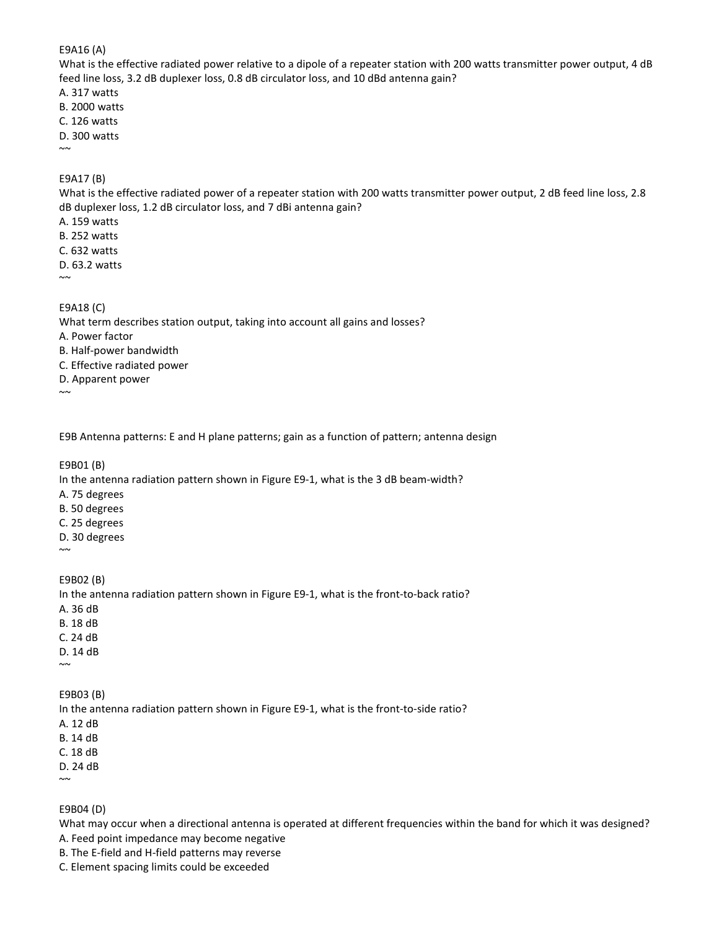#### E9A16 (A)

What is the effective radiated power relative to a dipole of a repeater station with 200 watts transmitter power output, 4 dB feed line loss, 3.2 dB duplexer loss, 0.8 dB circulator loss, and 10 dBd antenna gain?

A. 317 watts

B. 2000 watts

C. 126 watts

D. 300 watts

 $\sim$ 

#### E9A17 (B)

What is the effective radiated power of a repeater station with 200 watts transmitter power output, 2 dB feed line loss, 2.8 dB duplexer loss, 1.2 dB circulator loss, and 7 dBi antenna gain?

A. 159 watts

B. 252 watts

C. 632 watts

D. 63.2 watts

 $\sim$ 

E9A18 (C)

What term describes station output, taking into account all gains and losses?

A. Power factor

B. Half-power bandwidth

C. Effective radiated power

D. Apparent power

 $~\sim~$ 

E9B Antenna patterns: E and H plane patterns; gain as a function of pattern; antenna design

E9B01 (B)

In the antenna radiation pattern shown in Figure E9-1, what is the 3 dB beam-width?

A. 75 degrees

B. 50 degrees

C. 25 degrees

D. 30 degrees

 $\sim$ 

E9B02 (B)

In the antenna radiation pattern shown in Figure E9-1, what is the front-to-back ratio?

A. 36 dB

B. 18 dB

C. 24 dB

D. 14 dB

 $\sim$ 

E9B03 (B)

In the antenna radiation pattern shown in Figure E9-1, what is the front-to-side ratio?

A. 12 dB

B. 14 dB

C. 18 dB

D. 24 dB  $\sim$ 

E9B04 (D)

What may occur when a directional antenna is operated at different frequencies within the band for which it was designed?

A. Feed point impedance may become negative

B. The E-field and H-field patterns may reverse

C. Element spacing limits could be exceeded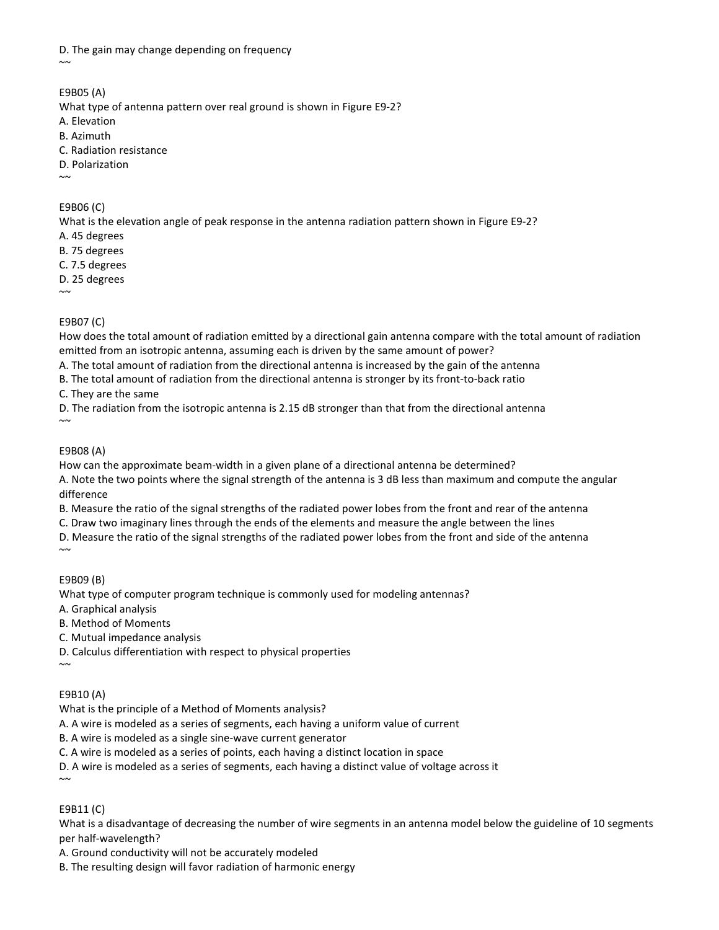D. The gain may change depending on frequency

 $\sim$ 

E9B05 (A) What type of antenna pattern over real ground is shown in Figure E9-2? A. Elevation B. Azimuth C. Radiation resistance

D. Polarization

 $\sim$ 

E9B06 (C)

What is the elevation angle of peak response in the antenna radiation pattern shown in Figure E9-2?

A. 45 degrees

B. 75 degrees

C. 7.5 degrees

D. 25 degrees

 $\sim$ 

# E9B07 (C)

How does the total amount of radiation emitted by a directional gain antenna compare with the total amount of radiation emitted from an isotropic antenna, assuming each is driven by the same amount of power?

A. The total amount of radiation from the directional antenna is increased by the gain of the antenna

B. The total amount of radiation from the directional antenna is stronger by its front-to-back ratio

C. They are the same

D. The radiation from the isotropic antenna is 2.15 dB stronger than that from the directional antenna

# E9B08 (A)

 $~\sim~$ 

How can the approximate beam-width in a given plane of a directional antenna be determined? A. Note the two points where the signal strength of the antenna is 3 dB less than maximum and compute the angular difference

B. Measure the ratio of the signal strengths of the radiated power lobes from the front and rear of the antenna

C. Draw two imaginary lines through the ends of the elements and measure the angle between the lines

D. Measure the ratio of the signal strengths of the radiated power lobes from the front and side of the antenna  $~\sim~$ 

E9B09 (B)

What type of computer program technique is commonly used for modeling antennas?

A. Graphical analysis

B. Method of Moments

C. Mutual impedance analysis

D. Calculus differentiation with respect to physical properties

 $\sim$ 

E9B10 (A)

What is the principle of a Method of Moments analysis?

A. A wire is modeled as a series of segments, each having a uniform value of current

B. A wire is modeled as a single sine-wave current generator

C. A wire is modeled as a series of points, each having a distinct location in space

D. A wire is modeled as a series of segments, each having a distinct value of voltage across it

#### E9B11 (C)

 $\sim$ 

What is a disadvantage of decreasing the number of wire segments in an antenna model below the guideline of 10 segments per half-wavelength?

A. Ground conductivity will not be accurately modeled

B. The resulting design will favor radiation of harmonic energy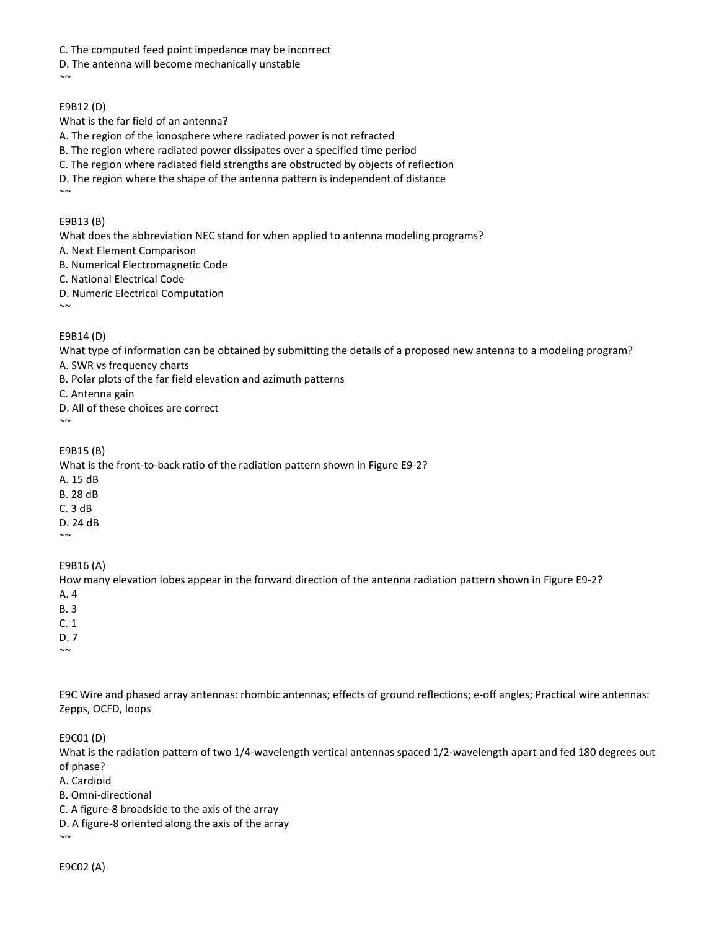C. The computed feed point impedance may be incorrect

D. The antenna will become mechanically unstable

E9B12 (D)

 $~\sim~$ 

What is the far field of an antenna?

A. The region of the ionosphere where radiated power is not refracted

B. The region where radiated power dissipates over a specified time period

C. The region where radiated field strengths are obstructed by objects of reflection

D. The region where the shape of the antenna pattern is independent of distance  $\sim$ 

E9B13 (B)

What does the abbreviation NEC stand for when applied to antenna modeling programs?

A. Next Element Comparison

B. Numerical Electromagnetic Code

C. National Electrical Code

D. Numeric Electrical Computation

 $\sim$ 

E9B14 (D)

What type of information can be obtained by submitting the details of a proposed new antenna to a modeling program? A. SWR vs frequency charts

B. Polar plots of the far field elevation and azimuth patterns

C. Antenna gain

D. All of these choices are correct

 $~\sim~$ 

E9B15 (B) What is the front-to-back ratio of the radiation pattern shown in Figure E9-2? A. 15 dB B. 28 dB C. 3 dB D. 24 dB  $\sim$ 

E9B16 (A)

How many elevation lobes appear in the forward direction of the antenna radiation pattern shown in Figure E9-2?

A. 4

B. 3

C. 1 D. 7

 $~\sim~$ 

E9C Wire and phased array antennas: rhombic antennas; effects of ground reflections; e-off angles; Practical wire antennas: Zepps, OCFD, loops

E9C01 (D)

What is the radiation pattern of two 1/4-wavelength vertical antennas spaced 1/2-wavelength apart and fed 180 degrees out of phase?

A. Cardioid

B. Omni-directional

C. A figure-8 broadside to the axis of the array

D. A figure-8 oriented along the axis of the array

E9C02 (A)

 $\sim$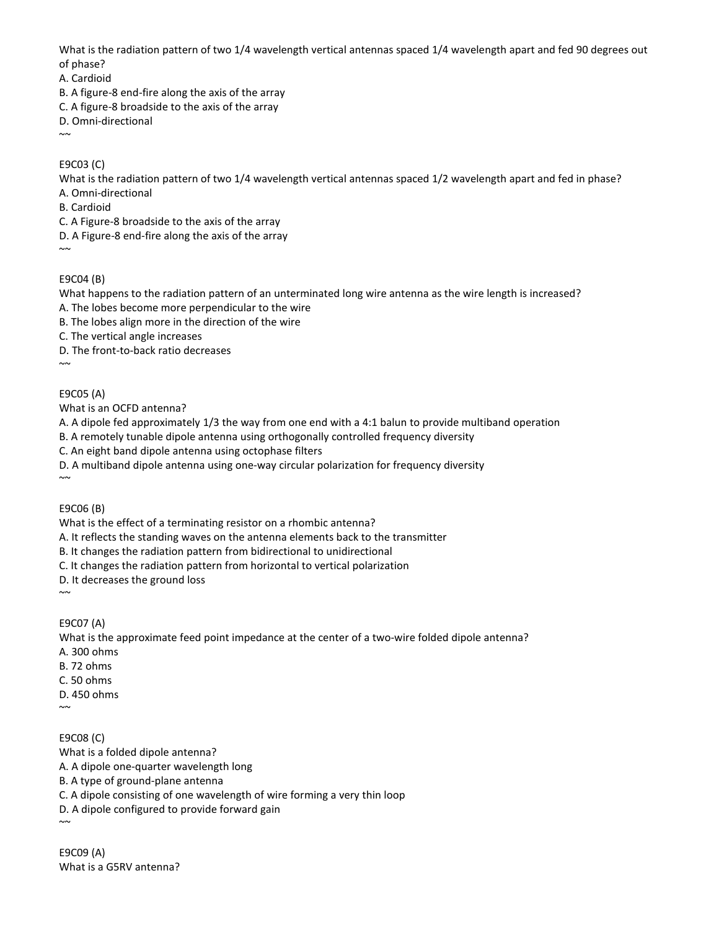What is the radiation pattern of two 1/4 wavelength vertical antennas spaced 1/4 wavelength apart and fed 90 degrees out of phase?

A. Cardioid

B. A figure-8 end-fire along the axis of the array

C. A figure-8 broadside to the axis of the array

D. Omni-directional

 $~\sim~$ 

E9C03 (C)

What is the radiation pattern of two 1/4 wavelength vertical antennas spaced 1/2 wavelength apart and fed in phase? A. Omni-directional

B. Cardioid

C. A Figure-8 broadside to the axis of the array

D. A Figure-8 end-fire along the axis of the array

 $\sim$ 

E9C04 (B)

What happens to the radiation pattern of an unterminated long wire antenna as the wire length is increased?

A. The lobes become more perpendicular to the wire

B. The lobes align more in the direction of the wire

C. The vertical angle increases

D. The front-to-back ratio decreases

 $\sim$ 

E9C05 (A)

What is an OCFD antenna?

A. A dipole fed approximately 1/3 the way from one end with a 4:1 balun to provide multiband operation

B. A remotely tunable dipole antenna using orthogonally controlled frequency diversity

C. An eight band dipole antenna using octophase filters

D. A multiband dipole antenna using one-way circular polarization for frequency diversity

 $\sim$ 

E9C06 (B)

What is the effect of a terminating resistor on a rhombic antenna?

A. It reflects the standing waves on the antenna elements back to the transmitter

B. It changes the radiation pattern from bidirectional to unidirectional

C. It changes the radiation pattern from horizontal to vertical polarization

D. It decreases the ground loss  $\sim$ 

E9C07 (A)

What is the approximate feed point impedance at the center of a two-wire folded dipole antenna?

A. 300 ohms

B. 72 ohms

C. 50 ohms

D. 450 ohms

 $\sim$ 

E9C08 (C)

What is a folded dipole antenna? A. A dipole one-quarter wavelength long B. A type of ground-plane antenna C. A dipole consisting of one wavelength of wire forming a very thin loop D. A dipole configured to provide forward gain  $\sim$ 

E9C09 (A) What is a G5RV antenna?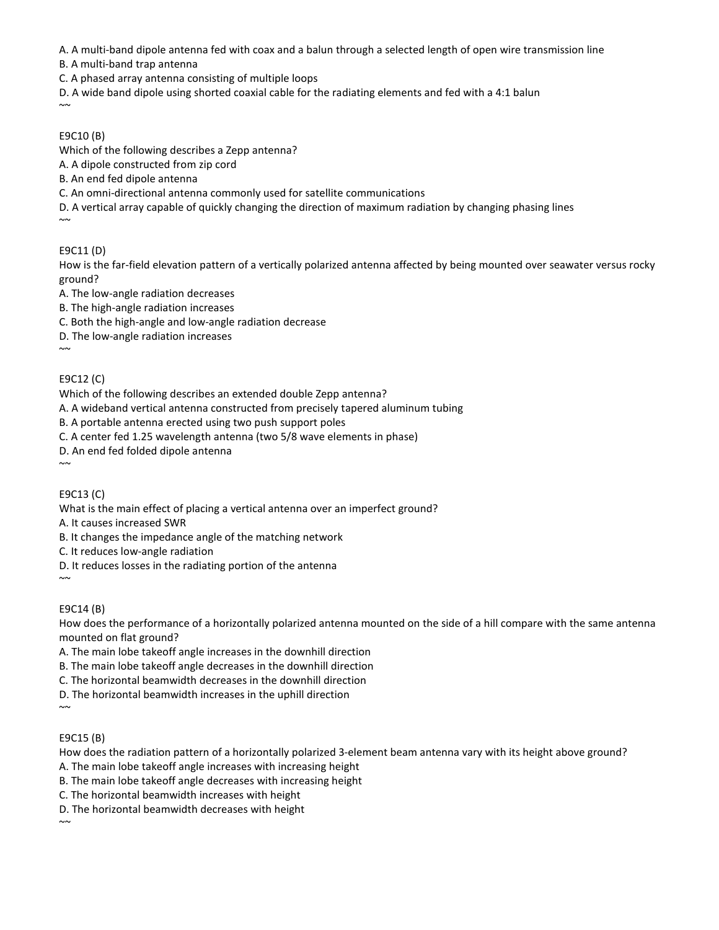A. A multi-band dipole antenna fed with coax and a balun through a selected length of open wire transmission line

B. A multi-band trap antenna

C. A phased array antenna consisting of multiple loops

D. A wide band dipole using shorted coaxial cable for the radiating elements and fed with a 4:1 balun

#### E9C10 (B)

 $\sim$ 

Which of the following describes a Zepp antenna?

A. A dipole constructed from zip cord

B. An end fed dipole antenna

C. An omni-directional antenna commonly used for satellite communications

D. A vertical array capable of quickly changing the direction of maximum radiation by changing phasing lines

 $\sim$ 

#### E9C11 (D)

How is the far-field elevation pattern of a vertically polarized antenna affected by being mounted over seawater versus rocky ground?

A. The low-angle radiation decreases

B. The high-angle radiation increases

C. Both the high-angle and low-angle radiation decrease

D. The low-angle radiation increases

# $\sim$

# E9C12 (C)

Which of the following describes an extended double Zepp antenna?

A. A wideband vertical antenna constructed from precisely tapered aluminum tubing

B. A portable antenna erected using two push support poles

C. A center fed 1.25 wavelength antenna (two 5/8 wave elements in phase)

D. An end fed folded dipole antenna

#### E9C13 (C)

 $~\sim~$ 

 $\sim$ 

What is the main effect of placing a vertical antenna over an imperfect ground?

A. It causes increased SWR

B. It changes the impedance angle of the matching network

C. It reduces low-angle radiation

D. It reduces losses in the radiating portion of the antenna

#### E9C14 (B)

How does the performance of a horizontally polarized antenna mounted on the side of a hill compare with the same antenna mounted on flat ground?

A. The main lobe takeoff angle increases in the downhill direction

B. The main lobe takeoff angle decreases in the downhill direction

C. The horizontal beamwidth decreases in the downhill direction

D. The horizontal beamwidth increases in the uphill direction

 $\sim$ 

E9C15 (B)

How does the radiation pattern of a horizontally polarized 3-element beam antenna vary with its height above ground?

A. The main lobe takeoff angle increases with increasing height

B. The main lobe takeoff angle decreases with increasing height

C. The horizontal beamwidth increases with height

D. The horizontal beamwidth decreases with height

 $~\sim~$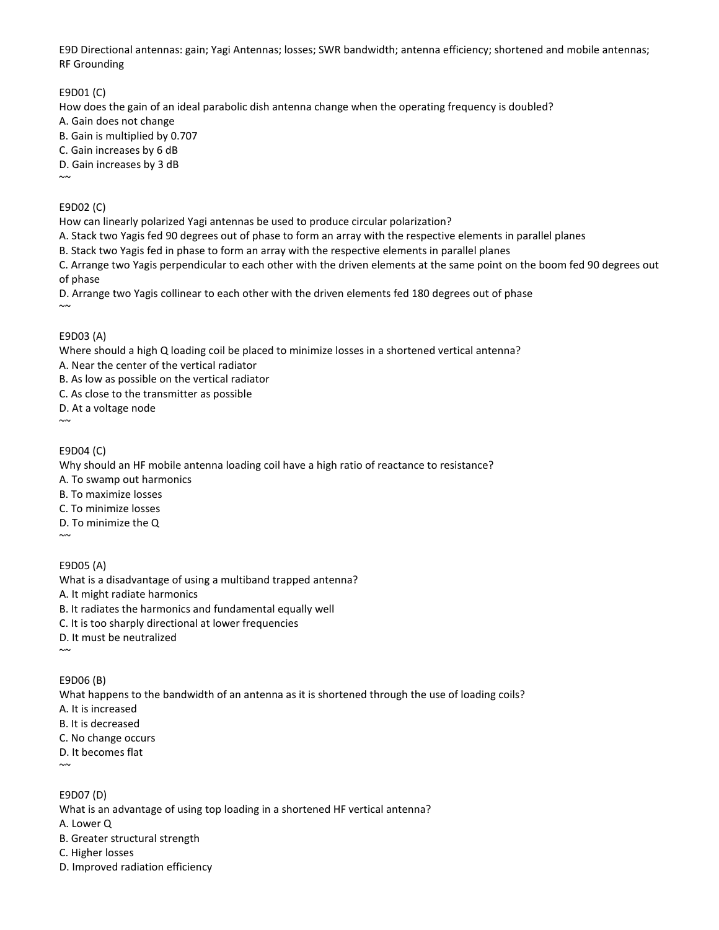E9D Directional antennas: gain; Yagi Antennas; losses; SWR bandwidth; antenna efficiency; shortened and mobile antennas; RF Grounding

# E9D01 (C)

How does the gain of an ideal parabolic dish antenna change when the operating frequency is doubled?

- A. Gain does not change
- B. Gain is multiplied by 0.707
- C. Gain increases by 6 dB
- D. Gain increases by 3 dB

 $\sim$ 

# E9D02 (C)

How can linearly polarized Yagi antennas be used to produce circular polarization?

- A. Stack two Yagis fed 90 degrees out of phase to form an array with the respective elements in parallel planes
- B. Stack two Yagis fed in phase to form an array with the respective elements in parallel planes

C. Arrange two Yagis perpendicular to each other with the driven elements at the same point on the boom fed 90 degrees out of phase

D. Arrange two Yagis collinear to each other with the driven elements fed 180 degrees out of phase  $\sim$ 

# E9D03 (A)

Where should a high Q loading coil be placed to minimize losses in a shortened vertical antenna?

- A. Near the center of the vertical radiator
- B. As low as possible on the vertical radiator
- C. As close to the transmitter as possible

D. At a voltage node

 $~\sim~$ 

# E9D04 (C)

Why should an HF mobile antenna loading coil have a high ratio of reactance to resistance?

A. To swamp out harmonics

- B. To maximize losses
- C. To minimize losses
- D. To minimize the Q

 $\sim$ 

#### E9D05 (A) What is a disadvantage of using a multiband trapped antenna? A. It might radiate harmonics B. It radiates the harmonics and fundamental equally well C. It is too sharply directional at lower frequencies

D. It must be neutralized

 $~\sim~$ 

E9D06 (B)

What happens to the bandwidth of an antenna as it is shortened through the use of loading coils?

- A. It is increased
- B. It is decreased

C. No change occurs

D. It becomes flat

 $\sim$ 

E9D07 (D)

What is an advantage of using top loading in a shortened HF vertical antenna?

A. Lower Q

B. Greater structural strength

C. Higher losses

D. Improved radiation efficiency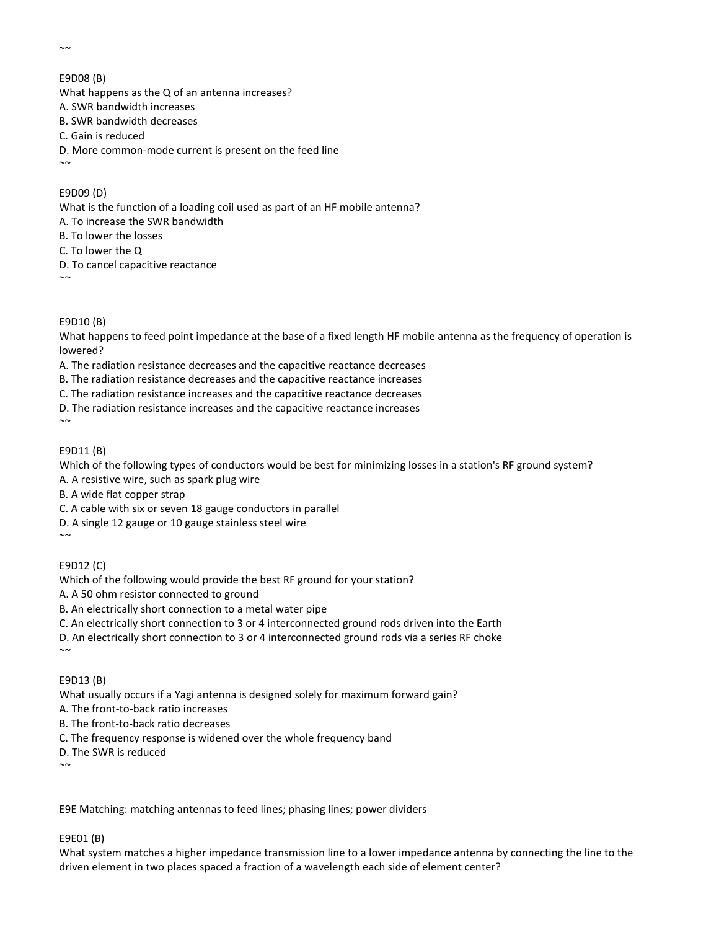$~\sim~$ 

#### E9D08 (B)

What happens as the Q of an antenna increases?

A. SWR bandwidth increases

- B. SWR bandwidth decreases
- C. Gain is reduced
- D. More common-mode current is present on the feed line

# E9D09 (D)

What is the function of a loading coil used as part of an HF mobile antenna?

A. To increase the SWR bandwidth

B. To lower the losses

C. To lower the Q

- D. To cancel capacitive reactance
- $\sim$

 $\sim$ 

# E9D10 (B)

What happens to feed point impedance at the base of a fixed length HF mobile antenna as the frequency of operation is lowered?

A. The radiation resistance decreases and the capacitive reactance decreases

B. The radiation resistance decreases and the capacitive reactance increases

C. The radiation resistance increases and the capacitive reactance decreases

D. The radiation resistance increases and the capacitive reactance increases

 $~\sim~$ 

 $\sim$ 

# E9D11 (B)

Which of the following types of conductors would be best for minimizing losses in a station's RF ground system? A. A resistive wire, such as spark plug wire

B. A wide flat copper strap

C. A cable with six or seven 18 gauge conductors in parallel

D. A single 12 gauge or 10 gauge stainless steel wire

# E9D12 (C)

Which of the following would provide the best RF ground for your station?

A. A 50 ohm resistor connected to ground

B. An electrically short connection to a metal water pipe

C. An electrically short connection to 3 or 4 interconnected ground rods driven into the Earth

D. An electrically short connection to 3 or 4 interconnected ground rods via a series RF choke

 $~\sim~$ 

E9D13 (B)

What usually occurs if a Yagi antenna is designed solely for maximum forward gain?

A. The front-to-back ratio increases

B. The front-to-back ratio decreases

C. The frequency response is widened over the whole frequency band

D. The SWR is reduced

 $\sim$ 

E9E Matching: matching antennas to feed lines; phasing lines; power dividers

E9E01 (B)

What system matches a higher impedance transmission line to a lower impedance antenna by connecting the line to the driven element in two places spaced a fraction of a wavelength each side of element center?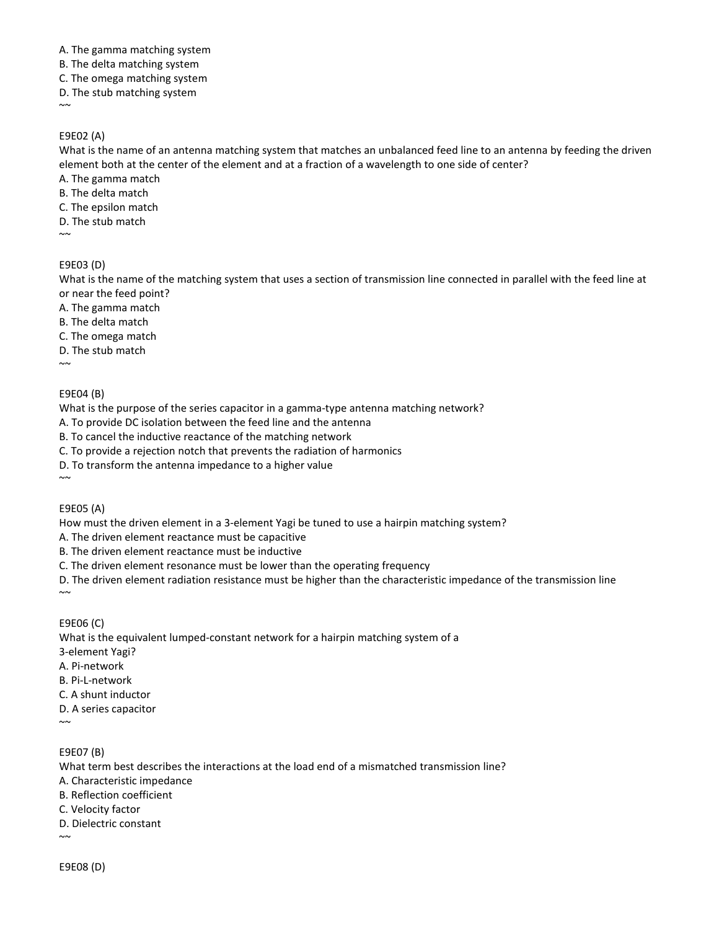- A. The gamma matching system
- B. The delta matching system
- C. The omega matching system
- D. The stub matching system
- $\sim$

## E9E02 (A)

What is the name of an antenna matching system that matches an unbalanced feed line to an antenna by feeding the driven element both at the center of the element and at a fraction of a wavelength to one side of center?

A. The gamma match

- B. The delta match
- C. The epsilon match
- D. The stub match

 $\sim$ 

# E9E03 (D)

What is the name of the matching system that uses a section of transmission line connected in parallel with the feed line at or near the feed point?

- A. The gamma match
- B. The delta match
- C. The omega match
- D. The stub match

 $\sim$ 

# E9E04 (B)

What is the purpose of the series capacitor in a gamma-type antenna matching network?

- A. To provide DC isolation between the feed line and the antenna
- B. To cancel the inductive reactance of the matching network

C. To provide a rejection notch that prevents the radiation of harmonics

D. To transform the antenna impedance to a higher value

 $\sim$ 

# E9E05 (A)

How must the driven element in a 3-element Yagi be tuned to use a hairpin matching system?

A. The driven element reactance must be capacitive

- B. The driven element reactance must be inductive
- C. The driven element resonance must be lower than the operating frequency

D. The driven element radiation resistance must be higher than the characteristic impedance of the transmission line  $\sim$ 

E9E06 (C)

What is the equivalent lumped-constant network for a hairpin matching system of a

3-element Yagi?

- A. Pi-network
- B. Pi-L-network
- C. A shunt inductor
- D. A series capacitor

 $\sim$ 

E9E07 (B)

What term best describes the interactions at the load end of a mismatched transmission line?

- A. Characteristic impedance
- B. Reflection coefficient
- C. Velocity factor
- D. Dielectric constant

E9E08 (D)

 $\sim$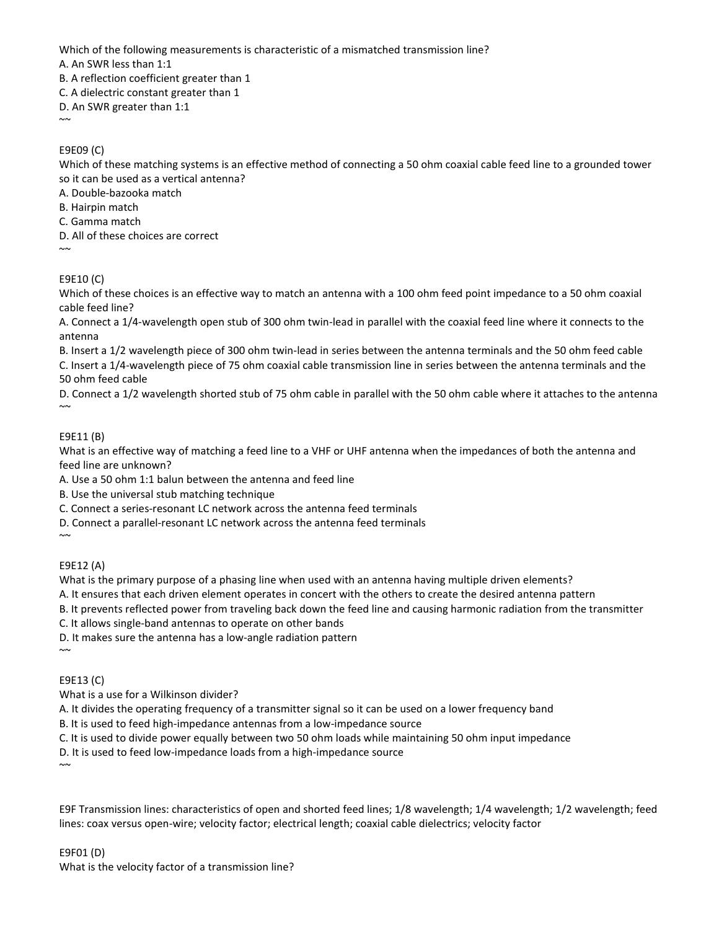Which of the following measurements is characteristic of a mismatched transmission line?

A. An SWR less than 1:1

B. A reflection coefficient greater than 1

C. A dielectric constant greater than 1

D. An SWR greater than 1:1  $~\sim~$ 

E9E09 (C)

Which of these matching systems is an effective method of connecting a 50 ohm coaxial cable feed line to a grounded tower so it can be used as a vertical antenna?

A. Double-bazooka match

B. Hairpin match

C. Gamma match

D. All of these choices are correct

 $\sim$ 

E9E10 (C)

Which of these choices is an effective way to match an antenna with a 100 ohm feed point impedance to a 50 ohm coaxial cable feed line?

A. Connect a 1/4-wavelength open stub of 300 ohm twin-lead in parallel with the coaxial feed line where it connects to the antenna

B. Insert a 1/2 wavelength piece of 300 ohm twin-lead in series between the antenna terminals and the 50 ohm feed cable

C. Insert a 1/4-wavelength piece of 75 ohm coaxial cable transmission line in series between the antenna terminals and the 50 ohm feed cable

D. Connect a 1/2 wavelength shorted stub of 75 ohm cable in parallel with the 50 ohm cable where it attaches to the antenna  $~\sim~$ 

# E9E11 (B)

What is an effective way of matching a feed line to a VHF or UHF antenna when the impedances of both the antenna and feed line are unknown?

A. Use a 50 ohm 1:1 balun between the antenna and feed line

B. Use the universal stub matching technique

C. Connect a series-resonant LC network across the antenna feed terminals

D. Connect a parallel-resonant LC network across the antenna feed terminals

E9E12 (A)

 $\sim$ 

What is the primary purpose of a phasing line when used with an antenna having multiple driven elements?

A. It ensures that each driven element operates in concert with the others to create the desired antenna pattern

B. It prevents reflected power from traveling back down the feed line and causing harmonic radiation from the transmitter

C. It allows single-band antennas to operate on other bands

D. It makes sure the antenna has a low-angle radiation pattern

 $~\sim~$ 

E9E13 (C)

What is a use for a Wilkinson divider?

A. It divides the operating frequency of a transmitter signal so it can be used on a lower frequency band

B. It is used to feed high-impedance antennas from a low-impedance source

C. It is used to divide power equally between two 50 ohm loads while maintaining 50 ohm input impedance

D. It is used to feed low-impedance loads from a high-impedance source

 $\sim$ 

E9F Transmission lines: characteristics of open and shorted feed lines; 1/8 wavelength; 1/4 wavelength; 1/2 wavelength; feed lines: coax versus open-wire; velocity factor; electrical length; coaxial cable dielectrics; velocity factor

E9F01 (D) What is the velocity factor of a transmission line?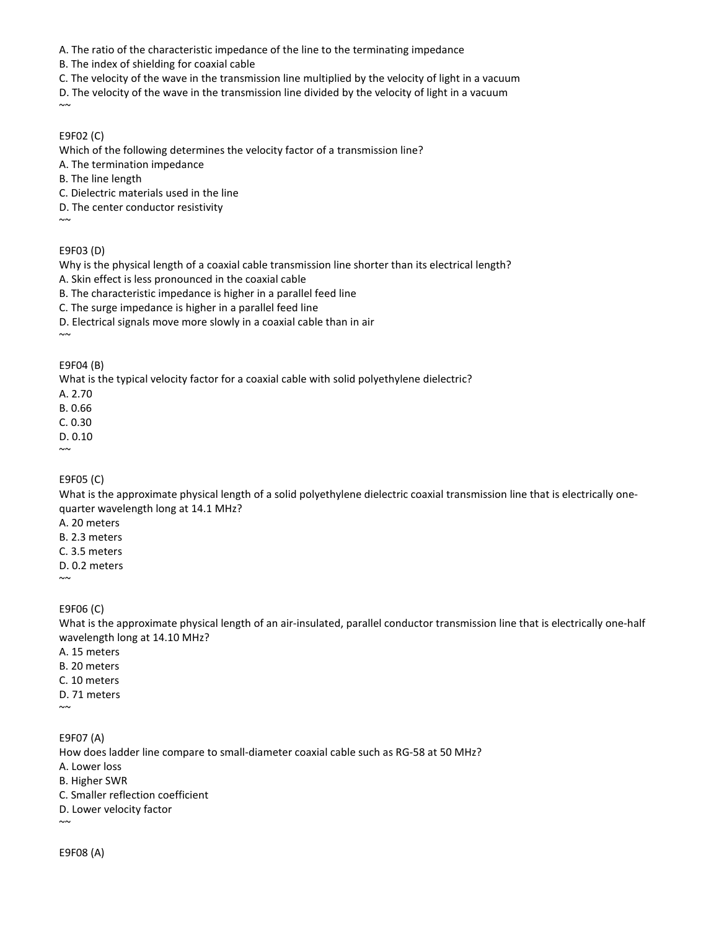A. The ratio of the characteristic impedance of the line to the terminating impedance

B. The index of shielding for coaxial cable

C. The velocity of the wave in the transmission line multiplied by the velocity of light in a vacuum

D. The velocity of the wave in the transmission line divided by the velocity of light in a vacuum

#### E9F02 (C)

Which of the following determines the velocity factor of a transmission line?

A. The termination impedance

B. The line length

C. Dielectric materials used in the line

D. The center conductor resistivity

 $\sim$ 

 $\sim$ 

E9F03 (D)

Why is the physical length of a coaxial cable transmission line shorter than its electrical length?

A. Skin effect is less pronounced in the coaxial cable

B. The characteristic impedance is higher in a parallel feed line

C. The surge impedance is higher in a parallel feed line

D. Electrical signals move more slowly in a coaxial cable than in air

 $\sim$ 

E9F04 (B)

What is the typical velocity factor for a coaxial cable with solid polyethylene dielectric?

A. 2.70

B. 0.66

C. 0.30 D. 0.10

 $\sim$ 

#### E9F05 (C)

What is the approximate physical length of a solid polyethylene dielectric coaxial transmission line that is electrically onequarter wavelength long at 14.1 MHz?

A. 20 meters

B. 2.3 meters

C. 3.5 meters

D. 0.2 meters  $\sim$ 

E9F06 (C)

What is the approximate physical length of an air-insulated, parallel conductor transmission line that is electrically one-half wavelength long at 14.10 MHz?

A. 15 meters

B. 20 meters

C. 10 meters

D. 71 meters

 $\sim$ 

E9F07 (A)

How does ladder line compare to small-diameter coaxial cable such as RG-58 at 50 MHz?

A. Lower loss

- B. Higher SWR
- C. Smaller reflection coefficient
- D. Lower velocity factor

 $\sim\!\sim$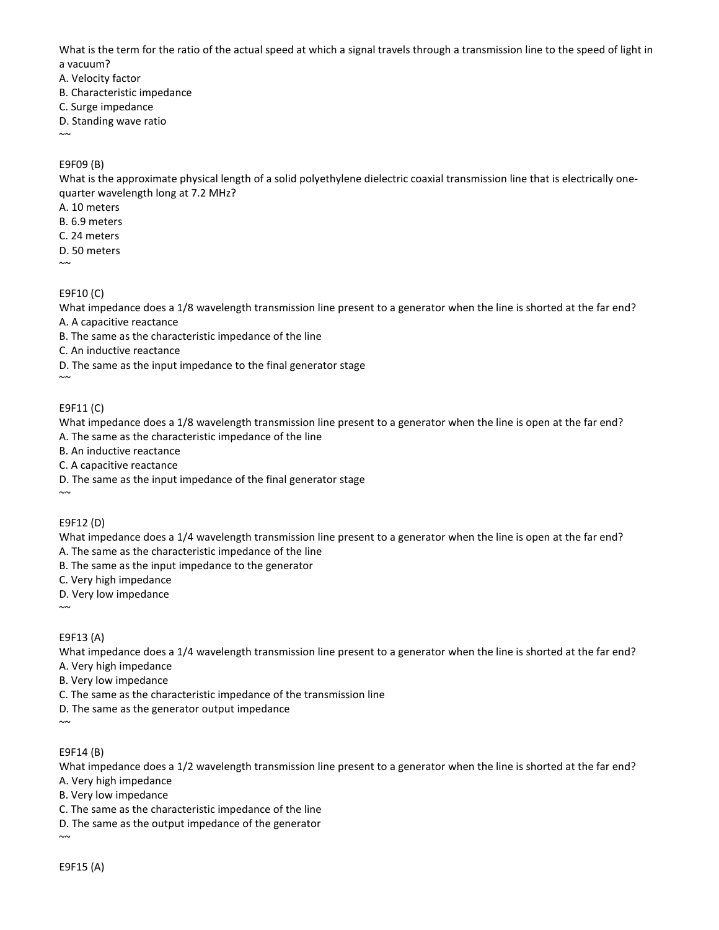What is the term for the ratio of the actual speed at which a signal travels through a transmission line to the speed of light in a vacuum?

A. Velocity factor

- B. Characteristic impedance
- C. Surge impedance
- D. Standing wave ratio

 $~\sim~$ 

# E9F09 (B)

What is the approximate physical length of a solid polyethylene dielectric coaxial transmission line that is electrically onequarter wavelength long at 7.2 MHz?

A. 10 meters

- B. 6.9 meters
- C. 24 meters
- D. 50 meters

 $\sim$ 

# E9F10 (C)

What impedance does a 1/8 wavelength transmission line present to a generator when the line is shorted at the far end?

- A. A capacitive reactance
- B. The same as the characteristic impedance of the line
- C. An inductive reactance
- D. The same as the input impedance to the final generator stage

 $\sim$ 

# E9F11 (C)

What impedance does a 1/8 wavelength transmission line present to a generator when the line is open at the far end? A. The same as the characteristic impedance of the line

- B. An inductive reactance
- C. A capacitive reactance
- D. The same as the input impedance of the final generator stage

E9F12 (D)

What impedance does a 1/4 wavelength transmission line present to a generator when the line is open at the far end? A. The same as the characteristic impedance of the line

- B. The same as the input impedance to the generator
- C. Very high impedance
- D. Very low impedance

 $\sim$ 

 $\sim$ 

E9F13 (A)

What impedance does a 1/4 wavelength transmission line present to a generator when the line is shorted at the far end?

A. Very high impedance

B. Very low impedance

- C. The same as the characteristic impedance of the transmission line
- D. The same as the generator output impedance

 $\sim$ 

# E9F14 (B)

What impedance does a 1/2 wavelength transmission line present to a generator when the line is shorted at the far end?

A. Very high impedance

B. Very low impedance

- C. The same as the characteristic impedance of the line
- D. The same as the output impedance of the generator

E9F15 (A)

 $\sim$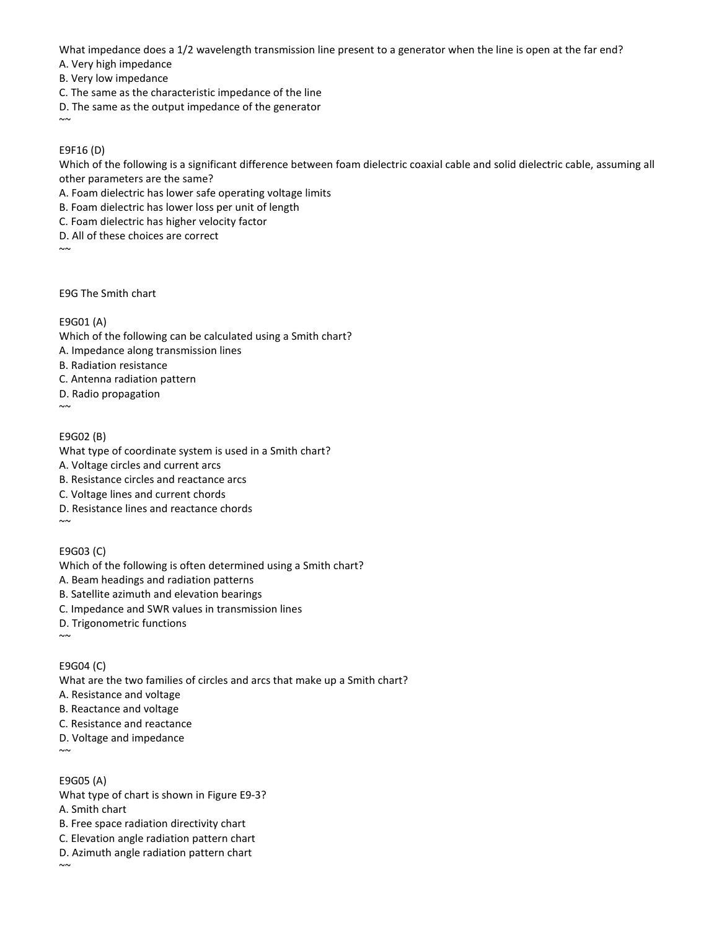What impedance does a 1/2 wavelength transmission line present to a generator when the line is open at the far end?

A. Very high impedance

B. Very low impedance

- C. The same as the characteristic impedance of the line
- D. The same as the output impedance of the generator

E9F16 (D)

 $\sim$ 

Which of the following is a significant difference between foam dielectric coaxial cable and solid dielectric cable, assuming all other parameters are the same?

A. Foam dielectric has lower safe operating voltage limits

B. Foam dielectric has lower loss per unit of length

- C. Foam dielectric has higher velocity factor
- D. All of these choices are correct
- $\sim$

E9G The Smith chart

# E9G01 (A)

Which of the following can be calculated using a Smith chart?

- A. Impedance along transmission lines
- B. Radiation resistance
- C. Antenna radiation pattern
- D. Radio propagation
- $\sim$

# E9G02 (B)

What type of coordinate system is used in a Smith chart?

A. Voltage circles and current arcs

- B. Resistance circles and reactance arcs
- C. Voltage lines and current chords
- D. Resistance lines and reactance chords
- $\sim$

# E9G03 (C)

Which of the following is often determined using a Smith chart?

A. Beam headings and radiation patterns

- B. Satellite azimuth and elevation bearings
- C. Impedance and SWR values in transmission lines
- D. Trigonometric functions

 $\sim$ 

# E9G04 (C)

What are the two families of circles and arcs that make up a Smith chart?

- A. Resistance and voltage
- B. Reactance and voltage
- C. Resistance and reactance
- D. Voltage and impedance
- $\sim$

# E9G05 (A)

What type of chart is shown in Figure E9-3? A. Smith chart

B. Free space radiation directivity chart

C. Elevation angle radiation pattern chart

- D. Azimuth angle radiation pattern chart
- $\sim$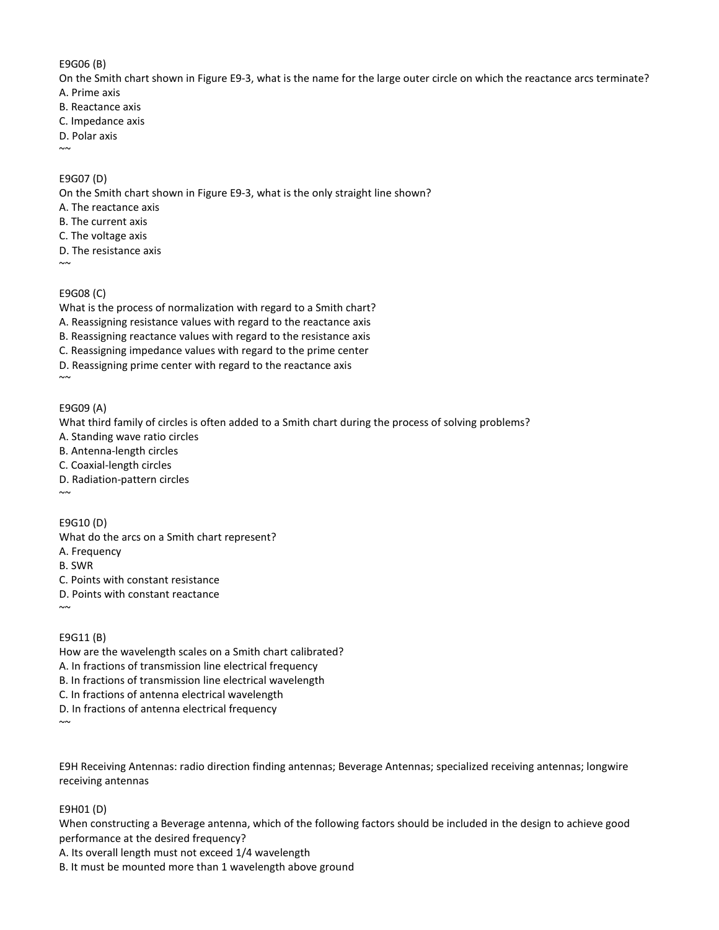#### E9G06 (B)

On the Smith chart shown in Figure E9-3, what is the name for the large outer circle on which the reactance arcs terminate? A. Prime axis

- B. Reactance axis
- C. Impedance axis
- D. Polar axis
- $\sim$

# E9G07 (D)

On the Smith chart shown in Figure E9-3, what is the only straight line shown?

- A. The reactance axis
- B. The current axis
- C. The voltage axis
- D. The resistance axis
- $\sim$

# E9G08 (C)

What is the process of normalization with regard to a Smith chart?

- A. Reassigning resistance values with regard to the reactance axis
- B. Reassigning reactance values with regard to the resistance axis
- C. Reassigning impedance values with regard to the prime center
- D. Reassigning prime center with regard to the reactance axis

 $\sim$ 

# E9G09 (A)

What third family of circles is often added to a Smith chart during the process of solving problems?

- A. Standing wave ratio circles
- B. Antenna-length circles
- C. Coaxial-length circles
- D. Radiation-pattern circles

 $\sim$ 

# E9G10 (D) What do the arcs on a Smith chart represent? A. Frequency B. SWR C. Points with constant resistance D. Points with constant reactance  $\sim$

#### E9G11 (B)

How are the wavelength scales on a Smith chart calibrated? A. In fractions of transmission line electrical frequency B. In fractions of transmission line electrical wavelength C. In fractions of antenna electrical wavelength D. In fractions of antenna electrical frequency  $\sim$ 

E9H Receiving Antennas: radio direction finding antennas; Beverage Antennas; specialized receiving antennas; longwire receiving antennas

# E9H01 (D)

When constructing a Beverage antenna, which of the following factors should be included in the design to achieve good performance at the desired frequency?

A. Its overall length must not exceed 1/4 wavelength

B. It must be mounted more than 1 wavelength above ground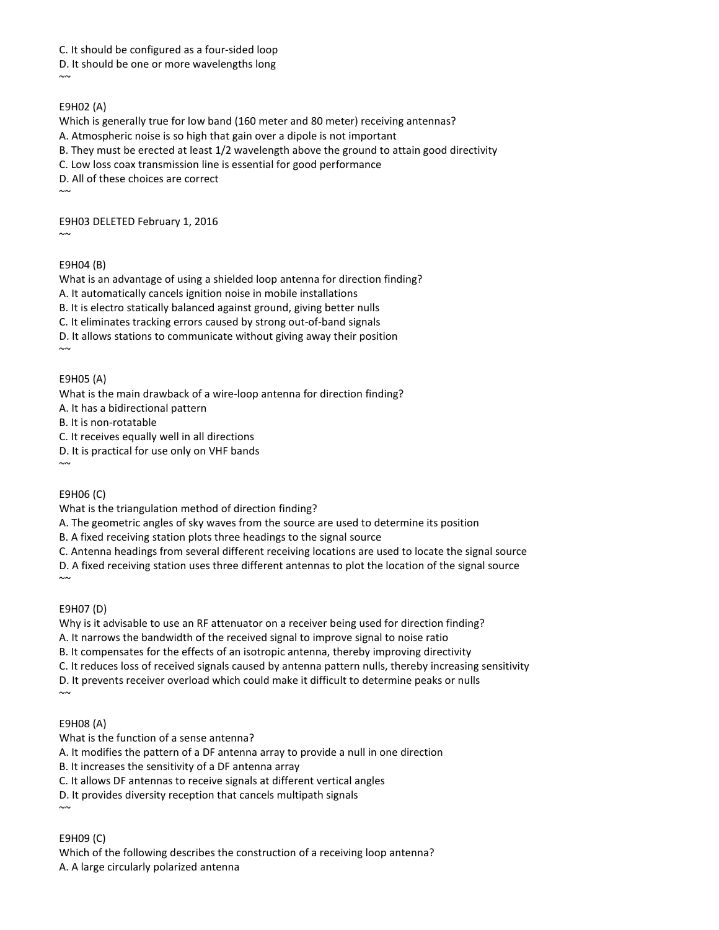C. It should be configured as a four-sided loop

D. It should be one or more wavelengths long

E9H02 (A)

 $\sim$ 

Which is generally true for low band (160 meter and 80 meter) receiving antennas? A. Atmospheric noise is so high that gain over a dipole is not important B. They must be erected at least 1/2 wavelength above the ground to attain good directivity C. Low loss coax transmission line is essential for good performance D. All of these choices are correct  $\sim$ 

E9H03 DELETED February 1, 2016

E9H04 (B)

 $\sim$ 

What is an advantage of using a shielded loop antenna for direction finding? A. It automatically cancels ignition noise in mobile installations B. It is electro statically balanced against ground, giving better nulls C. It eliminates tracking errors caused by strong out-of-band signals D. It allows stations to communicate without giving away their position  $\sim$ 

E9H05 (A)

What is the main drawback of a wire-loop antenna for direction finding?

A. It has a bidirectional pattern

B. It is non-rotatable

C. It receives equally well in all directions

D. It is practical for use only on VHF bands

E9H06 (C)

 $\sim$ 

 $~\sim~$ 

What is the triangulation method of direction finding?

A. The geometric angles of sky waves from the source are used to determine its position

B. A fixed receiving station plots three headings to the signal source

C. Antenna headings from several different receiving locations are used to locate the signal source

D. A fixed receiving station uses three different antennas to plot the location of the signal source

E9H07 (D)

Why is it advisable to use an RF attenuator on a receiver being used for direction finding? A. It narrows the bandwidth of the received signal to improve signal to noise ratio B. It compensates for the effects of an isotropic antenna, thereby improving directivity C. It reduces loss of received signals caused by antenna pattern nulls, thereby increasing sensitivity D. It prevents receiver overload which could make it difficult to determine peaks or nulls  $~\sim~$ 

E9H08 (A)

What is the function of a sense antenna?

A. It modifies the pattern of a DF antenna array to provide a null in one direction

B. It increases the sensitivity of a DF antenna array

C. It allows DF antennas to receive signals at different vertical angles

D. It provides diversity reception that cancels multipath signals

E9H09 (C)

 $\sim$ 

Which of the following describes the construction of a receiving loop antenna?

A. A large circularly polarized antenna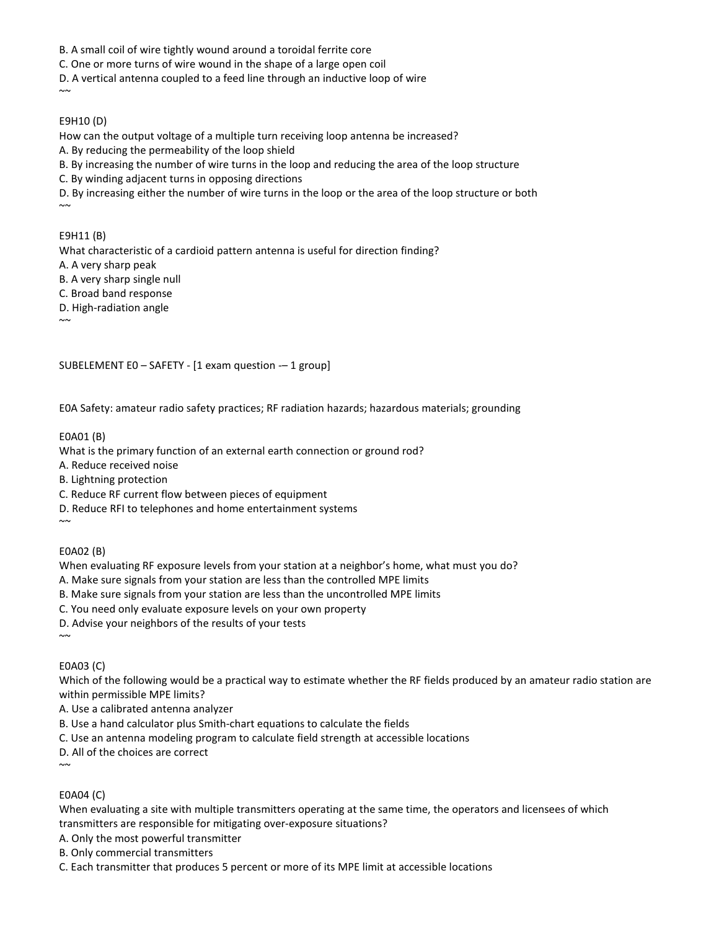B. A small coil of wire tightly wound around a toroidal ferrite core

C. One or more turns of wire wound in the shape of a large open coil

D. A vertical antenna coupled to a feed line through an inductive loop of wire  $\sim$ 

#### E9H10 (D)

How can the output voltage of a multiple turn receiving loop antenna be increased?

A. By reducing the permeability of the loop shield

B. By increasing the number of wire turns in the loop and reducing the area of the loop structure

C. By winding adjacent turns in opposing directions

D. By increasing either the number of wire turns in the loop or the area of the loop structure or both  $~\sim~$ 

#### E9H11 (B)

What characteristic of a cardioid pattern antenna is useful for direction finding?

A. A very sharp peak

B. A very sharp single null

C. Broad band response

D. High-radiation angle

 $\sim$ 

SUBELEMENT E0 – SAFETY - [1 exam question -– 1 group]

E0A Safety: amateur radio safety practices; RF radiation hazards; hazardous materials; grounding

#### E0A01 (B)

What is the primary function of an external earth connection or ground rod?

A. Reduce received noise

B. Lightning protection

C. Reduce RF current flow between pieces of equipment

D. Reduce RFI to telephones and home entertainment systems

 $\sim$ 

# E0A02 (B)

When evaluating RF exposure levels from your station at a neighbor's home, what must you do?

A. Make sure signals from your station are less than the controlled MPE limits

B. Make sure signals from your station are less than the uncontrolled MPE limits

C. You need only evaluate exposure levels on your own property

D. Advise your neighbors of the results of your tests

 $\sim$ 

# E0A03 (C)

Which of the following would be a practical way to estimate whether the RF fields produced by an amateur radio station are within permissible MPE limits?

A. Use a calibrated antenna analyzer

B. Use a hand calculator plus Smith-chart equations to calculate the fields

C. Use an antenna modeling program to calculate field strength at accessible locations

D. All of the choices are correct

 $\sim$ 

#### E0A04 (C)

When evaluating a site with multiple transmitters operating at the same time, the operators and licensees of which transmitters are responsible for mitigating over-exposure situations?

A. Only the most powerful transmitter

B. Only commercial transmitters

C. Each transmitter that produces 5 percent or more of its MPE limit at accessible locations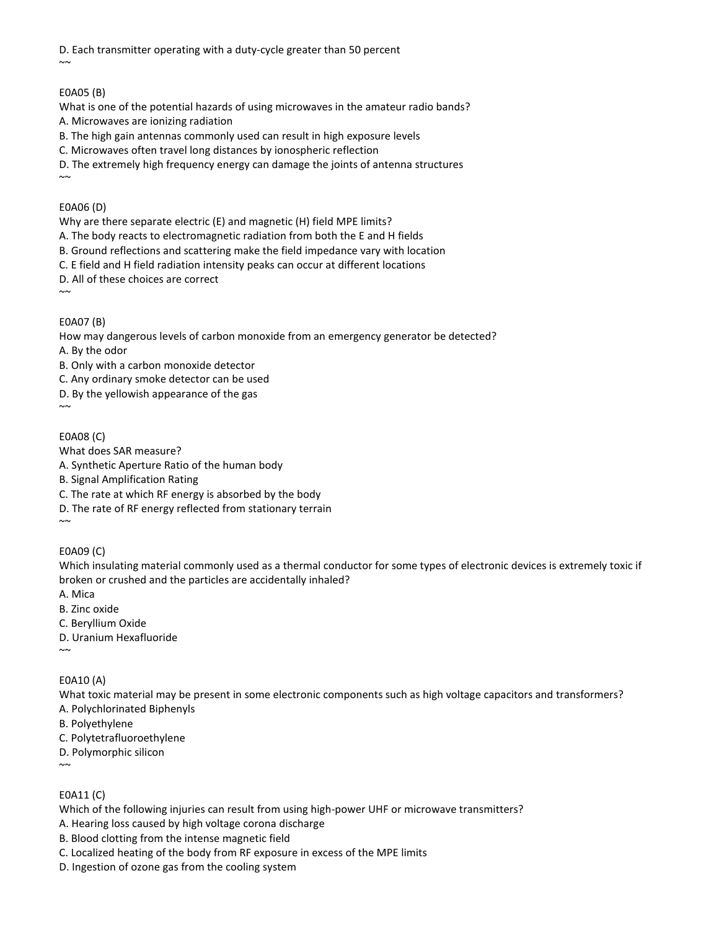D. Each transmitter operating with a duty-cycle greater than 50 percent  $~\sim~$ 

#### E0A05 (B)

What is one of the potential hazards of using microwaves in the amateur radio bands?

A. Microwaves are ionizing radiation

B. The high gain antennas commonly used can result in high exposure levels

C. Microwaves often travel long distances by ionospheric reflection

D. The extremely high frequency energy can damage the joints of antenna structures  $\sim$ 

#### E0A06 (D)

Why are there separate electric (E) and magnetic (H) field MPE limits?

A. The body reacts to electromagnetic radiation from both the E and H fields

B. Ground reflections and scattering make the field impedance vary with location

C. E field and H field radiation intensity peaks can occur at different locations

D. All of these choices are correct

E0A07 (B)

How may dangerous levels of carbon monoxide from an emergency generator be detected?

A. By the odor

B. Only with a carbon monoxide detector

C. Any ordinary smoke detector can be used

D. By the yellowish appearance of the gas

 $\sim$ 

 $\sim$ 

## E0A08 (C)

What does SAR measure? A. Synthetic Aperture Ratio of the human body B. Signal Amplification Rating C. The rate at which RF energy is absorbed by the body D. The rate of RF energy reflected from stationary terrain  $~\sim~$ 

#### E0A09 (C)

Which insulating material commonly used as a thermal conductor for some types of electronic devices is extremely toxic if broken or crushed and the particles are accidentally inhaled?

A. Mica

B. Zinc oxide

C. Beryllium Oxide

D. Uranium Hexafluoride  $~\sim~$ 

# E0A10 (A)

What toxic material may be present in some electronic components such as high voltage capacitors and transformers?

A. Polychlorinated Biphenyls

B. Polyethylene

C. Polytetrafluoroethylene

D. Polymorphic silicon

 $\sim$ 

## E0A11 (C)

Which of the following injuries can result from using high-power UHF or microwave transmitters?

A. Hearing loss caused by high voltage corona discharge

B. Blood clotting from the intense magnetic field

C. Localized heating of the body from RF exposure in excess of the MPE limits

D. Ingestion of ozone gas from the cooling system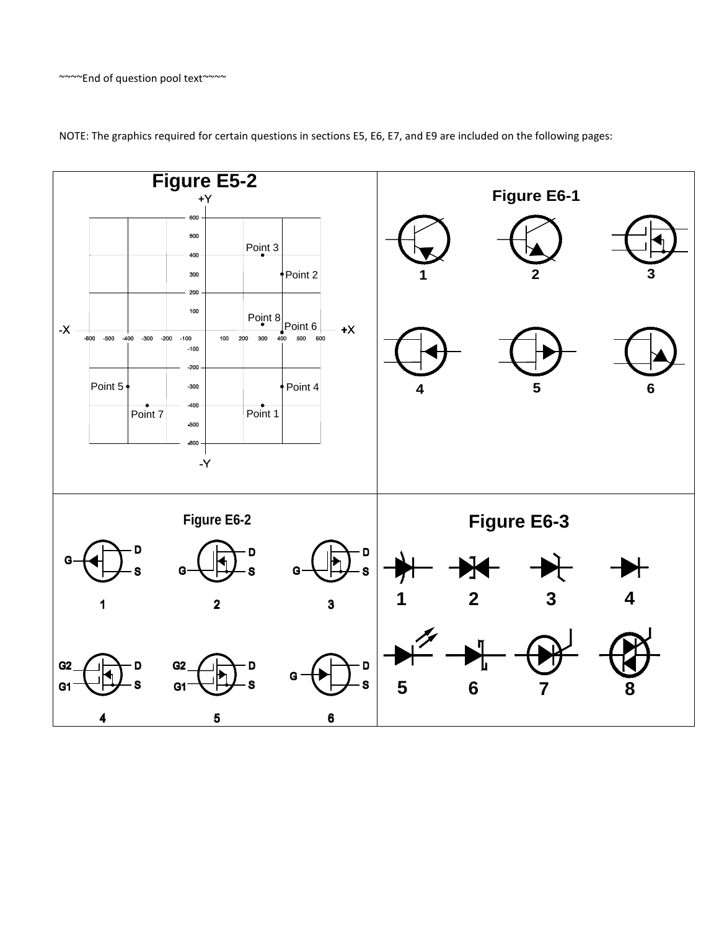

NOTE: The graphics required for certain questions in sections E5, E6, E7, and E9 are included on the following pages: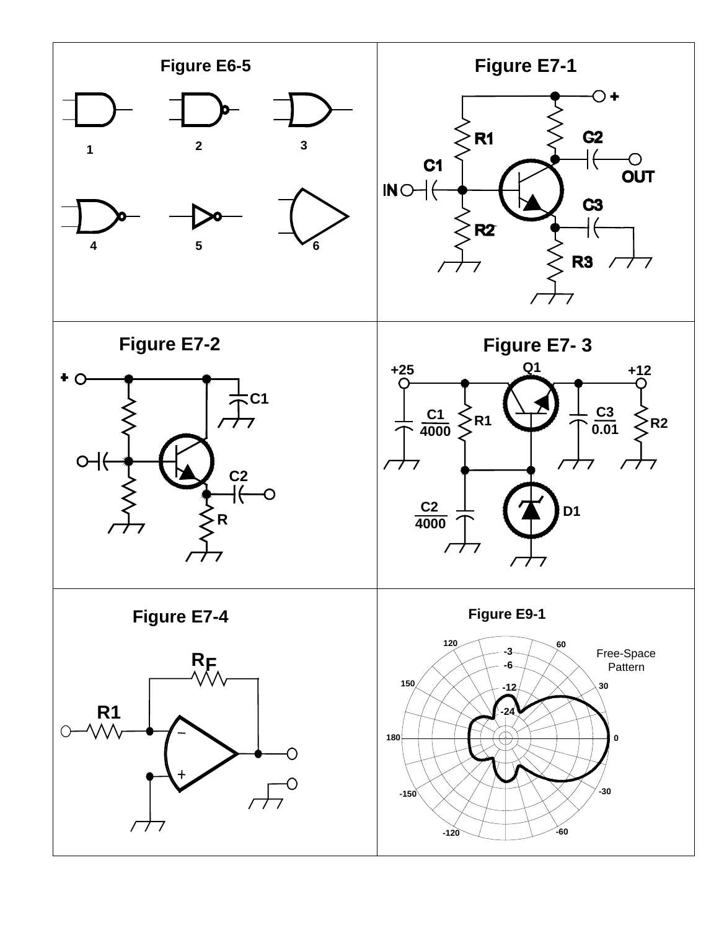